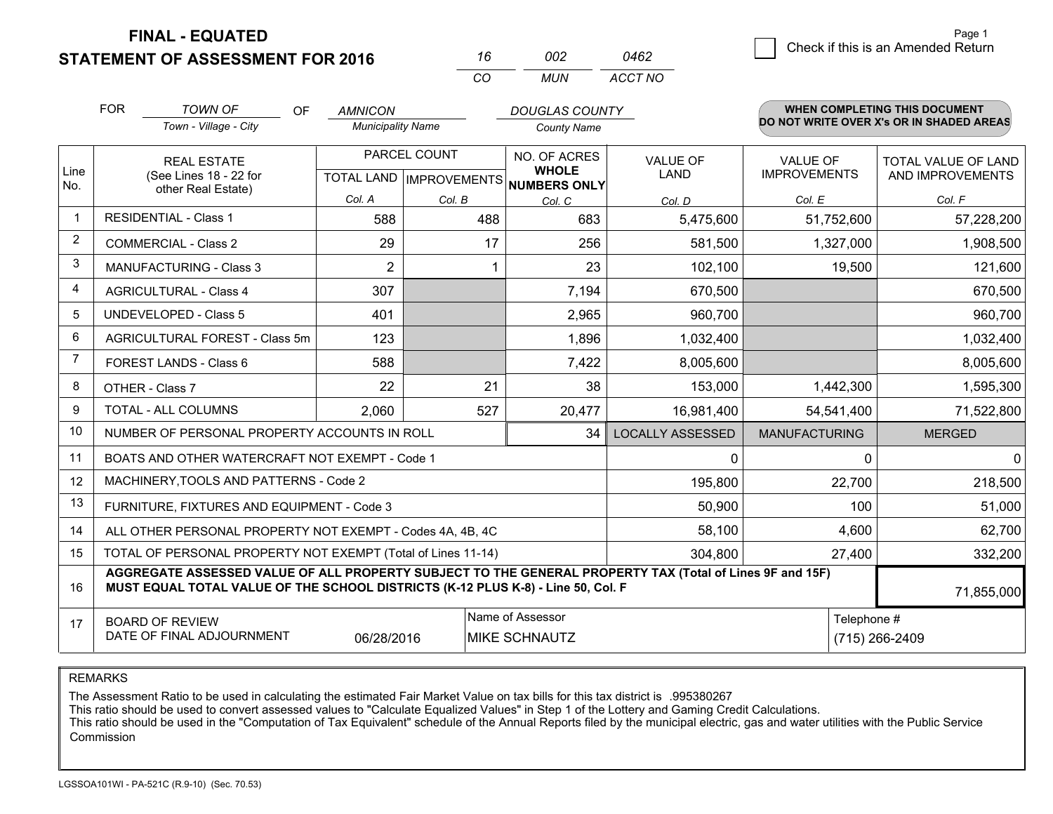**FINAL - EQUATED**

**STATEMENT OF ASSESSMENT FOR 2016** 

| 16  | nnə | 0462    |
|-----|-----|---------|
| CO. | MUN | ACCT NO |

|             | <b>FOR</b>                                                                                                                   | <b>TOWN OF</b><br><b>OF</b>                                                                                                                                                                  | <b>AMNICON</b>           |                                                      | <b>DOUGLAS COUNTY</b> |                                |                                          | WHEN COMPLETING THIS DOCUMENT                  |  |
|-------------|------------------------------------------------------------------------------------------------------------------------------|----------------------------------------------------------------------------------------------------------------------------------------------------------------------------------------------|--------------------------|------------------------------------------------------|-----------------------|--------------------------------|------------------------------------------|------------------------------------------------|--|
|             |                                                                                                                              | Town - Village - City                                                                                                                                                                        | <b>Municipality Name</b> |                                                      | <b>County Name</b>    |                                | DO NOT WRITE OVER X's OR IN SHADED AREAS |                                                |  |
| Line<br>No. |                                                                                                                              | <b>REAL ESTATE</b><br>(See Lines 18 - 22 for                                                                                                                                                 |                          | PARCEL COUNT<br>TOTAL LAND IMPROVEMENTS NUMBERS ONLY |                       | <b>VALUE OF</b><br><b>LAND</b> | <b>VALUE OF</b><br><b>IMPROVEMENTS</b>   | <b>TOTAL VALUE OF LAND</b><br>AND IMPROVEMENTS |  |
|             |                                                                                                                              | other Real Estate)                                                                                                                                                                           | Col. A                   | Col. B                                               | Col. C                | Col. D                         | Col. E                                   | Col. F                                         |  |
| -1          |                                                                                                                              | <b>RESIDENTIAL - Class 1</b>                                                                                                                                                                 | 588                      | 488                                                  | 683                   | 5,475,600                      | 51,752,600                               | 57,228,200                                     |  |
| 2           |                                                                                                                              | <b>COMMERCIAL - Class 2</b>                                                                                                                                                                  | 29                       | 17                                                   | 256                   | 581,500                        | 1,327,000                                | 1,908,500                                      |  |
| 3           |                                                                                                                              | MANUFACTURING - Class 3                                                                                                                                                                      | $\overline{2}$           |                                                      | 23                    | 102,100                        | 19,500                                   | 121,600                                        |  |
| 4           |                                                                                                                              | <b>AGRICULTURAL - Class 4</b>                                                                                                                                                                | 307                      |                                                      | 7,194                 | 670,500                        |                                          | 670,500                                        |  |
| 5           |                                                                                                                              | <b>UNDEVELOPED - Class 5</b>                                                                                                                                                                 | 401                      |                                                      | 2,965                 | 960,700                        |                                          | 960,700                                        |  |
| 6           |                                                                                                                              | AGRICULTURAL FOREST - Class 5m                                                                                                                                                               | 123                      |                                                      | 1,896                 | 1,032,400                      |                                          | 1,032,400                                      |  |
| 7           |                                                                                                                              | FOREST LANDS - Class 6                                                                                                                                                                       | 588                      |                                                      | 7,422                 | 8,005,600                      |                                          | 8,005,600                                      |  |
| 8           |                                                                                                                              | OTHER - Class 7                                                                                                                                                                              | 22                       | 21                                                   | 38                    | 153,000                        | 1,442,300                                | 1,595,300                                      |  |
| 9           |                                                                                                                              | TOTAL - ALL COLUMNS                                                                                                                                                                          | 2,060                    | 527                                                  | 20,477                | 16,981,400                     | 54,541,400                               | 71,522,800                                     |  |
| 10          |                                                                                                                              | NUMBER OF PERSONAL PROPERTY ACCOUNTS IN ROLL                                                                                                                                                 |                          |                                                      | 34                    | <b>LOCALLY ASSESSED</b>        | <b>MANUFACTURING</b>                     | <b>MERGED</b>                                  |  |
| 11          |                                                                                                                              | BOATS AND OTHER WATERCRAFT NOT EXEMPT - Code 1                                                                                                                                               |                          |                                                      |                       | 0                              | $\Omega$                                 | $\mathbf{0}$                                   |  |
| 12          |                                                                                                                              | MACHINERY, TOOLS AND PATTERNS - Code 2                                                                                                                                                       |                          |                                                      |                       | 195,800                        | 22,700                                   | 218,500                                        |  |
| 13          |                                                                                                                              | FURNITURE, FIXTURES AND EQUIPMENT - Code 3                                                                                                                                                   |                          |                                                      |                       | 50,900                         | 100                                      | 51,000                                         |  |
| 14          |                                                                                                                              | ALL OTHER PERSONAL PROPERTY NOT EXEMPT - Codes 4A, 4B, 4C                                                                                                                                    |                          |                                                      |                       | 58,100                         | 4,600                                    | 62,700                                         |  |
| 15          |                                                                                                                              | TOTAL OF PERSONAL PROPERTY NOT EXEMPT (Total of Lines 11-14)                                                                                                                                 |                          |                                                      |                       | 304,800                        | 27,400                                   | 332,200                                        |  |
| 16          |                                                                                                                              | AGGREGATE ASSESSED VALUE OF ALL PROPERTY SUBJECT TO THE GENERAL PROPERTY TAX (Total of Lines 9F and 15F)<br>MUST EQUAL TOTAL VALUE OF THE SCHOOL DISTRICTS (K-12 PLUS K-8) - Line 50, Col. F |                          |                                                      |                       |                                |                                          | 71,855,000                                     |  |
| 17          | Name of Assessor<br>Telephone #<br><b>BOARD OF REVIEW</b><br>DATE OF FINAL ADJOURNMENT<br>06/28/2016<br><b>MIKE SCHNAUTZ</b> |                                                                                                                                                                                              |                          |                                                      |                       |                                | (715) 266-2409                           |                                                |  |

REMARKS

The Assessment Ratio to be used in calculating the estimated Fair Market Value on tax bills for this tax district is .995380267<br>This ratio should be used to convert assessed values to "Calculate Equalized Values" in Step 1 Commission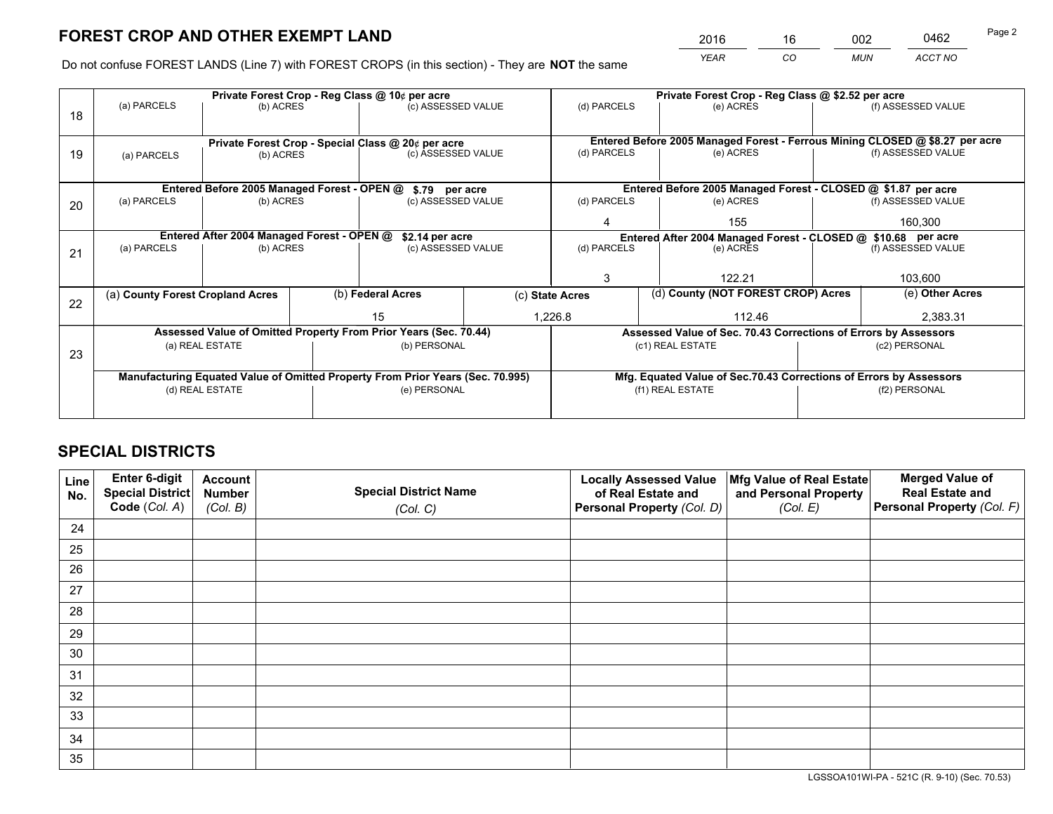*YEAR CO MUN ACCT NO* <sup>2016</sup> <sup>16</sup> <sup>002</sup> <sup>0462</sup>

Do not confuse FOREST LANDS (Line 7) with FOREST CROPS (in this section) - They are **NOT** the same

|    |                                  |                                             | Private Forest Crop - Reg Class @ 10¢ per acre                                 |  | Private Forest Crop - Reg Class @ \$2.52 per acre                                         |                                                                              |  |                    |  |
|----|----------------------------------|---------------------------------------------|--------------------------------------------------------------------------------|--|-------------------------------------------------------------------------------------------|------------------------------------------------------------------------------|--|--------------------|--|
| 18 | (a) PARCELS                      | (b) ACRES                                   | (c) ASSESSED VALUE                                                             |  | (d) PARCELS                                                                               | (e) ACRES                                                                    |  | (f) ASSESSED VALUE |  |
|    |                                  |                                             |                                                                                |  |                                                                                           |                                                                              |  |                    |  |
|    |                                  |                                             | Private Forest Crop - Special Class @ 20¢ per acre                             |  |                                                                                           | Entered Before 2005 Managed Forest - Ferrous Mining CLOSED @ \$8.27 per acre |  |                    |  |
| 19 | (a) PARCELS                      | (b) ACRES                                   | (c) ASSESSED VALUE                                                             |  | (d) PARCELS                                                                               | (e) ACRES                                                                    |  | (f) ASSESSED VALUE |  |
|    |                                  |                                             |                                                                                |  |                                                                                           |                                                                              |  |                    |  |
|    |                                  | Entered Before 2005 Managed Forest - OPEN @ | \$.79 per acre                                                                 |  |                                                                                           | Entered Before 2005 Managed Forest - CLOSED @ \$1.87 per acre                |  |                    |  |
| 20 | (a) PARCELS                      | (b) ACRES                                   | (c) ASSESSED VALUE                                                             |  | (d) PARCELS                                                                               | (e) ACRES                                                                    |  | (f) ASSESSED VALUE |  |
|    |                                  |                                             |                                                                                |  | 4                                                                                         | 155                                                                          |  | 160,300            |  |
|    |                                  | Entered After 2004 Managed Forest - OPEN @  |                                                                                |  |                                                                                           |                                                                              |  |                    |  |
|    | (a) PARCELS                      | (b) ACRES                                   | \$2.14 per acre<br>(c) ASSESSED VALUE                                          |  | Entered After 2004 Managed Forest - CLOSED @ \$10.68 per acre<br>(d) PARCELS<br>(e) ACRES |                                                                              |  | (f) ASSESSED VALUE |  |
| 21 |                                  |                                             |                                                                                |  |                                                                                           |                                                                              |  |                    |  |
|    |                                  |                                             |                                                                                |  | 3                                                                                         | 122.21                                                                       |  | 103,600            |  |
|    |                                  |                                             |                                                                                |  |                                                                                           |                                                                              |  |                    |  |
| 22 | (a) County Forest Cropland Acres |                                             | (b) Federal Acres                                                              |  | (c) State Acres                                                                           | (d) County (NOT FOREST CROP) Acres                                           |  | (e) Other Acres    |  |
|    |                                  |                                             | 15                                                                             |  | 1,226.8                                                                                   | 112.46                                                                       |  | 2.383.31           |  |
|    |                                  |                                             | Assessed Value of Omitted Property From Prior Years (Sec. 70.44)               |  |                                                                                           | Assessed Value of Sec. 70.43 Corrections of Errors by Assessors              |  |                    |  |
|    |                                  | (a) REAL ESTATE                             | (b) PERSONAL                                                                   |  |                                                                                           | (c1) REAL ESTATE                                                             |  | (c2) PERSONAL      |  |
| 23 |                                  |                                             |                                                                                |  |                                                                                           |                                                                              |  |                    |  |
|    |                                  |                                             | Manufacturing Equated Value of Omitted Property From Prior Years (Sec. 70.995) |  |                                                                                           | Mfg. Equated Value of Sec.70.43 Corrections of Errors by Assessors           |  |                    |  |
|    | (d) REAL ESTATE                  |                                             | (e) PERSONAL                                                                   |  | (f1) REAL ESTATE                                                                          |                                                                              |  | (f2) PERSONAL      |  |
|    |                                  |                                             |                                                                                |  |                                                                                           |                                                                              |  |                    |  |
|    |                                  |                                             |                                                                                |  |                                                                                           |                                                                              |  |                    |  |

## **SPECIAL DISTRICTS**

| Line<br>No. | Enter 6-digit<br><b>Special District</b> | <b>Account</b><br><b>Number</b> | <b>Special District Name</b> | <b>Locally Assessed Value</b><br>of Real Estate and | Mfg Value of Real Estate<br>and Personal Property | <b>Merged Value of</b><br><b>Real Estate and</b> |
|-------------|------------------------------------------|---------------------------------|------------------------------|-----------------------------------------------------|---------------------------------------------------|--------------------------------------------------|
|             | Code (Col. A)                            | (Col. B)                        | (Col. C)                     | Personal Property (Col. D)                          | (Col. E)                                          | Personal Property (Col. F)                       |
| 24          |                                          |                                 |                              |                                                     |                                                   |                                                  |
| 25          |                                          |                                 |                              |                                                     |                                                   |                                                  |
| 26          |                                          |                                 |                              |                                                     |                                                   |                                                  |
| 27          |                                          |                                 |                              |                                                     |                                                   |                                                  |
| 28          |                                          |                                 |                              |                                                     |                                                   |                                                  |
| 29          |                                          |                                 |                              |                                                     |                                                   |                                                  |
| 30          |                                          |                                 |                              |                                                     |                                                   |                                                  |
| 31          |                                          |                                 |                              |                                                     |                                                   |                                                  |
| 32          |                                          |                                 |                              |                                                     |                                                   |                                                  |
| 33          |                                          |                                 |                              |                                                     |                                                   |                                                  |
| 34          |                                          |                                 |                              |                                                     |                                                   |                                                  |
| 35          |                                          |                                 |                              |                                                     |                                                   |                                                  |

LGSSOA101WI-PA - 521C (R. 9-10) (Sec. 70.53)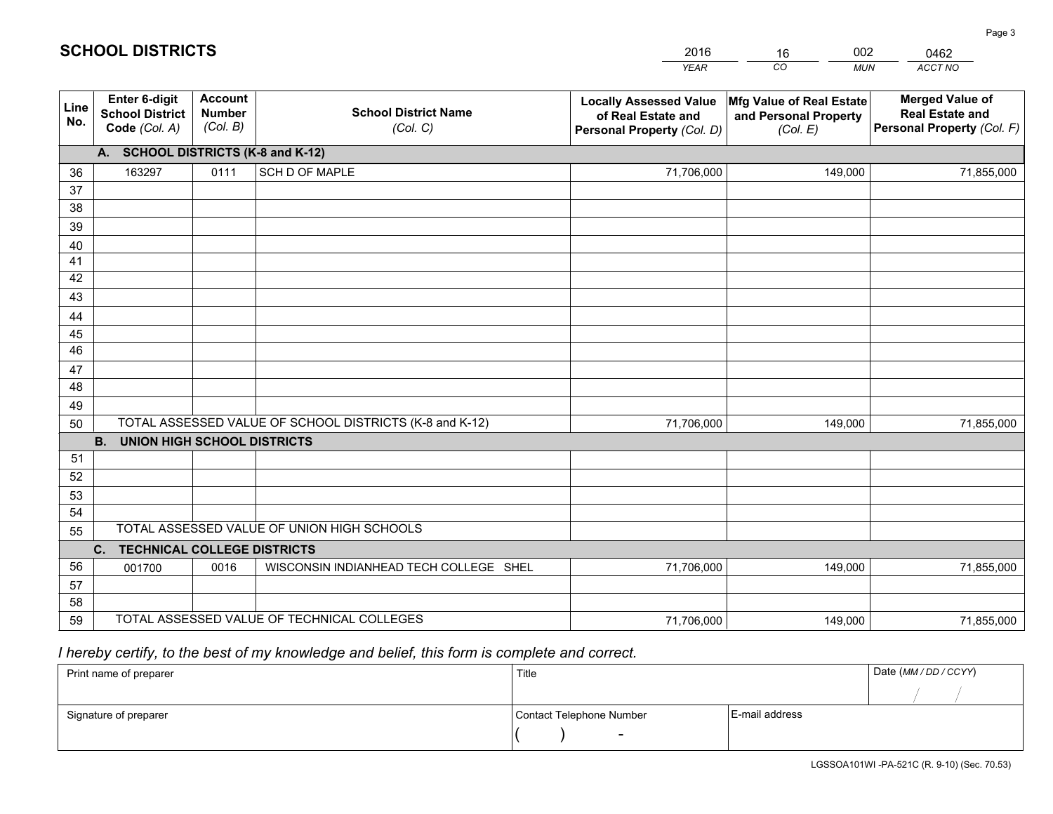|                 |                                                                 |                                             |                                                         | <b>YEAR</b>                                                                       | CO<br><b>MUN</b>                                              | ACCT NO                                                                        |
|-----------------|-----------------------------------------------------------------|---------------------------------------------|---------------------------------------------------------|-----------------------------------------------------------------------------------|---------------------------------------------------------------|--------------------------------------------------------------------------------|
| Line<br>No.     | <b>Enter 6-digit</b><br><b>School District</b><br>Code (Col. A) | <b>Account</b><br><b>Number</b><br>(Col. B) | <b>School District Name</b><br>(Col. C)                 | <b>Locally Assessed Value</b><br>of Real Estate and<br>Personal Property (Col. D) | Mfg Value of Real Estate<br>and Personal Property<br>(Col. E) | <b>Merged Value of</b><br><b>Real Estate and</b><br>Personal Property (Col. F) |
|                 | A. SCHOOL DISTRICTS (K-8 and K-12)                              |                                             |                                                         |                                                                                   |                                                               |                                                                                |
| 36              | 163297                                                          | 0111                                        | <b>SCH D OF MAPLE</b>                                   | 71,706,000                                                                        | 149,000                                                       | 71,855,000                                                                     |
| 37              |                                                                 |                                             |                                                         |                                                                                   |                                                               |                                                                                |
| 38              |                                                                 |                                             |                                                         |                                                                                   |                                                               |                                                                                |
| 39              |                                                                 |                                             |                                                         |                                                                                   |                                                               |                                                                                |
| 40              |                                                                 |                                             |                                                         |                                                                                   |                                                               |                                                                                |
| 41              |                                                                 |                                             |                                                         |                                                                                   |                                                               |                                                                                |
| 42<br>43        |                                                                 |                                             |                                                         |                                                                                   |                                                               |                                                                                |
| 44              |                                                                 |                                             |                                                         |                                                                                   |                                                               |                                                                                |
| 45              |                                                                 |                                             |                                                         |                                                                                   |                                                               |                                                                                |
| $\overline{46}$ |                                                                 |                                             |                                                         |                                                                                   |                                                               |                                                                                |
| 47              |                                                                 |                                             |                                                         |                                                                                   |                                                               |                                                                                |
| 48              |                                                                 |                                             |                                                         |                                                                                   |                                                               |                                                                                |
| 49              |                                                                 |                                             |                                                         |                                                                                   |                                                               |                                                                                |
| 50              |                                                                 |                                             | TOTAL ASSESSED VALUE OF SCHOOL DISTRICTS (K-8 and K-12) | 71,706,000                                                                        | 149,000                                                       | 71,855,000                                                                     |
|                 | <b>B.</b><br><b>UNION HIGH SCHOOL DISTRICTS</b>                 |                                             |                                                         |                                                                                   |                                                               |                                                                                |
| 51              |                                                                 |                                             |                                                         |                                                                                   |                                                               |                                                                                |
| 52              |                                                                 |                                             |                                                         |                                                                                   |                                                               |                                                                                |
| 53              |                                                                 |                                             |                                                         |                                                                                   |                                                               |                                                                                |
| 54              |                                                                 |                                             |                                                         |                                                                                   |                                                               |                                                                                |
| 55              |                                                                 |                                             | TOTAL ASSESSED VALUE OF UNION HIGH SCHOOLS              |                                                                                   |                                                               |                                                                                |
|                 | C.<br><b>TECHNICAL COLLEGE DISTRICTS</b>                        |                                             |                                                         |                                                                                   |                                                               |                                                                                |
| 56              | 001700                                                          | 0016                                        | WISCONSIN INDIANHEAD TECH COLLEGE SHEL                  | 71,706,000                                                                        | 149,000                                                       | 71,855,000                                                                     |
| 57<br>58        |                                                                 |                                             |                                                         |                                                                                   |                                                               |                                                                                |
| 59              |                                                                 |                                             | TOTAL ASSESSED VALUE OF TECHNICAL COLLEGES              | 71,706,000                                                                        | 149,000                                                       | 71,855,000                                                                     |
|                 |                                                                 |                                             |                                                         |                                                                                   |                                                               |                                                                                |

## *I hereby certify, to the best of my knowledge and belief, this form is complete and correct.*

| Print name of preparer | Title                    |                | Date (MM / DD / CCYY) |
|------------------------|--------------------------|----------------|-----------------------|
|                        |                          |                |                       |
| Signature of preparer  | Contact Telephone Number | E-mail address |                       |
|                        | $\overline{\phantom{0}}$ |                |                       |

LGSSOA101WI -PA-521C (R. 9-10) (Sec. 70.53)

Page 3

**SCHOOL DISTRICTS**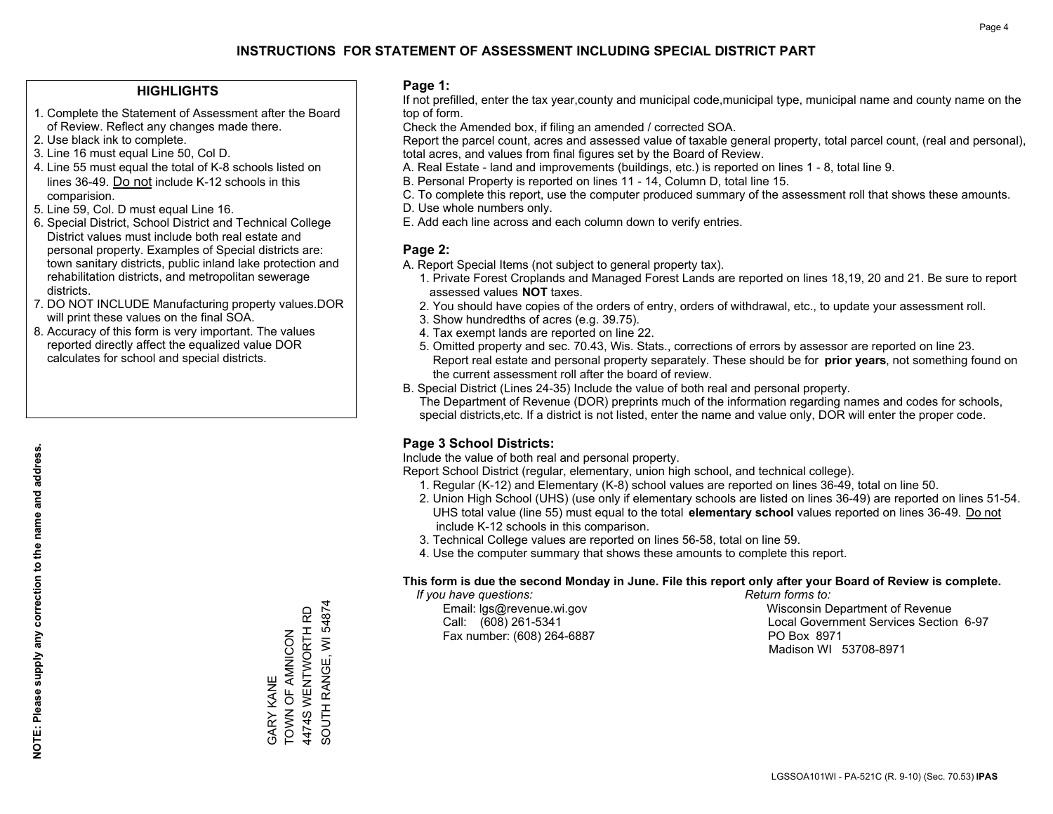### **HIGHLIGHTS**

- 1. Complete the Statement of Assessment after the Board of Review. Reflect any changes made there.
- 2. Use black ink to complete.
- 3. Line 16 must equal Line 50, Col D.
- 4. Line 55 must equal the total of K-8 schools listed on lines 36-49. Do not include K-12 schools in this comparision.
- 5. Line 59, Col. D must equal Line 16.
- 6. Special District, School District and Technical College District values must include both real estate and personal property. Examples of Special districts are: town sanitary districts, public inland lake protection and rehabilitation districts, and metropolitan sewerage districts.
- 7. DO NOT INCLUDE Manufacturing property values.DOR will print these values on the final SOA.

GARY KANE

**GARY KANE** 

TOWN OF AMNICON 4474S WENTWORTH RD SOUTH RANGE, WI 54874

SOUTH RANGE, WI 54874 4474S WENTWORTH RD TOWN OF AMNICON

 8. Accuracy of this form is very important. The values reported directly affect the equalized value DOR calculates for school and special districts.

### **Page 1:**

 If not prefilled, enter the tax year,county and municipal code,municipal type, municipal name and county name on the top of form.

Check the Amended box, if filing an amended / corrected SOA.

 Report the parcel count, acres and assessed value of taxable general property, total parcel count, (real and personal), total acres, and values from final figures set by the Board of Review.

- A. Real Estate land and improvements (buildings, etc.) is reported on lines 1 8, total line 9.
- B. Personal Property is reported on lines 11 14, Column D, total line 15.
- C. To complete this report, use the computer produced summary of the assessment roll that shows these amounts.
- D. Use whole numbers only.
- E. Add each line across and each column down to verify entries.

## **Page 2:**

- A. Report Special Items (not subject to general property tax).
- 1. Private Forest Croplands and Managed Forest Lands are reported on lines 18,19, 20 and 21. Be sure to report assessed values **NOT** taxes.
- 2. You should have copies of the orders of entry, orders of withdrawal, etc., to update your assessment roll.
	- 3. Show hundredths of acres (e.g. 39.75).
- 4. Tax exempt lands are reported on line 22.
- 5. Omitted property and sec. 70.43, Wis. Stats., corrections of errors by assessor are reported on line 23. Report real estate and personal property separately. These should be for **prior years**, not something found on the current assessment roll after the board of review.
- B. Special District (Lines 24-35) Include the value of both real and personal property.

 The Department of Revenue (DOR) preprints much of the information regarding names and codes for schools, special districts,etc. If a district is not listed, enter the name and value only, DOR will enter the proper code.

## **Page 3 School Districts:**

Include the value of both real and personal property.

Report School District (regular, elementary, union high school, and technical college).

- 1. Regular (K-12) and Elementary (K-8) school values are reported on lines 36-49, total on line 50.
- 2. Union High School (UHS) (use only if elementary schools are listed on lines 36-49) are reported on lines 51-54. UHS total value (line 55) must equal to the total **elementary school** values reported on lines 36-49. Do notinclude K-12 schools in this comparison.
- 3. Technical College values are reported on lines 56-58, total on line 59.
- 4. Use the computer summary that shows these amounts to complete this report.

#### **This form is due the second Monday in June. File this report only after your Board of Review is complete.**

 *If you have questions: Return forms to:*

Fax number: (608) 264-6887 PO Box 8971

 Email: lgs@revenue.wi.gov Wisconsin Department of Revenue Call: (608) 261-5341 Local Government Services Section 6-97Madison WI 53708-8971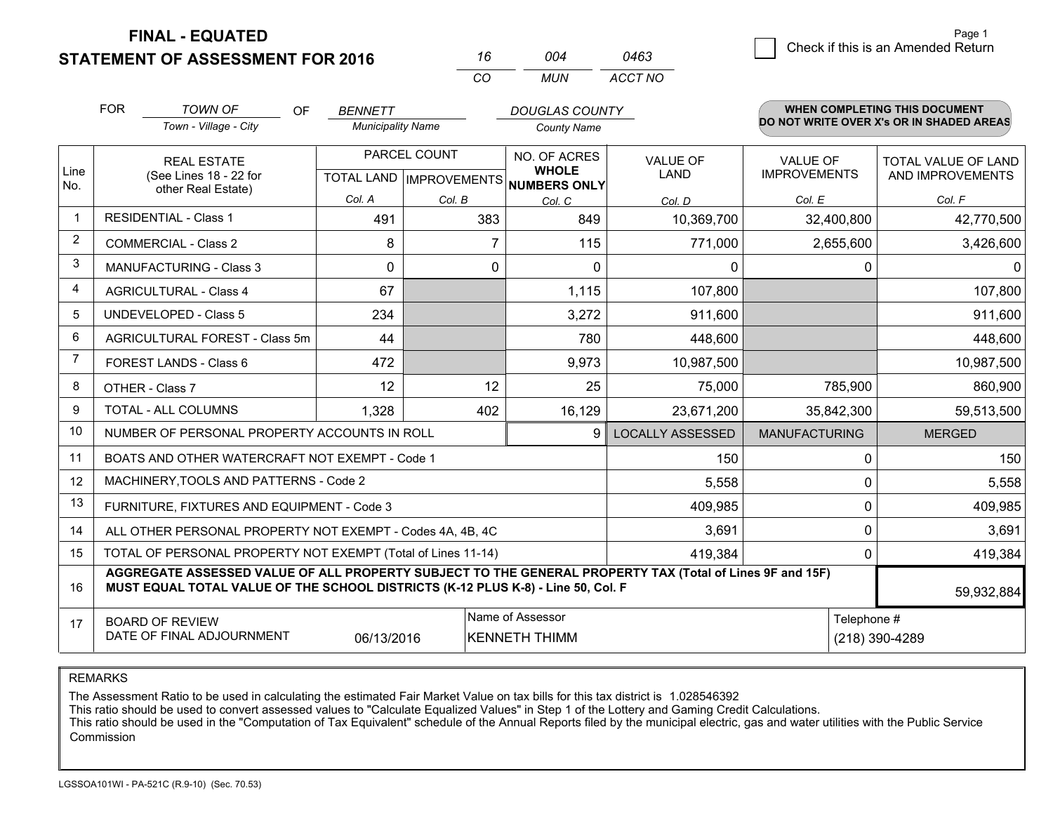**FINAL - EQUATED**

**STATEMENT OF ASSESSMENT FOR 2016** 

| 16  | 004 | 0463    |
|-----|-----|---------|
| CO. | MUN | ACCT NO |

|                | <b>FOR</b><br><b>TOWN OF</b><br><b>OF</b><br>Town - Village - City                                                                                                                           | <b>BENNETT</b><br><b>Municipality Name</b> |              | <b>DOUGLAS COUNTY</b><br><b>County Name</b>             |                         | <b>WHEN COMPLETING THIS DOCUMENT</b><br>DO NOT WRITE OVER X's OR IN SHADED AREAS |                                                |
|----------------|----------------------------------------------------------------------------------------------------------------------------------------------------------------------------------------------|--------------------------------------------|--------------|---------------------------------------------------------|-------------------------|----------------------------------------------------------------------------------|------------------------------------------------|
| Line<br>No.    | PARCEL COUNT<br><b>REAL ESTATE</b><br>(See Lines 18 - 22 for<br>TOTAL LAND   IMPROVEMENTS   NUMBERS ONLY<br>other Real Estate)                                                               |                                            |              | NO. OF ACRES<br><b>VALUE OF</b><br><b>WHOLE</b><br>LAND |                         | <b>VALUE OF</b><br><b>IMPROVEMENTS</b>                                           | <b>TOTAL VALUE OF LAND</b><br>AND IMPROVEMENTS |
|                |                                                                                                                                                                                              | Col. A                                     | Col. B       | Col. C                                                  | Col. D                  | Col. E                                                                           | Col. F                                         |
| $\mathbf{1}$   | <b>RESIDENTIAL - Class 1</b>                                                                                                                                                                 | 491                                        | 383          | 849                                                     | 10,369,700              | 32,400,800                                                                       | 42,770,500                                     |
| $\overline{2}$ | <b>COMMERCIAL - Class 2</b>                                                                                                                                                                  | 8                                          | 7            | 115                                                     | 771,000                 | 2,655,600                                                                        | 3,426,600                                      |
| 3              | MANUFACTURING - Class 3                                                                                                                                                                      | $\Omega$                                   | 0            | $\Omega$                                                | 0                       |                                                                                  | $\Omega$<br>0                                  |
| 4              | <b>AGRICULTURAL - Class 4</b>                                                                                                                                                                | 67                                         |              | 1,115                                                   | 107,800                 |                                                                                  | 107,800                                        |
| 5              | UNDEVELOPED - Class 5                                                                                                                                                                        | 234                                        |              | 3,272                                                   | 911,600                 |                                                                                  | 911,600                                        |
| 6              | AGRICULTURAL FOREST - Class 5m                                                                                                                                                               | 44                                         |              | 780                                                     | 448,600                 |                                                                                  | 448,600                                        |
| 7              | FOREST LANDS - Class 6                                                                                                                                                                       | 472                                        |              | 9,973                                                   | 10,987,500              |                                                                                  | 10,987,500                                     |
| 8              | OTHER - Class 7                                                                                                                                                                              | 12                                         | 12           | 25                                                      | 75,000                  | 785,900                                                                          | 860,900                                        |
| 9              | TOTAL - ALL COLUMNS                                                                                                                                                                          | 1,328                                      | 402          | 16,129                                                  | 23,671,200              | 35,842,300                                                                       | 59,513,500                                     |
| 10             | NUMBER OF PERSONAL PROPERTY ACCOUNTS IN ROLL                                                                                                                                                 |                                            |              | 9                                                       | <b>LOCALLY ASSESSED</b> | <b>MANUFACTURING</b>                                                             | <b>MERGED</b>                                  |
| 11             | BOATS AND OTHER WATERCRAFT NOT EXEMPT - Code 1                                                                                                                                               |                                            |              |                                                         | 150                     |                                                                                  | 150<br>0                                       |
| 12             | MACHINERY, TOOLS AND PATTERNS - Code 2                                                                                                                                                       |                                            |              |                                                         | 5,558                   |                                                                                  | 5,558<br>0                                     |
| 13             | FURNITURE, FIXTURES AND EQUIPMENT - Code 3                                                                                                                                                   |                                            |              |                                                         | 409,985                 |                                                                                  | $\mathbf 0$<br>409,985                         |
| 14             | ALL OTHER PERSONAL PROPERTY NOT EXEMPT - Codes 4A, 4B, 4C                                                                                                                                    |                                            |              |                                                         | 3,691                   |                                                                                  | $\mathbf 0$<br>3,691                           |
| 15             | TOTAL OF PERSONAL PROPERTY NOT EXEMPT (Total of Lines 11-14)                                                                                                                                 |                                            | 419,384<br>0 |                                                         |                         |                                                                                  |                                                |
| 16             | AGGREGATE ASSESSED VALUE OF ALL PROPERTY SUBJECT TO THE GENERAL PROPERTY TAX (Total of Lines 9F and 15F)<br>MUST EQUAL TOTAL VALUE OF THE SCHOOL DISTRICTS (K-12 PLUS K-8) - Line 50, Col. F |                                            |              |                                                         |                         |                                                                                  | 59,932,884                                     |
| 17             | <b>BOARD OF REVIEW</b><br>DATE OF FINAL ADJOURNMENT                                                                                                                                          | 06/13/2016                                 |              | Name of Assessor<br><b>KENNETH THIMM</b>                |                         |                                                                                  | Telephone #<br>(218) 390-4289                  |
|                |                                                                                                                                                                                              |                                            |              |                                                         |                         |                                                                                  |                                                |

REMARKS

The Assessment Ratio to be used in calculating the estimated Fair Market Value on tax bills for this tax district is 1.028546392

This ratio should be used to convert assessed values to "Calculate Equalized Values" in Step 1 of the Lottery and Gaming Credit Calculations.<br>This ratio should be used in the "Computation of Tax Equivalent" schedule of the Commission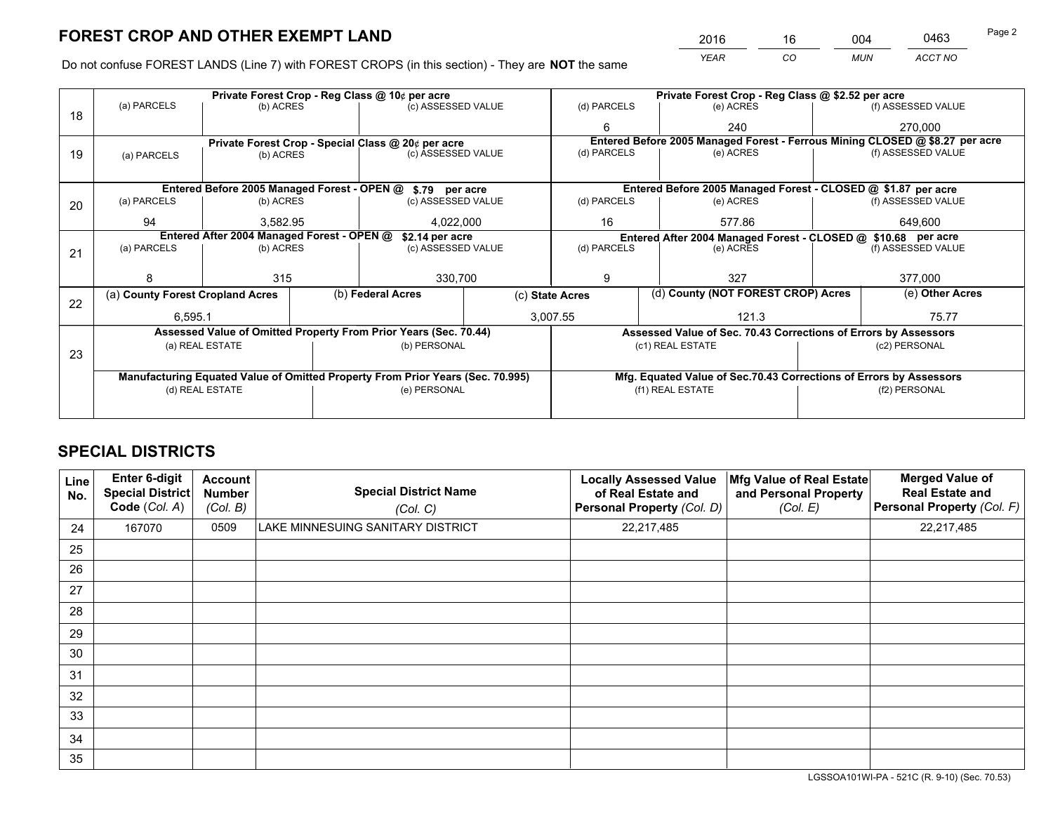*YEAR CO MUN ACCT NO* <sup>2016</sup> <sup>16</sup> <sup>004</sup> <sup>0463</sup> Page 2

Do not confuse FOREST LANDS (Line 7) with FOREST CROPS (in this section) - They are **NOT** the same

|    |                                                                                |                                 |  | Private Forest Crop - Reg Class @ 10¢ per acre                   |             | Private Forest Crop - Reg Class @ \$2.52 per acre             |           |                                                                    |                    |                                                                              |
|----|--------------------------------------------------------------------------------|---------------------------------|--|------------------------------------------------------------------|-------------|---------------------------------------------------------------|-----------|--------------------------------------------------------------------|--------------------|------------------------------------------------------------------------------|
| 18 | (a) PARCELS                                                                    | (b) ACRES                       |  | (c) ASSESSED VALUE                                               |             | (d) PARCELS                                                   |           | (e) ACRES                                                          |                    | (f) ASSESSED VALUE                                                           |
|    |                                                                                |                                 |  |                                                                  |             | 6                                                             |           | 240                                                                |                    | 270.000                                                                      |
|    |                                                                                |                                 |  | Private Forest Crop - Special Class @ 20¢ per acre               |             |                                                               |           |                                                                    |                    | Entered Before 2005 Managed Forest - Ferrous Mining CLOSED @ \$8.27 per acre |
| 19 | (a) PARCELS                                                                    | (c) ASSESSED VALUE<br>(b) ACRES |  |                                                                  | (d) PARCELS |                                                               | (e) ACRES |                                                                    | (f) ASSESSED VALUE |                                                                              |
|    |                                                                                |                                 |  |                                                                  |             |                                                               |           |                                                                    |                    |                                                                              |
|    |                                                                                |                                 |  | Entered Before 2005 Managed Forest - OPEN @ \$.79 per acre       |             |                                                               |           | Entered Before 2005 Managed Forest - CLOSED @ \$1.87 per acre      |                    |                                                                              |
| 20 | (a) PARCELS                                                                    | (b) ACRES                       |  | (c) ASSESSED VALUE                                               |             | (d) PARCELS                                                   |           | (e) ACRES                                                          |                    | (f) ASSESSED VALUE                                                           |
|    | 94                                                                             | 3.582.95                        |  | 4,022,000                                                        |             | 16<br>577.86                                                  |           |                                                                    | 649.600            |                                                                              |
|    | Entered After 2004 Managed Forest - OPEN @<br>\$2.14 per acre                  |                                 |  |                                                                  |             | Entered After 2004 Managed Forest - CLOSED @ \$10.68 per acre |           |                                                                    |                    |                                                                              |
| 21 | (a) PARCELS                                                                    | (b) ACRES                       |  | (c) ASSESSED VALUE                                               | (d) PARCELS |                                                               | (e) ACRES |                                                                    | (f) ASSESSED VALUE |                                                                              |
|    |                                                                                |                                 |  |                                                                  |             |                                                               |           |                                                                    |                    |                                                                              |
|    |                                                                                | 315                             |  | 330,700                                                          |             | 327<br>9                                                      |           |                                                                    | 377,000            |                                                                              |
| 22 | (a) County Forest Cropland Acres                                               |                                 |  | (b) Federal Acres<br>(c) State Acres                             |             |                                                               |           | (d) County (NOT FOREST CROP) Acres                                 |                    | (e) Other Acres                                                              |
|    | 6,595.1                                                                        |                                 |  |                                                                  | 3,007.55    |                                                               |           | 121.3                                                              |                    | 75.77                                                                        |
|    |                                                                                |                                 |  | Assessed Value of Omitted Property From Prior Years (Sec. 70.44) |             |                                                               |           | Assessed Value of Sec. 70.43 Corrections of Errors by Assessors    |                    |                                                                              |
| 23 |                                                                                | (a) REAL ESTATE                 |  | (b) PERSONAL                                                     |             |                                                               |           | (c1) REAL ESTATE                                                   |                    | (c2) PERSONAL                                                                |
|    |                                                                                |                                 |  |                                                                  |             |                                                               |           |                                                                    |                    |                                                                              |
|    | Manufacturing Equated Value of Omitted Property From Prior Years (Sec. 70.995) |                                 |  |                                                                  |             |                                                               |           | Mfg. Equated Value of Sec.70.43 Corrections of Errors by Assessors |                    |                                                                              |
|    |                                                                                | (d) REAL ESTATE                 |  | (e) PERSONAL                                                     |             | (f1) REAL ESTATE                                              |           | (f2) PERSONAL                                                      |                    |                                                                              |
|    |                                                                                |                                 |  |                                                                  |             |                                                               |           |                                                                    |                    |                                                                              |

## **SPECIAL DISTRICTS**

| Line<br>No. | Enter 6-digit<br>Special District<br>Code (Col. A) | <b>Account</b><br><b>Number</b><br>(Col. B) | <b>Special District Name</b><br>(Col. C) | <b>Locally Assessed Value</b><br>of Real Estate and<br>Personal Property (Col. D) | Mfg Value of Real Estate<br>and Personal Property<br>(Col. E) | <b>Merged Value of</b><br><b>Real Estate and</b><br>Personal Property (Col. F) |
|-------------|----------------------------------------------------|---------------------------------------------|------------------------------------------|-----------------------------------------------------------------------------------|---------------------------------------------------------------|--------------------------------------------------------------------------------|
| 24          | 167070                                             | 0509                                        | LAKE MINNESUING SANITARY DISTRICT        | 22,217,485                                                                        |                                                               | 22,217,485                                                                     |
| 25          |                                                    |                                             |                                          |                                                                                   |                                                               |                                                                                |
| 26          |                                                    |                                             |                                          |                                                                                   |                                                               |                                                                                |
| 27          |                                                    |                                             |                                          |                                                                                   |                                                               |                                                                                |
| 28          |                                                    |                                             |                                          |                                                                                   |                                                               |                                                                                |
| 29          |                                                    |                                             |                                          |                                                                                   |                                                               |                                                                                |
| 30          |                                                    |                                             |                                          |                                                                                   |                                                               |                                                                                |
| 31          |                                                    |                                             |                                          |                                                                                   |                                                               |                                                                                |
| 32          |                                                    |                                             |                                          |                                                                                   |                                                               |                                                                                |
| 33          |                                                    |                                             |                                          |                                                                                   |                                                               |                                                                                |
| 34          |                                                    |                                             |                                          |                                                                                   |                                                               |                                                                                |
| 35          |                                                    |                                             |                                          |                                                                                   |                                                               |                                                                                |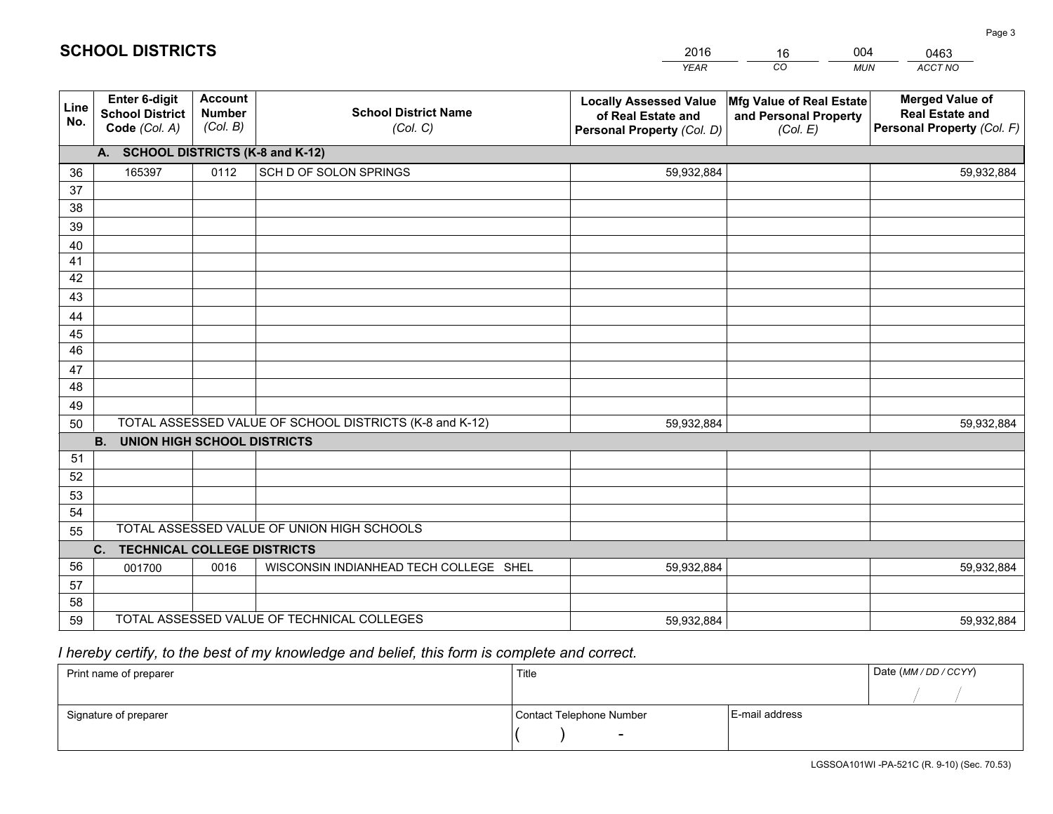|             |                                                                 |                                             |                                                         | <b>YEAR</b>                                                                       | CO<br><b>MUN</b>                                              | ACCT NO                                                                        |
|-------------|-----------------------------------------------------------------|---------------------------------------------|---------------------------------------------------------|-----------------------------------------------------------------------------------|---------------------------------------------------------------|--------------------------------------------------------------------------------|
| Line<br>No. | <b>Enter 6-digit</b><br><b>School District</b><br>Code (Col. A) | <b>Account</b><br><b>Number</b><br>(Col. B) | <b>School District Name</b><br>(Col. C)                 | <b>Locally Assessed Value</b><br>of Real Estate and<br>Personal Property (Col. D) | Mfg Value of Real Estate<br>and Personal Property<br>(Col. E) | <b>Merged Value of</b><br><b>Real Estate and</b><br>Personal Property (Col. F) |
|             | A. SCHOOL DISTRICTS (K-8 and K-12)                              |                                             |                                                         |                                                                                   |                                                               |                                                                                |
| 36          | 165397                                                          | 0112                                        | SCH D OF SOLON SPRINGS                                  | 59,932,884                                                                        |                                                               | 59,932,884                                                                     |
| 37          |                                                                 |                                             |                                                         |                                                                                   |                                                               |                                                                                |
| 38          |                                                                 |                                             |                                                         |                                                                                   |                                                               |                                                                                |
| 39          |                                                                 |                                             |                                                         |                                                                                   |                                                               |                                                                                |
| 40          |                                                                 |                                             |                                                         |                                                                                   |                                                               |                                                                                |
| 41          |                                                                 |                                             |                                                         |                                                                                   |                                                               |                                                                                |
| 42          |                                                                 |                                             |                                                         |                                                                                   |                                                               |                                                                                |
| 43          |                                                                 |                                             |                                                         |                                                                                   |                                                               |                                                                                |
| 44<br>45    |                                                                 |                                             |                                                         |                                                                                   |                                                               |                                                                                |
| 46          |                                                                 |                                             |                                                         |                                                                                   |                                                               |                                                                                |
| 47          |                                                                 |                                             |                                                         |                                                                                   |                                                               |                                                                                |
| 48          |                                                                 |                                             |                                                         |                                                                                   |                                                               |                                                                                |
| 49          |                                                                 |                                             |                                                         |                                                                                   |                                                               |                                                                                |
| 50          |                                                                 |                                             | TOTAL ASSESSED VALUE OF SCHOOL DISTRICTS (K-8 and K-12) | 59,932,884                                                                        |                                                               | 59,932,884                                                                     |
|             | <b>B.</b><br><b>UNION HIGH SCHOOL DISTRICTS</b>                 |                                             |                                                         |                                                                                   |                                                               |                                                                                |
| 51          |                                                                 |                                             |                                                         |                                                                                   |                                                               |                                                                                |
| 52          |                                                                 |                                             |                                                         |                                                                                   |                                                               |                                                                                |
| 53          |                                                                 |                                             |                                                         |                                                                                   |                                                               |                                                                                |
| 54          |                                                                 |                                             |                                                         |                                                                                   |                                                               |                                                                                |
| 55          |                                                                 |                                             | TOTAL ASSESSED VALUE OF UNION HIGH SCHOOLS              |                                                                                   |                                                               |                                                                                |
|             | C.<br><b>TECHNICAL COLLEGE DISTRICTS</b>                        |                                             |                                                         |                                                                                   |                                                               |                                                                                |
| 56          | 001700                                                          | 0016                                        | WISCONSIN INDIANHEAD TECH COLLEGE SHEL                  | 59,932,884                                                                        |                                                               | 59,932,884                                                                     |
| 57          |                                                                 |                                             |                                                         |                                                                                   |                                                               |                                                                                |
| 58          |                                                                 |                                             |                                                         |                                                                                   |                                                               |                                                                                |
| 59          |                                                                 |                                             | TOTAL ASSESSED VALUE OF TECHNICAL COLLEGES              | 59,932,884                                                                        |                                                               | 59,932,884                                                                     |

16

004

## *I hereby certify, to the best of my knowledge and belief, this form is complete and correct.*

**SCHOOL DISTRICTS**

| Print name of preparer | Title                    |                | Date (MM / DD / CCYY) |
|------------------------|--------------------------|----------------|-----------------------|
|                        |                          |                |                       |
| Signature of preparer  | Contact Telephone Number | E-mail address |                       |
|                        | $\sim$                   |                |                       |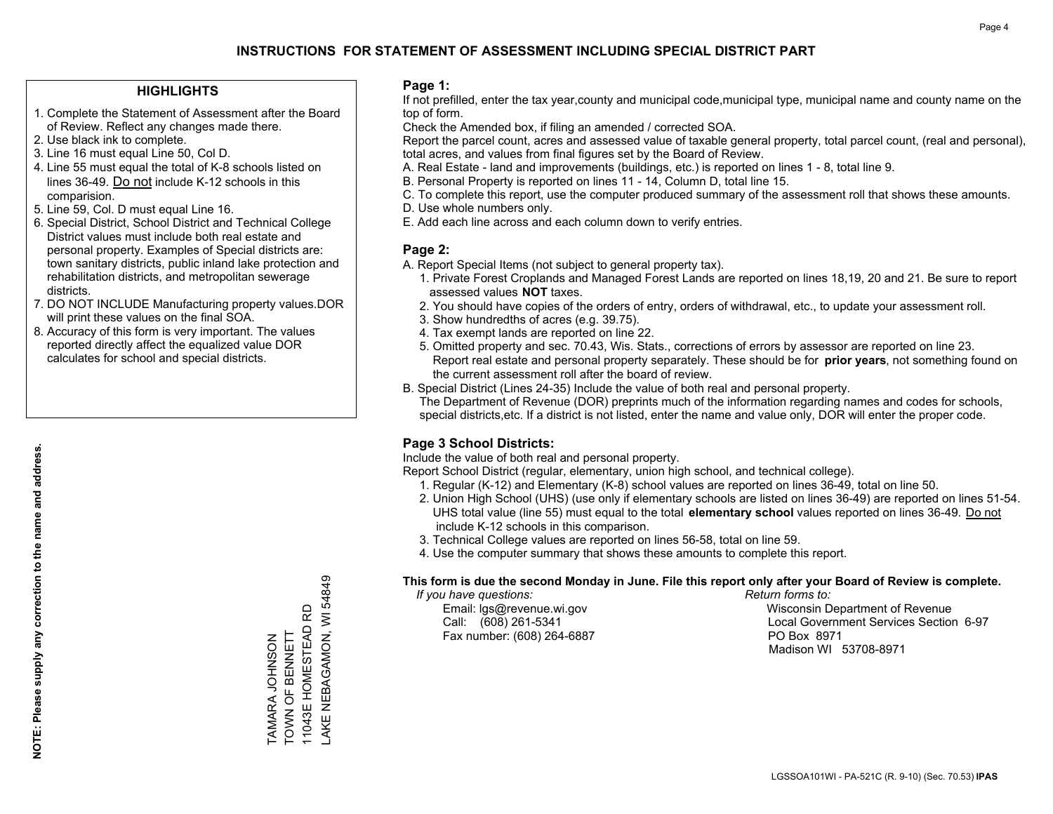### **HIGHLIGHTS**

- 1. Complete the Statement of Assessment after the Board of Review. Reflect any changes made there.
- 2. Use black ink to complete.
- 3. Line 16 must equal Line 50, Col D.
- 4. Line 55 must equal the total of K-8 schools listed on lines 36-49. Do not include K-12 schools in this comparision.
- 5. Line 59, Col. D must equal Line 16.
- 6. Special District, School District and Technical College District values must include both real estate and personal property. Examples of Special districts are: town sanitary districts, public inland lake protection and rehabilitation districts, and metropolitan sewerage districts.
- 7. DO NOT INCLUDE Manufacturing property values.DOR will print these values on the final SOA.

TAMARA JOHNSON TOWN OF BENNETT 11043E HOMESTEAD RD LAKE NEBAGAMON, WI 54849

AKE NEBAGAMON, WI 54849 11043E HOMESTEAD RD TOWN OF BENNETT **LAMARA JOHNSON** 

 8. Accuracy of this form is very important. The values reported directly affect the equalized value DOR calculates for school and special districts.

### **Page 1:**

 If not prefilled, enter the tax year,county and municipal code,municipal type, municipal name and county name on the top of form.

Check the Amended box, if filing an amended / corrected SOA.

 Report the parcel count, acres and assessed value of taxable general property, total parcel count, (real and personal), total acres, and values from final figures set by the Board of Review.

- A. Real Estate land and improvements (buildings, etc.) is reported on lines 1 8, total line 9.
- B. Personal Property is reported on lines 11 14, Column D, total line 15.
- C. To complete this report, use the computer produced summary of the assessment roll that shows these amounts.
- D. Use whole numbers only.
- E. Add each line across and each column down to verify entries.

### **Page 2:**

- A. Report Special Items (not subject to general property tax).
- 1. Private Forest Croplands and Managed Forest Lands are reported on lines 18,19, 20 and 21. Be sure to report assessed values **NOT** taxes.
- 2. You should have copies of the orders of entry, orders of withdrawal, etc., to update your assessment roll.
	- 3. Show hundredths of acres (e.g. 39.75).
- 4. Tax exempt lands are reported on line 22.
- 5. Omitted property and sec. 70.43, Wis. Stats., corrections of errors by assessor are reported on line 23. Report real estate and personal property separately. These should be for **prior years**, not something found on the current assessment roll after the board of review.
- B. Special District (Lines 24-35) Include the value of both real and personal property.
- The Department of Revenue (DOR) preprints much of the information regarding names and codes for schools, special districts,etc. If a district is not listed, enter the name and value only, DOR will enter the proper code.

## **Page 3 School Districts:**

Include the value of both real and personal property.

Report School District (regular, elementary, union high school, and technical college).

- 1. Regular (K-12) and Elementary (K-8) school values are reported on lines 36-49, total on line 50.
- 2. Union High School (UHS) (use only if elementary schools are listed on lines 36-49) are reported on lines 51-54. UHS total value (line 55) must equal to the total **elementary school** values reported on lines 36-49. Do notinclude K-12 schools in this comparison.
- 3. Technical College values are reported on lines 56-58, total on line 59.
- 4. Use the computer summary that shows these amounts to complete this report.

#### **This form is due the second Monday in June. File this report only after your Board of Review is complete.**

 *If you have questions: Return forms to:*

Fax number: (608) 264-6887 PO Box 8971

 Email: lgs@revenue.wi.gov Wisconsin Department of Revenue Call: (608) 261-5341 Local Government Services Section 6-97Madison WI 53708-8971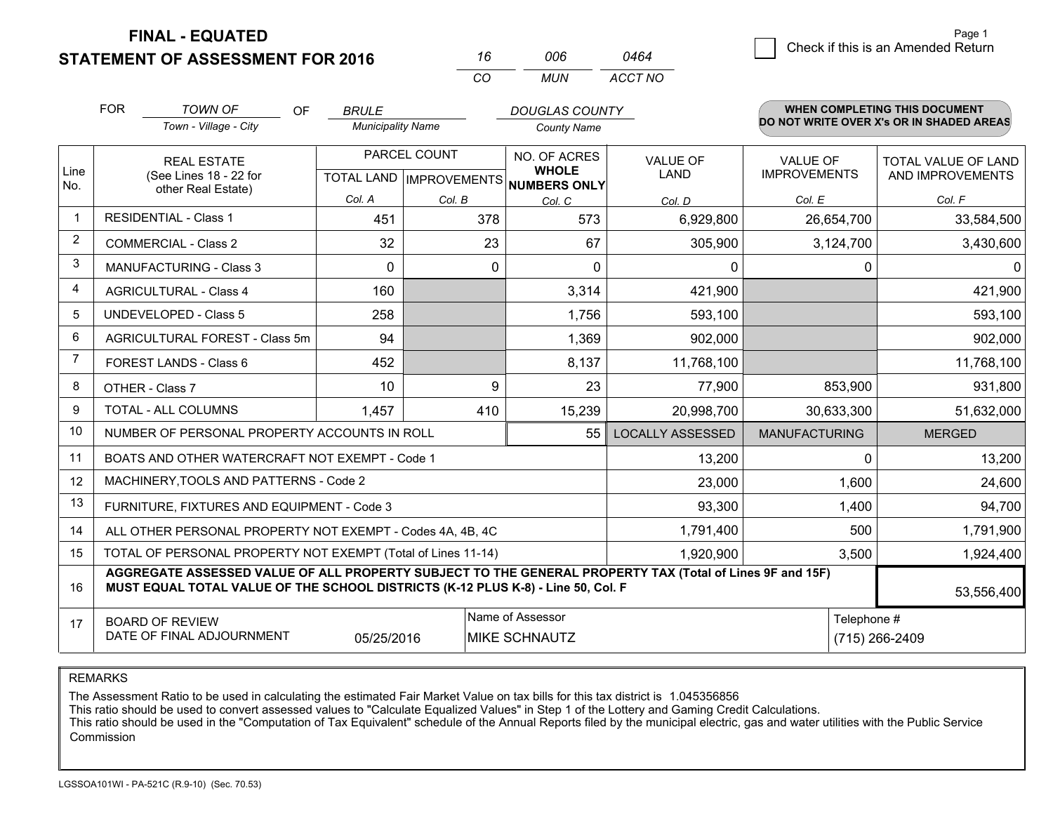**FINAL - EQUATED**

**STATEMENT OF ASSESSMENT FOR 2016** 

| 16  | ററഞ | 0464    |
|-----|-----|---------|
| CO. | MUN | ACCT NO |

|                | <b>FOR</b>                                 | <b>TOWN OF</b><br>OF                                                                                                                                                                         | <b>BRULE</b>             |                           | <b>DOUGLAS COUNTY</b>               |                         |                      | <b>WHEN COMPLETING THIS DOCUMENT</b>     |  |
|----------------|--------------------------------------------|----------------------------------------------------------------------------------------------------------------------------------------------------------------------------------------------|--------------------------|---------------------------|-------------------------------------|-------------------------|----------------------|------------------------------------------|--|
|                |                                            | Town - Village - City                                                                                                                                                                        | <b>Municipality Name</b> |                           | <b>County Name</b>                  |                         |                      | DO NOT WRITE OVER X's OR IN SHADED AREAS |  |
|                |                                            | PARCEL COUNT<br><b>REAL ESTATE</b>                                                                                                                                                           |                          |                           | NO. OF ACRES                        | <b>VALUE OF</b>         | <b>VALUE OF</b>      | TOTAL VALUE OF LAND                      |  |
| Line<br>No.    |                                            | (See Lines 18 - 22 for<br>other Real Estate)                                                                                                                                                 |                          | TOTAL LAND   IMPROVEMENTS | <b>WHOLE</b><br><b>NUMBERS ONLY</b> | LAND                    | <b>IMPROVEMENTS</b>  | AND IMPROVEMENTS                         |  |
|                |                                            |                                                                                                                                                                                              | Col. A                   | Col. B                    | Col. C                              | Col. D                  | Col. E               | Col. F                                   |  |
| $\mathbf 1$    |                                            | <b>RESIDENTIAL - Class 1</b>                                                                                                                                                                 | 451                      | 378                       | 573                                 | 6,929,800               | 26,654,700           | 33,584,500                               |  |
| 2              |                                            | <b>COMMERCIAL - Class 2</b>                                                                                                                                                                  | 32                       | 23                        | 67                                  | 305,900                 | 3,124,700            | 3,430,600                                |  |
| 3              |                                            | <b>MANUFACTURING - Class 3</b>                                                                                                                                                               | $\Omega$                 | 0                         | $\Omega$                            | $\mathbf{0}$            | 0                    | 01                                       |  |
| $\overline{4}$ |                                            | <b>AGRICULTURAL - Class 4</b>                                                                                                                                                                | 160                      |                           | 3,314                               | 421,900                 |                      | 421,900                                  |  |
| 5              | <b>UNDEVELOPED - Class 5</b>               |                                                                                                                                                                                              | 258                      |                           | 1,756                               | 593,100                 |                      | 593,100                                  |  |
| 6              | AGRICULTURAL FOREST - Class 5m             |                                                                                                                                                                                              | 94                       |                           | 1,369                               | 902,000                 |                      | 902,000                                  |  |
| $\overline{7}$ | FOREST LANDS - Class 6                     |                                                                                                                                                                                              | 452                      |                           | 8,137                               | 11,768,100              |                      | 11,768,100                               |  |
| 8              |                                            | OTHER - Class 7                                                                                                                                                                              | 10                       | 9                         | 23                                  | 77,900                  | 853,900              | 931,800                                  |  |
| 9              |                                            | <b>TOTAL - ALL COLUMNS</b>                                                                                                                                                                   | 1,457                    | 410                       | 15,239                              | 20,998,700              | 30,633,300           | 51,632,000                               |  |
| 10             |                                            | NUMBER OF PERSONAL PROPERTY ACCOUNTS IN ROLL                                                                                                                                                 |                          |                           | 55                                  | <b>LOCALLY ASSESSED</b> | <b>MANUFACTURING</b> | <b>MERGED</b>                            |  |
| 11             |                                            | BOATS AND OTHER WATERCRAFT NOT EXEMPT - Code 1                                                                                                                                               |                          |                           |                                     | 13,200                  | $\Omega$             | 13,200                                   |  |
| 12             |                                            | MACHINERY, TOOLS AND PATTERNS - Code 2                                                                                                                                                       |                          |                           |                                     | 23,000                  | 1,600                | 24,600                                   |  |
| 13             |                                            | FURNITURE, FIXTURES AND EQUIPMENT - Code 3                                                                                                                                                   |                          |                           |                                     | 93,300                  | 1,400                | 94,700                                   |  |
| 14             |                                            | ALL OTHER PERSONAL PROPERTY NOT EXEMPT - Codes 4A, 4B, 4C                                                                                                                                    |                          |                           |                                     | 1,791,400               | 500                  | 1,791,900                                |  |
| 15             |                                            | TOTAL OF PERSONAL PROPERTY NOT EXEMPT (Total of Lines 11-14)                                                                                                                                 |                          |                           |                                     | 1,920,900               | 3,500                | 1,924,400                                |  |
| 16             |                                            | AGGREGATE ASSESSED VALUE OF ALL PROPERTY SUBJECT TO THE GENERAL PROPERTY TAX (Total of Lines 9F and 15F)<br>MUST EQUAL TOTAL VALUE OF THE SCHOOL DISTRICTS (K-12 PLUS K-8) - Line 50, Col. F |                          |                           |                                     |                         |                      | 53,556,400                               |  |
| 17             | Name of Assessor<br><b>BOARD OF REVIEW</b> |                                                                                                                                                                                              |                          |                           |                                     | Telephone #             |                      |                                          |  |
|                |                                            | DATE OF FINAL ADJOURNMENT                                                                                                                                                                    | 05/25/2016               |                           | <b>MIKE SCHNAUTZ</b>                |                         |                      | (715) 266-2409                           |  |

REMARKS

The Assessment Ratio to be used in calculating the estimated Fair Market Value on tax bills for this tax district is 1.045356856

This ratio should be used to convert assessed values to "Calculate Equalized Values" in Step 1 of the Lottery and Gaming Credit Calculations.<br>This ratio should be used in the "Computation of Tax Equivalent" schedule of the Commission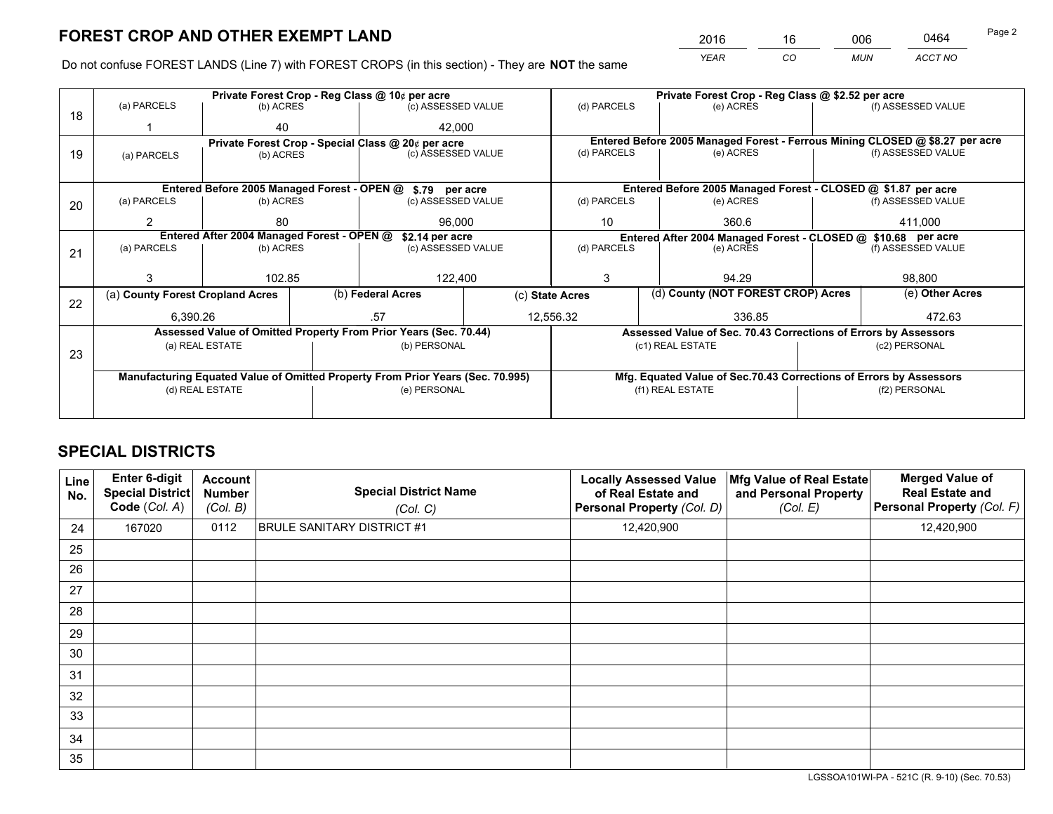*YEAR CO MUN ACCT NO* <sup>2016</sup> <sup>16</sup> <sup>006</sup> <sup>0464</sup>

Do not confuse FOREST LANDS (Line 7) with FOREST CROPS (in this section) - They are **NOT** the same

|    |                                  |                                                               |  | Private Forest Crop - Reg Class @ 10¢ per acre                                 | Private Forest Crop - Reg Class @ \$2.52 per acre |                          |  |                                                                    |  |                                                                              |  |
|----|----------------------------------|---------------------------------------------------------------|--|--------------------------------------------------------------------------------|---------------------------------------------------|--------------------------|--|--------------------------------------------------------------------|--|------------------------------------------------------------------------------|--|
| 18 | (a) PARCELS                      | (b) ACRES                                                     |  | (c) ASSESSED VALUE                                                             |                                                   | (d) PARCELS              |  | (e) ACRES                                                          |  | (f) ASSESSED VALUE                                                           |  |
|    |                                  | 40                                                            |  | 42.000                                                                         |                                                   |                          |  |                                                                    |  |                                                                              |  |
|    |                                  |                                                               |  | Private Forest Crop - Special Class @ 20¢ per acre                             |                                                   |                          |  |                                                                    |  | Entered Before 2005 Managed Forest - Ferrous Mining CLOSED @ \$8.27 per acre |  |
| 19 | (a) PARCELS                      | (c) ASSESSED VALUE<br>(b) ACRES                               |  | (d) PARCELS                                                                    |                                                   | (e) ACRES                |  | (f) ASSESSED VALUE                                                 |  |                                                                              |  |
|    |                                  |                                                               |  |                                                                                |                                                   |                          |  |                                                                    |  |                                                                              |  |
|    |                                  |                                                               |  | Entered Before 2005 Managed Forest - OPEN @ \$.79 per acre                     |                                                   |                          |  | Entered Before 2005 Managed Forest - CLOSED @ \$1.87 per acre      |  |                                                                              |  |
| 20 | (a) PARCELS                      | (b) ACRES                                                     |  | (c) ASSESSED VALUE                                                             |                                                   | (d) PARCELS              |  | (e) ACRES                                                          |  | (f) ASSESSED VALUE                                                           |  |
|    | 2                                | 80                                                            |  | 96,000                                                                         |                                                   | 10                       |  | 360.6                                                              |  | 411,000                                                                      |  |
|    |                                  | Entered After 2004 Managed Forest - OPEN @<br>\$2.14 per acre |  |                                                                                |                                                   |                          |  | Entered After 2004 Managed Forest - CLOSED @ \$10.68 per acre      |  |                                                                              |  |
| 21 | (a) PARCELS                      | (b) ACRES                                                     |  | (c) ASSESSED VALUE                                                             |                                                   | (d) PARCELS<br>(e) ACRES |  | (f) ASSESSED VALUE                                                 |  |                                                                              |  |
|    |                                  |                                                               |  |                                                                                |                                                   |                          |  |                                                                    |  |                                                                              |  |
|    |                                  | 102.85                                                        |  | 122,400                                                                        |                                                   | 3                        |  | 94.29                                                              |  | 98,800                                                                       |  |
|    | (a) County Forest Cropland Acres |                                                               |  | (b) Federal Acres                                                              |                                                   | (c) State Acres          |  | (d) County (NOT FOREST CROP) Acres                                 |  | (e) Other Acres                                                              |  |
| 22 | 6.390.26                         |                                                               |  | .57                                                                            |                                                   | 12,556.32                |  | 336.85                                                             |  | 472.63                                                                       |  |
|    |                                  |                                                               |  | Assessed Value of Omitted Property From Prior Years (Sec. 70.44)               |                                                   |                          |  | Assessed Value of Sec. 70.43 Corrections of Errors by Assessors    |  |                                                                              |  |
|    |                                  | (a) REAL ESTATE                                               |  | (b) PERSONAL                                                                   |                                                   |                          |  | (c1) REAL ESTATE                                                   |  | (c2) PERSONAL                                                                |  |
| 23 |                                  |                                                               |  |                                                                                |                                                   |                          |  |                                                                    |  |                                                                              |  |
|    |                                  |                                                               |  | Manufacturing Equated Value of Omitted Property From Prior Years (Sec. 70.995) |                                                   |                          |  | Mfg. Equated Value of Sec.70.43 Corrections of Errors by Assessors |  |                                                                              |  |
|    |                                  | (d) REAL ESTATE                                               |  | (e) PERSONAL                                                                   |                                                   |                          |  | (f1) REAL ESTATE                                                   |  | (f2) PERSONAL                                                                |  |
|    |                                  |                                                               |  |                                                                                |                                                   |                          |  |                                                                    |  |                                                                              |  |

## **SPECIAL DISTRICTS**

| Line<br>No. | Enter 6-digit<br><b>Special District</b><br>Code (Col. A) | <b>Account</b><br><b>Number</b><br>(Col. B) | <b>Special District Name</b><br>(Col. C) | <b>Locally Assessed Value</b><br>of Real Estate and<br>Personal Property (Col. D) | Mfg Value of Real Estate<br>and Personal Property<br>(Col. E) | <b>Merged Value of</b><br><b>Real Estate and</b><br>Personal Property (Col. F) |
|-------------|-----------------------------------------------------------|---------------------------------------------|------------------------------------------|-----------------------------------------------------------------------------------|---------------------------------------------------------------|--------------------------------------------------------------------------------|
| 24          | 167020                                                    | 0112                                        | <b>BRULE SANITARY DISTRICT #1</b>        | 12,420,900                                                                        |                                                               | 12,420,900                                                                     |
| 25          |                                                           |                                             |                                          |                                                                                   |                                                               |                                                                                |
| 26          |                                                           |                                             |                                          |                                                                                   |                                                               |                                                                                |
| 27          |                                                           |                                             |                                          |                                                                                   |                                                               |                                                                                |
| 28          |                                                           |                                             |                                          |                                                                                   |                                                               |                                                                                |
| 29          |                                                           |                                             |                                          |                                                                                   |                                                               |                                                                                |
| 30          |                                                           |                                             |                                          |                                                                                   |                                                               |                                                                                |
| 31          |                                                           |                                             |                                          |                                                                                   |                                                               |                                                                                |
| 32          |                                                           |                                             |                                          |                                                                                   |                                                               |                                                                                |
| 33          |                                                           |                                             |                                          |                                                                                   |                                                               |                                                                                |
| 34          |                                                           |                                             |                                          |                                                                                   |                                                               |                                                                                |
| 35          |                                                           |                                             |                                          |                                                                                   |                                                               |                                                                                |

LGSSOA101WI-PA - 521C (R. 9-10) (Sec. 70.53)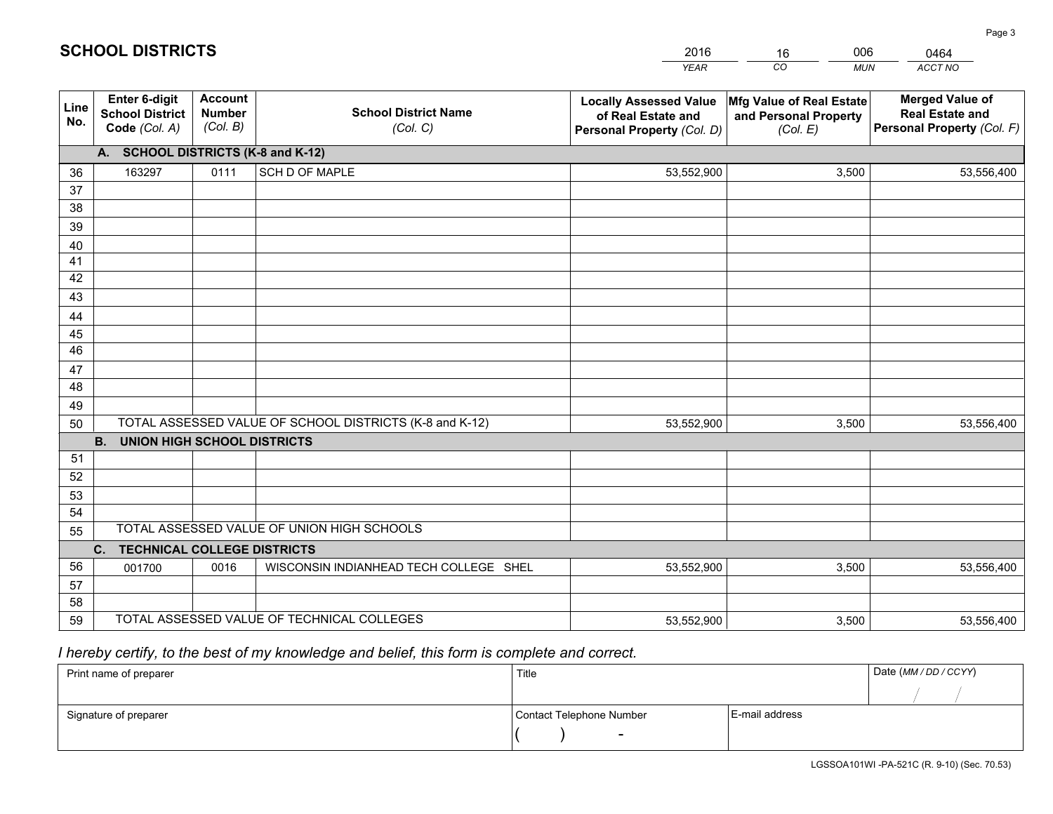|             |                                                                 |                                             |                                                         | <b>YEAR</b>                                                                       | CO<br><b>MUN</b>                                              | <b>ACCT NO</b>                                                                 |
|-------------|-----------------------------------------------------------------|---------------------------------------------|---------------------------------------------------------|-----------------------------------------------------------------------------------|---------------------------------------------------------------|--------------------------------------------------------------------------------|
| Line<br>No. | <b>Enter 6-digit</b><br><b>School District</b><br>Code (Col. A) | <b>Account</b><br><b>Number</b><br>(Col. B) | <b>School District Name</b><br>(Col. C)                 | <b>Locally Assessed Value</b><br>of Real Estate and<br>Personal Property (Col. D) | Mfg Value of Real Estate<br>and Personal Property<br>(Col. E) | <b>Merged Value of</b><br><b>Real Estate and</b><br>Personal Property (Col. F) |
|             | A. SCHOOL DISTRICTS (K-8 and K-12)                              |                                             |                                                         |                                                                                   |                                                               |                                                                                |
| 36          | 163297                                                          | 0111                                        | SCH D OF MAPLE                                          | 53,552,900                                                                        | 3,500                                                         | 53,556,400                                                                     |
| 37          |                                                                 |                                             |                                                         |                                                                                   |                                                               |                                                                                |
| 38          |                                                                 |                                             |                                                         |                                                                                   |                                                               |                                                                                |
| 39          |                                                                 |                                             |                                                         |                                                                                   |                                                               |                                                                                |
| 40          |                                                                 |                                             |                                                         |                                                                                   |                                                               |                                                                                |
| 41<br>42    |                                                                 |                                             |                                                         |                                                                                   |                                                               |                                                                                |
| 43          |                                                                 |                                             |                                                         |                                                                                   |                                                               |                                                                                |
| 44          |                                                                 |                                             |                                                         |                                                                                   |                                                               |                                                                                |
| 45          |                                                                 |                                             |                                                         |                                                                                   |                                                               |                                                                                |
| 46          |                                                                 |                                             |                                                         |                                                                                   |                                                               |                                                                                |
| 47          |                                                                 |                                             |                                                         |                                                                                   |                                                               |                                                                                |
| 48          |                                                                 |                                             |                                                         |                                                                                   |                                                               |                                                                                |
| 49          |                                                                 |                                             |                                                         |                                                                                   |                                                               |                                                                                |
| 50          |                                                                 |                                             | TOTAL ASSESSED VALUE OF SCHOOL DISTRICTS (K-8 and K-12) | 53,552,900                                                                        | 3,500                                                         | 53,556,400                                                                     |
|             | <b>B.</b><br><b>UNION HIGH SCHOOL DISTRICTS</b>                 |                                             |                                                         |                                                                                   |                                                               |                                                                                |
| 51          |                                                                 |                                             |                                                         |                                                                                   |                                                               |                                                                                |
| 52          |                                                                 |                                             |                                                         |                                                                                   |                                                               |                                                                                |
| 53          |                                                                 |                                             |                                                         |                                                                                   |                                                               |                                                                                |
| 54          |                                                                 |                                             | TOTAL ASSESSED VALUE OF UNION HIGH SCHOOLS              |                                                                                   |                                                               |                                                                                |
| 55          |                                                                 |                                             |                                                         |                                                                                   |                                                               |                                                                                |
| 56          | C.<br><b>TECHNICAL COLLEGE DISTRICTS</b><br>001700              | 0016                                        | WISCONSIN INDIANHEAD TECH COLLEGE SHEL                  | 53,552,900                                                                        | 3,500                                                         | 53,556,400                                                                     |
| 57          |                                                                 |                                             |                                                         |                                                                                   |                                                               |                                                                                |
| 58          |                                                                 |                                             |                                                         |                                                                                   |                                                               |                                                                                |
| 59          |                                                                 |                                             | TOTAL ASSESSED VALUE OF TECHNICAL COLLEGES              | 53,552,900                                                                        | 3,500                                                         | 53,556,400                                                                     |

16

006

## *I hereby certify, to the best of my knowledge and belief, this form is complete and correct.*

**SCHOOL DISTRICTS**

| Print name of preparer | Title                    |                | Date (MM / DD / CCYY) |
|------------------------|--------------------------|----------------|-----------------------|
|                        |                          |                |                       |
| Signature of preparer  | Contact Telephone Number | E-mail address |                       |
|                        | $\sim$                   |                |                       |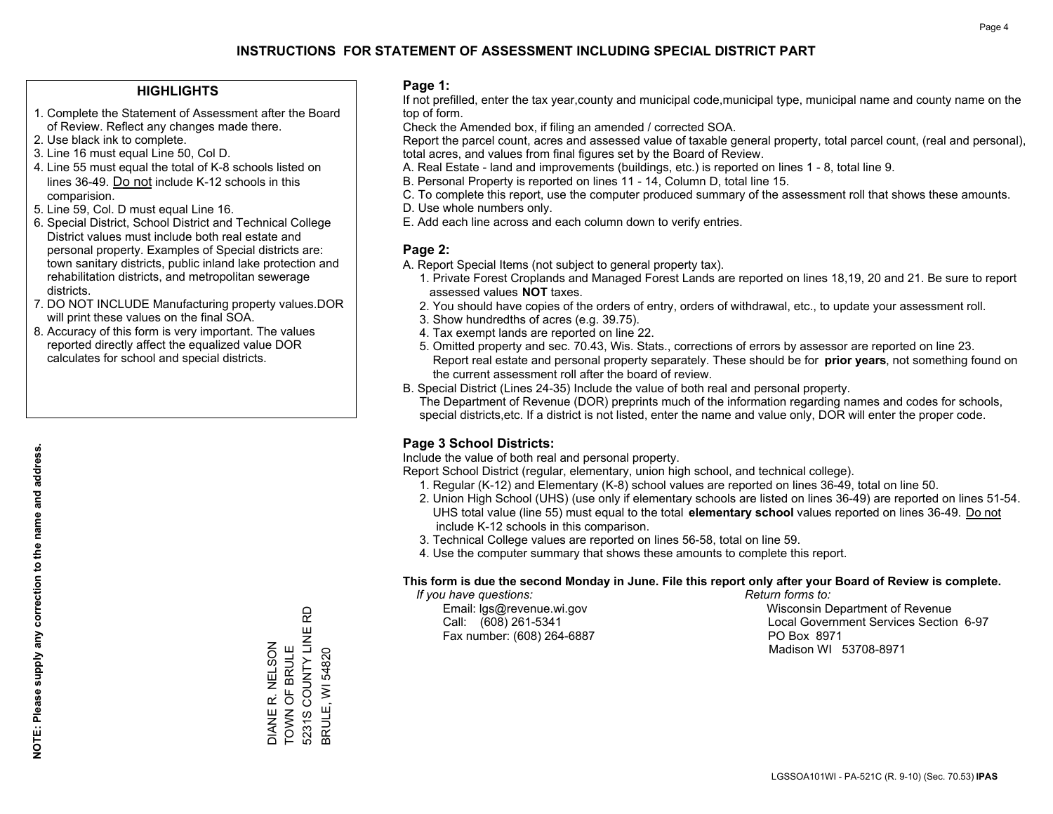### **HIGHLIGHTS**

- 1. Complete the Statement of Assessment after the Board of Review. Reflect any changes made there.
- 2. Use black ink to complete.
- 3. Line 16 must equal Line 50, Col D.
- 4. Line 55 must equal the total of K-8 schools listed on lines 36-49. Do not include K-12 schools in this comparision.
- 5. Line 59, Col. D must equal Line 16.
- 6. Special District, School District and Technical College District values must include both real estate and personal property. Examples of Special districts are: town sanitary districts, public inland lake protection and rehabilitation districts, and metropolitan sewerage districts.
- 7. DO NOT INCLUDE Manufacturing property values.DOR will print these values on the final SOA.
- 8. Accuracy of this form is very important. The values reported directly affect the equalized value DOR calculates for school and special districts.

### **Page 1:**

 If not prefilled, enter the tax year,county and municipal code,municipal type, municipal name and county name on the top of form.

Check the Amended box, if filing an amended / corrected SOA.

 Report the parcel count, acres and assessed value of taxable general property, total parcel count, (real and personal), total acres, and values from final figures set by the Board of Review.

- A. Real Estate land and improvements (buildings, etc.) is reported on lines 1 8, total line 9.
- B. Personal Property is reported on lines 11 14, Column D, total line 15.
- C. To complete this report, use the computer produced summary of the assessment roll that shows these amounts.
- D. Use whole numbers only.
- E. Add each line across and each column down to verify entries.

### **Page 2:**

- A. Report Special Items (not subject to general property tax).
- 1. Private Forest Croplands and Managed Forest Lands are reported on lines 18,19, 20 and 21. Be sure to report assessed values **NOT** taxes.
- 2. You should have copies of the orders of entry, orders of withdrawal, etc., to update your assessment roll.
	- 3. Show hundredths of acres (e.g. 39.75).
- 4. Tax exempt lands are reported on line 22.
- 5. Omitted property and sec. 70.43, Wis. Stats., corrections of errors by assessor are reported on line 23. Report real estate and personal property separately. These should be for **prior years**, not something found on the current assessment roll after the board of review.
- B. Special District (Lines 24-35) Include the value of both real and personal property.
- The Department of Revenue (DOR) preprints much of the information regarding names and codes for schools, special districts,etc. If a district is not listed, enter the name and value only, DOR will enter the proper code.

## **Page 3 School Districts:**

Include the value of both real and personal property.

Report School District (regular, elementary, union high school, and technical college).

- 1. Regular (K-12) and Elementary (K-8) school values are reported on lines 36-49, total on line 50.
- 2. Union High School (UHS) (use only if elementary schools are listed on lines 36-49) are reported on lines 51-54. UHS total value (line 55) must equal to the total **elementary school** values reported on lines 36-49. Do notinclude K-12 schools in this comparison.
- 3. Technical College values are reported on lines 56-58, total on line 59.
- 4. Use the computer summary that shows these amounts to complete this report.

#### **This form is due the second Monday in June. File this report only after your Board of Review is complete.**

 *If you have questions: Return forms to:*

Fax number: (608) 264-6887 PO Box 8971

 Email: lgs@revenue.wi.gov Wisconsin Department of Revenue Call: (608) 261-5341 Local Government Services Section 6-97Madison WI 53708-8971

5231S COUNTY LINE RD 5231S COUNTY LINE RD DIANE R. NELSON<br>TOWN OF BRULE DIANE R. NELSON TOWN OF BRULE **BRULE, WI 54820** 

BRULE, WI 54820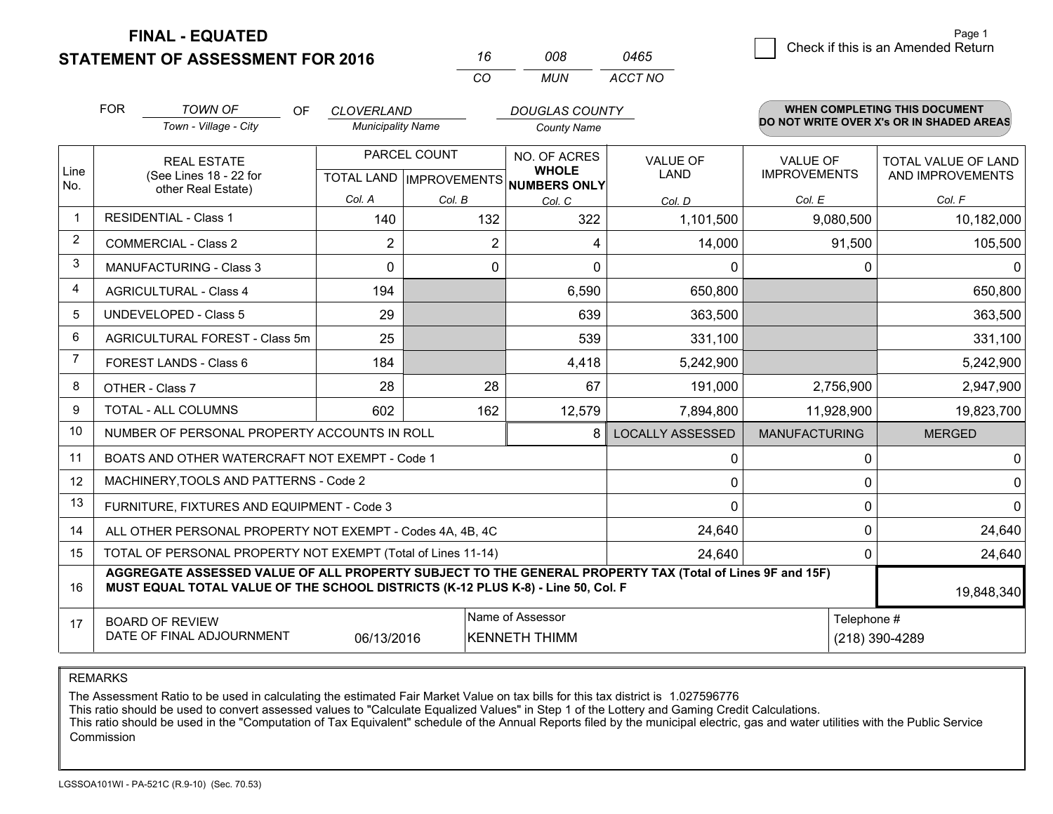**STATEMENT OF ASSESSMENT FOR 2016** 

**FINAL - EQUATED**

|             | <b>FOR</b>                     | <b>TOWN OF</b><br>OF                                                                                                                                                                         | <b>CLOVERLAND</b>        |                | <b>DOUGLAS COUNTY</b>                |                         |                      | <b>WHEN COMPLETING THIS DOCUMENT</b><br>DO NOT WRITE OVER X's OR IN SHADED AREAS |
|-------------|--------------------------------|----------------------------------------------------------------------------------------------------------------------------------------------------------------------------------------------|--------------------------|----------------|--------------------------------------|-------------------------|----------------------|----------------------------------------------------------------------------------|
|             |                                | Town - Village - City                                                                                                                                                                        | <b>Municipality Name</b> |                | <b>County Name</b>                   |                         |                      |                                                                                  |
| Line        |                                | PARCEL COUNT<br><b>REAL ESTATE</b>                                                                                                                                                           |                          |                | NO. OF ACRES<br><b>WHOLE</b>         | <b>VALUE OF</b>         | <b>VALUE OF</b>      | TOTAL VALUE OF LAND                                                              |
| No.         |                                | (See Lines 18 - 22 for<br>other Real Estate)                                                                                                                                                 |                          |                | TOTAL LAND IMPROVEMENTS NUMBERS ONLY | <b>LAND</b>             | <b>IMPROVEMENTS</b>  | AND IMPROVEMENTS                                                                 |
|             |                                |                                                                                                                                                                                              | Col. A                   | Col. B         | Col. C                               | Col. D                  | Col. E               | Col. F                                                                           |
| $\mathbf 1$ |                                | <b>RESIDENTIAL - Class 1</b>                                                                                                                                                                 | 140                      | 132            | 322                                  | 1,101,500               | 9,080,500            | 10,182,000                                                                       |
| 2           |                                | <b>COMMERCIAL - Class 2</b>                                                                                                                                                                  | $\overline{2}$           | $\overline{2}$ | 4                                    | 14,000                  | 91,500               | 105,500                                                                          |
| 3           |                                | <b>MANUFACTURING - Class 3</b>                                                                                                                                                               | $\Omega$                 |                | 0<br>$\Omega$                        | $\mathbf{0}$            | 0                    | 0                                                                                |
| 4           |                                | <b>AGRICULTURAL - Class 4</b>                                                                                                                                                                | 194                      |                | 6,590                                | 650,800                 |                      | 650,800                                                                          |
| 5           |                                | UNDEVELOPED - Class 5                                                                                                                                                                        | 29                       |                | 639                                  | 363,500                 |                      | 363,500                                                                          |
| 6           | AGRICULTURAL FOREST - Class 5m |                                                                                                                                                                                              | 25                       |                | 539                                  | 331,100                 |                      | 331,100                                                                          |
| 7           | FOREST LANDS - Class 6         |                                                                                                                                                                                              | 184                      |                | 4,418                                | 5,242,900               |                      | 5,242,900                                                                        |
| 8           |                                | OTHER - Class 7                                                                                                                                                                              | 28                       | 28             | 67                                   | 191,000                 | 2,756,900            | 2,947,900                                                                        |
| 9           |                                | TOTAL - ALL COLUMNS                                                                                                                                                                          | 602                      | 162            | 12,579                               | 7,894,800               | 11,928,900           | 19,823,700                                                                       |
| 10          |                                | NUMBER OF PERSONAL PROPERTY ACCOUNTS IN ROLL                                                                                                                                                 |                          |                | 8                                    | <b>LOCALLY ASSESSED</b> | <b>MANUFACTURING</b> | <b>MERGED</b>                                                                    |
| 11          |                                | BOATS AND OTHER WATERCRAFT NOT EXEMPT - Code 1                                                                                                                                               |                          |                |                                      | $\pmb{0}$               | $\Omega$             | 0                                                                                |
| 12          |                                | MACHINERY, TOOLS AND PATTERNS - Code 2                                                                                                                                                       |                          |                |                                      | $\mathbf 0$             | 0                    | $\mathbf 0$                                                                      |
| 13          |                                | FURNITURE, FIXTURES AND EQUIPMENT - Code 3                                                                                                                                                   |                          |                |                                      | $\mathbf{0}$            | 0                    | $\Omega$                                                                         |
| 14          |                                | ALL OTHER PERSONAL PROPERTY NOT EXEMPT - Codes 4A, 4B, 4C                                                                                                                                    |                          |                |                                      | 24,640                  | $\Omega$             | 24,640                                                                           |
| 15          |                                | TOTAL OF PERSONAL PROPERTY NOT EXEMPT (Total of Lines 11-14)                                                                                                                                 |                          |                |                                      | 24,640                  | 0                    | 24,640                                                                           |
| 16          |                                | AGGREGATE ASSESSED VALUE OF ALL PROPERTY SUBJECT TO THE GENERAL PROPERTY TAX (Total of Lines 9F and 15F)<br>MUST EQUAL TOTAL VALUE OF THE SCHOOL DISTRICTS (K-12 PLUS K-8) - Line 50, Col. F |                          |                |                                      |                         |                      | 19,848,340                                                                       |
| 17          |                                | <b>BOARD OF REVIEW</b>                                                                                                                                                                       |                          |                | Name of Assessor                     |                         | Telephone #          |                                                                                  |
|             |                                | DATE OF FINAL ADJOURNMENT                                                                                                                                                                    | 06/13/2016               |                | <b>KENNETH THIMM</b>                 |                         |                      | (218) 390-4289                                                                   |

*CO*

*MUN*

*ACCT NO0465*

*<sup>16</sup> <sup>008</sup>*

REMARKS

The Assessment Ratio to be used in calculating the estimated Fair Market Value on tax bills for this tax district is 1.027596776<br>This ratio should be used to convert assessed values to "Calculate Equalized Values" in Step Commission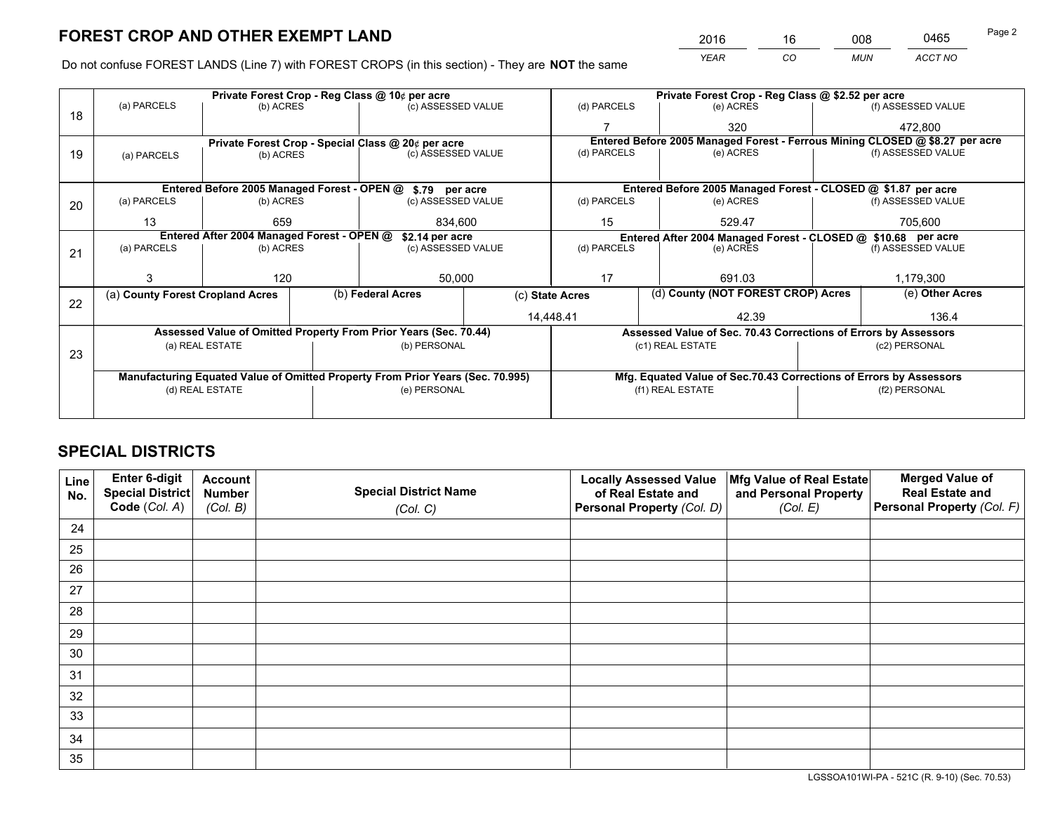*YEAR CO MUN ACCT NO* <sup>2016</sup> <sup>16</sup> <sup>008</sup> <sup>0465</sup>

Do not confuse FOREST LANDS (Line 7) with FOREST CROPS (in this section) - They are **NOT** the same

|    |                                                               |                 |                    | Private Forest Crop - Reg Class @ 10¢ per acre                                 |              |                                                               | Private Forest Crop - Reg Class @ \$2.52 per acre             |                                                                    |                    |                                                                              |
|----|---------------------------------------------------------------|-----------------|--------------------|--------------------------------------------------------------------------------|--------------|---------------------------------------------------------------|---------------------------------------------------------------|--------------------------------------------------------------------|--------------------|------------------------------------------------------------------------------|
| 18 | (a) PARCELS                                                   | (b) ACRES       |                    | (c) ASSESSED VALUE                                                             |              | (d) PARCELS                                                   |                                                               | (e) ACRES                                                          |                    | (f) ASSESSED VALUE                                                           |
|    |                                                               |                 |                    |                                                                                |              |                                                               |                                                               | 320                                                                |                    | 472.800                                                                      |
|    |                                                               |                 |                    | Private Forest Crop - Special Class @ 20¢ per acre                             |              |                                                               |                                                               |                                                                    |                    | Entered Before 2005 Managed Forest - Ferrous Mining CLOSED @ \$8.27 per acre |
| 19 | (b) ACRES<br>(a) PARCELS                                      |                 | (c) ASSESSED VALUE |                                                                                | (d) PARCELS  |                                                               | (e) ACRES                                                     |                                                                    | (f) ASSESSED VALUE |                                                                              |
|    |                                                               |                 |                    |                                                                                |              |                                                               |                                                               |                                                                    |                    |                                                                              |
|    |                                                               |                 |                    | Entered Before 2005 Managed Forest - OPEN @ \$.79 per acre                     |              | Entered Before 2005 Managed Forest - CLOSED @ \$1.87 per acre |                                                               |                                                                    |                    |                                                                              |
| 20 | (a) PARCELS                                                   | (b) ACRES       |                    | (c) ASSESSED VALUE                                                             |              | (d) PARCELS                                                   |                                                               | (e) ACRES                                                          |                    | (f) ASSESSED VALUE                                                           |
|    | 13                                                            | 659<br>834.600  |                    |                                                                                | 15<br>529.47 |                                                               | 705,600                                                       |                                                                    |                    |                                                                              |
|    | Entered After 2004 Managed Forest - OPEN @<br>\$2.14 per acre |                 |                    |                                                                                |              |                                                               | Entered After 2004 Managed Forest - CLOSED @ \$10.68 per acre |                                                                    |                    |                                                                              |
| 21 | (a) PARCELS                                                   | (b) ACRES       |                    | (c) ASSESSED VALUE                                                             |              | (d) PARCELS<br>(e) ACRES                                      |                                                               |                                                                    | (f) ASSESSED VALUE |                                                                              |
|    |                                                               |                 |                    |                                                                                |              |                                                               |                                                               |                                                                    |                    |                                                                              |
|    |                                                               | 120             |                    | 50,000                                                                         |              | 17                                                            |                                                               | 691.03                                                             | 1,179,300          |                                                                              |
| 22 | (a) County Forest Cropland Acres                              |                 |                    | (b) Federal Acres                                                              |              | (d) County (NOT FOREST CROP) Acres<br>(c) State Acres         |                                                               |                                                                    | (e) Other Acres    |                                                                              |
|    |                                                               |                 |                    |                                                                                |              | 14,448.41                                                     |                                                               | 42.39                                                              |                    | 136.4                                                                        |
|    |                                                               |                 |                    | Assessed Value of Omitted Property From Prior Years (Sec. 70.44)               |              |                                                               |                                                               | Assessed Value of Sec. 70.43 Corrections of Errors by Assessors    |                    |                                                                              |
|    |                                                               | (a) REAL ESTATE |                    | (b) PERSONAL                                                                   |              |                                                               |                                                               | (c1) REAL ESTATE                                                   |                    | (c2) PERSONAL                                                                |
| 23 |                                                               |                 |                    |                                                                                |              |                                                               |                                                               |                                                                    |                    |                                                                              |
|    |                                                               |                 |                    | Manufacturing Equated Value of Omitted Property From Prior Years (Sec. 70.995) |              |                                                               |                                                               | Mfg. Equated Value of Sec.70.43 Corrections of Errors by Assessors |                    |                                                                              |
|    |                                                               | (d) REAL ESTATE |                    | (e) PERSONAL                                                                   |              |                                                               |                                                               | (f1) REAL ESTATE                                                   | (f2) PERSONAL      |                                                                              |
|    |                                                               |                 |                    |                                                                                |              |                                                               |                                                               |                                                                    |                    |                                                                              |

## **SPECIAL DISTRICTS**

| Line<br>No. | Enter 6-digit<br><b>Special District</b> | <b>Account</b><br><b>Number</b> | <b>Special District Name</b> | <b>Locally Assessed Value</b><br>of Real Estate and | Mfg Value of Real Estate<br>and Personal Property | <b>Merged Value of</b><br><b>Real Estate and</b> |
|-------------|------------------------------------------|---------------------------------|------------------------------|-----------------------------------------------------|---------------------------------------------------|--------------------------------------------------|
|             | Code (Col. A)                            | (Col. B)                        | (Col. C)                     | Personal Property (Col. D)                          | (Col. E)                                          | Personal Property (Col. F)                       |
| 24          |                                          |                                 |                              |                                                     |                                                   |                                                  |
| 25          |                                          |                                 |                              |                                                     |                                                   |                                                  |
| 26          |                                          |                                 |                              |                                                     |                                                   |                                                  |
| 27          |                                          |                                 |                              |                                                     |                                                   |                                                  |
| 28          |                                          |                                 |                              |                                                     |                                                   |                                                  |
| 29          |                                          |                                 |                              |                                                     |                                                   |                                                  |
| 30          |                                          |                                 |                              |                                                     |                                                   |                                                  |
| 31          |                                          |                                 |                              |                                                     |                                                   |                                                  |
| 32          |                                          |                                 |                              |                                                     |                                                   |                                                  |
| 33          |                                          |                                 |                              |                                                     |                                                   |                                                  |
| 34          |                                          |                                 |                              |                                                     |                                                   |                                                  |
| 35          |                                          |                                 |                              |                                                     |                                                   |                                                  |

LGSSOA101WI-PA - 521C (R. 9-10) (Sec. 70.53)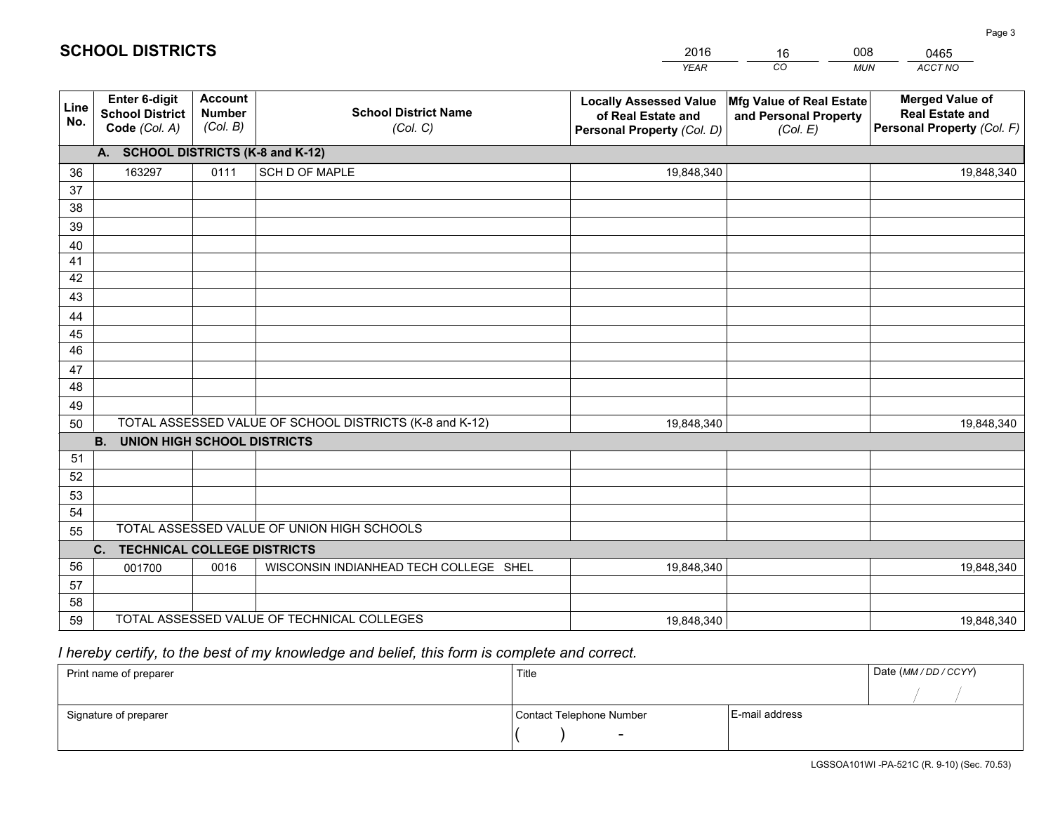|             |                                                          |                                             |                                                         | <b>YEAR</b>                                                                       | CO<br><b>MUN</b>                                              | ACCT NO                                                                        |  |  |  |  |  |
|-------------|----------------------------------------------------------|---------------------------------------------|---------------------------------------------------------|-----------------------------------------------------------------------------------|---------------------------------------------------------------|--------------------------------------------------------------------------------|--|--|--|--|--|
| Line<br>No. | Enter 6-digit<br><b>School District</b><br>Code (Col. A) | <b>Account</b><br><b>Number</b><br>(Col. B) | <b>School District Name</b><br>(Col. C)                 | <b>Locally Assessed Value</b><br>of Real Estate and<br>Personal Property (Col. D) | Mfg Value of Real Estate<br>and Personal Property<br>(Col. E) | <b>Merged Value of</b><br><b>Real Estate and</b><br>Personal Property (Col. F) |  |  |  |  |  |
|             |                                                          | A. SCHOOL DISTRICTS (K-8 and K-12)          |                                                         |                                                                                   |                                                               |                                                                                |  |  |  |  |  |
| 36          | 163297                                                   | 0111                                        | SCH D OF MAPLE                                          | 19,848,340                                                                        |                                                               | 19,848,340                                                                     |  |  |  |  |  |
| 37          |                                                          |                                             |                                                         |                                                                                   |                                                               |                                                                                |  |  |  |  |  |
| 38          |                                                          |                                             |                                                         |                                                                                   |                                                               |                                                                                |  |  |  |  |  |
| 39          |                                                          |                                             |                                                         |                                                                                   |                                                               |                                                                                |  |  |  |  |  |
| 40          |                                                          |                                             |                                                         |                                                                                   |                                                               |                                                                                |  |  |  |  |  |
| 41          |                                                          |                                             |                                                         |                                                                                   |                                                               |                                                                                |  |  |  |  |  |
| 42<br>43    |                                                          |                                             |                                                         |                                                                                   |                                                               |                                                                                |  |  |  |  |  |
|             |                                                          |                                             |                                                         |                                                                                   |                                                               |                                                                                |  |  |  |  |  |
| 44<br>45    |                                                          |                                             |                                                         |                                                                                   |                                                               |                                                                                |  |  |  |  |  |
| 46          |                                                          |                                             |                                                         |                                                                                   |                                                               |                                                                                |  |  |  |  |  |
| 47          |                                                          |                                             |                                                         |                                                                                   |                                                               |                                                                                |  |  |  |  |  |
| 48          |                                                          |                                             |                                                         |                                                                                   |                                                               |                                                                                |  |  |  |  |  |
| 49          |                                                          |                                             |                                                         |                                                                                   |                                                               |                                                                                |  |  |  |  |  |
| 50          |                                                          |                                             | TOTAL ASSESSED VALUE OF SCHOOL DISTRICTS (K-8 and K-12) | 19,848,340                                                                        |                                                               | 19,848,340                                                                     |  |  |  |  |  |
|             | <b>B.</b><br><b>UNION HIGH SCHOOL DISTRICTS</b>          |                                             |                                                         |                                                                                   |                                                               |                                                                                |  |  |  |  |  |
| 51          |                                                          |                                             |                                                         |                                                                                   |                                                               |                                                                                |  |  |  |  |  |
| 52          |                                                          |                                             |                                                         |                                                                                   |                                                               |                                                                                |  |  |  |  |  |
| 53          |                                                          |                                             |                                                         |                                                                                   |                                                               |                                                                                |  |  |  |  |  |
| 54          |                                                          |                                             |                                                         |                                                                                   |                                                               |                                                                                |  |  |  |  |  |
| 55          |                                                          |                                             | TOTAL ASSESSED VALUE OF UNION HIGH SCHOOLS              |                                                                                   |                                                               |                                                                                |  |  |  |  |  |
|             | C. TECHNICAL COLLEGE DISTRICTS                           |                                             |                                                         |                                                                                   |                                                               |                                                                                |  |  |  |  |  |
| 56          | 001700                                                   | 0016                                        | WISCONSIN INDIANHEAD TECH COLLEGE SHEL                  | 19,848,340                                                                        |                                                               | 19,848,340                                                                     |  |  |  |  |  |
| 57<br>58    |                                                          |                                             |                                                         |                                                                                   |                                                               |                                                                                |  |  |  |  |  |
| 59          |                                                          |                                             | TOTAL ASSESSED VALUE OF TECHNICAL COLLEGES              | 19,848,340                                                                        |                                                               | 19,848,340                                                                     |  |  |  |  |  |
|             |                                                          |                                             |                                                         |                                                                                   |                                                               |                                                                                |  |  |  |  |  |

16

008

 *I hereby certify, to the best of my knowledge and belief, this form is complete and correct.*

**SCHOOL DISTRICTS**

| Print name of preparer | Title                    |                | Date (MM/DD/CCYY) |
|------------------------|--------------------------|----------------|-------------------|
|                        |                          |                |                   |
| Signature of preparer  | Contact Telephone Number | E-mail address |                   |
|                        | $\overline{\phantom{a}}$ |                |                   |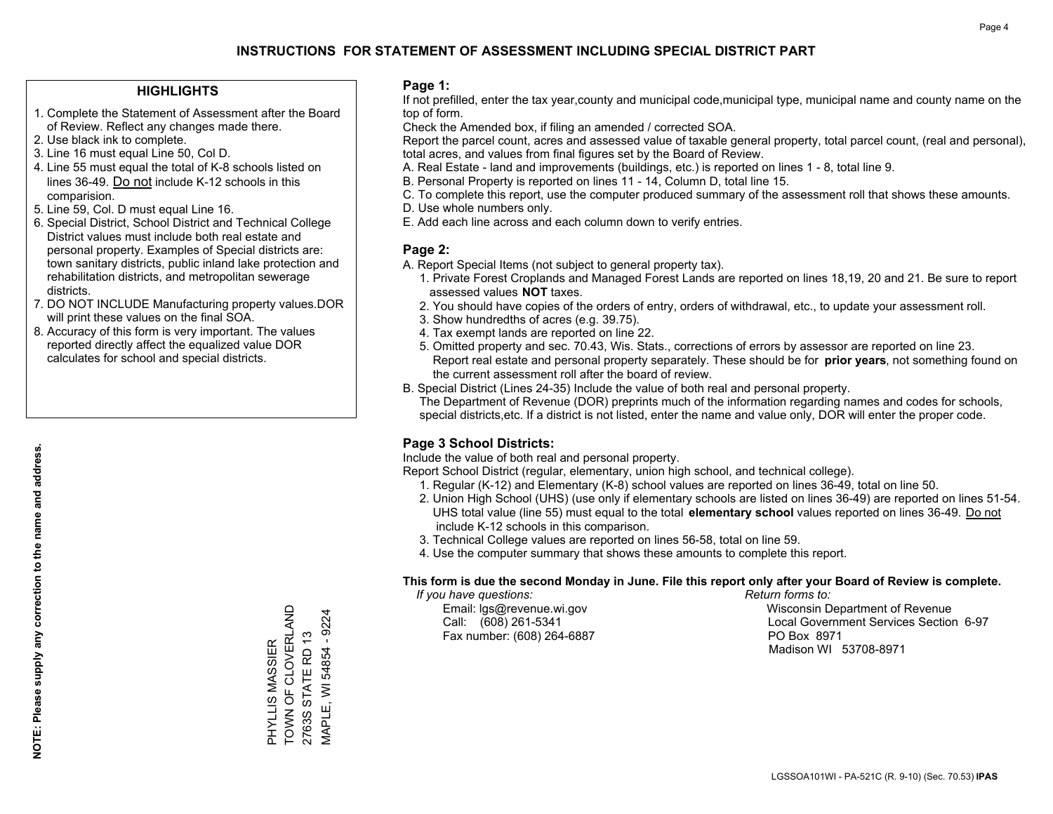### **HIGHLIGHTS**

- 1. Complete the Statement of Assessment after the Board of Review. Reflect any changes made there.
- 2. Use black ink to complete.
- 3. Line 16 must equal Line 50, Col D.
- 4. Line 55 must equal the total of K-8 schools listed on lines 36-49. Do not include K-12 schools in this comparision.
- 5. Line 59, Col. D must equal Line 16.
- 6. Special District, School District and Technical College District values must include both real estate and personal property. Examples of Special districts are: town sanitary districts, public inland lake protection and rehabilitation districts, and metropolitan sewerage districts.
- 7. DO NOT INCLUDE Manufacturing property values.DOR will print these values on the final SOA.
- 8. Accuracy of this form is very important. The values reported directly affect the equalized value DOR calculates for school and special districts.

### **Page 1:**

 If not prefilled, enter the tax year,county and municipal code,municipal type, municipal name and county name on the top of form.

Check the Amended box, if filing an amended / corrected SOA.

 Report the parcel count, acres and assessed value of taxable general property, total parcel count, (real and personal), total acres, and values from final figures set by the Board of Review.

- A. Real Estate land and improvements (buildings, etc.) is reported on lines 1 8, total line 9.
- B. Personal Property is reported on lines 11 14, Column D, total line 15.
- C. To complete this report, use the computer produced summary of the assessment roll that shows these amounts.
- D. Use whole numbers only.
- E. Add each line across and each column down to verify entries.

### **Page 2:**

- A. Report Special Items (not subject to general property tax).
- 1. Private Forest Croplands and Managed Forest Lands are reported on lines 18,19, 20 and 21. Be sure to report assessed values **NOT** taxes.
- 2. You should have copies of the orders of entry, orders of withdrawal, etc., to update your assessment roll.
	- 3. Show hundredths of acres (e.g. 39.75).
- 4. Tax exempt lands are reported on line 22.
- 5. Omitted property and sec. 70.43, Wis. Stats., corrections of errors by assessor are reported on line 23. Report real estate and personal property separately. These should be for **prior years**, not something found on the current assessment roll after the board of review.
- B. Special District (Lines 24-35) Include the value of both real and personal property.
- The Department of Revenue (DOR) preprints much of the information regarding names and codes for schools, special districts,etc. If a district is not listed, enter the name and value only, DOR will enter the proper code.

## **Page 3 School Districts:**

Include the value of both real and personal property.

Report School District (regular, elementary, union high school, and technical college).

- 1. Regular (K-12) and Elementary (K-8) school values are reported on lines 36-49, total on line 50.
- 2. Union High School (UHS) (use only if elementary schools are listed on lines 36-49) are reported on lines 51-54. UHS total value (line 55) must equal to the total **elementary school** values reported on lines 36-49. Do notinclude K-12 schools in this comparison.
- 3. Technical College values are reported on lines 56-58, total on line 59.
- 4. Use the computer summary that shows these amounts to complete this report.

#### **This form is due the second Monday in June. File this report only after your Board of Review is complete.**

 *If you have questions: Return forms to:*

Fax number: (608) 264-6887 PO Box 8971

 Email: lgs@revenue.wi.gov Wisconsin Department of Revenue Call: (608) 261-5341 Local Government Services Section 6-97Madison WI 53708-8971

TOWN OF CLOVERLAND PHYLLIS MASSIER<br>TOWN OF CLOVERLAND 2763S STATE RD 13 2763S STATE RD 13 PHYLLIS MASSIER

MAPLE, WI 54854 - 9224

MAPLE, WI 54854 - 9224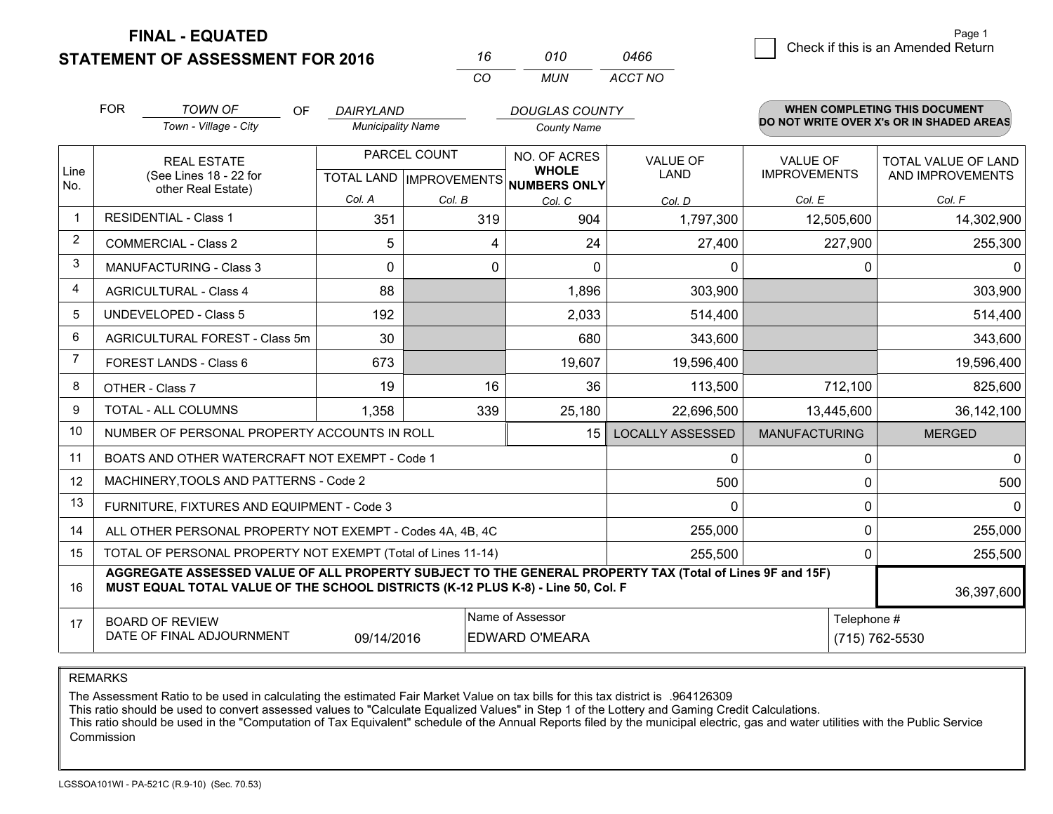**STATEMENT OF ASSESSMENT FOR 2016 FINAL - EQUATED**

 $\overline{6}$  Check if this is an Amended Return Page 1

|                | <b>FOR</b> | <b>TOWN OF</b>                                                                                           | <b>OF</b><br>DAIRYLAND   |                                          | <b>DOUGLAS COUNTY</b> |                         |                      | <b>WHEN COMPLETING THIS DOCUMENT</b>     |
|----------------|------------|----------------------------------------------------------------------------------------------------------|--------------------------|------------------------------------------|-----------------------|-------------------------|----------------------|------------------------------------------|
|                |            | Town - Village - City                                                                                    | <b>Municipality Name</b> |                                          | <b>County Name</b>    |                         |                      | DO NOT WRITE OVER X's OR IN SHADED AREAS |
|                |            | <b>REAL ESTATE</b><br>(See Lines 18 - 22 for<br>other Real Estate)                                       |                          | PARCEL COUNT                             |                       | <b>VALUE OF</b>         | <b>VALUE OF</b>      | TOTAL VALUE OF LAND                      |
| Line<br>No.    |            |                                                                                                          |                          | TOTAL LAND   IMPROVEMENTS   NUMBERS ONLY | <b>WHOLE</b>          | LAND                    | <b>IMPROVEMENTS</b>  | AND IMPROVEMENTS                         |
|                |            |                                                                                                          | Col. A                   | Col. B                                   | Col. C                | Col. D                  | Col. E               | Col. F                                   |
| -1             |            | <b>RESIDENTIAL - Class 1</b>                                                                             | 351                      | 319                                      | 904                   | 1,797,300               | 12,505,600           | 14,302,900                               |
| $\overline{2}$ |            | <b>COMMERCIAL - Class 2</b>                                                                              | 5                        | 4                                        | 24                    | 27,400                  | 227,900              | 255,300                                  |
| 3              |            | MANUFACTURING - Class 3                                                                                  | 0                        | 0                                        | 0                     | $\Omega$                | $\Omega$             | $\mathbf{0}$                             |
| 4              |            | <b>AGRICULTURAL - Class 4</b>                                                                            | 88                       |                                          | 1,896                 | 303,900                 |                      | 303,900                                  |
| 5              |            | <b>UNDEVELOPED - Class 5</b>                                                                             | 192                      |                                          | 2,033                 | 514,400                 |                      | 514,400                                  |
| 6              |            | AGRICULTURAL FOREST - Class 5m                                                                           | 30                       |                                          | 680                   | 343,600                 |                      | 343,600                                  |
| 7              |            | <b>FOREST LANDS - Class 6</b>                                                                            | 673                      |                                          | 19,607                | 19,596,400              |                      | 19,596,400                               |
| 8              |            | OTHER - Class 7                                                                                          | 19                       | 16                                       | 36                    | 113,500                 | 712,100              | 825,600                                  |
| 9              |            | TOTAL - ALL COLUMNS                                                                                      | 1,358                    | 339                                      | 25,180                | 22,696,500              | 13,445,600           | 36,142,100                               |
| 10             |            | NUMBER OF PERSONAL PROPERTY ACCOUNTS IN ROLL                                                             |                          |                                          | 15 <sup>1</sup>       | <b>LOCALLY ASSESSED</b> | <b>MANUFACTURING</b> | <b>MERGED</b>                            |
| 11             |            | BOATS AND OTHER WATERCRAFT NOT EXEMPT - Code 1                                                           |                          |                                          |                       | ∩                       | ŋ                    | $\mathbf 0$                              |
| 12             |            | MACHINERY, TOOLS AND PATTERNS - Code 2                                                                   |                          |                                          |                       | 500                     | $\Omega$             | 500                                      |
| 13             |            | FURNITURE, FIXTURES AND EQUIPMENT - Code 3                                                               |                          |                                          |                       | 0                       | 0                    | 0                                        |
| 14             |            | ALL OTHER PERSONAL PROPERTY NOT EXEMPT - Codes 4A, 4B, 4C                                                |                          |                                          |                       | 255,000                 | 0                    | 255,000                                  |
| 15             |            | TOTAL OF PERSONAL PROPERTY NOT EXEMPT (Total of Lines 11-14)                                             |                          |                                          |                       | 255,500                 | 0                    | 255,500                                  |
|                |            | AGGREGATE ASSESSED VALUE OF ALL PROPERTY SUBJECT TO THE GENERAL PROPERTY TAX (Total of Lines 9F and 15F) |                          |                                          |                       |                         |                      |                                          |

*CO*

*MUN*

*ACCT NO0466*

*<sup>16</sup> <sup>010</sup>*

| 16 | MUST EQUAL TOTAL VALUE OF THE SCHOOL DISTRICTS (K-12 PLUS K-8) - Line 50. Col. F |            |                        |             |                |  |
|----|----------------------------------------------------------------------------------|------------|------------------------|-------------|----------------|--|
|    | <b>BOARD OF REVIEW</b>                                                           |            | l Name of Assessor     | Telephone # |                |  |
|    | DATE OF FINAL ADJOURNMENT                                                        | 09/14/2016 | <b>IEDWARD O'MEARA</b> |             | (715) 762-5530 |  |

REMARKS

The Assessment Ratio to be used in calculating the estimated Fair Market Value on tax bills for this tax district is .964126309

This ratio should be used to convert assessed values to "Calculate Equalized Values" in Step 1 of the Lottery and Gaming Credit Calculations.<br>This ratio should be used in the "Computation of Tax Equivalent" schedule of the Commission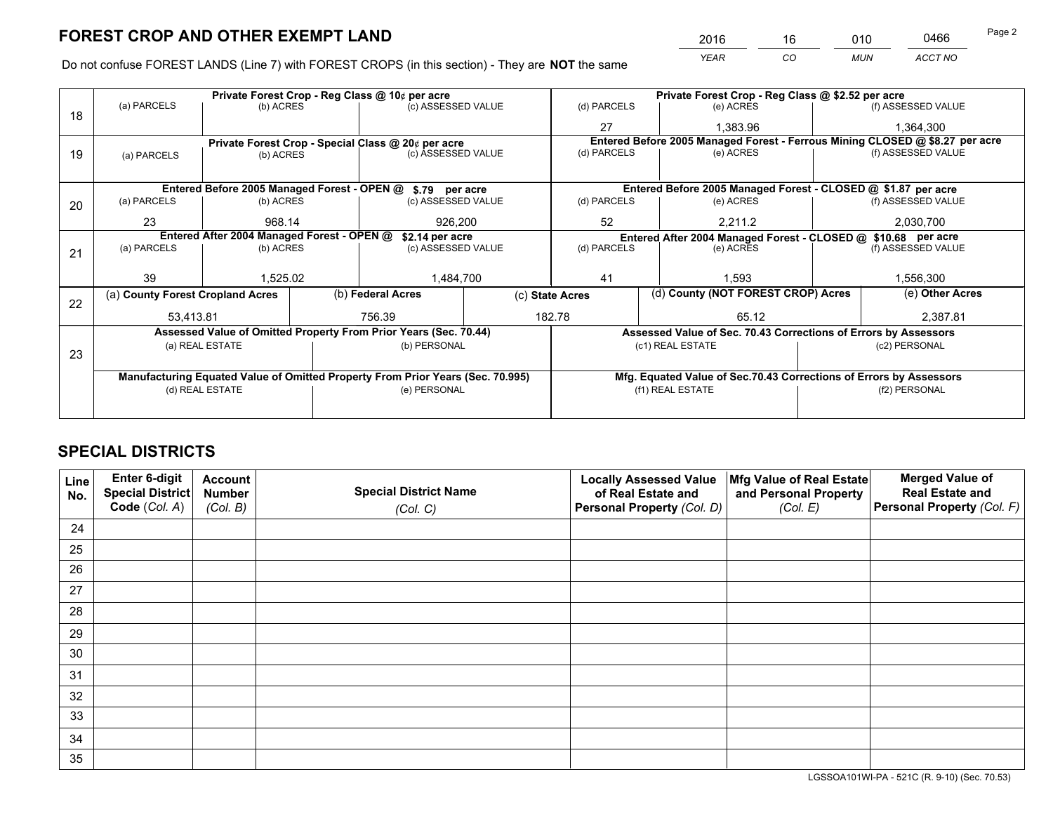*YEAR CO MUN ACCT NO* <sup>2016</sup> <sup>16</sup> <sup>010</sup> <sup>0466</sup>

Do not confuse FOREST LANDS (Line 7) with FOREST CROPS (in this section) - They are **NOT** the same

|    |                                                                                                                                |                                             |  | Private Forest Crop - Reg Class @ 10¢ per acre                                 |  |                 | Private Forest Crop - Reg Class @ \$2.52 per acre                            |  |                    |  |  |  |
|----|--------------------------------------------------------------------------------------------------------------------------------|---------------------------------------------|--|--------------------------------------------------------------------------------|--|-----------------|------------------------------------------------------------------------------|--|--------------------|--|--|--|
| 18 | (a) PARCELS                                                                                                                    | (b) ACRES                                   |  | (c) ASSESSED VALUE                                                             |  | (d) PARCELS     | (e) ACRES                                                                    |  | (f) ASSESSED VALUE |  |  |  |
|    |                                                                                                                                |                                             |  |                                                                                |  | 27              | 1.383.96                                                                     |  | 1,364,300          |  |  |  |
|    |                                                                                                                                |                                             |  | Private Forest Crop - Special Class @ 20¢ per acre                             |  |                 | Entered Before 2005 Managed Forest - Ferrous Mining CLOSED @ \$8.27 per acre |  |                    |  |  |  |
| 19 | (a) PARCELS                                                                                                                    | (b) ACRES                                   |  | (c) ASSESSED VALUE                                                             |  | (d) PARCELS     | (e) ACRES                                                                    |  | (f) ASSESSED VALUE |  |  |  |
|    |                                                                                                                                |                                             |  |                                                                                |  |                 |                                                                              |  |                    |  |  |  |
|    |                                                                                                                                | Entered Before 2005 Managed Forest - OPEN @ |  | \$.79 per acre                                                                 |  |                 | Entered Before 2005 Managed Forest - CLOSED @ \$1.87 per acre                |  |                    |  |  |  |
| 20 | (a) PARCELS                                                                                                                    | (b) ACRES                                   |  | (c) ASSESSED VALUE                                                             |  | (d) PARCELS     | (e) ACRES                                                                    |  | (f) ASSESSED VALUE |  |  |  |
|    | 23                                                                                                                             | 968.14                                      |  | 926.200                                                                        |  | 52              | 2,211.2                                                                      |  | 2,030,700          |  |  |  |
|    | Entered After 2004 Managed Forest - OPEN @<br>\$2.14 per acre<br>Entered After 2004 Managed Forest - CLOSED @ \$10.68 per acre |                                             |  |                                                                                |  |                 |                                                                              |  |                    |  |  |  |
| 21 | (a) PARCELS                                                                                                                    | (b) ACRES                                   |  | (c) ASSESSED VALUE                                                             |  | (d) PARCELS     | (e) ACRES                                                                    |  | (f) ASSESSED VALUE |  |  |  |
|    |                                                                                                                                |                                             |  |                                                                                |  |                 |                                                                              |  |                    |  |  |  |
|    | 39                                                                                                                             | 1,525.02                                    |  | 1,484,700                                                                      |  | 41              | 1,593                                                                        |  | 1,556,300          |  |  |  |
| 22 | (a) County Forest Cropland Acres                                                                                               |                                             |  | (b) Federal Acres                                                              |  | (c) State Acres | (d) County (NOT FOREST CROP) Acres                                           |  | (e) Other Acres    |  |  |  |
|    | 53,413.81                                                                                                                      |                                             |  | 756.39                                                                         |  | 182.78          | 65.12                                                                        |  | 2,387.81           |  |  |  |
|    |                                                                                                                                |                                             |  | Assessed Value of Omitted Property From Prior Years (Sec. 70.44)               |  |                 | Assessed Value of Sec. 70.43 Corrections of Errors by Assessors              |  |                    |  |  |  |
|    |                                                                                                                                | (a) REAL ESTATE                             |  | (b) PERSONAL                                                                   |  |                 | (c1) REAL ESTATE                                                             |  | (c2) PERSONAL      |  |  |  |
| 23 |                                                                                                                                |                                             |  |                                                                                |  |                 |                                                                              |  |                    |  |  |  |
|    |                                                                                                                                |                                             |  | Manufacturing Equated Value of Omitted Property From Prior Years (Sec. 70.995) |  |                 | Mfg. Equated Value of Sec.70.43 Corrections of Errors by Assessors           |  |                    |  |  |  |
|    |                                                                                                                                | (d) REAL ESTATE                             |  | (e) PERSONAL                                                                   |  |                 | (f1) REAL ESTATE                                                             |  | (f2) PERSONAL      |  |  |  |
|    |                                                                                                                                |                                             |  |                                                                                |  |                 |                                                                              |  |                    |  |  |  |

## **SPECIAL DISTRICTS**

| Line<br>No. | Enter 6-digit<br><b>Special District</b> | <b>Account</b><br><b>Number</b> | <b>Special District Name</b> | <b>Locally Assessed Value</b><br>of Real Estate and | Mfg Value of Real Estate<br>and Personal Property | <b>Merged Value of</b><br><b>Real Estate and</b> |
|-------------|------------------------------------------|---------------------------------|------------------------------|-----------------------------------------------------|---------------------------------------------------|--------------------------------------------------|
|             | Code (Col. A)                            | (Col. B)                        | (Col. C)                     | Personal Property (Col. D)                          | (Col. E)                                          | Personal Property (Col. F)                       |
| 24          |                                          |                                 |                              |                                                     |                                                   |                                                  |
| 25          |                                          |                                 |                              |                                                     |                                                   |                                                  |
| 26          |                                          |                                 |                              |                                                     |                                                   |                                                  |
| 27          |                                          |                                 |                              |                                                     |                                                   |                                                  |
| 28          |                                          |                                 |                              |                                                     |                                                   |                                                  |
| 29          |                                          |                                 |                              |                                                     |                                                   |                                                  |
| 30          |                                          |                                 |                              |                                                     |                                                   |                                                  |
| 31          |                                          |                                 |                              |                                                     |                                                   |                                                  |
| 32          |                                          |                                 |                              |                                                     |                                                   |                                                  |
| 33          |                                          |                                 |                              |                                                     |                                                   |                                                  |
| 34          |                                          |                                 |                              |                                                     |                                                   |                                                  |
| 35          |                                          |                                 |                              |                                                     |                                                   |                                                  |

LGSSOA101WI-PA - 521C (R. 9-10) (Sec. 70.53)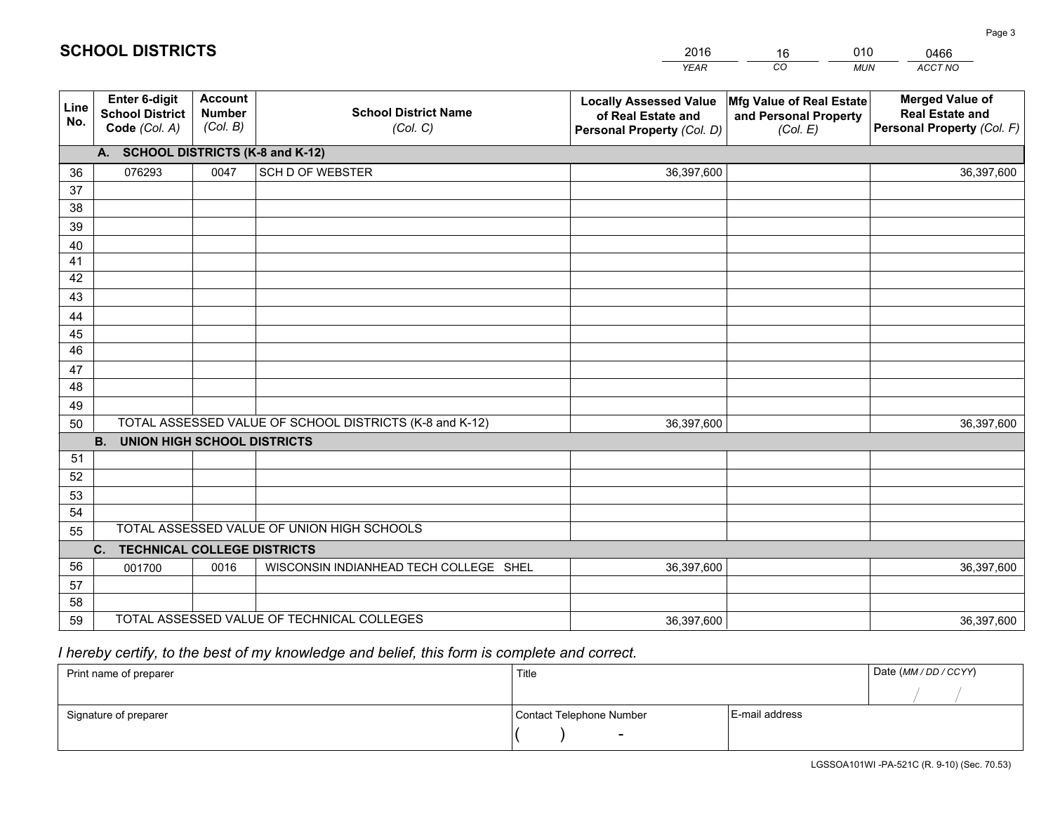|             |                                                                 |                                             |                                                         | <b>YEAR</b>                                                                       | CO<br><b>MUN</b>                                              | ACCT NO                                                                        |
|-------------|-----------------------------------------------------------------|---------------------------------------------|---------------------------------------------------------|-----------------------------------------------------------------------------------|---------------------------------------------------------------|--------------------------------------------------------------------------------|
| Line<br>No. | <b>Enter 6-digit</b><br><b>School District</b><br>Code (Col. A) | <b>Account</b><br><b>Number</b><br>(Col. B) | <b>School District Name</b><br>(Col. C)                 | <b>Locally Assessed Value</b><br>of Real Estate and<br>Personal Property (Col. D) | Mfg Value of Real Estate<br>and Personal Property<br>(Col. E) | <b>Merged Value of</b><br><b>Real Estate and</b><br>Personal Property (Col. F) |
|             | A. SCHOOL DISTRICTS (K-8 and K-12)                              |                                             |                                                         |                                                                                   |                                                               |                                                                                |
| 36          | 076293                                                          | 0047                                        | <b>SCH D OF WEBSTER</b>                                 | 36,397,600                                                                        |                                                               | 36,397,600                                                                     |
| 37          |                                                                 |                                             |                                                         |                                                                                   |                                                               |                                                                                |
| 38          |                                                                 |                                             |                                                         |                                                                                   |                                                               |                                                                                |
| 39          |                                                                 |                                             |                                                         |                                                                                   |                                                               |                                                                                |
| 40          |                                                                 |                                             |                                                         |                                                                                   |                                                               |                                                                                |
| 41<br>42    |                                                                 |                                             |                                                         |                                                                                   |                                                               |                                                                                |
| 43          |                                                                 |                                             |                                                         |                                                                                   |                                                               |                                                                                |
| 44          |                                                                 |                                             |                                                         |                                                                                   |                                                               |                                                                                |
| 45          |                                                                 |                                             |                                                         |                                                                                   |                                                               |                                                                                |
| 46          |                                                                 |                                             |                                                         |                                                                                   |                                                               |                                                                                |
| 47          |                                                                 |                                             |                                                         |                                                                                   |                                                               |                                                                                |
| 48          |                                                                 |                                             |                                                         |                                                                                   |                                                               |                                                                                |
| 49          |                                                                 |                                             |                                                         |                                                                                   |                                                               |                                                                                |
| 50          |                                                                 |                                             | TOTAL ASSESSED VALUE OF SCHOOL DISTRICTS (K-8 and K-12) | 36,397,600                                                                        |                                                               | 36,397,600                                                                     |
|             | <b>UNION HIGH SCHOOL DISTRICTS</b><br><b>B.</b>                 |                                             |                                                         |                                                                                   |                                                               |                                                                                |
| 51          |                                                                 |                                             |                                                         |                                                                                   |                                                               |                                                                                |
| 52          |                                                                 |                                             |                                                         |                                                                                   |                                                               |                                                                                |
| 53          |                                                                 |                                             |                                                         |                                                                                   |                                                               |                                                                                |
| 54          |                                                                 |                                             | TOTAL ASSESSED VALUE OF UNION HIGH SCHOOLS              |                                                                                   |                                                               |                                                                                |
| 55          |                                                                 |                                             |                                                         |                                                                                   |                                                               |                                                                                |
| 56          | <b>TECHNICAL COLLEGE DISTRICTS</b><br>C.                        |                                             |                                                         |                                                                                   |                                                               |                                                                                |
| 57          | 001700                                                          | 0016                                        | WISCONSIN INDIANHEAD TECH COLLEGE SHEL                  | 36,397,600                                                                        |                                                               | 36,397,600                                                                     |
| 58          |                                                                 |                                             |                                                         |                                                                                   |                                                               |                                                                                |
| 59          |                                                                 |                                             | TOTAL ASSESSED VALUE OF TECHNICAL COLLEGES              | 36,397,600                                                                        |                                                               | 36,397,600                                                                     |

16

010

## *I hereby certify, to the best of my knowledge and belief, this form is complete and correct.*

**SCHOOL DISTRICTS**

| Print name of preparer | Title                    |                | Date (MM / DD / CCYY) |
|------------------------|--------------------------|----------------|-----------------------|
|                        |                          |                |                       |
| Signature of preparer  | Contact Telephone Number | E-mail address |                       |
|                        | $\sim$                   |                |                       |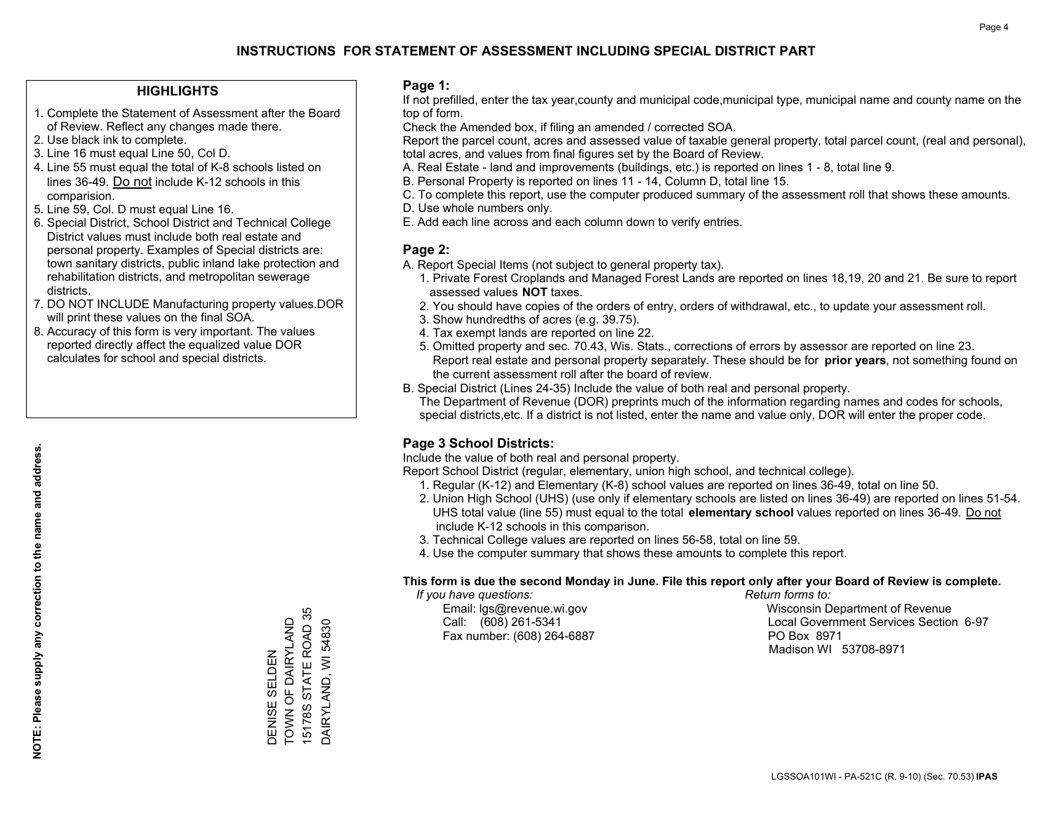### **HIGHLIGHTS**

- 1. Complete the Statement of Assessment after the Board of Review. Reflect any changes made there.
- 2. Use black ink to complete.
- 3. Line 16 must equal Line 50, Col D.
- 4. Line 55 must equal the total of K-8 schools listed on lines 36-49. Do not include K-12 schools in this comparision.
- 5. Line 59, Col. D must equal Line 16.
- 6. Special District, School District and Technical College District values must include both real estate and personal property. Examples of Special districts are: town sanitary districts, public inland lake protection and rehabilitation districts, and metropolitan sewerage districts.
- 7. DO NOT INCLUDE Manufacturing property values.DOR will print these values on the final SOA.
- 8. Accuracy of this form is very important. The values reported directly affect the equalized value DOR calculates for school and special districts.

### **Page 1:**

 If not prefilled, enter the tax year,county and municipal code,municipal type, municipal name and county name on the top of form.

Check the Amended box, if filing an amended / corrected SOA.

 Report the parcel count, acres and assessed value of taxable general property, total parcel count, (real and personal), total acres, and values from final figures set by the Board of Review.

- A. Real Estate land and improvements (buildings, etc.) is reported on lines 1 8, total line 9.
- B. Personal Property is reported on lines 11 14, Column D, total line 15.
- C. To complete this report, use the computer produced summary of the assessment roll that shows these amounts.
- D. Use whole numbers only.
- E. Add each line across and each column down to verify entries.

## **Page 2:**

- A. Report Special Items (not subject to general property tax).
- 1. Private Forest Croplands and Managed Forest Lands are reported on lines 18,19, 20 and 21. Be sure to report assessed values **NOT** taxes.
- 2. You should have copies of the orders of entry, orders of withdrawal, etc., to update your assessment roll.
	- 3. Show hundredths of acres (e.g. 39.75).
- 4. Tax exempt lands are reported on line 22.
- 5. Omitted property and sec. 70.43, Wis. Stats., corrections of errors by assessor are reported on line 23. Report real estate and personal property separately. These should be for **prior years**, not something found on the current assessment roll after the board of review.
- B. Special District (Lines 24-35) Include the value of both real and personal property.
- The Department of Revenue (DOR) preprints much of the information regarding names and codes for schools, special districts,etc. If a district is not listed, enter the name and value only, DOR will enter the proper code.

## **Page 3 School Districts:**

Include the value of both real and personal property.

Report School District (regular, elementary, union high school, and technical college).

- 1. Regular (K-12) and Elementary (K-8) school values are reported on lines 36-49, total on line 50.
- 2. Union High School (UHS) (use only if elementary schools are listed on lines 36-49) are reported on lines 51-54. UHS total value (line 55) must equal to the total **elementary school** values reported on lines 36-49. Do notinclude K-12 schools in this comparison.
- 3. Technical College values are reported on lines 56-58, total on line 59.
- 4. Use the computer summary that shows these amounts to complete this report.

### **This form is due the second Monday in June. File this report only after your Board of Review is complete.**

 *If you have questions: Return forms to:*

Fax number: (608) 264-6887 PO Box 8971

 Email: lgs@revenue.wi.gov Wisconsin Department of Revenue Call: (608) 261-5341 Local Government Services Section 6-97Madison WI 53708-8971

15178S STATE ROAD 35 15178S STATE ROAD 35 DENISE SELDEN<br>TOWN OF DAIRYLAND TOWN OF DAIRYLAND DAIRYLAND, WI 54830 DAIRYLAND, WI 54830 DENISE SELDEN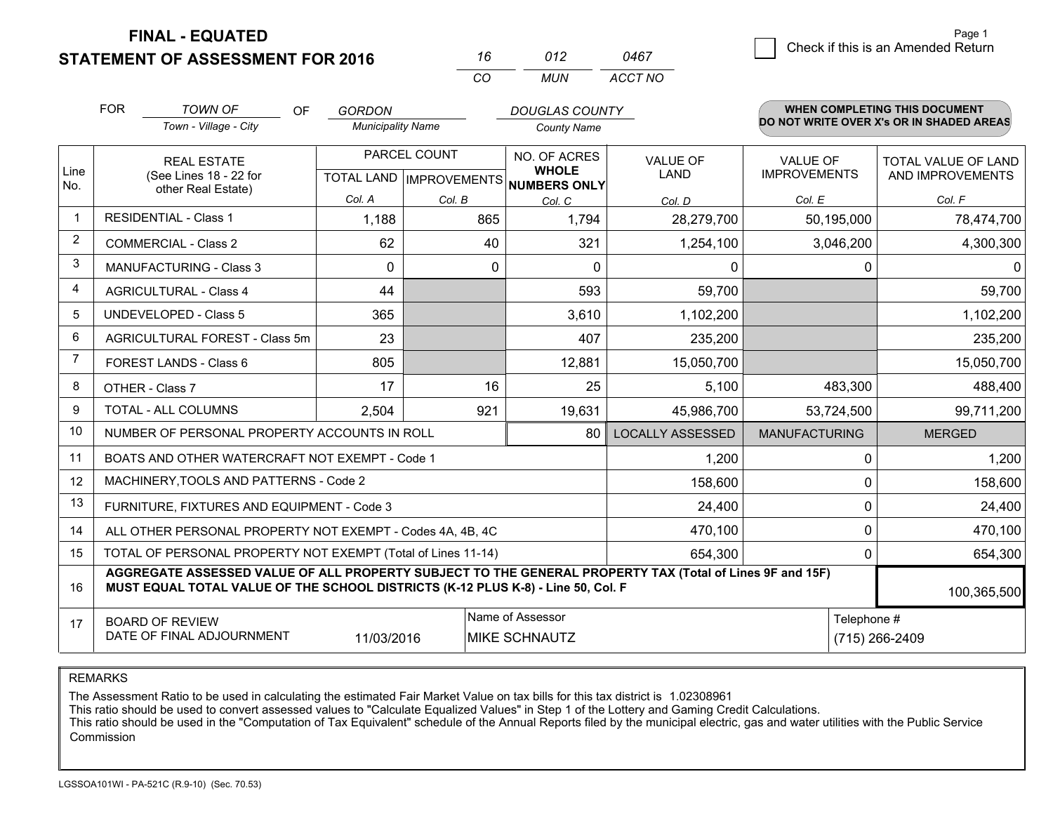**FINAL - EQUATED**

**STATEMENT OF ASSESSMENT FOR 2016** 

| 16.      | (112) | 0467    |
|----------|-------|---------|
| $\cdots$ | MUN   | ACCT NO |

|                | <b>FOR</b><br><b>TOWN OF</b><br><b>OF</b><br><b>GORDON</b> |                                                                                                                                                                                              |                          | <b>DOUGLAS COUNTY</b>                                    |                      | <b>WHEN COMPLETING THIS DOCUMENT</b> |                      |                                          |
|----------------|------------------------------------------------------------|----------------------------------------------------------------------------------------------------------------------------------------------------------------------------------------------|--------------------------|----------------------------------------------------------|----------------------|--------------------------------------|----------------------|------------------------------------------|
|                |                                                            | Town - Village - City                                                                                                                                                                        | <b>Municipality Name</b> |                                                          | <b>County Name</b>   |                                      |                      | DO NOT WRITE OVER X's OR IN SHADED AREAS |
|                |                                                            | <b>REAL ESTATE</b>                                                                                                                                                                           |                          | PARCEL COUNT                                             | NO. OF ACRES         | <b>VALUE OF</b>                      | <b>VALUE OF</b>      | <b>TOTAL VALUE OF LAND</b>               |
| Line<br>No.    | (See Lines 18 - 22 for<br>other Real Estate)               |                                                                                                                                                                                              |                          | <b>WHOLE</b><br>TOTAL LAND   IMPROVEMENTS   NUMBERS ONLY | LAND                 | <b>IMPROVEMENTS</b>                  | AND IMPROVEMENTS     |                                          |
|                |                                                            |                                                                                                                                                                                              | Col. A                   | Col. B                                                   | Col. C               | Col. D                               | Col. E               | Col. F                                   |
|                |                                                            | <b>RESIDENTIAL - Class 1</b>                                                                                                                                                                 | 1,188                    | 865                                                      | 1,794                | 28,279,700                           | 50,195,000           | 78,474,700                               |
| 2              |                                                            | <b>COMMERCIAL - Class 2</b>                                                                                                                                                                  | 62                       | 40                                                       | 321                  | 1,254,100                            | 3,046,200            | 4,300,300                                |
| 3              |                                                            | <b>MANUFACTURING - Class 3</b>                                                                                                                                                               | $\mathbf{0}$             | 0                                                        | $\Omega$             | 0                                    | $\Omega$             | $\mathbf{0}$                             |
| 4              |                                                            | <b>AGRICULTURAL - Class 4</b>                                                                                                                                                                | 44                       |                                                          | 593                  | 59,700                               |                      | 59,700                                   |
| 5              |                                                            | <b>UNDEVELOPED - Class 5</b>                                                                                                                                                                 | 365                      |                                                          | 3,610                | 1,102,200                            |                      | 1,102,200                                |
| 6              | AGRICULTURAL FOREST - Class 5m                             |                                                                                                                                                                                              | 23                       |                                                          | 407                  | 235,200                              |                      | 235,200                                  |
| $\overline{7}$ |                                                            | <b>FOREST LANDS - Class 6</b>                                                                                                                                                                | 805                      |                                                          | 12,881               | 15,050,700                           |                      | 15,050,700                               |
| 8              |                                                            | OTHER - Class 7                                                                                                                                                                              | 17                       | 16                                                       | 25                   | 5,100                                | 483,300              | 488,400                                  |
| 9              |                                                            | TOTAL - ALL COLUMNS                                                                                                                                                                          | 2,504                    | 921                                                      | 19,631               | 45,986,700                           | 53,724,500           | 99,711,200                               |
| 10             |                                                            | NUMBER OF PERSONAL PROPERTY ACCOUNTS IN ROLL                                                                                                                                                 |                          |                                                          | 80                   | <b>LOCALLY ASSESSED</b>              | <b>MANUFACTURING</b> | <b>MERGED</b>                            |
| 11             |                                                            | BOATS AND OTHER WATERCRAFT NOT EXEMPT - Code 1                                                                                                                                               |                          |                                                          |                      | 1,200                                | $\Omega$             | 1,200                                    |
| 12             |                                                            | MACHINERY, TOOLS AND PATTERNS - Code 2                                                                                                                                                       |                          |                                                          |                      | 158,600                              | $\Omega$             | 158,600                                  |
| 13             |                                                            | FURNITURE, FIXTURES AND EQUIPMENT - Code 3                                                                                                                                                   |                          |                                                          |                      | 24,400                               | 0                    | 24,400                                   |
| 14             |                                                            | ALL OTHER PERSONAL PROPERTY NOT EXEMPT - Codes 4A, 4B, 4C                                                                                                                                    |                          |                                                          |                      | 470,100                              | $\mathbf{0}$         | 470,100                                  |
| 15             |                                                            | TOTAL OF PERSONAL PROPERTY NOT EXEMPT (Total of Lines 11-14)                                                                                                                                 |                          |                                                          |                      | 654,300                              | $\mathbf 0$          | 654,300                                  |
| 16             |                                                            | AGGREGATE ASSESSED VALUE OF ALL PROPERTY SUBJECT TO THE GENERAL PROPERTY TAX (Total of Lines 9F and 15F)<br>MUST EQUAL TOTAL VALUE OF THE SCHOOL DISTRICTS (K-12 PLUS K-8) - Line 50, Col. F |                          |                                                          |                      |                                      |                      | 100,365,500                              |
| 17             |                                                            | <b>BOARD OF REVIEW</b>                                                                                                                                                                       |                          |                                                          | Name of Assessor     |                                      | Telephone #          |                                          |
|                |                                                            | DATE OF FINAL ADJOURNMENT                                                                                                                                                                    | 11/03/2016               |                                                          | <b>MIKE SCHNAUTZ</b> |                                      |                      | (715) 266-2409                           |

REMARKS

The Assessment Ratio to be used in calculating the estimated Fair Market Value on tax bills for this tax district is 1.02308961<br>This ratio should be used to convert assessed values to "Calculate Equalized Values" in Step 1 Commission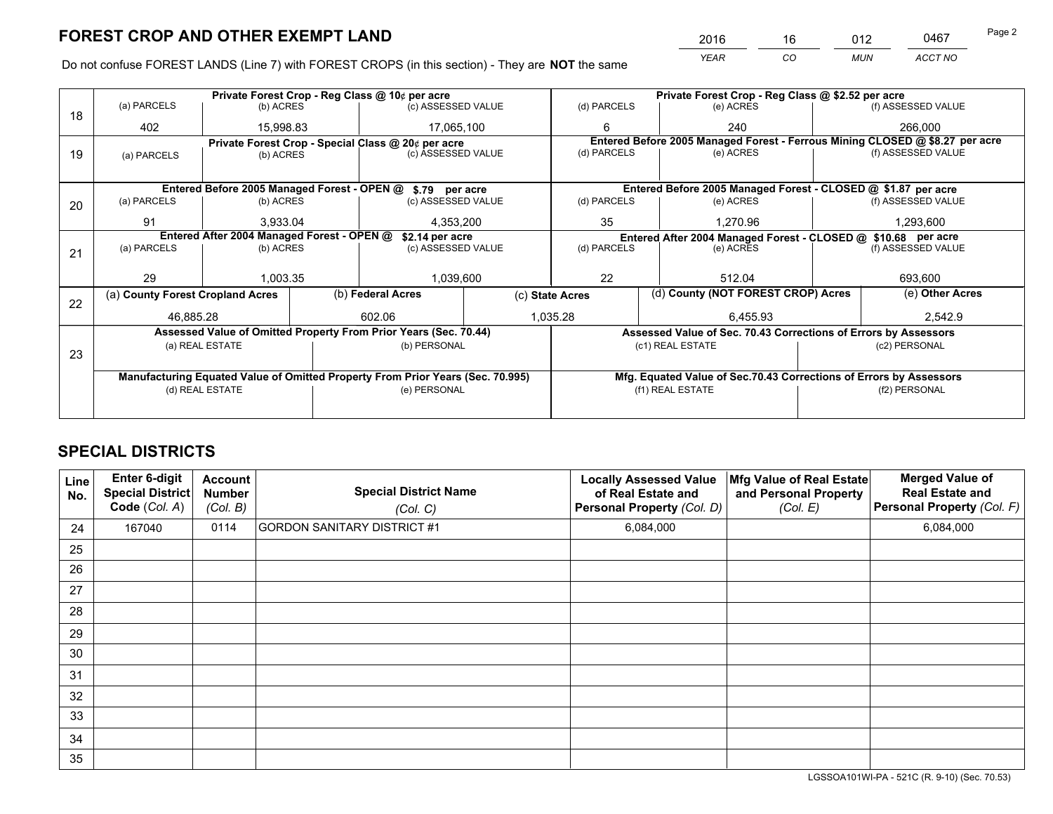*YEAR CO MUN ACCT NO* <sup>2016</sup> <sup>16</sup> <sup>012</sup> <sup>0467</sup> Page 2

Do not confuse FOREST LANDS (Line 7) with FOREST CROPS (in this section) - They are **NOT** the same

|    |                                                               | Private Forest Crop - Reg Class @ 10¢ per acre |  |                                                                                |  |                          | Private Forest Crop - Reg Class @ \$2.52 per acre                            |  |                    |  |
|----|---------------------------------------------------------------|------------------------------------------------|--|--------------------------------------------------------------------------------|--|--------------------------|------------------------------------------------------------------------------|--|--------------------|--|
| 18 | (a) PARCELS                                                   | (b) ACRES                                      |  | (c) ASSESSED VALUE                                                             |  | (d) PARCELS              | (e) ACRES                                                                    |  | (f) ASSESSED VALUE |  |
|    | 402                                                           | 15,998.83                                      |  | 17,065,100                                                                     |  | 6                        | 240                                                                          |  | 266,000            |  |
|    |                                                               |                                                |  | Private Forest Crop - Special Class @ 20¢ per acre                             |  |                          | Entered Before 2005 Managed Forest - Ferrous Mining CLOSED @ \$8.27 per acre |  |                    |  |
| 19 | (a) PARCELS                                                   | (b) ACRES                                      |  | (c) ASSESSED VALUE                                                             |  | (d) PARCELS              | (e) ACRES                                                                    |  | (f) ASSESSED VALUE |  |
|    |                                                               |                                                |  |                                                                                |  |                          |                                                                              |  |                    |  |
|    |                                                               |                                                |  | Entered Before 2005 Managed Forest - OPEN @ \$.79 per acre                     |  |                          | Entered Before 2005 Managed Forest - CLOSED @ \$1.87 per acre                |  |                    |  |
| 20 | (a) PARCELS                                                   | (b) ACRES                                      |  | (c) ASSESSED VALUE                                                             |  | (d) PARCELS<br>(e) ACRES |                                                                              |  | (f) ASSESSED VALUE |  |
|    | 91                                                            | 3,933.04                                       |  | 4,353,200                                                                      |  | 35                       | 1.270.96                                                                     |  | 1,293,600          |  |
|    | Entered After 2004 Managed Forest - OPEN @<br>\$2.14 per acre |                                                |  |                                                                                |  |                          | Entered After 2004 Managed Forest - CLOSED @ \$10.68 per acre                |  |                    |  |
| 21 | (a) PARCELS                                                   | (b) ACRES                                      |  | (c) ASSESSED VALUE                                                             |  | (d) PARCELS              | (e) ACRES                                                                    |  | (f) ASSESSED VALUE |  |
|    |                                                               |                                                |  |                                                                                |  |                          |                                                                              |  |                    |  |
|    | 29                                                            | 1,003.35                                       |  | 1,039,600                                                                      |  | 22                       | 512.04                                                                       |  | 693,600            |  |
| 22 | (a) County Forest Cropland Acres                              |                                                |  | (b) Federal Acres                                                              |  | (c) State Acres          | (d) County (NOT FOREST CROP) Acres                                           |  | (e) Other Acres    |  |
|    | 46,885.28                                                     |                                                |  | 602.06                                                                         |  |                          | 1,035.28<br>6,455.93                                                         |  | 2,542.9            |  |
|    |                                                               |                                                |  | Assessed Value of Omitted Property From Prior Years (Sec. 70.44)               |  |                          | Assessed Value of Sec. 70.43 Corrections of Errors by Assessors              |  |                    |  |
|    |                                                               | (a) REAL ESTATE                                |  | (b) PERSONAL                                                                   |  |                          | (c1) REAL ESTATE                                                             |  | (c2) PERSONAL      |  |
| 23 |                                                               |                                                |  |                                                                                |  |                          |                                                                              |  |                    |  |
|    |                                                               |                                                |  | Manufacturing Equated Value of Omitted Property From Prior Years (Sec. 70.995) |  |                          | Mfg. Equated Value of Sec.70.43 Corrections of Errors by Assessors           |  |                    |  |
|    | (d) REAL ESTATE                                               |                                                |  | (e) PERSONAL                                                                   |  |                          | (f1) REAL ESTATE                                                             |  | (f2) PERSONAL      |  |
|    |                                                               |                                                |  |                                                                                |  |                          |                                                                              |  |                    |  |

## **SPECIAL DISTRICTS**

| Line<br>No. | Enter 6-digit<br>Special District<br>Code (Col. A) | <b>Account</b><br><b>Number</b><br>(Col. B) | <b>Special District Name</b><br>(Col. C) | <b>Locally Assessed Value</b><br>of Real Estate and<br>Personal Property (Col. D) | Mfg Value of Real Estate<br>and Personal Property<br>(Col. E) | <b>Merged Value of</b><br><b>Real Estate and</b><br>Personal Property (Col. F) |
|-------------|----------------------------------------------------|---------------------------------------------|------------------------------------------|-----------------------------------------------------------------------------------|---------------------------------------------------------------|--------------------------------------------------------------------------------|
| 24          | 167040                                             | 0114                                        | <b>GORDON SANITARY DISTRICT #1</b>       | 6,084,000                                                                         |                                                               | 6,084,000                                                                      |
| 25          |                                                    |                                             |                                          |                                                                                   |                                                               |                                                                                |
| 26          |                                                    |                                             |                                          |                                                                                   |                                                               |                                                                                |
| 27          |                                                    |                                             |                                          |                                                                                   |                                                               |                                                                                |
| 28          |                                                    |                                             |                                          |                                                                                   |                                                               |                                                                                |
| 29          |                                                    |                                             |                                          |                                                                                   |                                                               |                                                                                |
| 30          |                                                    |                                             |                                          |                                                                                   |                                                               |                                                                                |
| 31          |                                                    |                                             |                                          |                                                                                   |                                                               |                                                                                |
| 32          |                                                    |                                             |                                          |                                                                                   |                                                               |                                                                                |
| 33          |                                                    |                                             |                                          |                                                                                   |                                                               |                                                                                |
| 34          |                                                    |                                             |                                          |                                                                                   |                                                               |                                                                                |
| 35          |                                                    |                                             |                                          |                                                                                   |                                                               |                                                                                |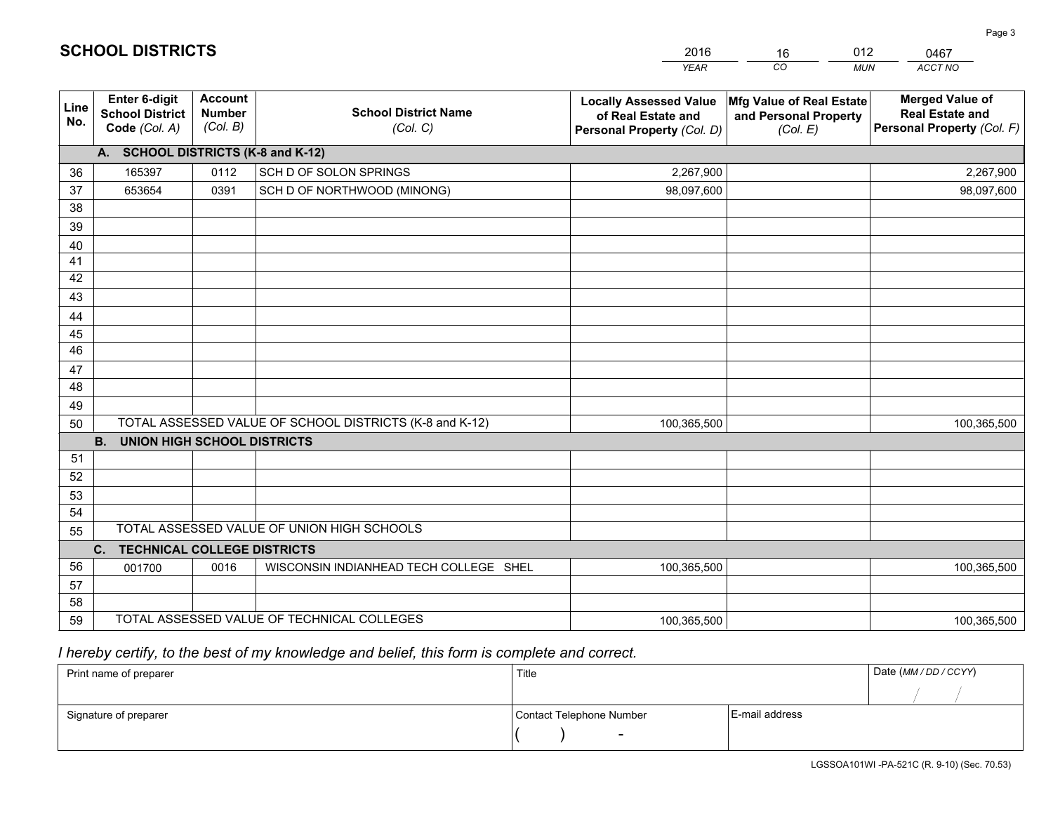|             |                                                          |                                             |                                                         | <b>YEAR</b>                                                                       | CO<br><b>MUN</b>                                              | ACCT NO                                                                        |
|-------------|----------------------------------------------------------|---------------------------------------------|---------------------------------------------------------|-----------------------------------------------------------------------------------|---------------------------------------------------------------|--------------------------------------------------------------------------------|
| Line<br>No. | Enter 6-digit<br><b>School District</b><br>Code (Col. A) | <b>Account</b><br><b>Number</b><br>(Col. B) | <b>School District Name</b><br>(Col. C)                 | <b>Locally Assessed Value</b><br>of Real Estate and<br>Personal Property (Col. D) | Mfg Value of Real Estate<br>and Personal Property<br>(Col. E) | <b>Merged Value of</b><br><b>Real Estate and</b><br>Personal Property (Col. F) |
|             | A. SCHOOL DISTRICTS (K-8 and K-12)                       |                                             |                                                         |                                                                                   |                                                               |                                                                                |
| 36          | 165397                                                   | 0112                                        | SCH D OF SOLON SPRINGS                                  | 2,267,900                                                                         |                                                               | 2,267,900                                                                      |
| 37          | 653654                                                   | 0391                                        | SCH D OF NORTHWOOD (MINONG)                             | 98,097,600                                                                        |                                                               | 98,097,600                                                                     |
| 38          |                                                          |                                             |                                                         |                                                                                   |                                                               |                                                                                |
| 39          |                                                          |                                             |                                                         |                                                                                   |                                                               |                                                                                |
| 40          |                                                          |                                             |                                                         |                                                                                   |                                                               |                                                                                |
| 41          |                                                          |                                             |                                                         |                                                                                   |                                                               |                                                                                |
| 42          |                                                          |                                             |                                                         |                                                                                   |                                                               |                                                                                |
| 43          |                                                          |                                             |                                                         |                                                                                   |                                                               |                                                                                |
| 44          |                                                          |                                             |                                                         |                                                                                   |                                                               |                                                                                |
| 45          |                                                          |                                             |                                                         |                                                                                   |                                                               |                                                                                |
| 46          |                                                          |                                             |                                                         |                                                                                   |                                                               |                                                                                |
| 47          |                                                          |                                             |                                                         |                                                                                   |                                                               |                                                                                |
| 48          |                                                          |                                             |                                                         |                                                                                   |                                                               |                                                                                |
| 49          |                                                          |                                             | TOTAL ASSESSED VALUE OF SCHOOL DISTRICTS (K-8 and K-12) |                                                                                   |                                                               |                                                                                |
| 50          | <b>B.</b><br><b>UNION HIGH SCHOOL DISTRICTS</b>          |                                             |                                                         | 100,365,500                                                                       |                                                               | 100,365,500                                                                    |
| 51          |                                                          |                                             |                                                         |                                                                                   |                                                               |                                                                                |
| 52          |                                                          |                                             |                                                         |                                                                                   |                                                               |                                                                                |
| 53          |                                                          |                                             |                                                         |                                                                                   |                                                               |                                                                                |
| 54          |                                                          |                                             |                                                         |                                                                                   |                                                               |                                                                                |
| 55          |                                                          |                                             | TOTAL ASSESSED VALUE OF UNION HIGH SCHOOLS              |                                                                                   |                                                               |                                                                                |
|             | C. TECHNICAL COLLEGE DISTRICTS                           |                                             |                                                         |                                                                                   |                                                               |                                                                                |
| 56          | 001700                                                   | 0016                                        | WISCONSIN INDIANHEAD TECH COLLEGE SHEL                  | 100,365,500                                                                       |                                                               | 100,365,500                                                                    |
| 57          |                                                          |                                             |                                                         |                                                                                   |                                                               |                                                                                |
| 58          |                                                          |                                             |                                                         |                                                                                   |                                                               |                                                                                |
| 59          |                                                          |                                             | TOTAL ASSESSED VALUE OF TECHNICAL COLLEGES              | 100,365,500                                                                       |                                                               | 100,365,500                                                                    |

16

012

 *I hereby certify, to the best of my knowledge and belief, this form is complete and correct.*

**SCHOOL DISTRICTS**

| Print name of preparer | Title                    |                | Date (MM / DD / CCYY) |
|------------------------|--------------------------|----------------|-----------------------|
|                        |                          |                |                       |
| Signature of preparer  | Contact Telephone Number | E-mail address |                       |
|                        | $\sim$                   |                |                       |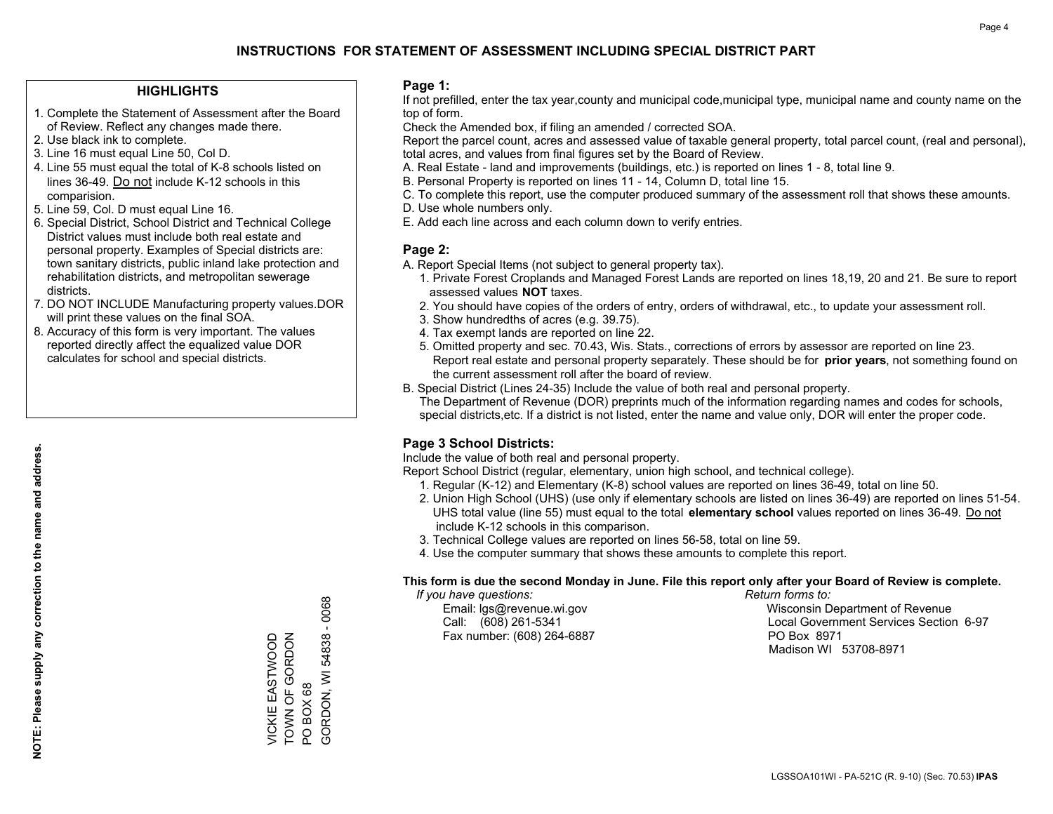### **HIGHLIGHTS**

- 1. Complete the Statement of Assessment after the Board of Review. Reflect any changes made there.
- 2. Use black ink to complete.
- 3. Line 16 must equal Line 50, Col D.
- 4. Line 55 must equal the total of K-8 schools listed on lines 36-49. Do not include K-12 schools in this comparision.
- 5. Line 59, Col. D must equal Line 16.
- 6. Special District, School District and Technical College District values must include both real estate and personal property. Examples of Special districts are: town sanitary districts, public inland lake protection and rehabilitation districts, and metropolitan sewerage districts.
- 7. DO NOT INCLUDE Manufacturing property values.DOR will print these values on the final SOA.
- 8. Accuracy of this form is very important. The values reported directly affect the equalized value DOR calculates for school and special districts.

#### **Page 1:**

 If not prefilled, enter the tax year,county and municipal code,municipal type, municipal name and county name on the top of form.

Check the Amended box, if filing an amended / corrected SOA.

 Report the parcel count, acres and assessed value of taxable general property, total parcel count, (real and personal), total acres, and values from final figures set by the Board of Review.

- A. Real Estate land and improvements (buildings, etc.) is reported on lines 1 8, total line 9.
- B. Personal Property is reported on lines 11 14, Column D, total line 15.
- C. To complete this report, use the computer produced summary of the assessment roll that shows these amounts.
- D. Use whole numbers only.
- E. Add each line across and each column down to verify entries.

### **Page 2:**

- A. Report Special Items (not subject to general property tax).
- 1. Private Forest Croplands and Managed Forest Lands are reported on lines 18,19, 20 and 21. Be sure to report assessed values **NOT** taxes.
- 2. You should have copies of the orders of entry, orders of withdrawal, etc., to update your assessment roll.
	- 3. Show hundredths of acres (e.g. 39.75).
- 4. Tax exempt lands are reported on line 22.
- 5. Omitted property and sec. 70.43, Wis. Stats., corrections of errors by assessor are reported on line 23. Report real estate and personal property separately. These should be for **prior years**, not something found on the current assessment roll after the board of review.
- B. Special District (Lines 24-35) Include the value of both real and personal property.
- The Department of Revenue (DOR) preprints much of the information regarding names and codes for schools, special districts,etc. If a district is not listed, enter the name and value only, DOR will enter the proper code.

## **Page 3 School Districts:**

Include the value of both real and personal property.

Report School District (regular, elementary, union high school, and technical college).

- 1. Regular (K-12) and Elementary (K-8) school values are reported on lines 36-49, total on line 50.
- 2. Union High School (UHS) (use only if elementary schools are listed on lines 36-49) are reported on lines 51-54. UHS total value (line 55) must equal to the total **elementary school** values reported on lines 36-49. Do notinclude K-12 schools in this comparison.
- 3. Technical College values are reported on lines 56-58, total on line 59.
- 4. Use the computer summary that shows these amounts to complete this report.

#### **This form is due the second Monday in June. File this report only after your Board of Review is complete.**

 *If you have questions: Return forms to:*

Fax number: (608) 264-6887 PO Box 8971

 Email: lgs@revenue.wi.gov Wisconsin Department of Revenue Call: (608) 261-5341 Local Government Services Section 6-97Madison WI 53708-8971

TOWN OF GORDON VICKIE EASTWOOD<br>TOWN OF GORDON VICKIE EASTWOOD

PO BOX 68

PO BOX 68

GORDON, WI 54838 - 0068

GORDON, WI 54838

 $-0068$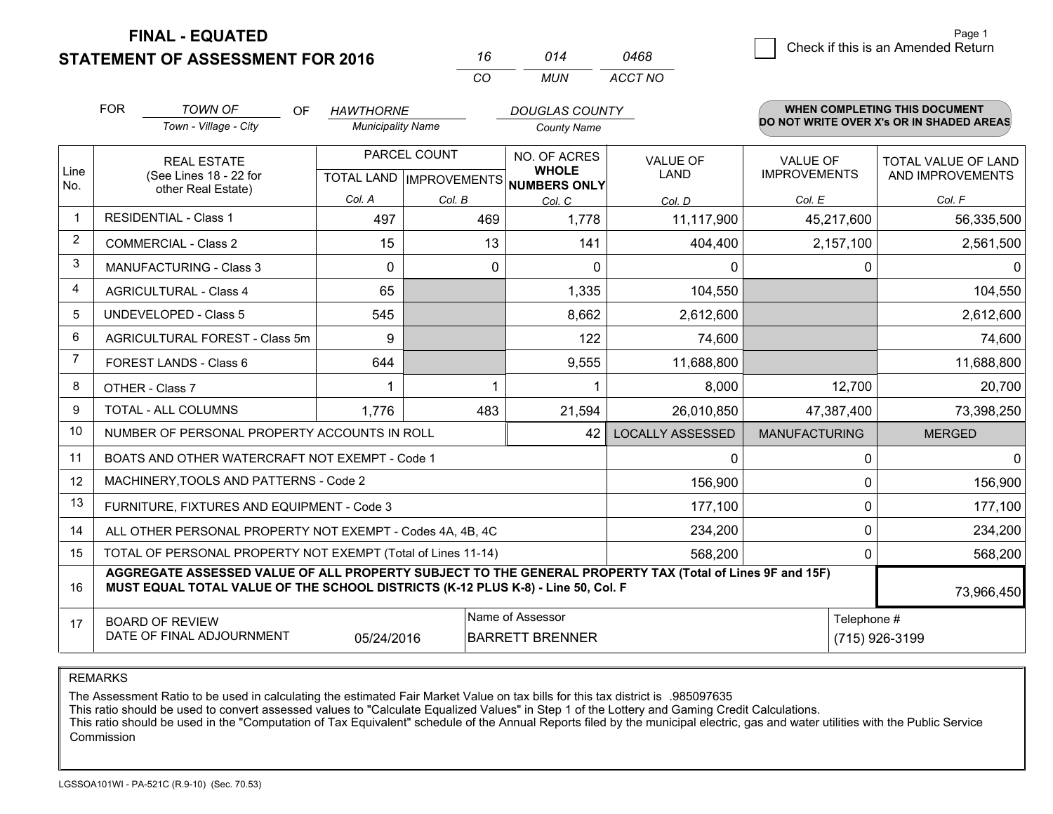**STATEMENT OF ASSESSMENT FOR 2016** 

**FINAL - EQUATED**

 $\overline{\mathcal{B}}$  Check if this is an Amended Return Page 1

|                | <b>FOR</b>                                                                                  | <b>TOWN OF</b><br>OF                                                                                                                                                                         | <b>HAWTHORNE</b>         |              | <b>DOUGLAS COUNTY</b>                                |                         |                      | <b>WHEN COMPLETING THIS DOCUMENT</b>     |
|----------------|---------------------------------------------------------------------------------------------|----------------------------------------------------------------------------------------------------------------------------------------------------------------------------------------------|--------------------------|--------------|------------------------------------------------------|-------------------------|----------------------|------------------------------------------|
|                |                                                                                             | Town - Village - City                                                                                                                                                                        | <b>Municipality Name</b> |              | <b>County Name</b>                                   |                         |                      | DO NOT WRITE OVER X's OR IN SHADED AREAS |
|                |                                                                                             | <b>REAL ESTATE</b>                                                                                                                                                                           |                          | PARCEL COUNT | NO. OF ACRES                                         | <b>VALUE OF</b>         | <b>VALUE OF</b>      | TOTAL VALUE OF LAND                      |
| Line<br>No.    |                                                                                             | (See Lines 18 - 22 for<br>other Real Estate)                                                                                                                                                 |                          |              | <b>WHOLE</b><br>TOTAL LAND IMPROVEMENTS NUMBERS ONLY | LAND                    | <b>IMPROVEMENTS</b>  | AND IMPROVEMENTS                         |
|                |                                                                                             |                                                                                                                                                                                              | Col. A                   | Col. B       | Col. C                                               | Col. D                  | Col. E               | Col. F                                   |
|                |                                                                                             | <b>RESIDENTIAL - Class 1</b>                                                                                                                                                                 | 497                      | 469          | 1,778                                                | 11,117,900              | 45,217,600           | 56,335,500                               |
| $\overline{2}$ |                                                                                             | <b>COMMERCIAL - Class 2</b>                                                                                                                                                                  | 15                       | 13           | 141                                                  | 404,400                 | 2,157,100            | 2,561,500                                |
| 3              |                                                                                             | <b>MANUFACTURING - Class 3</b>                                                                                                                                                               | 0                        | 0            | $\Omega$                                             | 0                       | $\Omega$             | $\Omega$                                 |
| 4              |                                                                                             | <b>AGRICULTURAL - Class 4</b>                                                                                                                                                                | 65                       |              | 1,335                                                | 104,550                 |                      | 104,550                                  |
| 5              |                                                                                             | <b>UNDEVELOPED - Class 5</b>                                                                                                                                                                 | 545                      |              | 8,662                                                | 2,612,600               |                      | 2,612,600                                |
| 6              |                                                                                             | AGRICULTURAL FOREST - Class 5m                                                                                                                                                               | 9                        |              | 122                                                  | 74,600                  |                      | 74,600                                   |
| $\overline{7}$ |                                                                                             | <b>FOREST LANDS - Class 6</b>                                                                                                                                                                | 644                      |              | 9,555                                                | 11,688,800              |                      | 11,688,800                               |
| 8              |                                                                                             | OTHER - Class 7                                                                                                                                                                              |                          |              |                                                      | 8,000                   | 12,700               | 20,700                                   |
| 9              |                                                                                             | TOTAL - ALL COLUMNS                                                                                                                                                                          | 1.776                    | 483          | 21,594                                               | 26,010,850              | 47,387,400           | 73,398,250                               |
| 10             |                                                                                             | NUMBER OF PERSONAL PROPERTY ACCOUNTS IN ROLL                                                                                                                                                 |                          |              | 42                                                   | <b>LOCALLY ASSESSED</b> | <b>MANUFACTURING</b> | <b>MERGED</b>                            |
| 11             |                                                                                             | BOATS AND OTHER WATERCRAFT NOT EXEMPT - Code 1                                                                                                                                               |                          |              |                                                      | 0                       | $\mathbf 0$          | $\Omega$                                 |
| 12             |                                                                                             | MACHINERY, TOOLS AND PATTERNS - Code 2                                                                                                                                                       |                          |              |                                                      | 156,900                 | $\Omega$             | 156,900                                  |
| 13             |                                                                                             | FURNITURE, FIXTURES AND EQUIPMENT - Code 3                                                                                                                                                   |                          |              |                                                      | 177,100                 | $\mathbf 0$          | 177,100                                  |
| 14             |                                                                                             | ALL OTHER PERSONAL PROPERTY NOT EXEMPT - Codes 4A, 4B, 4C                                                                                                                                    |                          |              |                                                      | 234,200                 | $\Omega$             | 234,200                                  |
| 15             |                                                                                             | TOTAL OF PERSONAL PROPERTY NOT EXEMPT (Total of Lines 11-14)                                                                                                                                 |                          |              |                                                      | 568,200                 | $\mathbf 0$          | 568,200                                  |
| 16             |                                                                                             | AGGREGATE ASSESSED VALUE OF ALL PROPERTY SUBJECT TO THE GENERAL PROPERTY TAX (Total of Lines 9F and 15F)<br>MUST EQUAL TOTAL VALUE OF THE SCHOOL DISTRICTS (K-12 PLUS K-8) - Line 50, Col. F |                          |              |                                                      |                         |                      | 73,966,450                               |
| 17             |                                                                                             |                                                                                                                                                                                              |                          |              | Name of Assessor                                     |                         | Telephone #          |                                          |
|                | <b>BOARD OF REVIEW</b><br>DATE OF FINAL ADJOURNMENT<br>05/24/2016<br><b>BARRETT BRENNER</b> |                                                                                                                                                                                              |                          |              |                                                      |                         |                      | (715) 926-3199                           |

*CO*

*MUN*

*ACCT NO0468*

*<sup>16</sup> <sup>014</sup>*

REMARKS

The Assessment Ratio to be used in calculating the estimated Fair Market Value on tax bills for this tax district is .985097635<br>This ratio should be used to convert assessed values to "Calculate Equalized Values" in Step 1 Commission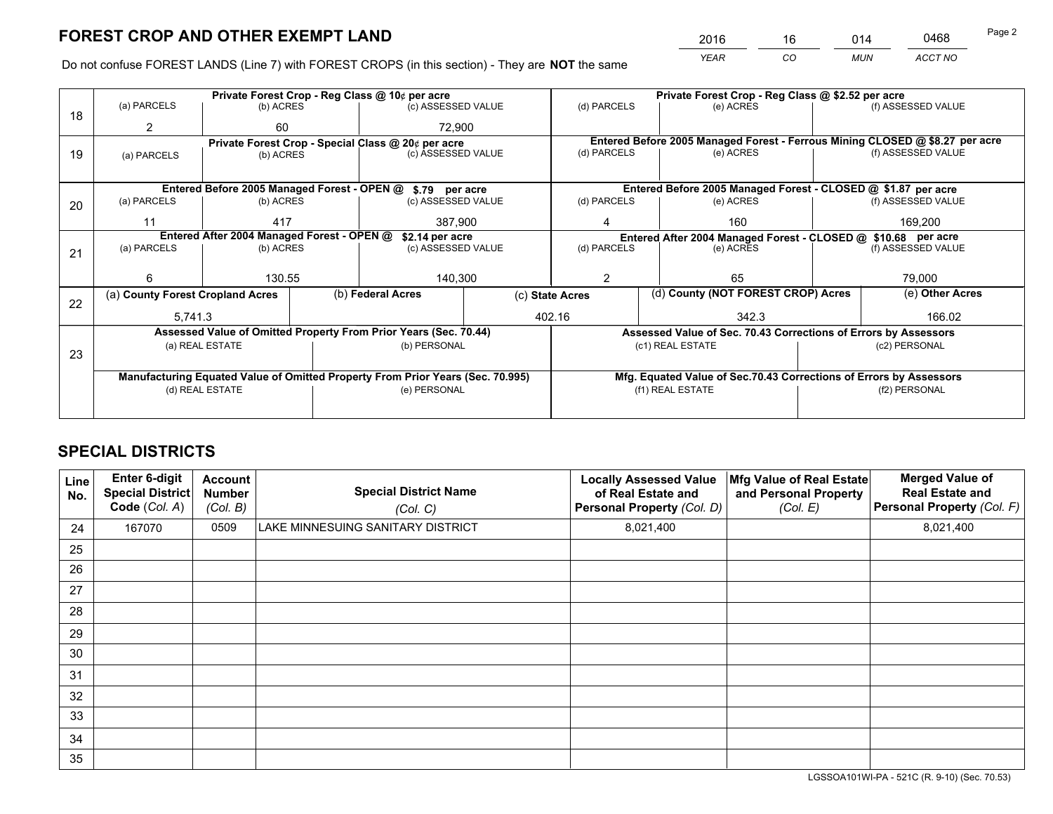*YEAR CO MUN ACCT NO* <sup>2016</sup> <sup>16</sup> <sup>014</sup> <sup>0468</sup>

Do not confuse FOREST LANDS (Line 7) with FOREST CROPS (in this section) - They are **NOT** the same

|    | Private Forest Crop - Reg Class @ 10¢ per acre                |                 |  |                                                                                |  | Private Forest Crop - Reg Class @ \$2.52 per acre                  |                                                                              |               |                    |  |
|----|---------------------------------------------------------------|-----------------|--|--------------------------------------------------------------------------------|--|--------------------------------------------------------------------|------------------------------------------------------------------------------|---------------|--------------------|--|
| 18 | (a) PARCELS                                                   | (b) ACRES       |  | (c) ASSESSED VALUE                                                             |  | (d) PARCELS                                                        | (e) ACRES                                                                    |               | (f) ASSESSED VALUE |  |
|    | 2                                                             | 60              |  | 72.900                                                                         |  |                                                                    |                                                                              |               |                    |  |
|    |                                                               |                 |  | Private Forest Crop - Special Class @ 20¢ per acre                             |  |                                                                    | Entered Before 2005 Managed Forest - Ferrous Mining CLOSED @ \$8.27 per acre |               |                    |  |
| 19 | (a) PARCELS                                                   | (b) ACRES       |  | (c) ASSESSED VALUE                                                             |  | (d) PARCELS                                                        | (e) ACRES                                                                    |               | (f) ASSESSED VALUE |  |
|    |                                                               |                 |  |                                                                                |  |                                                                    |                                                                              |               |                    |  |
|    |                                                               |                 |  | Entered Before 2005 Managed Forest - OPEN @ \$.79 per acre                     |  |                                                                    | Entered Before 2005 Managed Forest - CLOSED @ \$1.87 per acre                |               |                    |  |
| 20 | (a) PARCELS                                                   | (b) ACRES       |  | (c) ASSESSED VALUE                                                             |  | (d) PARCELS                                                        | (e) ACRES                                                                    |               | (f) ASSESSED VALUE |  |
|    | 11                                                            | 417             |  | 387,900                                                                        |  | 4                                                                  | 160                                                                          | 169.200       |                    |  |
|    | Entered After 2004 Managed Forest - OPEN @<br>\$2.14 per acre |                 |  |                                                                                |  |                                                                    | Entered After 2004 Managed Forest - CLOSED @ \$10.68 per acre                |               |                    |  |
| 21 | (a) PARCELS                                                   | (b) ACRES       |  | (c) ASSESSED VALUE                                                             |  | (d) PARCELS<br>(e) ACRES                                           |                                                                              |               | (f) ASSESSED VALUE |  |
|    |                                                               |                 |  |                                                                                |  |                                                                    |                                                                              |               |                    |  |
|    | 6                                                             | 130.55          |  | 140,300                                                                        |  | 2<br>65                                                            |                                                                              |               | 79.000             |  |
| 22 | (a) County Forest Cropland Acres                              |                 |  | (b) Federal Acres                                                              |  | (d) County (NOT FOREST CROP) Acres<br>(c) State Acres              |                                                                              |               | (e) Other Acres    |  |
|    | 5,741.3                                                       |                 |  | 402.16                                                                         |  |                                                                    | 342.3                                                                        |               | 166.02             |  |
|    |                                                               |                 |  | Assessed Value of Omitted Property From Prior Years (Sec. 70.44)               |  |                                                                    | Assessed Value of Sec. 70.43 Corrections of Errors by Assessors              |               |                    |  |
| 23 |                                                               | (a) REAL ESTATE |  | (b) PERSONAL                                                                   |  | (c1) REAL ESTATE                                                   |                                                                              |               | (c2) PERSONAL      |  |
|    |                                                               |                 |  |                                                                                |  |                                                                    |                                                                              |               |                    |  |
|    |                                                               |                 |  | Manufacturing Equated Value of Omitted Property From Prior Years (Sec. 70.995) |  | Mfg. Equated Value of Sec.70.43 Corrections of Errors by Assessors |                                                                              |               |                    |  |
|    | (d) REAL ESTATE                                               |                 |  | (e) PERSONAL                                                                   |  | (f1) REAL ESTATE                                                   |                                                                              | (f2) PERSONAL |                    |  |
|    |                                                               |                 |  |                                                                                |  |                                                                    |                                                                              |               |                    |  |

## **SPECIAL DISTRICTS**

| <b>Line</b><br>No. | Enter 6-digit<br><b>Special District</b><br>Code (Col. A) | <b>Account</b><br><b>Number</b><br>(Col. B) | <b>Special District Name</b><br>(Col. C) | <b>Locally Assessed Value</b><br>of Real Estate and<br>Personal Property (Col. D) | Mfg Value of Real Estate<br>and Personal Property<br>(Col. E) | <b>Merged Value of</b><br><b>Real Estate and</b><br>Personal Property (Col. F) |
|--------------------|-----------------------------------------------------------|---------------------------------------------|------------------------------------------|-----------------------------------------------------------------------------------|---------------------------------------------------------------|--------------------------------------------------------------------------------|
| 24                 | 167070                                                    | 0509                                        | LAKE MINNESUING SANITARY DISTRICT        | 8,021,400                                                                         |                                                               | 8,021,400                                                                      |
| 25                 |                                                           |                                             |                                          |                                                                                   |                                                               |                                                                                |
| 26                 |                                                           |                                             |                                          |                                                                                   |                                                               |                                                                                |
| 27                 |                                                           |                                             |                                          |                                                                                   |                                                               |                                                                                |
| 28                 |                                                           |                                             |                                          |                                                                                   |                                                               |                                                                                |
| 29                 |                                                           |                                             |                                          |                                                                                   |                                                               |                                                                                |
| 30                 |                                                           |                                             |                                          |                                                                                   |                                                               |                                                                                |
| 31                 |                                                           |                                             |                                          |                                                                                   |                                                               |                                                                                |
| 32                 |                                                           |                                             |                                          |                                                                                   |                                                               |                                                                                |
| 33                 |                                                           |                                             |                                          |                                                                                   |                                                               |                                                                                |
| 34                 |                                                           |                                             |                                          |                                                                                   |                                                               |                                                                                |
| 35                 |                                                           |                                             |                                          |                                                                                   |                                                               |                                                                                |

LGSSOA101WI-PA - 521C (R. 9-10) (Sec. 70.53)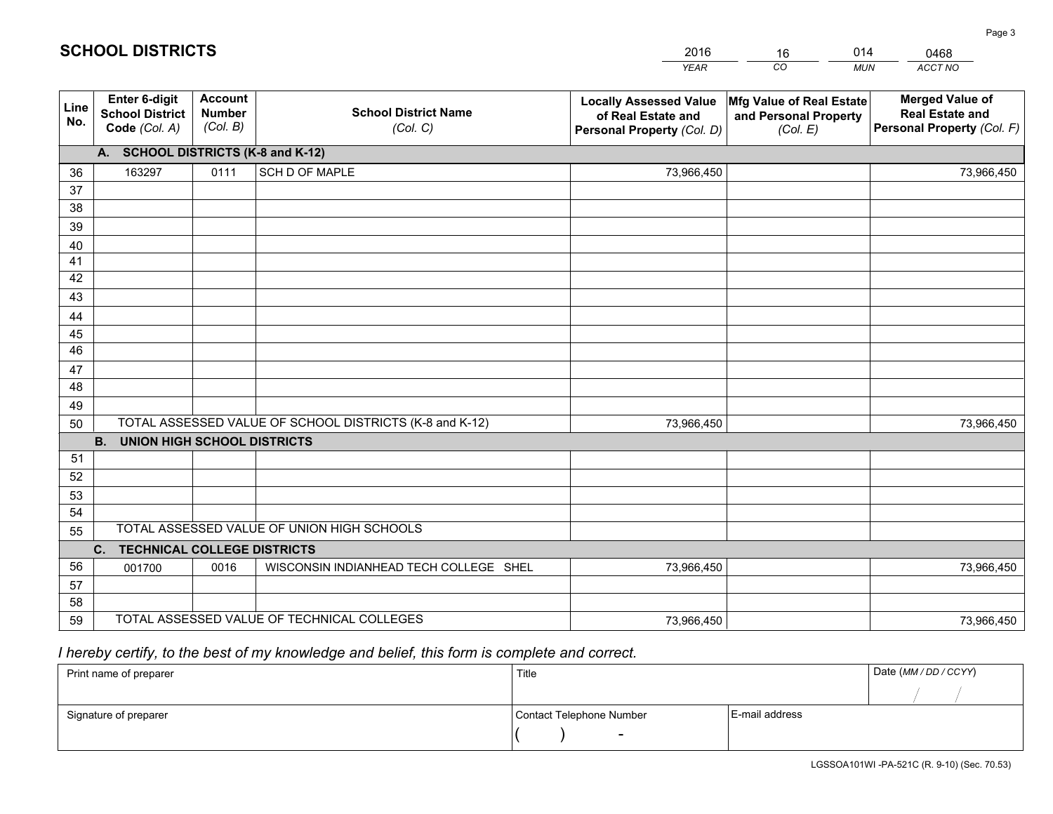|             |                                                          |                                             |                                                         | <b>YEAR</b>                                                                       | CO<br><b>MUN</b>                                              | ACCT NO                                                                        |
|-------------|----------------------------------------------------------|---------------------------------------------|---------------------------------------------------------|-----------------------------------------------------------------------------------|---------------------------------------------------------------|--------------------------------------------------------------------------------|
| Line<br>No. | Enter 6-digit<br><b>School District</b><br>Code (Col. A) | <b>Account</b><br><b>Number</b><br>(Col. B) | <b>School District Name</b><br>(Col. C)                 | <b>Locally Assessed Value</b><br>of Real Estate and<br>Personal Property (Col. D) | Mfg Value of Real Estate<br>and Personal Property<br>(Col. E) | <b>Merged Value of</b><br><b>Real Estate and</b><br>Personal Property (Col. F) |
|             | A. SCHOOL DISTRICTS (K-8 and K-12)                       |                                             |                                                         |                                                                                   |                                                               |                                                                                |
| 36          | 163297                                                   | 0111                                        | SCH D OF MAPLE                                          | 73,966,450                                                                        |                                                               | 73,966,450                                                                     |
| 37          |                                                          |                                             |                                                         |                                                                                   |                                                               |                                                                                |
| 38          |                                                          |                                             |                                                         |                                                                                   |                                                               |                                                                                |
| 39          |                                                          |                                             |                                                         |                                                                                   |                                                               |                                                                                |
| 40          |                                                          |                                             |                                                         |                                                                                   |                                                               |                                                                                |
| 41<br>42    |                                                          |                                             |                                                         |                                                                                   |                                                               |                                                                                |
| 43          |                                                          |                                             |                                                         |                                                                                   |                                                               |                                                                                |
| 44          |                                                          |                                             |                                                         |                                                                                   |                                                               |                                                                                |
| 45          |                                                          |                                             |                                                         |                                                                                   |                                                               |                                                                                |
| 46          |                                                          |                                             |                                                         |                                                                                   |                                                               |                                                                                |
| 47          |                                                          |                                             |                                                         |                                                                                   |                                                               |                                                                                |
| 48          |                                                          |                                             |                                                         |                                                                                   |                                                               |                                                                                |
| 49          |                                                          |                                             |                                                         |                                                                                   |                                                               |                                                                                |
| 50          |                                                          |                                             | TOTAL ASSESSED VALUE OF SCHOOL DISTRICTS (K-8 and K-12) | 73,966,450                                                                        |                                                               | 73,966,450                                                                     |
|             | <b>B.</b><br><b>UNION HIGH SCHOOL DISTRICTS</b>          |                                             |                                                         |                                                                                   |                                                               |                                                                                |
| 51          |                                                          |                                             |                                                         |                                                                                   |                                                               |                                                                                |
| 52          |                                                          |                                             |                                                         |                                                                                   |                                                               |                                                                                |
| 53          |                                                          |                                             |                                                         |                                                                                   |                                                               |                                                                                |
| 54          |                                                          |                                             |                                                         |                                                                                   |                                                               |                                                                                |
| 55          |                                                          |                                             | TOTAL ASSESSED VALUE OF UNION HIGH SCHOOLS              |                                                                                   |                                                               |                                                                                |
|             | C. TECHNICAL COLLEGE DISTRICTS                           |                                             |                                                         |                                                                                   |                                                               |                                                                                |
| 56          | 001700                                                   | 0016                                        | WISCONSIN INDIANHEAD TECH COLLEGE SHEL                  | 73,966,450                                                                        |                                                               | 73,966,450                                                                     |
| 57<br>58    |                                                          |                                             |                                                         |                                                                                   |                                                               |                                                                                |
| 59          |                                                          |                                             | TOTAL ASSESSED VALUE OF TECHNICAL COLLEGES              | 73,966,450                                                                        |                                                               | 73,966,450                                                                     |
|             |                                                          |                                             |                                                         |                                                                                   |                                                               |                                                                                |

16

014

 *I hereby certify, to the best of my knowledge and belief, this form is complete and correct.*

**SCHOOL DISTRICTS**

| Print name of preparer | Title                    |                | Date (MM / DD / CCYY) |
|------------------------|--------------------------|----------------|-----------------------|
|                        |                          |                |                       |
| Signature of preparer  | Contact Telephone Number | E-mail address |                       |
|                        | $\sim$                   |                |                       |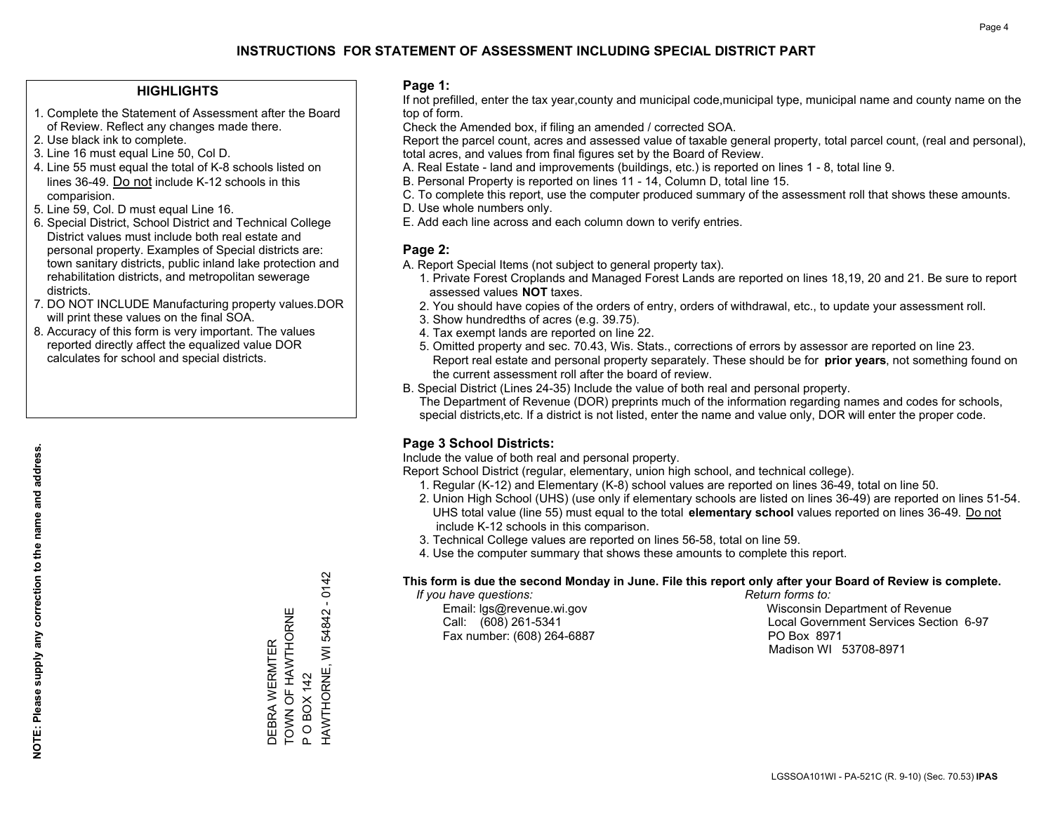### **HIGHLIGHTS**

- 1. Complete the Statement of Assessment after the Board of Review. Reflect any changes made there.
- 2. Use black ink to complete.
- 3. Line 16 must equal Line 50, Col D.
- 4. Line 55 must equal the total of K-8 schools listed on lines 36-49. Do not include K-12 schools in this comparision.
- 5. Line 59, Col. D must equal Line 16.
- 6. Special District, School District and Technical College District values must include both real estate and personal property. Examples of Special districts are: town sanitary districts, public inland lake protection and rehabilitation districts, and metropolitan sewerage districts.
- 7. DO NOT INCLUDE Manufacturing property values.DOR will print these values on the final SOA.

DEBRA WERMTER TOWN OF HAWTHORNE

DEBRA WERMTER<br>TOWN OF HAWTHORNE

P O BOX 142

 $\Omega$ 

**OBOX 142** 

HAWTHORNE, WI 54842 - 0142

HAWTHORNE, WI 54842 - 0142

 8. Accuracy of this form is very important. The values reported directly affect the equalized value DOR calculates for school and special districts.

### **Page 1:**

 If not prefilled, enter the tax year,county and municipal code,municipal type, municipal name and county name on the top of form.

Check the Amended box, if filing an amended / corrected SOA.

 Report the parcel count, acres and assessed value of taxable general property, total parcel count, (real and personal), total acres, and values from final figures set by the Board of Review.

- A. Real Estate land and improvements (buildings, etc.) is reported on lines 1 8, total line 9.
- B. Personal Property is reported on lines 11 14, Column D, total line 15.
- C. To complete this report, use the computer produced summary of the assessment roll that shows these amounts.
- D. Use whole numbers only.
- E. Add each line across and each column down to verify entries.

### **Page 2:**

- A. Report Special Items (not subject to general property tax).
- 1. Private Forest Croplands and Managed Forest Lands are reported on lines 18,19, 20 and 21. Be sure to report assessed values **NOT** taxes.
- 2. You should have copies of the orders of entry, orders of withdrawal, etc., to update your assessment roll.
	- 3. Show hundredths of acres (e.g. 39.75).
- 4. Tax exempt lands are reported on line 22.
- 5. Omitted property and sec. 70.43, Wis. Stats., corrections of errors by assessor are reported on line 23. Report real estate and personal property separately. These should be for **prior years**, not something found on the current assessment roll after the board of review.
- B. Special District (Lines 24-35) Include the value of both real and personal property.
- The Department of Revenue (DOR) preprints much of the information regarding names and codes for schools, special districts,etc. If a district is not listed, enter the name and value only, DOR will enter the proper code.

## **Page 3 School Districts:**

Include the value of both real and personal property.

Report School District (regular, elementary, union high school, and technical college).

- 1. Regular (K-12) and Elementary (K-8) school values are reported on lines 36-49, total on line 50.
- 2. Union High School (UHS) (use only if elementary schools are listed on lines 36-49) are reported on lines 51-54. UHS total value (line 55) must equal to the total **elementary school** values reported on lines 36-49. Do notinclude K-12 schools in this comparison.
- 3. Technical College values are reported on lines 56-58, total on line 59.
- 4. Use the computer summary that shows these amounts to complete this report.

#### **This form is due the second Monday in June. File this report only after your Board of Review is complete.**

 *If you have questions: Return forms to:*

Fax number: (608) 264-6887 PO Box 8971

 Email: lgs@revenue.wi.gov Wisconsin Department of Revenue Call: (608) 261-5341 Local Government Services Section 6-97Madison WI 53708-8971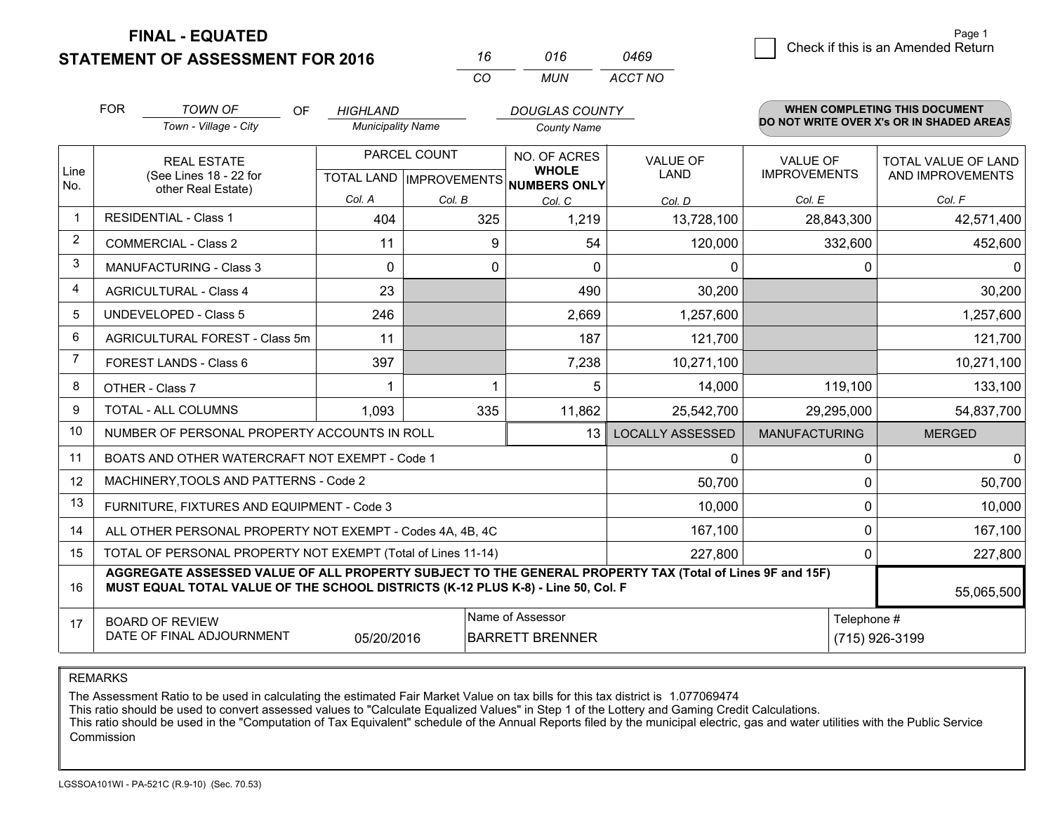**FINAL - EQUATED**

**STATEMENT OF ASSESSMENT FOR 2016** 

| 16  | 016 | 0469    |
|-----|-----|---------|
| CO. | MUN | ACCT NO |

|              | <b>FOR</b>                                                                                                                                                                                   | <b>TOWN OF</b><br><b>OF</b><br>Town - Village - City               | <b>HIGHLAND</b><br><b>Municipality Name</b> |              | <b>DOUGLAS COUNTY</b><br><b>County Name</b>                          |                                |                                        | WHEN COMPLETING THIS DOCUMENT<br>DO NOT WRITE OVER X's OR IN SHADED AREAS |
|--------------|----------------------------------------------------------------------------------------------------------------------------------------------------------------------------------------------|--------------------------------------------------------------------|---------------------------------------------|--------------|----------------------------------------------------------------------|--------------------------------|----------------------------------------|---------------------------------------------------------------------------|
| Line<br>No.  |                                                                                                                                                                                              | <b>REAL ESTATE</b><br>(See Lines 18 - 22 for<br>other Real Estate) |                                             | PARCEL COUNT | NO. OF ACRES<br><b>WHOLE</b><br>TOTAL LAND IMPROVEMENTS NUMBERS ONLY | <b>VALUE OF</b><br><b>LAND</b> | <b>VALUE OF</b><br><b>IMPROVEMENTS</b> | <b>TOTAL VALUE OF LAND</b><br>AND IMPROVEMENTS                            |
|              |                                                                                                                                                                                              |                                                                    | Col. A                                      | Col. B       | Col. C                                                               | Col. D                         | Col. E                                 | Col. F                                                                    |
| $\mathbf{1}$ |                                                                                                                                                                                              | <b>RESIDENTIAL - Class 1</b>                                       | 404                                         | 325          | 1,219                                                                | 13,728,100                     | 28,843,300                             | 42,571,400                                                                |
| 2            |                                                                                                                                                                                              | <b>COMMERCIAL - Class 2</b>                                        | 11                                          | 9            | 54                                                                   | 120,000                        | 332,600                                | 452,600                                                                   |
| 3            |                                                                                                                                                                                              | <b>MANUFACTURING - Class 3</b>                                     | $\Omega$                                    | 0            | $\Omega$                                                             | 0                              | 0                                      | $\Omega$                                                                  |
| 4            |                                                                                                                                                                                              | <b>AGRICULTURAL - Class 4</b>                                      | 23                                          |              | 490                                                                  | 30,200                         |                                        | 30,200                                                                    |
| 5            |                                                                                                                                                                                              | <b>UNDEVELOPED - Class 5</b>                                       | 246                                         |              | 2,669                                                                | 1,257,600                      |                                        | 1,257,600                                                                 |
| 6            |                                                                                                                                                                                              | AGRICULTURAL FOREST - Class 5m                                     | 11                                          |              | 187                                                                  | 121,700                        |                                        | 121,700                                                                   |
| 7            |                                                                                                                                                                                              | FOREST LANDS - Class 6                                             | 397                                         |              | 7,238                                                                | 10,271,100                     |                                        | 10,271,100                                                                |
| 8            |                                                                                                                                                                                              | OTHER - Class 7                                                    |                                             |              | 5                                                                    | 14,000                         | 119,100                                | 133,100                                                                   |
| 9            |                                                                                                                                                                                              | TOTAL - ALL COLUMNS                                                | 1,093                                       | 335          | 11,862                                                               | 25,542,700                     | 29,295,000                             | 54,837,700                                                                |
| 10           |                                                                                                                                                                                              | NUMBER OF PERSONAL PROPERTY ACCOUNTS IN ROLL                       |                                             |              | 13                                                                   | <b>LOCALLY ASSESSED</b>        | <b>MANUFACTURING</b>                   | <b>MERGED</b>                                                             |
| 11           |                                                                                                                                                                                              | BOATS AND OTHER WATERCRAFT NOT EXEMPT - Code 1                     |                                             |              |                                                                      | 0                              | 0                                      | $\mathbf 0$                                                               |
| 12           |                                                                                                                                                                                              | MACHINERY, TOOLS AND PATTERNS - Code 2                             |                                             |              |                                                                      | 50,700                         | $\Omega$                               | 50,700                                                                    |
| 13           |                                                                                                                                                                                              | FURNITURE, FIXTURES AND EQUIPMENT - Code 3                         |                                             |              |                                                                      | 10,000                         | 0                                      | 10,000                                                                    |
| 14           |                                                                                                                                                                                              | ALL OTHER PERSONAL PROPERTY NOT EXEMPT - Codes 4A, 4B, 4C          |                                             |              |                                                                      | 167,100                        | $\mathbf 0$                            | 167,100                                                                   |
| 15           |                                                                                                                                                                                              | TOTAL OF PERSONAL PROPERTY NOT EXEMPT (Total of Lines 11-14)       |                                             |              |                                                                      | 227,800                        | 0                                      | 227,800                                                                   |
| 16           | AGGREGATE ASSESSED VALUE OF ALL PROPERTY SUBJECT TO THE GENERAL PROPERTY TAX (Total of Lines 9F and 15F)<br>MUST EQUAL TOTAL VALUE OF THE SCHOOL DISTRICTS (K-12 PLUS K-8) - Line 50, Col. F |                                                                    |                                             |              |                                                                      |                                |                                        | 55,065,500                                                                |
| 17           | Name of Assessor<br><b>BOARD OF REVIEW</b><br>DATE OF FINAL ADJOURNMENT<br>05/20/2016<br><b>BARRETT BRENNER</b>                                                                              |                                                                    |                                             |              |                                                                      |                                | Telephone #                            | (715) 926-3199                                                            |

REMARKS

The Assessment Ratio to be used in calculating the estimated Fair Market Value on tax bills for this tax district is 1.077069474

This ratio should be used to convert assessed values to "Calculate Equalized Values" in Step 1 of the Lottery and Gaming Credit Calculations.<br>This ratio should be used in the "Computation of Tax Equivalent" schedule of the Commission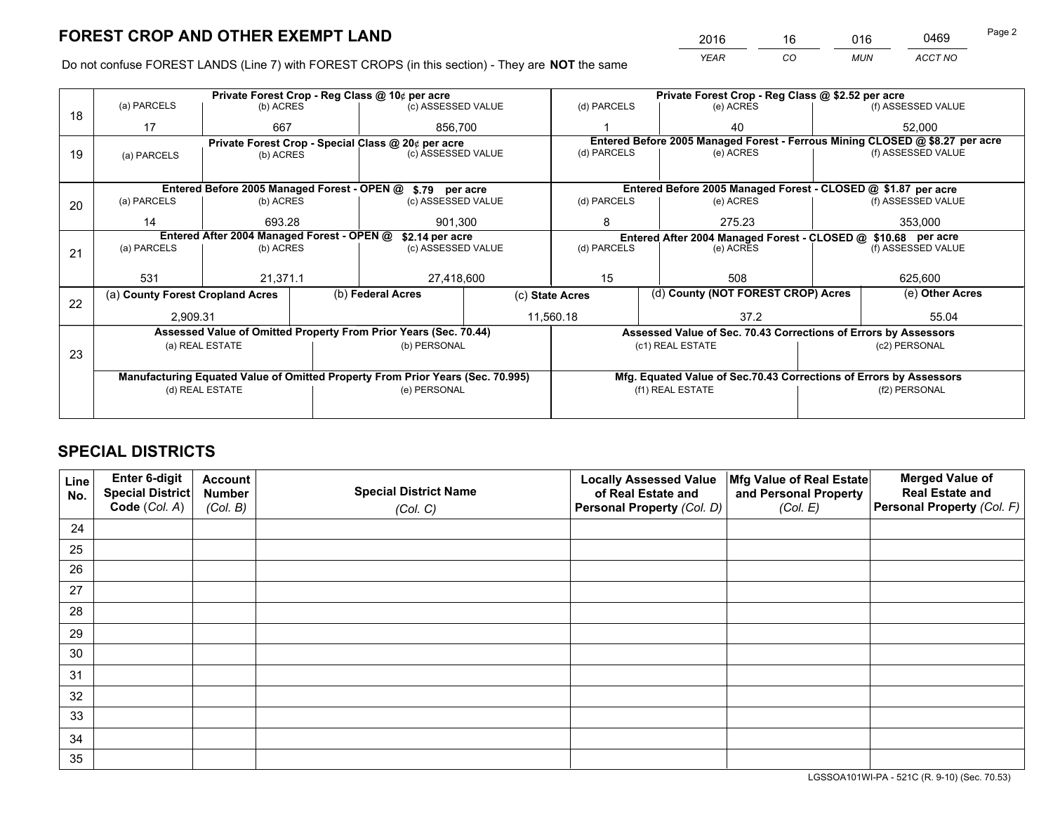*YEAR CO MUN ACCT NO* <sup>2016</sup> <sup>16</sup> <sup>016</sup> <sup>0469</sup>

Do not confuse FOREST LANDS (Line 7) with FOREST CROPS (in this section) - They are **NOT** the same

|    | Private Forest Crop - Reg Class @ 10¢ per acre             |                                            |                 |                                                                                |                                                               | Private Forest Crop - Reg Class @ \$2.52 per acre                  |                                                                              |               |                    |  |
|----|------------------------------------------------------------|--------------------------------------------|-----------------|--------------------------------------------------------------------------------|---------------------------------------------------------------|--------------------------------------------------------------------|------------------------------------------------------------------------------|---------------|--------------------|--|
| 18 | (a) PARCELS                                                | (b) ACRES                                  |                 | (c) ASSESSED VALUE                                                             |                                                               | (d) PARCELS                                                        | (e) ACRES                                                                    |               | (f) ASSESSED VALUE |  |
|    | 17                                                         | 667                                        |                 | 856.700                                                                        |                                                               |                                                                    | 40                                                                           |               | 52,000             |  |
|    |                                                            |                                            |                 | Private Forest Crop - Special Class @ 20¢ per acre                             |                                                               |                                                                    | Entered Before 2005 Managed Forest - Ferrous Mining CLOSED @ \$8.27 per acre |               |                    |  |
| 19 | (a) PARCELS                                                | (b) ACRES                                  |                 | (c) ASSESSED VALUE                                                             |                                                               | (d) PARCELS                                                        | (e) ACRES                                                                    |               | (f) ASSESSED VALUE |  |
|    |                                                            |                                            |                 |                                                                                |                                                               |                                                                    |                                                                              |               |                    |  |
|    | Entered Before 2005 Managed Forest - OPEN @ \$.79 per acre |                                            |                 |                                                                                |                                                               |                                                                    | Entered Before 2005 Managed Forest - CLOSED @ \$1.87 per acre                |               |                    |  |
| 20 | (a) PARCELS                                                | (b) ACRES                                  |                 | (c) ASSESSED VALUE                                                             |                                                               | (d) PARCELS                                                        | (e) ACRES                                                                    |               | (f) ASSESSED VALUE |  |
|    | 14                                                         | 693.28                                     |                 | 901.300                                                                        |                                                               | 8                                                                  | 275.23                                                                       |               | 353,000            |  |
|    |                                                            | Entered After 2004 Managed Forest - OPEN @ | \$2.14 per acre |                                                                                | Entered After 2004 Managed Forest - CLOSED @ \$10.68 per acre |                                                                    |                                                                              |               |                    |  |
| 21 | (a) PARCELS                                                | (b) ACRES                                  |                 | (c) ASSESSED VALUE                                                             |                                                               | (d) PARCELS<br>(e) ACRES                                           |                                                                              |               | (f) ASSESSED VALUE |  |
|    |                                                            |                                            |                 |                                                                                |                                                               |                                                                    |                                                                              |               |                    |  |
|    | 531                                                        | 21,371.1                                   |                 | 27,418,600                                                                     |                                                               | 15                                                                 | 508                                                                          |               | 625,600            |  |
| 22 | (a) County Forest Cropland Acres                           |                                            |                 | (b) Federal Acres<br>(c) State Acres                                           |                                                               |                                                                    | (d) County (NOT FOREST CROP) Acres                                           |               | (e) Other Acres    |  |
|    | 2,909.31                                                   |                                            |                 |                                                                                | 11,560.18                                                     |                                                                    | 37.2                                                                         |               | 55.04              |  |
|    |                                                            |                                            |                 | Assessed Value of Omitted Property From Prior Years (Sec. 70.44)               |                                                               |                                                                    | Assessed Value of Sec. 70.43 Corrections of Errors by Assessors              |               |                    |  |
|    |                                                            | (a) REAL ESTATE                            |                 | (b) PERSONAL                                                                   |                                                               |                                                                    | (c1) REAL ESTATE                                                             |               | (c2) PERSONAL      |  |
| 23 |                                                            |                                            |                 |                                                                                |                                                               |                                                                    |                                                                              |               |                    |  |
|    |                                                            |                                            |                 | Manufacturing Equated Value of Omitted Property From Prior Years (Sec. 70.995) |                                                               | Mfg. Equated Value of Sec.70.43 Corrections of Errors by Assessors |                                                                              |               |                    |  |
|    | (d) REAL ESTATE                                            |                                            |                 | (e) PERSONAL                                                                   |                                                               | (f1) REAL ESTATE                                                   |                                                                              | (f2) PERSONAL |                    |  |
|    |                                                            |                                            |                 |                                                                                |                                                               |                                                                    |                                                                              |               |                    |  |

## **SPECIAL DISTRICTS**

| Line<br>No. | Enter 6-digit<br>Special District<br>Code (Col. A) | <b>Account</b><br><b>Number</b> | <b>Special District Name</b> | <b>Locally Assessed Value</b><br>of Real Estate and | Mfg Value of Real Estate<br>and Personal Property | <b>Merged Value of</b><br><b>Real Estate and</b><br>Personal Property (Col. F) |
|-------------|----------------------------------------------------|---------------------------------|------------------------------|-----------------------------------------------------|---------------------------------------------------|--------------------------------------------------------------------------------|
|             |                                                    | (Col. B)                        | (Col. C)                     | Personal Property (Col. D)                          | (Col. E)                                          |                                                                                |
| 24          |                                                    |                                 |                              |                                                     |                                                   |                                                                                |
| 25          |                                                    |                                 |                              |                                                     |                                                   |                                                                                |
| 26          |                                                    |                                 |                              |                                                     |                                                   |                                                                                |
| 27          |                                                    |                                 |                              |                                                     |                                                   |                                                                                |
| 28          |                                                    |                                 |                              |                                                     |                                                   |                                                                                |
| 29          |                                                    |                                 |                              |                                                     |                                                   |                                                                                |
| 30          |                                                    |                                 |                              |                                                     |                                                   |                                                                                |
| 31          |                                                    |                                 |                              |                                                     |                                                   |                                                                                |
| 32          |                                                    |                                 |                              |                                                     |                                                   |                                                                                |
| 33          |                                                    |                                 |                              |                                                     |                                                   |                                                                                |
| 34          |                                                    |                                 |                              |                                                     |                                                   |                                                                                |
| 35          |                                                    |                                 |                              |                                                     |                                                   |                                                                                |

LGSSOA101WI-PA - 521C (R. 9-10) (Sec. 70.53)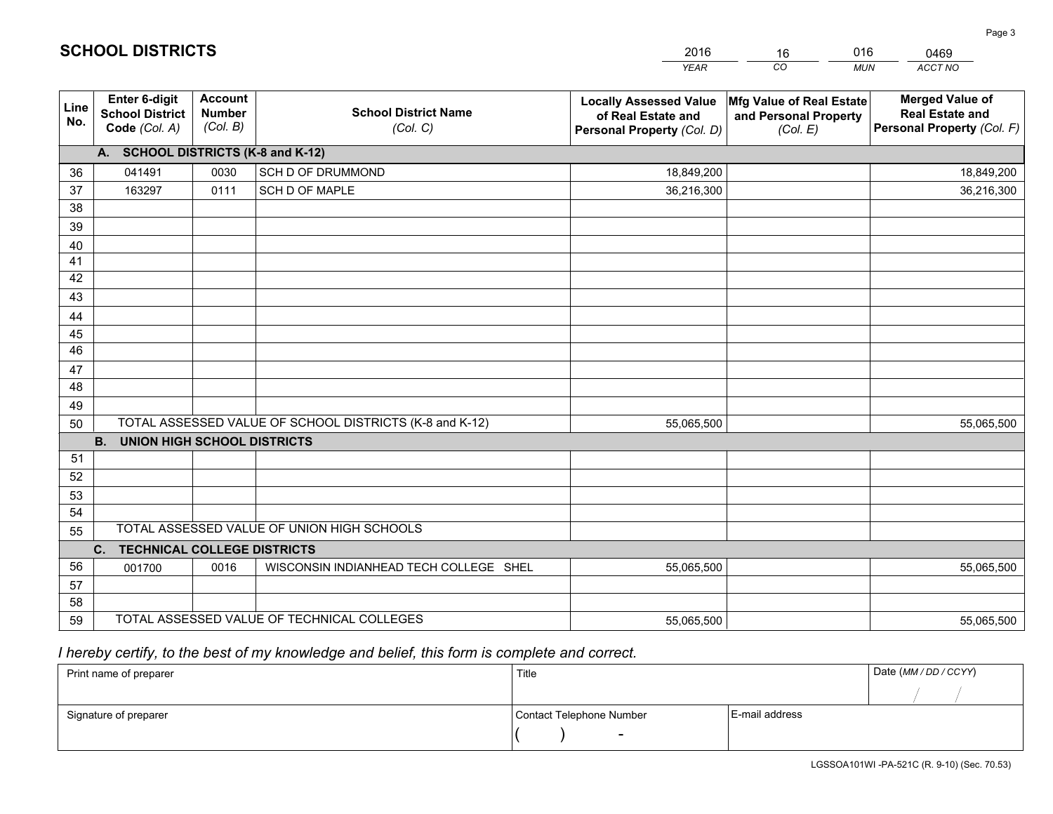|             |                                                          |                                             |                                                         | <b>YEAR</b>                                                                       | CO<br><b>MUN</b>                                              | ACCT NO                                                                        |
|-------------|----------------------------------------------------------|---------------------------------------------|---------------------------------------------------------|-----------------------------------------------------------------------------------|---------------------------------------------------------------|--------------------------------------------------------------------------------|
| Line<br>No. | Enter 6-digit<br><b>School District</b><br>Code (Col. A) | <b>Account</b><br><b>Number</b><br>(Col. B) | <b>School District Name</b><br>(Col. C)                 | <b>Locally Assessed Value</b><br>of Real Estate and<br>Personal Property (Col. D) | Mfg Value of Real Estate<br>and Personal Property<br>(Col. E) | <b>Merged Value of</b><br><b>Real Estate and</b><br>Personal Property (Col. F) |
|             | A. SCHOOL DISTRICTS (K-8 and K-12)                       |                                             |                                                         |                                                                                   |                                                               |                                                                                |
| 36          | 041491                                                   | 0030                                        | SCH D OF DRUMMOND                                       | 18,849,200                                                                        |                                                               | 18,849,200                                                                     |
| 37          | 163297                                                   | 0111                                        | SCH D OF MAPLE                                          | 36,216,300                                                                        |                                                               | 36,216,300                                                                     |
| 38          |                                                          |                                             |                                                         |                                                                                   |                                                               |                                                                                |
| 39          |                                                          |                                             |                                                         |                                                                                   |                                                               |                                                                                |
| 40          |                                                          |                                             |                                                         |                                                                                   |                                                               |                                                                                |
| 41          |                                                          |                                             |                                                         |                                                                                   |                                                               |                                                                                |
| 42          |                                                          |                                             |                                                         |                                                                                   |                                                               |                                                                                |
| 43          |                                                          |                                             |                                                         |                                                                                   |                                                               |                                                                                |
| 44          |                                                          |                                             |                                                         |                                                                                   |                                                               |                                                                                |
| 45          |                                                          |                                             |                                                         |                                                                                   |                                                               |                                                                                |
| 46          |                                                          |                                             |                                                         |                                                                                   |                                                               |                                                                                |
| 47          |                                                          |                                             |                                                         |                                                                                   |                                                               |                                                                                |
| 48          |                                                          |                                             |                                                         |                                                                                   |                                                               |                                                                                |
| 49          |                                                          |                                             | TOTAL ASSESSED VALUE OF SCHOOL DISTRICTS (K-8 and K-12) |                                                                                   |                                                               |                                                                                |
| 50          | <b>B.</b><br><b>UNION HIGH SCHOOL DISTRICTS</b>          |                                             |                                                         | 55,065,500                                                                        |                                                               | 55,065,500                                                                     |
| 51          |                                                          |                                             |                                                         |                                                                                   |                                                               |                                                                                |
| 52          |                                                          |                                             |                                                         |                                                                                   |                                                               |                                                                                |
| 53          |                                                          |                                             |                                                         |                                                                                   |                                                               |                                                                                |
| 54          |                                                          |                                             |                                                         |                                                                                   |                                                               |                                                                                |
| 55          |                                                          |                                             | TOTAL ASSESSED VALUE OF UNION HIGH SCHOOLS              |                                                                                   |                                                               |                                                                                |
|             | C. TECHNICAL COLLEGE DISTRICTS                           |                                             |                                                         |                                                                                   |                                                               |                                                                                |
| 56          | 001700                                                   | 0016                                        | WISCONSIN INDIANHEAD TECH COLLEGE SHEL                  | 55,065,500                                                                        |                                                               | 55,065,500                                                                     |
| 57          |                                                          |                                             |                                                         |                                                                                   |                                                               |                                                                                |
| 58          |                                                          |                                             |                                                         |                                                                                   |                                                               |                                                                                |
| 59          |                                                          |                                             | TOTAL ASSESSED VALUE OF TECHNICAL COLLEGES              | 55,065,500                                                                        |                                                               | 55,065,500                                                                     |

16

016

 *I hereby certify, to the best of my knowledge and belief, this form is complete and correct.*

**SCHOOL DISTRICTS**

| Print name of preparer | Title                    |                | Date (MM / DD / CCYY) |
|------------------------|--------------------------|----------------|-----------------------|
|                        |                          |                |                       |
| Signature of preparer  | Contact Telephone Number | E-mail address |                       |
|                        | $\sim$                   |                |                       |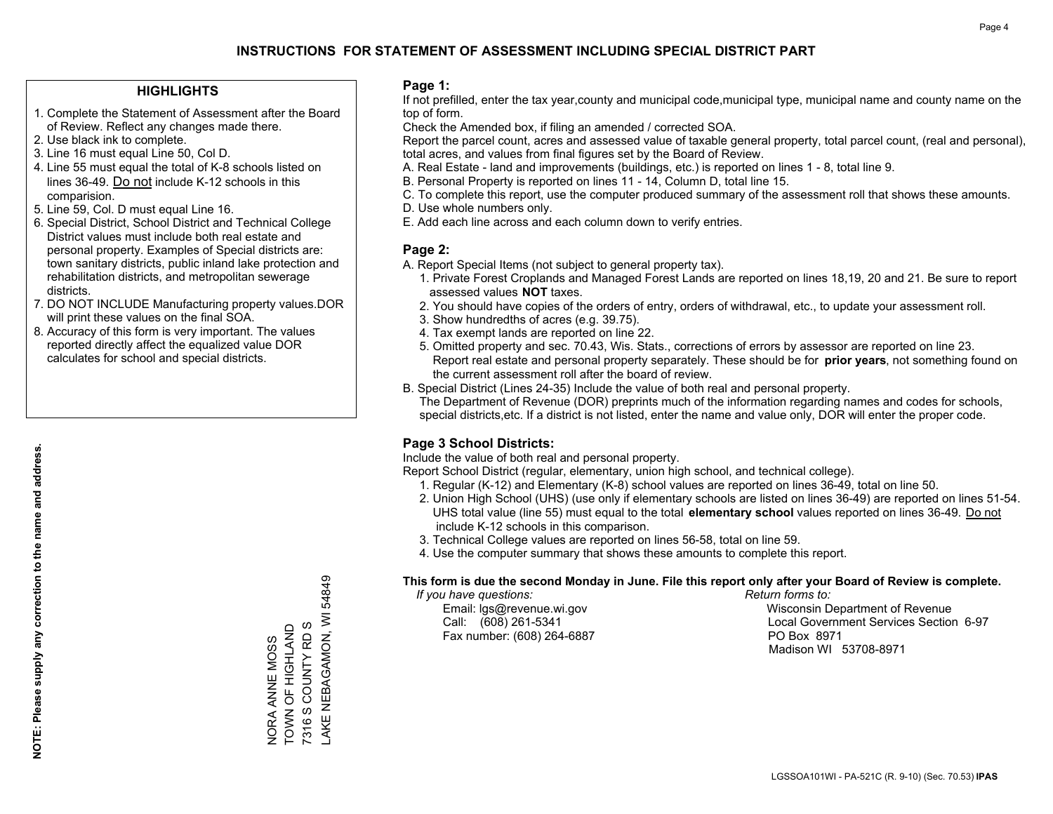### **HIGHLIGHTS**

- 1. Complete the Statement of Assessment after the Board of Review. Reflect any changes made there.
- 2. Use black ink to complete.
- 3. Line 16 must equal Line 50, Col D.
- 4. Line 55 must equal the total of K-8 schools listed on lines 36-49. Do not include K-12 schools in this comparision.
- 5. Line 59, Col. D must equal Line 16.
- 6. Special District, School District and Technical College District values must include both real estate and personal property. Examples of Special districts are: town sanitary districts, public inland lake protection and rehabilitation districts, and metropolitan sewerage districts.
- 7. DO NOT INCLUDE Manufacturing property values.DOR will print these values on the final SOA.

NORA ANNE MOSS TOWN OF HIGHLAND 7316 S COUNTY RD S

NORA ANNE MOSS<br>TOWN OF HIGHLAND<br>7316 S COUNTY RD S

LAKE NEBAGAMON, WI 54849

AKE NEBAGAMON, WI

54849

 8. Accuracy of this form is very important. The values reported directly affect the equalized value DOR calculates for school and special districts.

### **Page 1:**

 If not prefilled, enter the tax year,county and municipal code,municipal type, municipal name and county name on the top of form.

Check the Amended box, if filing an amended / corrected SOA.

 Report the parcel count, acres and assessed value of taxable general property, total parcel count, (real and personal), total acres, and values from final figures set by the Board of Review.

- A. Real Estate land and improvements (buildings, etc.) is reported on lines 1 8, total line 9.
- B. Personal Property is reported on lines 11 14, Column D, total line 15.
- C. To complete this report, use the computer produced summary of the assessment roll that shows these amounts.
- D. Use whole numbers only.
- E. Add each line across and each column down to verify entries.

### **Page 2:**

- A. Report Special Items (not subject to general property tax).
- 1. Private Forest Croplands and Managed Forest Lands are reported on lines 18,19, 20 and 21. Be sure to report assessed values **NOT** taxes.
- 2. You should have copies of the orders of entry, orders of withdrawal, etc., to update your assessment roll.
	- 3. Show hundredths of acres (e.g. 39.75).
- 4. Tax exempt lands are reported on line 22.
- 5. Omitted property and sec. 70.43, Wis. Stats., corrections of errors by assessor are reported on line 23. Report real estate and personal property separately. These should be for **prior years**, not something found on the current assessment roll after the board of review.
- B. Special District (Lines 24-35) Include the value of both real and personal property.
- The Department of Revenue (DOR) preprints much of the information regarding names and codes for schools, special districts,etc. If a district is not listed, enter the name and value only, DOR will enter the proper code.

## **Page 3 School Districts:**

Include the value of both real and personal property.

Report School District (regular, elementary, union high school, and technical college).

- 1. Regular (K-12) and Elementary (K-8) school values are reported on lines 36-49, total on line 50.
- 2. Union High School (UHS) (use only if elementary schools are listed on lines 36-49) are reported on lines 51-54. UHS total value (line 55) must equal to the total **elementary school** values reported on lines 36-49. Do notinclude K-12 schools in this comparison.
- 3. Technical College values are reported on lines 56-58, total on line 59.
- 4. Use the computer summary that shows these amounts to complete this report.

#### **This form is due the second Monday in June. File this report only after your Board of Review is complete.**

 *If you have questions: Return forms to:*

Fax number: (608) 264-6887 PO Box 8971

 Email: lgs@revenue.wi.gov Wisconsin Department of Revenue Call: (608) 261-5341 Local Government Services Section 6-97Madison WI 53708-8971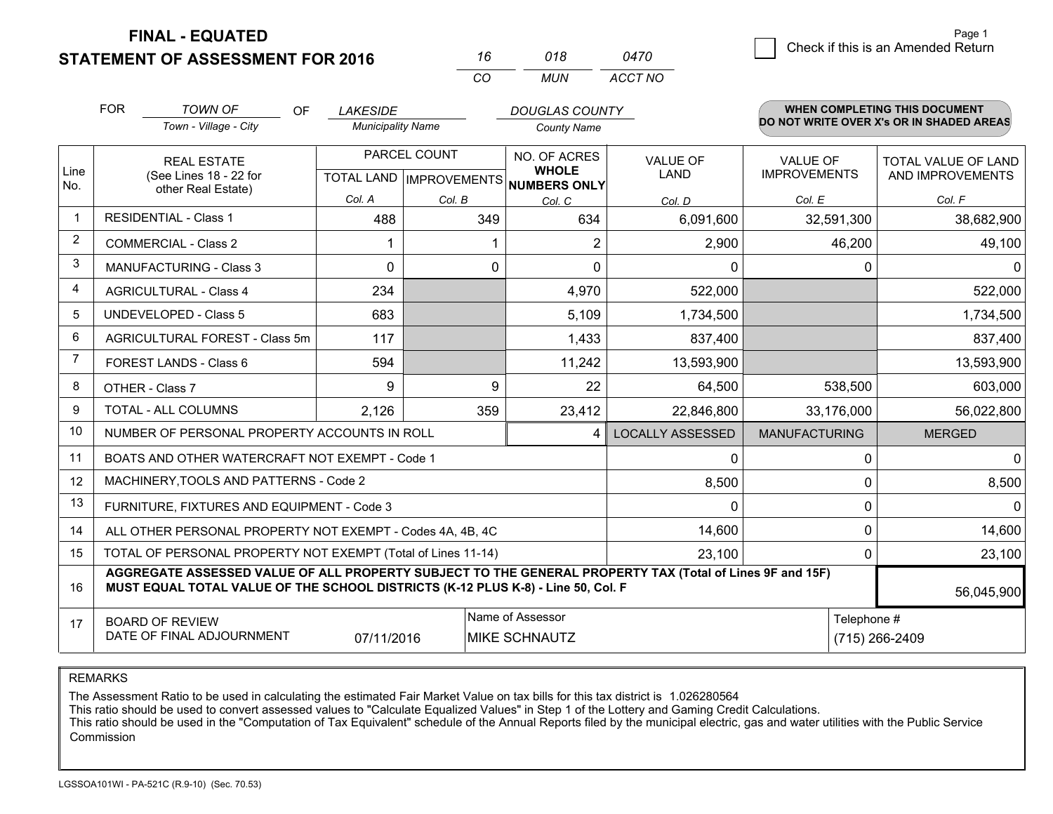**FINAL - EQUATED**

**STATEMENT OF ASSESSMENT FOR 2016** 

|          | 018 | 0470    |
|----------|-----|---------|
| $\alpha$ | MUN | ACCT NO |

|                | <b>FOR</b>                                                         | <b>TOWN OF</b><br><b>OF</b>                                                                                                                                                                                | <b>LAKESIDE</b>          |              | <b>DOUGLAS COUNTY</b>                                |                         |                      | WHEN COMPLETING THIS DOCUMENT<br>DO NOT WRITE OVER X's OR IN SHADED AREAS |
|----------------|--------------------------------------------------------------------|------------------------------------------------------------------------------------------------------------------------------------------------------------------------------------------------------------|--------------------------|--------------|------------------------------------------------------|-------------------------|----------------------|---------------------------------------------------------------------------|
|                |                                                                    | Town - Village - City                                                                                                                                                                                      | <b>Municipality Name</b> |              | <b>County Name</b>                                   |                         |                      |                                                                           |
|                | <b>REAL ESTATE</b><br>(See Lines 18 - 22 for<br>other Real Estate) |                                                                                                                                                                                                            |                          | PARCEL COUNT | NO. OF ACRES                                         | <b>VALUE OF</b>         | <b>VALUE OF</b>      | <b>TOTAL VALUE OF LAND</b>                                                |
| Line<br>No.    |                                                                    |                                                                                                                                                                                                            |                          |              | <b>WHOLE</b><br>TOTAL LAND IMPROVEMENTS NUMBERS ONLY | LAND                    | <b>IMPROVEMENTS</b>  | AND IMPROVEMENTS                                                          |
|                |                                                                    |                                                                                                                                                                                                            | Col. A                   | Col. B       | Col. C                                               | Col. D                  | Col. E               | Col. F                                                                    |
| -1             |                                                                    | <b>RESIDENTIAL - Class 1</b>                                                                                                                                                                               | 488                      | 349          | 634                                                  | 6,091,600               | 32,591,300           | 38,682,900                                                                |
| 2              |                                                                    | <b>COMMERCIAL - Class 2</b>                                                                                                                                                                                |                          |              |                                                      | 2,900                   | 46,200               | 49,100                                                                    |
| 3              |                                                                    | <b>MANUFACTURING - Class 3</b>                                                                                                                                                                             | $\Omega$                 | 0            | $\Omega$                                             | 0                       |                      | 0<br>0                                                                    |
| 4              |                                                                    | <b>AGRICULTURAL - Class 4</b>                                                                                                                                                                              | 234                      |              | 4,970                                                | 522,000                 |                      | 522,000                                                                   |
| 5              |                                                                    | UNDEVELOPED - Class 5                                                                                                                                                                                      | 683                      |              | 5,109                                                | 1,734,500               |                      | 1,734,500                                                                 |
| 6              |                                                                    | AGRICULTURAL FOREST - Class 5m                                                                                                                                                                             | 117                      |              | 1,433                                                | 837,400                 |                      | 837,400                                                                   |
| $\overline{7}$ |                                                                    | FOREST LANDS - Class 6                                                                                                                                                                                     | 594                      |              | 11,242                                               | 13,593,900              |                      | 13,593,900                                                                |
| 8              |                                                                    | OTHER - Class 7                                                                                                                                                                                            | 9                        | 9            | 22                                                   | 64,500                  | 538,500              | 603,000                                                                   |
| 9              |                                                                    | TOTAL - ALL COLUMNS                                                                                                                                                                                        | 2,126                    | 359          | 23,412                                               | 22,846,800              | 33,176,000           | 56,022,800                                                                |
| 10             |                                                                    | NUMBER OF PERSONAL PROPERTY ACCOUNTS IN ROLL                                                                                                                                                               |                          |              | 4                                                    | <b>LOCALLY ASSESSED</b> | <b>MANUFACTURING</b> | <b>MERGED</b>                                                             |
| 11             |                                                                    | BOATS AND OTHER WATERCRAFT NOT EXEMPT - Code 1                                                                                                                                                             |                          |              | 0                                                    | 0                       | $\mathbf 0$          |                                                                           |
| 12             |                                                                    | MACHINERY, TOOLS AND PATTERNS - Code 2                                                                                                                                                                     |                          |              | 8,500                                                | $\Omega$                | 8,500                |                                                                           |
| 13             |                                                                    | FURNITURE, FIXTURES AND EQUIPMENT - Code 3                                                                                                                                                                 |                          |              | $\Omega$                                             | $\mathbf 0$             | $\Omega$             |                                                                           |
| 14             |                                                                    | ALL OTHER PERSONAL PROPERTY NOT EXEMPT - Codes 4A, 4B, 4C                                                                                                                                                  |                          |              | 14,600                                               | 0                       | 14,600               |                                                                           |
| 15             |                                                                    | TOTAL OF PERSONAL PROPERTY NOT EXEMPT (Total of Lines 11-14)                                                                                                                                               |                          |              | 23,100                                               | $\Omega$                | 23,100               |                                                                           |
| 16             |                                                                    | AGGREGATE ASSESSED VALUE OF ALL PROPERTY SUBJECT TO THE GENERAL PROPERTY TAX (Total of Lines 9F and 15F)<br>MUST EQUAL TOTAL VALUE OF THE SCHOOL DISTRICTS (K-12 PLUS K-8) - Line 50, Col. F<br>56,045,900 |                          |              |                                                      |                         |                      |                                                                           |
| 17             |                                                                    | Name of Assessor<br><b>BOARD OF REVIEW</b>                                                                                                                                                                 |                          |              |                                                      |                         | Telephone #          |                                                                           |
|                |                                                                    | DATE OF FINAL ADJOURNMENT                                                                                                                                                                                  | 07/11/2016               |              | <b>MIKE SCHNAUTZ</b><br>(715) 266-2409               |                         |                      |                                                                           |

REMARKS

The Assessment Ratio to be used in calculating the estimated Fair Market Value on tax bills for this tax district is 1.026280564

This ratio should be used to convert assessed values to "Calculate Equalized Values" in Step 1 of the Lottery and Gaming Credit Calculations.<br>This ratio should be used in the "Computation of Tax Equivalent" schedule of the Commission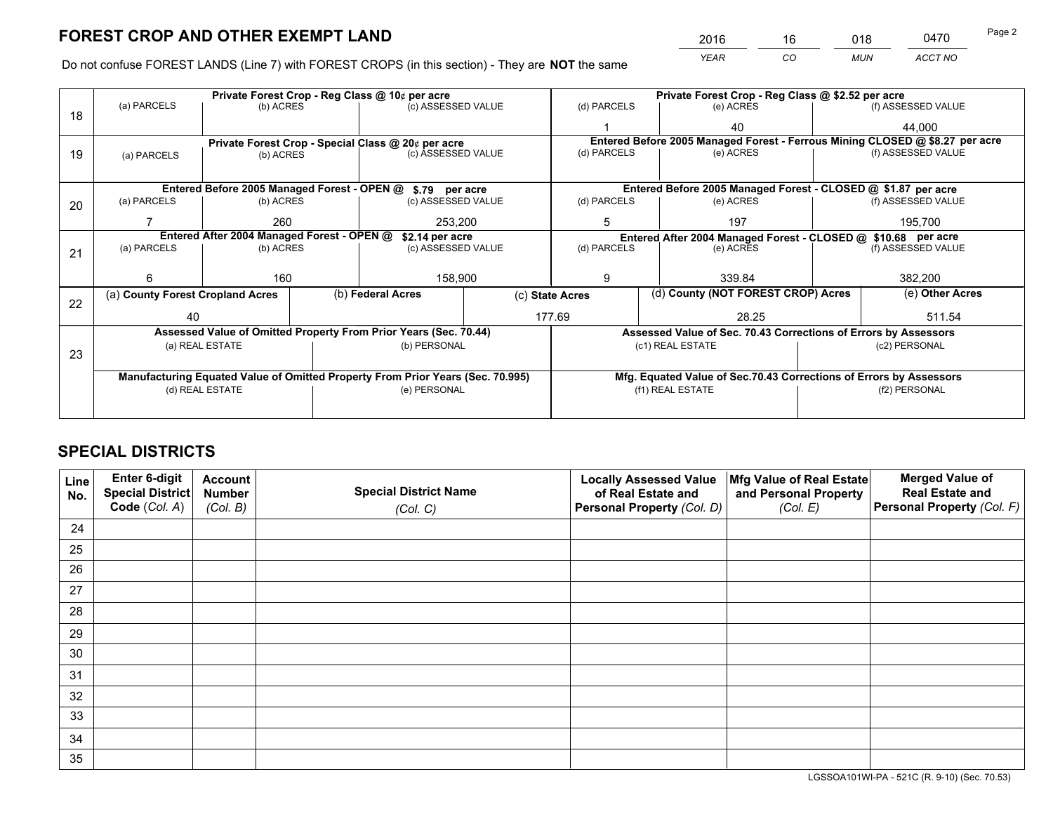*YEAR CO MUN ACCT NO* <sup>2016</sup> <sup>16</sup> <sup>018</sup> <sup>0470</sup>

Do not confuse FOREST LANDS (Line 7) with FOREST CROPS (in this section) - They are **NOT** the same

|    |                                                                                |                | Private Forest Crop - Reg Class @ \$2.52 per acre               |                                                            |                    |                                                                                             |                  |                                                               |         |                    |  |
|----|--------------------------------------------------------------------------------|----------------|-----------------------------------------------------------------|------------------------------------------------------------|--------------------|---------------------------------------------------------------------------------------------|------------------|---------------------------------------------------------------|---------|--------------------|--|
| 18 | (a) PARCELS<br>(b) ACRES                                                       |                |                                                                 | (c) ASSESSED VALUE                                         |                    | (d) PARCELS                                                                                 |                  | (e) ACRES                                                     |         | (f) ASSESSED VALUE |  |
|    |                                                                                |                |                                                                 |                                                            |                    |                                                                                             |                  | 40                                                            |         | 44,000             |  |
|    |                                                                                |                | Private Forest Crop - Special Class @ 20¢ per acre              |                                                            |                    | Entered Before 2005 Managed Forest - Ferrous Mining CLOSED @ \$8.27 per acre<br>(d) PARCELS |                  |                                                               |         |                    |  |
| 19 | (a) PARCELS                                                                    | (b) ACRES      |                                                                 |                                                            | (c) ASSESSED VALUE |                                                                                             |                  | (e) ACRES                                                     |         | (f) ASSESSED VALUE |  |
|    |                                                                                |                |                                                                 |                                                            |                    |                                                                                             |                  |                                                               |         |                    |  |
|    |                                                                                |                |                                                                 | Entered Before 2005 Managed Forest - OPEN @ \$.79 per acre |                    |                                                                                             |                  | Entered Before 2005 Managed Forest - CLOSED @ \$1.87 per acre |         |                    |  |
| 20 | (a) PARCELS<br>(b) ACRES                                                       |                |                                                                 | (c) ASSESSED VALUE                                         |                    | (d) PARCELS                                                                                 |                  | (e) ACRES                                                     |         | (f) ASSESSED VALUE |  |
|    |                                                                                | 260            |                                                                 | 253.200                                                    |                    | 5                                                                                           |                  | 197                                                           |         | 195,700            |  |
|    | Entered After 2004 Managed Forest - OPEN @<br>\$2.14 per acre                  |                |                                                                 |                                                            |                    | Entered After 2004 Managed Forest - CLOSED @ \$10.68 per acre                               |                  |                                                               |         |                    |  |
| 21 | (a) PARCELS                                                                    | (b) ACRES      |                                                                 | (c) ASSESSED VALUE                                         | (d) PARCELS        |                                                                                             |                  | (e) ACRES                                                     |         | (f) ASSESSED VALUE |  |
|    |                                                                                |                |                                                                 |                                                            |                    |                                                                                             |                  |                                                               |         |                    |  |
|    | 6                                                                              | 160<br>158,900 |                                                                 |                                                            | 9                  |                                                                                             | 339.84           |                                                               | 382,200 |                    |  |
| 22 | (a) County Forest Cropland Acres                                               |                |                                                                 | (b) Federal Acres                                          |                    | (c) State Acres                                                                             |                  | (d) County (NOT FOREST CROP) Acres                            |         | (e) Other Acres    |  |
|    | 40                                                                             |                |                                                                 | 177.69                                                     |                    | 28.25                                                                                       |                  | 511.54                                                        |         |                    |  |
|    | Assessed Value of Omitted Property From Prior Years (Sec. 70.44)               |                | Assessed Value of Sec. 70.43 Corrections of Errors by Assessors |                                                            |                    |                                                                                             |                  |                                                               |         |                    |  |
| 23 | (a) REAL ESTATE                                                                |                |                                                                 | (b) PERSONAL                                               |                    | (c1) REAL ESTATE                                                                            |                  | (c2) PERSONAL                                                 |         |                    |  |
|    |                                                                                |                |                                                                 |                                                            |                    |                                                                                             |                  |                                                               |         |                    |  |
|    | Manufacturing Equated Value of Omitted Property From Prior Years (Sec. 70.995) |                |                                                                 |                                                            |                    | Mfg. Equated Value of Sec.70.43 Corrections of Errors by Assessors                          |                  |                                                               |         |                    |  |
|    | (d) REAL ESTATE                                                                |                |                                                                 | (e) PERSONAL                                               |                    |                                                                                             | (f1) REAL ESTATE |                                                               |         | (f2) PERSONAL      |  |
|    |                                                                                |                |                                                                 |                                                            |                    |                                                                                             |                  |                                                               |         |                    |  |

## **SPECIAL DISTRICTS**

| Line<br>No. | Enter 6-digit<br>Special District<br>Code (Col. A) | <b>Account</b><br><b>Number</b> | <b>Special District Name</b> | <b>Locally Assessed Value</b><br>of Real Estate and | Mfg Value of Real Estate<br>and Personal Property | <b>Merged Value of</b><br><b>Real Estate and</b><br>Personal Property (Col. F) |
|-------------|----------------------------------------------------|---------------------------------|------------------------------|-----------------------------------------------------|---------------------------------------------------|--------------------------------------------------------------------------------|
|             |                                                    | (Col. B)                        | (Col. C)                     | Personal Property (Col. D)                          | (Col. E)                                          |                                                                                |
| 24          |                                                    |                                 |                              |                                                     |                                                   |                                                                                |
| 25          |                                                    |                                 |                              |                                                     |                                                   |                                                                                |
| 26          |                                                    |                                 |                              |                                                     |                                                   |                                                                                |
| 27          |                                                    |                                 |                              |                                                     |                                                   |                                                                                |
| 28          |                                                    |                                 |                              |                                                     |                                                   |                                                                                |
| 29          |                                                    |                                 |                              |                                                     |                                                   |                                                                                |
| 30          |                                                    |                                 |                              |                                                     |                                                   |                                                                                |
| 31          |                                                    |                                 |                              |                                                     |                                                   |                                                                                |
| 32          |                                                    |                                 |                              |                                                     |                                                   |                                                                                |
| 33          |                                                    |                                 |                              |                                                     |                                                   |                                                                                |
| 34          |                                                    |                                 |                              |                                                     |                                                   |                                                                                |
| 35          |                                                    |                                 |                              |                                                     |                                                   |                                                                                |

LGSSOA101WI-PA - 521C (R. 9-10) (Sec. 70.53)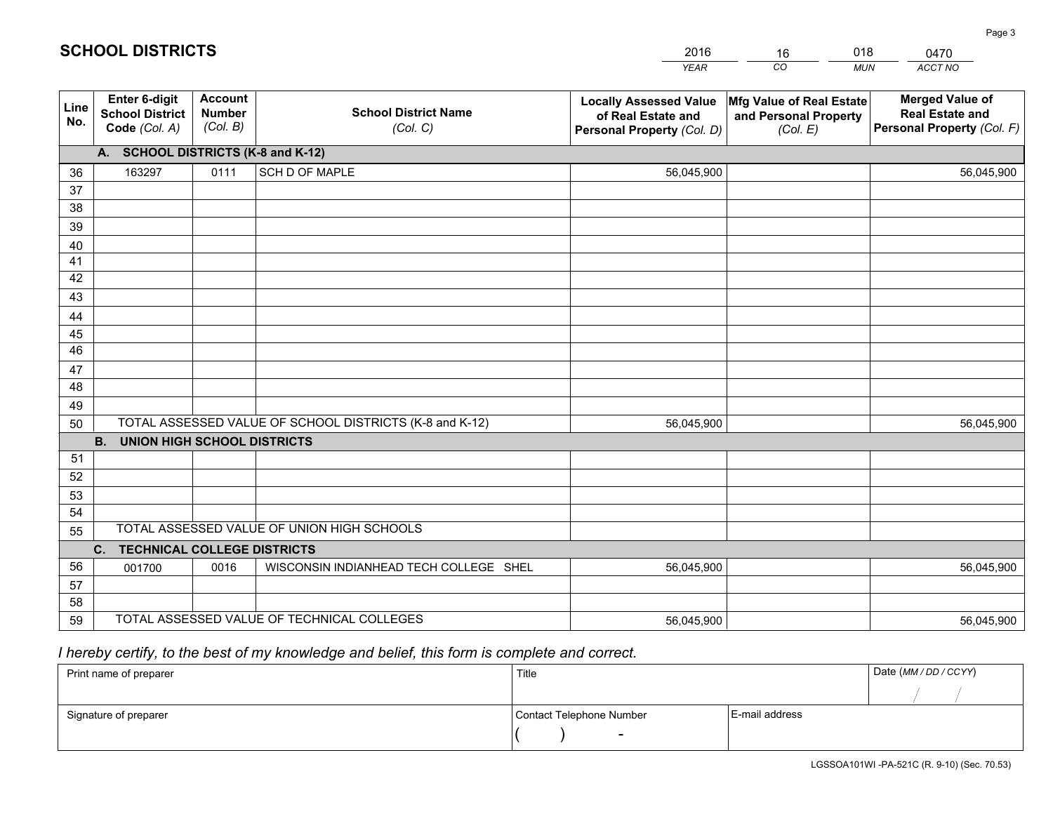|             |                                                          |                                             |                                                         | <b>YEAR</b>                                                                       | CO<br><b>MUN</b>                                              | ACCT NO                                                                        |  |
|-------------|----------------------------------------------------------|---------------------------------------------|---------------------------------------------------------|-----------------------------------------------------------------------------------|---------------------------------------------------------------|--------------------------------------------------------------------------------|--|
| Line<br>No. | Enter 6-digit<br><b>School District</b><br>Code (Col. A) | <b>Account</b><br><b>Number</b><br>(Col. B) | <b>School District Name</b><br>(Col. C)                 | <b>Locally Assessed Value</b><br>of Real Estate and<br>Personal Property (Col. D) | Mfg Value of Real Estate<br>and Personal Property<br>(Col. E) | <b>Merged Value of</b><br><b>Real Estate and</b><br>Personal Property (Col. F) |  |
|             | A. SCHOOL DISTRICTS (K-8 and K-12)                       |                                             |                                                         |                                                                                   |                                                               |                                                                                |  |
| 36          | 163297                                                   | 0111                                        | <b>SCH D OF MAPLE</b>                                   | 56,045,900                                                                        |                                                               | 56,045,900                                                                     |  |
| 37          |                                                          |                                             |                                                         |                                                                                   |                                                               |                                                                                |  |
| 38          |                                                          |                                             |                                                         |                                                                                   |                                                               |                                                                                |  |
| 39          |                                                          |                                             |                                                         |                                                                                   |                                                               |                                                                                |  |
| 40          |                                                          |                                             |                                                         |                                                                                   |                                                               |                                                                                |  |
| 41          |                                                          |                                             |                                                         |                                                                                   |                                                               |                                                                                |  |
| 42          |                                                          |                                             |                                                         |                                                                                   |                                                               |                                                                                |  |
| 43          |                                                          |                                             |                                                         |                                                                                   |                                                               |                                                                                |  |
| 44<br>45    |                                                          |                                             |                                                         |                                                                                   |                                                               |                                                                                |  |
| 46          |                                                          |                                             |                                                         |                                                                                   |                                                               |                                                                                |  |
| 47          |                                                          |                                             |                                                         |                                                                                   |                                                               |                                                                                |  |
| 48          |                                                          |                                             |                                                         |                                                                                   |                                                               |                                                                                |  |
| 49          |                                                          |                                             |                                                         |                                                                                   |                                                               |                                                                                |  |
| 50          |                                                          |                                             | TOTAL ASSESSED VALUE OF SCHOOL DISTRICTS (K-8 and K-12) | 56,045,900                                                                        |                                                               | 56,045,900                                                                     |  |
|             | B <sub>1</sub><br><b>UNION HIGH SCHOOL DISTRICTS</b>     |                                             |                                                         |                                                                                   |                                                               |                                                                                |  |
| 51          |                                                          |                                             |                                                         |                                                                                   |                                                               |                                                                                |  |
| 52          |                                                          |                                             |                                                         |                                                                                   |                                                               |                                                                                |  |
| 53          |                                                          |                                             |                                                         |                                                                                   |                                                               |                                                                                |  |
| 54          |                                                          |                                             |                                                         |                                                                                   |                                                               |                                                                                |  |
| 55          | TOTAL ASSESSED VALUE OF UNION HIGH SCHOOLS               |                                             |                                                         |                                                                                   |                                                               |                                                                                |  |
|             | C. TECHNICAL COLLEGE DISTRICTS                           |                                             |                                                         |                                                                                   |                                                               |                                                                                |  |
| 56          | 001700                                                   | 0016                                        | WISCONSIN INDIANHEAD TECH COLLEGE SHEL                  | 56,045,900                                                                        |                                                               | 56,045,900                                                                     |  |
| 57          |                                                          |                                             |                                                         |                                                                                   |                                                               |                                                                                |  |
| 58          |                                                          |                                             |                                                         |                                                                                   |                                                               |                                                                                |  |
| 59          |                                                          |                                             | TOTAL ASSESSED VALUE OF TECHNICAL COLLEGES              | 56,045,900                                                                        |                                                               | 56,045,900                                                                     |  |

16

018

## *I hereby certify, to the best of my knowledge and belief, this form is complete and correct.*

**SCHOOL DISTRICTS**

| Print name of preparer | Title                    |                | Date (MM / DD / CCYY) |
|------------------------|--------------------------|----------------|-----------------------|
|                        |                          |                |                       |
| Signature of preparer  | Contact Telephone Number | E-mail address |                       |
|                        | $\sim$                   |                |                       |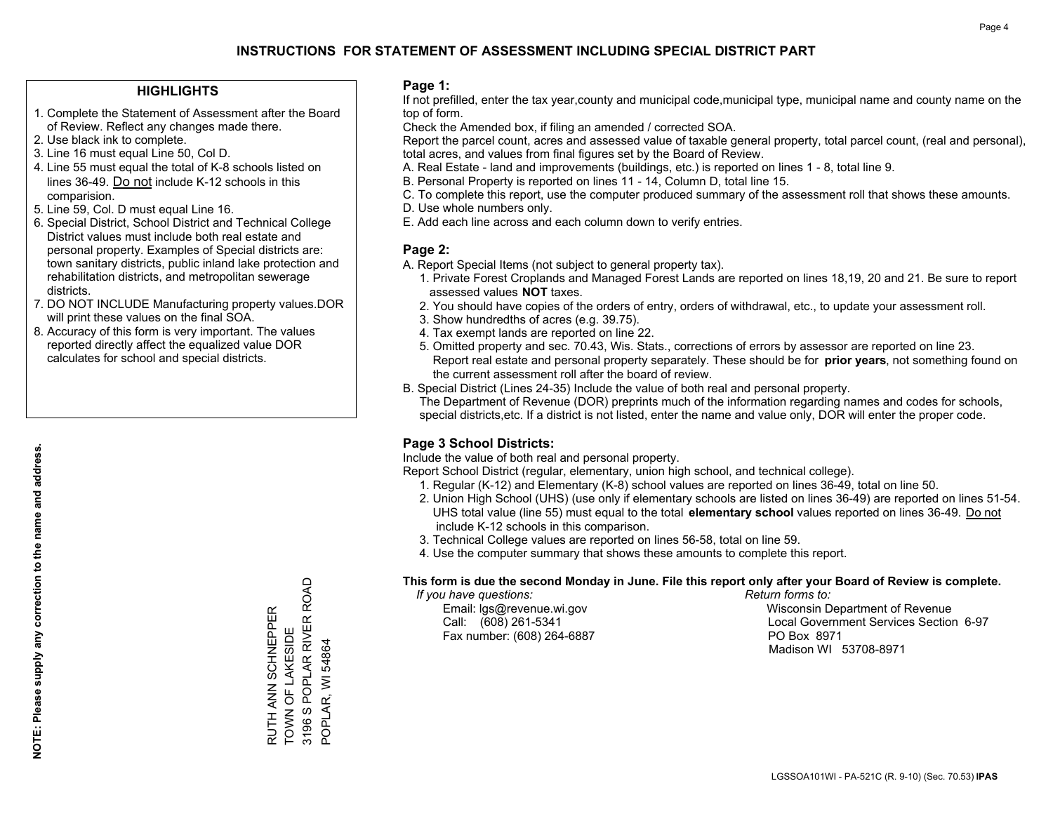### **HIGHLIGHTS**

- 1. Complete the Statement of Assessment after the Board of Review. Reflect any changes made there.
- 2. Use black ink to complete.
- 3. Line 16 must equal Line 50, Col D.
- 4. Line 55 must equal the total of K-8 schools listed on lines 36-49. Do not include K-12 schools in this comparision.
- 5. Line 59, Col. D must equal Line 16.
- 6. Special District, School District and Technical College District values must include both real estate and personal property. Examples of Special districts are: town sanitary districts, public inland lake protection and rehabilitation districts, and metropolitan sewerage districts.
- 7. DO NOT INCLUDE Manufacturing property values.DOR will print these values on the final SOA.
- 8. Accuracy of this form is very important. The values reported directly affect the equalized value DOR calculates for school and special districts.

### **Page 1:**

 If not prefilled, enter the tax year,county and municipal code,municipal type, municipal name and county name on the top of form.

Check the Amended box, if filing an amended / corrected SOA.

 Report the parcel count, acres and assessed value of taxable general property, total parcel count, (real and personal), total acres, and values from final figures set by the Board of Review.

- A. Real Estate land and improvements (buildings, etc.) is reported on lines 1 8, total line 9.
- B. Personal Property is reported on lines 11 14, Column D, total line 15.
- C. To complete this report, use the computer produced summary of the assessment roll that shows these amounts.
- D. Use whole numbers only.
- E. Add each line across and each column down to verify entries.

### **Page 2:**

- A. Report Special Items (not subject to general property tax).
- 1. Private Forest Croplands and Managed Forest Lands are reported on lines 18,19, 20 and 21. Be sure to report assessed values **NOT** taxes.
- 2. You should have copies of the orders of entry, orders of withdrawal, etc., to update your assessment roll.
	- 3. Show hundredths of acres (e.g. 39.75).
- 4. Tax exempt lands are reported on line 22.
- 5. Omitted property and sec. 70.43, Wis. Stats., corrections of errors by assessor are reported on line 23. Report real estate and personal property separately. These should be for **prior years**, not something found on the current assessment roll after the board of review.
- B. Special District (Lines 24-35) Include the value of both real and personal property.

 The Department of Revenue (DOR) preprints much of the information regarding names and codes for schools, special districts,etc. If a district is not listed, enter the name and value only, DOR will enter the proper code.

## **Page 3 School Districts:**

Include the value of both real and personal property.

Report School District (regular, elementary, union high school, and technical college).

- 1. Regular (K-12) and Elementary (K-8) school values are reported on lines 36-49, total on line 50.
- 2. Union High School (UHS) (use only if elementary schools are listed on lines 36-49) are reported on lines 51-54. UHS total value (line 55) must equal to the total **elementary school** values reported on lines 36-49. Do notinclude K-12 schools in this comparison.
- 3. Technical College values are reported on lines 56-58, total on line 59.
- 4. Use the computer summary that shows these amounts to complete this report.

#### **This form is due the second Monday in June. File this report only after your Board of Review is complete.**

 *If you have questions: Return forms to:*

Fax number: (608) 264-6887 PO Box 8971

 Email: lgs@revenue.wi.gov Wisconsin Department of Revenue Call: (608) 261-5341 Local Government Services Section 6-97Madison WI 53708-8971

RUTH ANN SCHNEPPER<br>TOWN OF LAKESIDE<br>3196 S POPLAR RIVER ROAD 3196 S POPLAR RIVER ROAD RUTH ANN SCHNEPPER TOWN OF LAKESIDE POPLAR, WI 54864 POPLAR, WI 54864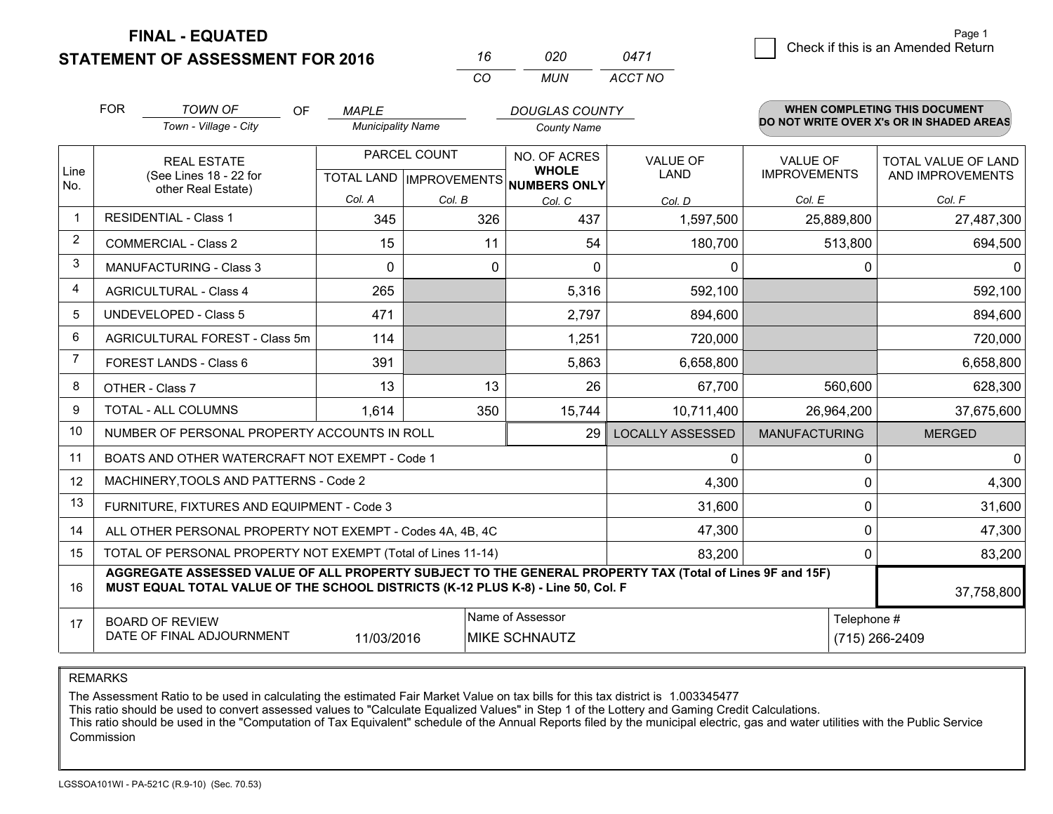**FINAL - EQUATED**

**STATEMENT OF ASSESSMENT FOR 2016** 

| 16. | กวก | 0471    |
|-----|-----|---------|
| CO. | MUN | ACCT NO |

|                | <b>FOR</b>                                                                                                                                                                                   | <b>TOWN OF</b><br><b>OF</b>                                                                                                  | <b>MAPLE</b>             |                                                      | <b>DOUGLAS COUNTY</b>                                          |                         |                                        | WHEN COMPLETING THIS DOCUMENT            |
|----------------|----------------------------------------------------------------------------------------------------------------------------------------------------------------------------------------------|------------------------------------------------------------------------------------------------------------------------------|--------------------------|------------------------------------------------------|----------------------------------------------------------------|-------------------------|----------------------------------------|------------------------------------------|
|                |                                                                                                                                                                                              | Town - Village - City                                                                                                        | <b>Municipality Name</b> |                                                      | <b>County Name</b>                                             |                         |                                        | DO NOT WRITE OVER X's OR IN SHADED AREAS |
| Line           |                                                                                                                                                                                              | <b>REAL ESTATE</b><br>(See Lines 18 - 22 for                                                                                 |                          | PARCEL COUNT<br>TOTAL LAND IMPROVEMENTS NUMBERS ONLY | NO. OF ACRES<br><b>VALUE OF</b><br><b>WHOLE</b><br><b>LAND</b> |                         | <b>VALUE OF</b><br><b>IMPROVEMENTS</b> | TOTAL VALUE OF LAND<br>AND IMPROVEMENTS  |
| No.            |                                                                                                                                                                                              | other Real Estate)                                                                                                           | Col. A                   | Col. B                                               | Col. C                                                         | Col. D                  | Col. E                                 | Col. F                                   |
| $\mathbf{1}$   |                                                                                                                                                                                              | <b>RESIDENTIAL - Class 1</b>                                                                                                 | 345                      | 326                                                  | 437                                                            | 1,597,500               | 25,889,800                             | 27,487,300                               |
| 2              |                                                                                                                                                                                              | <b>COMMERCIAL - Class 2</b>                                                                                                  | 15                       | 11                                                   | 54                                                             | 180,700                 | 513,800                                | 694,500                                  |
| 3              |                                                                                                                                                                                              | <b>MANUFACTURING - Class 3</b>                                                                                               | $\Omega$                 | $\Omega$                                             | $\Omega$                                                       | 0                       | $\Omega$                               | 0                                        |
| 4              |                                                                                                                                                                                              | <b>AGRICULTURAL - Class 4</b>                                                                                                | 265                      |                                                      | 5,316                                                          | 592,100                 |                                        | 592,100                                  |
| 5              |                                                                                                                                                                                              | <b>UNDEVELOPED - Class 5</b>                                                                                                 | 471                      |                                                      | 2,797                                                          | 894,600                 |                                        | 894,600                                  |
| 6              |                                                                                                                                                                                              | AGRICULTURAL FOREST - Class 5m                                                                                               | 114                      |                                                      | 1,251                                                          | 720,000                 |                                        | 720,000                                  |
| $\overline{7}$ |                                                                                                                                                                                              | FOREST LANDS - Class 6                                                                                                       | 391                      |                                                      | 5,863                                                          | 6,658,800               |                                        | 6,658,800                                |
| 8              |                                                                                                                                                                                              | OTHER - Class 7                                                                                                              | 13                       | 13                                                   | 26                                                             | 67,700                  | 560,600                                | 628,300                                  |
| 9              |                                                                                                                                                                                              | TOTAL - ALL COLUMNS                                                                                                          | 1,614                    | 350                                                  | 15,744                                                         | 10,711,400              | 26,964,200                             | 37,675,600                               |
| 10             |                                                                                                                                                                                              | NUMBER OF PERSONAL PROPERTY ACCOUNTS IN ROLL                                                                                 |                          |                                                      | 29                                                             | <b>LOCALLY ASSESSED</b> | <b>MANUFACTURING</b>                   | <b>MERGED</b>                            |
| 11             |                                                                                                                                                                                              | BOATS AND OTHER WATERCRAFT NOT EXEMPT - Code 1                                                                               |                          |                                                      |                                                                | 0                       | 0                                      | $\mathbf{0}$                             |
| 12             |                                                                                                                                                                                              | MACHINERY, TOOLS AND PATTERNS - Code 2                                                                                       |                          |                                                      |                                                                | 4,300                   | $\mathbf 0$                            | 4,300                                    |
| 13             |                                                                                                                                                                                              | FURNITURE, FIXTURES AND EQUIPMENT - Code 3                                                                                   |                          |                                                      |                                                                | 31,600                  | $\mathbf 0$                            | 31,600                                   |
| 14             |                                                                                                                                                                                              | ALL OTHER PERSONAL PROPERTY NOT EXEMPT - Codes 4A, 4B, 4C                                                                    |                          |                                                      |                                                                | 47,300                  | $\mathbf 0$                            | 47,300                                   |
| 15             | TOTAL OF PERSONAL PROPERTY NOT EXEMPT (Total of Lines 11-14)<br>83,200                                                                                                                       |                                                                                                                              |                          |                                                      |                                                                |                         | 0                                      | 83,200                                   |
| 16             | AGGREGATE ASSESSED VALUE OF ALL PROPERTY SUBJECT TO THE GENERAL PROPERTY TAX (Total of Lines 9F and 15F)<br>MUST EQUAL TOTAL VALUE OF THE SCHOOL DISTRICTS (K-12 PLUS K-8) - Line 50, Col. F |                                                                                                                              |                          |                                                      |                                                                |                         | 37,758,800                             |                                          |
| 17             |                                                                                                                                                                                              | Name of Assessor<br>Telephone #<br><b>BOARD OF REVIEW</b><br>DATE OF FINAL ADJOURNMENT<br>11/03/2016<br><b>MIKE SCHNAUTZ</b> |                          |                                                      |                                                                |                         |                                        |                                          |
|                | (715) 266-2409                                                                                                                                                                               |                                                                                                                              |                          |                                                      |                                                                |                         |                                        |                                          |

REMARKS

The Assessment Ratio to be used in calculating the estimated Fair Market Value on tax bills for this tax district is 1.003345477

This ratio should be used to convert assessed values to "Calculate Equalized Values" in Step 1 of the Lottery and Gaming Credit Calculations.<br>This ratio should be used in the "Computation of Tax Equivalent" schedule of the Commission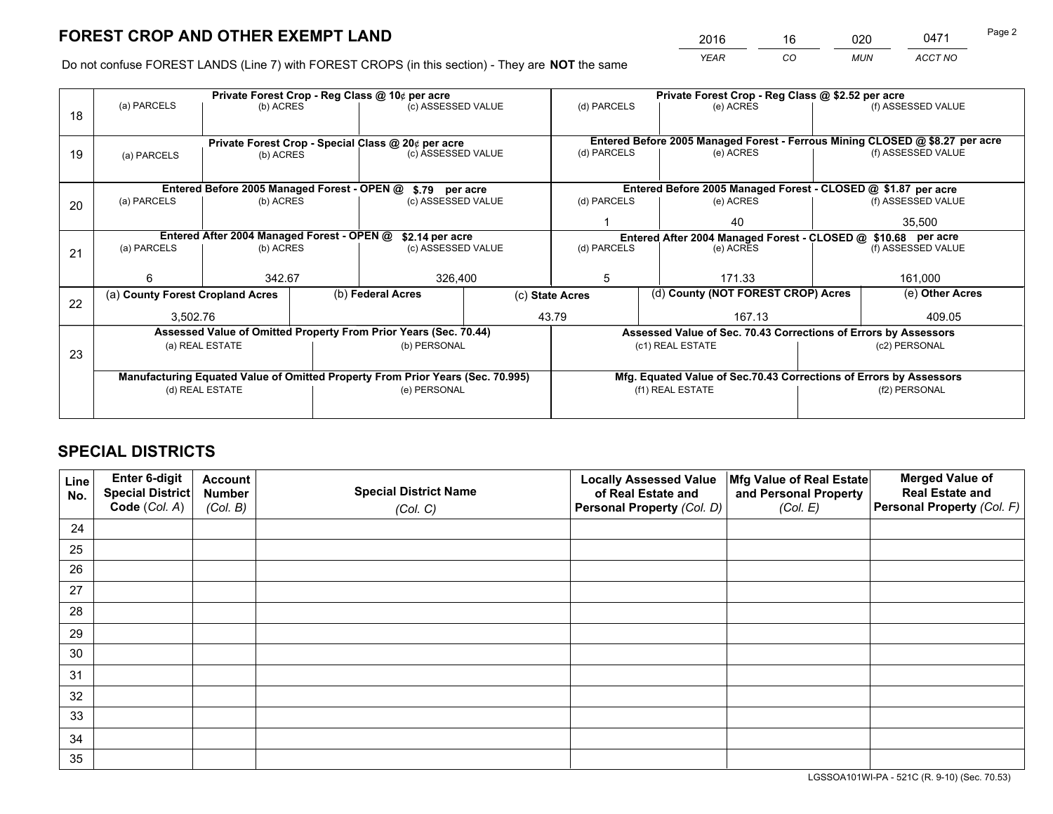*YEAR CO MUN ACCT NO* 2016 <u>16 020</u> 0471

Do not confuse FOREST LANDS (Line 7) with FOREST CROPS (in this section) - They are **NOT** the same

|                                                                                |             |                                                                 |                                                            |                                                                                                                   | Private Forest Crop - Reg Class @ \$2.52 per acre                                                                                                                                                                                                                                                                               |                          |               |                                  |                                                                                                                                                                                                                                                                                                                                                                                               |
|--------------------------------------------------------------------------------|-------------|-----------------------------------------------------------------|------------------------------------------------------------|-------------------------------------------------------------------------------------------------------------------|---------------------------------------------------------------------------------------------------------------------------------------------------------------------------------------------------------------------------------------------------------------------------------------------------------------------------------|--------------------------|---------------|----------------------------------|-----------------------------------------------------------------------------------------------------------------------------------------------------------------------------------------------------------------------------------------------------------------------------------------------------------------------------------------------------------------------------------------------|
|                                                                                |             |                                                                 |                                                            |                                                                                                                   | (d) PARCELS                                                                                                                                                                                                                                                                                                                     |                          | (e) ACRES     |                                  | (f) ASSESSED VALUE                                                                                                                                                                                                                                                                                                                                                                            |
|                                                                                |             |                                                                 |                                                            |                                                                                                                   |                                                                                                                                                                                                                                                                                                                                 |                          |               |                                  |                                                                                                                                                                                                                                                                                                                                                                                               |
|                                                                                |             |                                                                 |                                                            |                                                                                                                   |                                                                                                                                                                                                                                                                                                                                 |                          |               |                                  |                                                                                                                                                                                                                                                                                                                                                                                               |
| (a) PARCELS                                                                    |             |                                                                 |                                                            |                                                                                                                   | (d) PARCELS                                                                                                                                                                                                                                                                                                                     |                          | (e) ACRES     |                                  | (f) ASSESSED VALUE                                                                                                                                                                                                                                                                                                                                                                            |
|                                                                                |             |                                                                 |                                                            |                                                                                                                   |                                                                                                                                                                                                                                                                                                                                 |                          |               |                                  |                                                                                                                                                                                                                                                                                                                                                                                               |
|                                                                                |             |                                                                 |                                                            |                                                                                                                   |                                                                                                                                                                                                                                                                                                                                 |                          |               |                                  |                                                                                                                                                                                                                                                                                                                                                                                               |
| (a) PARCELS                                                                    |             |                                                                 |                                                            |                                                                                                                   | (d) PARCELS                                                                                                                                                                                                                                                                                                                     |                          | (e) ACRES     |                                  | (f) ASSESSED VALUE                                                                                                                                                                                                                                                                                                                                                                            |
|                                                                                |             |                                                                 |                                                            |                                                                                                                   |                                                                                                                                                                                                                                                                                                                                 |                          | 35,500        |                                  |                                                                                                                                                                                                                                                                                                                                                                                               |
|                                                                                |             |                                                                 |                                                            |                                                                                                                   |                                                                                                                                                                                                                                                                                                                                 |                          |               |                                  |                                                                                                                                                                                                                                                                                                                                                                                               |
| (a) PARCELS                                                                    |             |                                                                 |                                                            | (d) PARCELS                                                                                                       |                                                                                                                                                                                                                                                                                                                                 |                          | (e) ACRES     |                                  | (f) ASSESSED VALUE                                                                                                                                                                                                                                                                                                                                                                            |
|                                                                                |             |                                                                 |                                                            |                                                                                                                   |                                                                                                                                                                                                                                                                                                                                 |                          |               |                                  |                                                                                                                                                                                                                                                                                                                                                                                               |
| 6                                                                              |             |                                                                 | 326,400                                                    |                                                                                                                   | 5                                                                                                                                                                                                                                                                                                                               |                          | 171.33        |                                  | 161,000                                                                                                                                                                                                                                                                                                                                                                                       |
|                                                                                |             |                                                                 |                                                            |                                                                                                                   |                                                                                                                                                                                                                                                                                                                                 |                          |               |                                  | (e) Other Acres                                                                                                                                                                                                                                                                                                                                                                               |
|                                                                                |             |                                                                 |                                                            |                                                                                                                   |                                                                                                                                                                                                                                                                                                                                 |                          |               |                                  | 409.05                                                                                                                                                                                                                                                                                                                                                                                        |
|                                                                                |             |                                                                 |                                                            |                                                                                                                   |                                                                                                                                                                                                                                                                                                                                 |                          |               |                                  |                                                                                                                                                                                                                                                                                                                                                                                               |
|                                                                                |             |                                                                 |                                                            |                                                                                                                   |                                                                                                                                                                                                                                                                                                                                 |                          |               |                                  |                                                                                                                                                                                                                                                                                                                                                                                               |
|                                                                                |             |                                                                 |                                                            |                                                                                                                   |                                                                                                                                                                                                                                                                                                                                 |                          | (c2) PERSONAL |                                  |                                                                                                                                                                                                                                                                                                                                                                                               |
|                                                                                |             |                                                                 |                                                            |                                                                                                                   |                                                                                                                                                                                                                                                                                                                                 |                          |               |                                  |                                                                                                                                                                                                                                                                                                                                                                                               |
| Manufacturing Equated Value of Omitted Property From Prior Years (Sec. 70.995) |             |                                                                 |                                                            |                                                                                                                   |                                                                                                                                                                                                                                                                                                                                 |                          |               |                                  |                                                                                                                                                                                                                                                                                                                                                                                               |
| (d) REAL ESTATE                                                                |             |                                                                 |                                                            |                                                                                                                   | (f1) REAL ESTATE                                                                                                                                                                                                                                                                                                                |                          |               | (f2) PERSONAL                    |                                                                                                                                                                                                                                                                                                                                                                                               |
|                                                                                |             |                                                                 |                                                            |                                                                                                                   |                                                                                                                                                                                                                                                                                                                                 |                          |               |                                  |                                                                                                                                                                                                                                                                                                                                                                                               |
|                                                                                | (a) PARCELS | (a) County Forest Cropland Acres<br>3,502.76<br>(a) REAL ESTATE | (b) ACRES<br>(b) ACRES<br>(b) ACRES<br>(b) ACRES<br>342.67 | Private Forest Crop - Reg Class @ 10¢ per acre<br>Entered After 2004 Managed Forest - OPEN @<br>(b) Federal Acres | (c) ASSESSED VALUE<br>Private Forest Crop - Special Class @ 20¢ per acre<br>(c) ASSESSED VALUE<br>Entered Before 2005 Managed Forest - OPEN @ \$.79 per acre<br>(c) ASSESSED VALUE<br>\$2.14 per acre<br>(c) ASSESSED VALUE<br>Assessed Value of Omitted Property From Prior Years (Sec. 70.44)<br>(b) PERSONAL<br>(e) PERSONAL | (c) State Acres<br>43.79 |               | 40<br>167.13<br>(c1) REAL ESTATE | Entered Before 2005 Managed Forest - Ferrous Mining CLOSED @ \$8.27 per acre<br>Entered Before 2005 Managed Forest - CLOSED @ \$1.87 per acre<br>Entered After 2004 Managed Forest - CLOSED @ \$10.68 per acre<br>(d) County (NOT FOREST CROP) Acres<br>Assessed Value of Sec. 70.43 Corrections of Errors by Assessors<br>Mfg. Equated Value of Sec.70.43 Corrections of Errors by Assessors |

# **SPECIAL DISTRICTS**

| Line<br>No. | Enter 6-digit<br><b>Special District</b> | <b>Account</b><br><b>Number</b> | <b>Special District Name</b> | <b>Locally Assessed Value</b><br>of Real Estate and | Mfg Value of Real Estate<br>and Personal Property | <b>Merged Value of</b><br><b>Real Estate and</b> |
|-------------|------------------------------------------|---------------------------------|------------------------------|-----------------------------------------------------|---------------------------------------------------|--------------------------------------------------|
|             | Code (Col. A)                            | (Col. B)                        | (Col. C)                     | Personal Property (Col. D)                          | (Col. E)                                          | Personal Property (Col. F)                       |
| 24          |                                          |                                 |                              |                                                     |                                                   |                                                  |
| 25          |                                          |                                 |                              |                                                     |                                                   |                                                  |
| 26          |                                          |                                 |                              |                                                     |                                                   |                                                  |
| 27          |                                          |                                 |                              |                                                     |                                                   |                                                  |
| 28          |                                          |                                 |                              |                                                     |                                                   |                                                  |
| 29          |                                          |                                 |                              |                                                     |                                                   |                                                  |
| 30          |                                          |                                 |                              |                                                     |                                                   |                                                  |
| 31          |                                          |                                 |                              |                                                     |                                                   |                                                  |
| 32          |                                          |                                 |                              |                                                     |                                                   |                                                  |
| 33          |                                          |                                 |                              |                                                     |                                                   |                                                  |
| 34          |                                          |                                 |                              |                                                     |                                                   |                                                  |
| 35          |                                          |                                 |                              |                                                     |                                                   |                                                  |

LGSSOA101WI-PA - 521C (R. 9-10) (Sec. 70.53)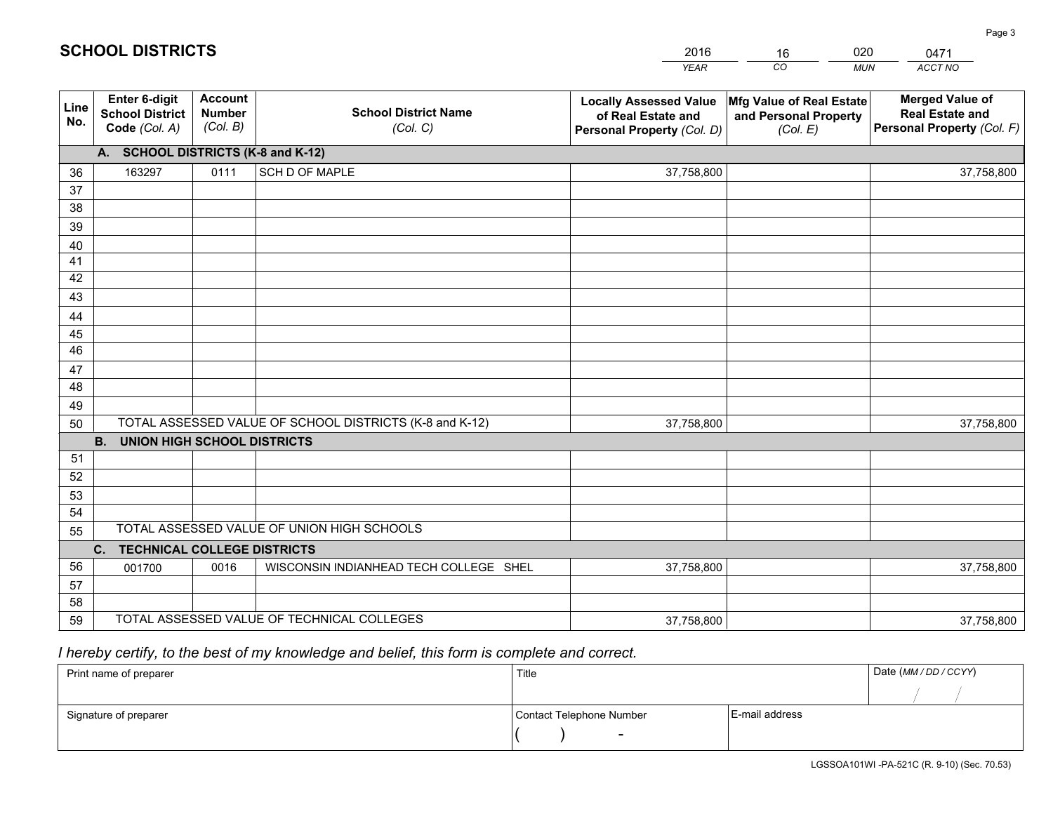|             |                                                          |                                             |                                                         | <b>YEAR</b>                                                                       | CO<br><b>MUN</b>                                              | ACCT NO                                                                        |
|-------------|----------------------------------------------------------|---------------------------------------------|---------------------------------------------------------|-----------------------------------------------------------------------------------|---------------------------------------------------------------|--------------------------------------------------------------------------------|
| Line<br>No. | Enter 6-digit<br><b>School District</b><br>Code (Col. A) | <b>Account</b><br><b>Number</b><br>(Col. B) | <b>School District Name</b><br>(Col. C)                 | <b>Locally Assessed Value</b><br>of Real Estate and<br>Personal Property (Col. D) | Mfg Value of Real Estate<br>and Personal Property<br>(Col. E) | <b>Merged Value of</b><br><b>Real Estate and</b><br>Personal Property (Col. F) |
|             | A. SCHOOL DISTRICTS (K-8 and K-12)                       |                                             |                                                         |                                                                                   |                                                               |                                                                                |
| 36          | 163297                                                   | 0111                                        | SCH D OF MAPLE                                          | 37,758,800                                                                        |                                                               | 37,758,800                                                                     |
| 37          |                                                          |                                             |                                                         |                                                                                   |                                                               |                                                                                |
| 38          |                                                          |                                             |                                                         |                                                                                   |                                                               |                                                                                |
| 39          |                                                          |                                             |                                                         |                                                                                   |                                                               |                                                                                |
| 40          |                                                          |                                             |                                                         |                                                                                   |                                                               |                                                                                |
| 41          |                                                          |                                             |                                                         |                                                                                   |                                                               |                                                                                |
| 42          |                                                          |                                             |                                                         |                                                                                   |                                                               |                                                                                |
| 43          |                                                          |                                             |                                                         |                                                                                   |                                                               |                                                                                |
| 44<br>45    |                                                          |                                             |                                                         |                                                                                   |                                                               |                                                                                |
| 46          |                                                          |                                             |                                                         |                                                                                   |                                                               |                                                                                |
| 47          |                                                          |                                             |                                                         |                                                                                   |                                                               |                                                                                |
| 48          |                                                          |                                             |                                                         |                                                                                   |                                                               |                                                                                |
| 49          |                                                          |                                             |                                                         |                                                                                   |                                                               |                                                                                |
| 50          |                                                          |                                             | TOTAL ASSESSED VALUE OF SCHOOL DISTRICTS (K-8 and K-12) | 37,758,800                                                                        |                                                               | 37,758,800                                                                     |
|             | <b>B.</b><br><b>UNION HIGH SCHOOL DISTRICTS</b>          |                                             |                                                         |                                                                                   |                                                               |                                                                                |
| 51          |                                                          |                                             |                                                         |                                                                                   |                                                               |                                                                                |
| 52          |                                                          |                                             |                                                         |                                                                                   |                                                               |                                                                                |
| 53          |                                                          |                                             |                                                         |                                                                                   |                                                               |                                                                                |
| 54          |                                                          |                                             |                                                         |                                                                                   |                                                               |                                                                                |
| 55          |                                                          |                                             | TOTAL ASSESSED VALUE OF UNION HIGH SCHOOLS              |                                                                                   |                                                               |                                                                                |
|             | C.<br><b>TECHNICAL COLLEGE DISTRICTS</b>                 |                                             |                                                         |                                                                                   |                                                               |                                                                                |
| 56          | 001700                                                   | 0016                                        | WISCONSIN INDIANHEAD TECH COLLEGE SHEL                  | 37,758,800                                                                        |                                                               | 37,758,800                                                                     |
| 57          |                                                          |                                             |                                                         |                                                                                   |                                                               |                                                                                |
| 58          |                                                          |                                             |                                                         |                                                                                   |                                                               |                                                                                |
| 59          |                                                          |                                             | TOTAL ASSESSED VALUE OF TECHNICAL COLLEGES              | 37,758,800                                                                        |                                                               | 37,758,800                                                                     |

16

020

# *I hereby certify, to the best of my knowledge and belief, this form is complete and correct.*

**SCHOOL DISTRICTS**

| Print name of preparer | Title                    |                | Date (MM / DD / CCYY) |
|------------------------|--------------------------|----------------|-----------------------|
|                        |                          |                |                       |
| Signature of preparer  | Contact Telephone Number | E-mail address |                       |
|                        | $\overline{\phantom{0}}$ |                |                       |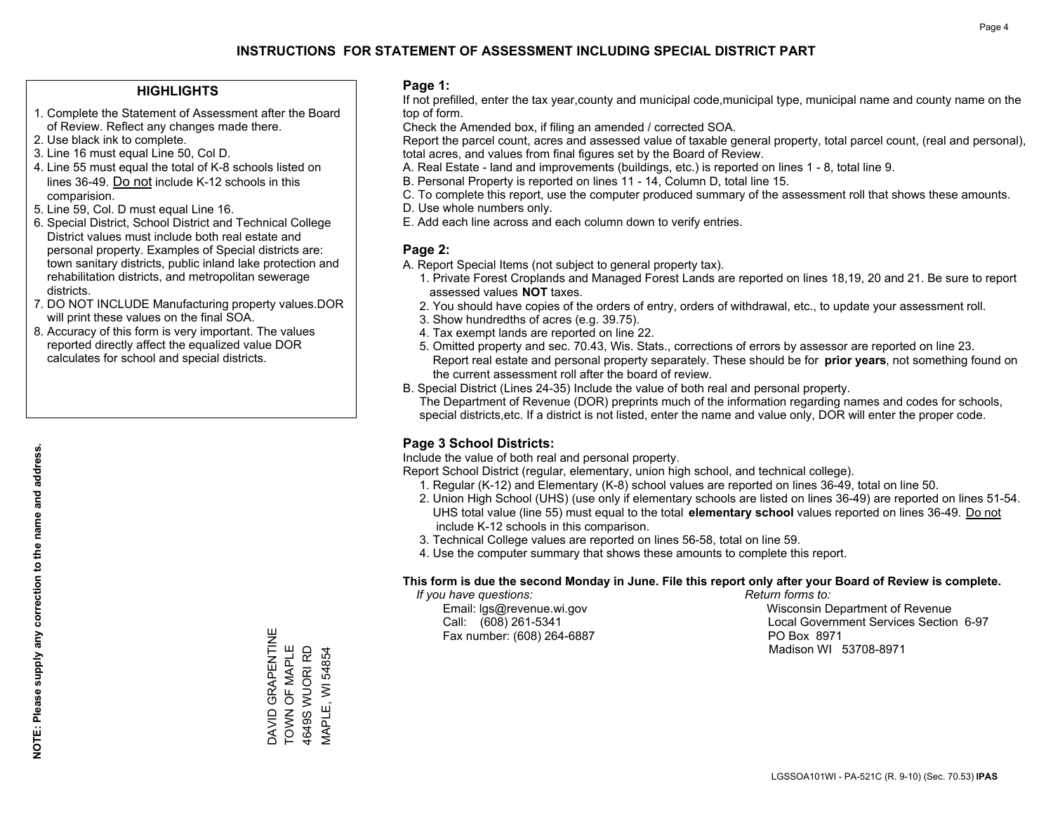#### **HIGHLIGHTS**

- 1. Complete the Statement of Assessment after the Board of Review. Reflect any changes made there.
- 2. Use black ink to complete.
- 3. Line 16 must equal Line 50, Col D.
- 4. Line 55 must equal the total of K-8 schools listed on lines 36-49. Do not include K-12 schools in this comparision.
- 5. Line 59, Col. D must equal Line 16.
- 6. Special District, School District and Technical College District values must include both real estate and personal property. Examples of Special districts are: town sanitary districts, public inland lake protection and rehabilitation districts, and metropolitan sewerage districts.
- 7. DO NOT INCLUDE Manufacturing property values.DOR will print these values on the final SOA.
- 8. Accuracy of this form is very important. The values reported directly affect the equalized value DOR calculates for school and special districts.

#### **Page 1:**

 If not prefilled, enter the tax year,county and municipal code,municipal type, municipal name and county name on the top of form.

Check the Amended box, if filing an amended / corrected SOA.

 Report the parcel count, acres and assessed value of taxable general property, total parcel count, (real and personal), total acres, and values from final figures set by the Board of Review.

- A. Real Estate land and improvements (buildings, etc.) is reported on lines 1 8, total line 9.
- B. Personal Property is reported on lines 11 14, Column D, total line 15.
- C. To complete this report, use the computer produced summary of the assessment roll that shows these amounts.
- D. Use whole numbers only.
- E. Add each line across and each column down to verify entries.

#### **Page 2:**

- A. Report Special Items (not subject to general property tax).
- 1. Private Forest Croplands and Managed Forest Lands are reported on lines 18,19, 20 and 21. Be sure to report assessed values **NOT** taxes.
- 2. You should have copies of the orders of entry, orders of withdrawal, etc., to update your assessment roll.
	- 3. Show hundredths of acres (e.g. 39.75).
- 4. Tax exempt lands are reported on line 22.
- 5. Omitted property and sec. 70.43, Wis. Stats., corrections of errors by assessor are reported on line 23. Report real estate and personal property separately. These should be for **prior years**, not something found on the current assessment roll after the board of review.
- B. Special District (Lines 24-35) Include the value of both real and personal property.
- The Department of Revenue (DOR) preprints much of the information regarding names and codes for schools, special districts,etc. If a district is not listed, enter the name and value only, DOR will enter the proper code.

## **Page 3 School Districts:**

Include the value of both real and personal property.

Report School District (regular, elementary, union high school, and technical college).

- 1. Regular (K-12) and Elementary (K-8) school values are reported on lines 36-49, total on line 50.
- 2. Union High School (UHS) (use only if elementary schools are listed on lines 36-49) are reported on lines 51-54. UHS total value (line 55) must equal to the total **elementary school** values reported on lines 36-49. Do notinclude K-12 schools in this comparison.
- 3. Technical College values are reported on lines 56-58, total on line 59.
- 4. Use the computer summary that shows these amounts to complete this report.

#### **This form is due the second Monday in June. File this report only after your Board of Review is complete.**

 *If you have questions: Return forms to:*

Fax number: (608) 264-6887 PO Box 8971

 Email: lgs@revenue.wi.gov Wisconsin Department of Revenue Call: (608) 261-5341 Local Government Services Section 6-97Madison WI 53708-8971

DAVID GRAPENTINE<br>TOWN OF MAPLE<br>4649S WUORI RD DAVID GRAPENTINE TOWN OF MAPLE 4649S WUORI RD VIAPLE, WI 54854 MAPLE, WI 54854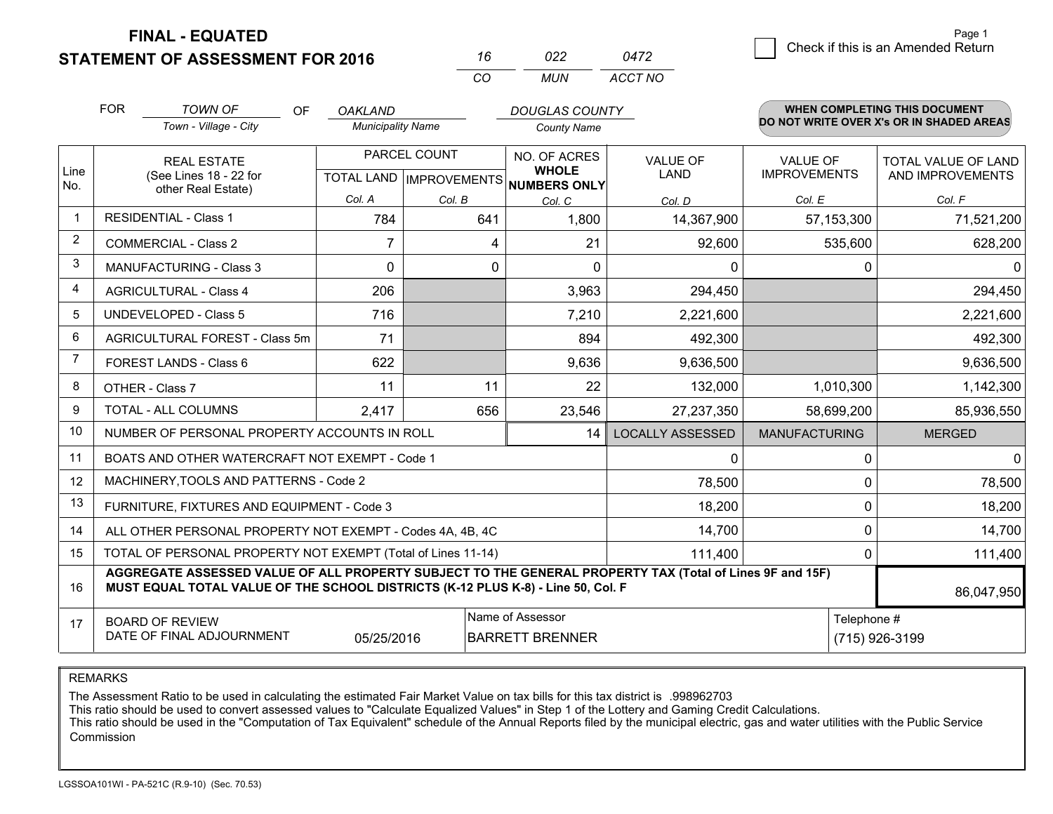**FINAL - EQUATED**

**STATEMENT OF ASSESSMENT FOR 2016** 

|          | פכח | 0472    |
|----------|-----|---------|
| $\cdots$ | MUN | ACCT NO |

|             | <b>FOR</b>                                                                          | <b>TOWN OF</b><br>OF                                                                                                                                                                         | <b>OAKLAND</b>           |        | <b>DOUGLAS COUNTY</b>                                |                         |                      | WHEN COMPLETING THIS DOCUMENT<br>DO NOT WRITE OVER X's OR IN SHADED AREAS |
|-------------|-------------------------------------------------------------------------------------|----------------------------------------------------------------------------------------------------------------------------------------------------------------------------------------------|--------------------------|--------|------------------------------------------------------|-------------------------|----------------------|---------------------------------------------------------------------------|
|             |                                                                                     | Town - Village - City                                                                                                                                                                        | <b>Municipality Name</b> |        | <b>County Name</b>                                   |                         |                      |                                                                           |
|             |                                                                                     | PARCEL COUNT<br><b>REAL ESTATE</b>                                                                                                                                                           |                          |        | NO. OF ACRES                                         | <b>VALUE OF</b>         | <b>VALUE OF</b>      | TOTAL VALUE OF LAND                                                       |
| Line<br>No. |                                                                                     | (See Lines 18 - 22 for<br>other Real Estate)                                                                                                                                                 |                          |        | <b>WHOLE</b><br>TOTAL LAND IMPROVEMENTS NUMBERS ONLY | <b>LAND</b>             | <b>IMPROVEMENTS</b>  | AND IMPROVEMENTS                                                          |
|             |                                                                                     |                                                                                                                                                                                              | Col. A                   | Col. B | Col. C                                               | Col. D                  | Col. E               | Col. F                                                                    |
| $\mathbf 1$ |                                                                                     | <b>RESIDENTIAL - Class 1</b>                                                                                                                                                                 | 784                      | 641    | 1,800                                                | 14,367,900              | 57,153,300           | 71,521,200                                                                |
| 2           |                                                                                     | <b>COMMERCIAL - Class 2</b>                                                                                                                                                                  | 7                        | 4      | 21                                                   | 92,600                  | 535,600              | 628,200                                                                   |
| 3           |                                                                                     | <b>MANUFACTURING - Class 3</b>                                                                                                                                                               | $\Omega$                 | 0      | $\Omega$                                             | 0                       |                      | 0<br>$\Omega$                                                             |
| 4           |                                                                                     | <b>AGRICULTURAL - Class 4</b>                                                                                                                                                                | 206                      |        | 3,963                                                | 294,450                 |                      | 294,450                                                                   |
| 5           |                                                                                     | <b>UNDEVELOPED - Class 5</b>                                                                                                                                                                 | 716                      |        | 7,210                                                | 2,221,600               |                      | 2,221,600                                                                 |
| 6           |                                                                                     | AGRICULTURAL FOREST - Class 5m                                                                                                                                                               | 71                       |        | 894                                                  | 492,300                 |                      | 492,300                                                                   |
| 7           |                                                                                     | FOREST LANDS - Class 6                                                                                                                                                                       | 622                      |        | 9,636                                                | 9,636,500               |                      | 9,636,500                                                                 |
| 8           |                                                                                     | OTHER - Class 7                                                                                                                                                                              | 11                       | 11     | 22                                                   | 132,000                 | 1,010,300            | 1,142,300                                                                 |
| 9           |                                                                                     | TOTAL - ALL COLUMNS                                                                                                                                                                          | 2,417                    | 656    | 23,546                                               | 27,237,350              | 58,699,200           | 85,936,550                                                                |
| 10          |                                                                                     | NUMBER OF PERSONAL PROPERTY ACCOUNTS IN ROLL                                                                                                                                                 |                          |        | 14                                                   | <b>LOCALLY ASSESSED</b> | <b>MANUFACTURING</b> | <b>MERGED</b>                                                             |
| 11          |                                                                                     | BOATS AND OTHER WATERCRAFT NOT EXEMPT - Code 1                                                                                                                                               |                          |        |                                                      | 0                       |                      | $\Omega$<br>$\mathbf 0$                                                   |
| 12          |                                                                                     | MACHINERY, TOOLS AND PATTERNS - Code 2                                                                                                                                                       |                          |        |                                                      | 78,500                  |                      | 0<br>78,500                                                               |
| 13          |                                                                                     | FURNITURE, FIXTURES AND EQUIPMENT - Code 3                                                                                                                                                   |                          |        |                                                      | 18,200                  |                      | $\mathbf 0$<br>18,200                                                     |
| 14          |                                                                                     | ALL OTHER PERSONAL PROPERTY NOT EXEMPT - Codes 4A, 4B, 4C                                                                                                                                    |                          |        |                                                      | 14,700                  |                      | $\mathbf 0$<br>14,700                                                     |
| 15          |                                                                                     | TOTAL OF PERSONAL PROPERTY NOT EXEMPT (Total of Lines 11-14)                                                                                                                                 |                          |        |                                                      | 111,400                 |                      | 111,400<br>0                                                              |
| 16          |                                                                                     | AGGREGATE ASSESSED VALUE OF ALL PROPERTY SUBJECT TO THE GENERAL PROPERTY TAX (Total of Lines 9F and 15F)<br>MUST EQUAL TOTAL VALUE OF THE SCHOOL DISTRICTS (K-12 PLUS K-8) - Line 50, Col. F |                          |        |                                                      |                         |                      | 86,047,950                                                                |
| 17          |                                                                                     | <b>BOARD OF REVIEW</b>                                                                                                                                                                       |                          |        | Name of Assessor                                     |                         |                      | Telephone #                                                               |
|             | DATE OF FINAL ADJOURNMENT<br>05/25/2016<br><b>BARRETT BRENNER</b><br>(715) 926-3199 |                                                                                                                                                                                              |                          |        |                                                      |                         |                      |                                                                           |

REMARKS

The Assessment Ratio to be used in calculating the estimated Fair Market Value on tax bills for this tax district is .998962703

This ratio should be used to convert assessed values to "Calculate Equalized Values" in Step 1 of the Lottery and Gaming Credit Calculations.<br>This ratio should be used in the "Computation of Tax Equivalent" schedule of the Commission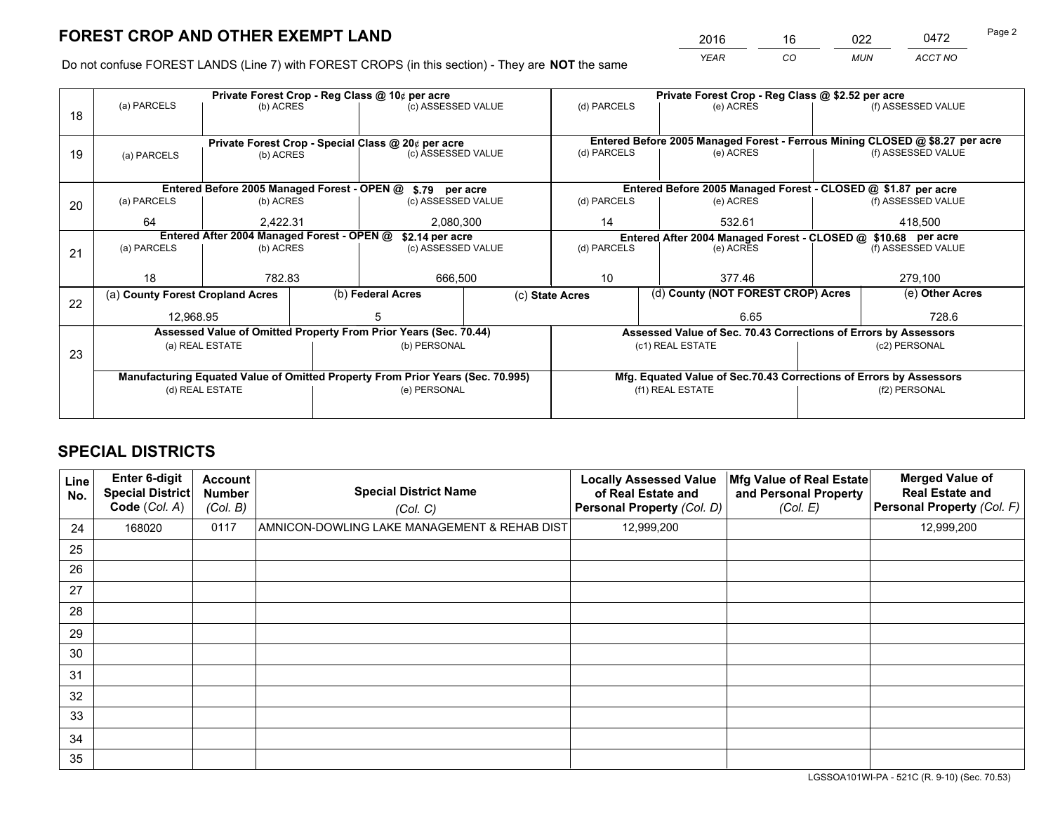*YEAR CO MUN ACCT NO* 2016 16 022 0472 Page 2

Do not confuse FOREST LANDS (Line 7) with FOREST CROPS (in this section) - They are **NOT** the same

|    |                                  |                                            |  | Private Forest Crop - Reg Class @ 10¢ per acre                                 |  | Private Forest Crop - Reg Class @ \$2.52 per acre                                                               |  |                                                                    |  |                                                                              |
|----|----------------------------------|--------------------------------------------|--|--------------------------------------------------------------------------------|--|-----------------------------------------------------------------------------------------------------------------|--|--------------------------------------------------------------------|--|------------------------------------------------------------------------------|
| 18 | (a) PARCELS                      | (b) ACRES                                  |  | (c) ASSESSED VALUE                                                             |  | (d) PARCELS                                                                                                     |  | (e) ACRES                                                          |  | (f) ASSESSED VALUE                                                           |
|    |                                  |                                            |  |                                                                                |  |                                                                                                                 |  |                                                                    |  |                                                                              |
|    |                                  |                                            |  | Private Forest Crop - Special Class @ 20¢ per acre                             |  |                                                                                                                 |  |                                                                    |  | Entered Before 2005 Managed Forest - Ferrous Mining CLOSED @ \$8.27 per acre |
| 19 | (a) PARCELS                      | (b) ACRES                                  |  | (c) ASSESSED VALUE                                                             |  | (d) PARCELS                                                                                                     |  | (e) ACRES                                                          |  | (f) ASSESSED VALUE                                                           |
|    |                                  |                                            |  |                                                                                |  |                                                                                                                 |  |                                                                    |  |                                                                              |
|    |                                  |                                            |  | Entered Before 2005 Managed Forest - OPEN @ \$.79 per acre                     |  |                                                                                                                 |  | Entered Before 2005 Managed Forest - CLOSED @ \$1.87 per acre      |  |                                                                              |
| 20 | (a) PARCELS                      | (b) ACRES                                  |  | (c) ASSESSED VALUE                                                             |  | (d) PARCELS                                                                                                     |  | (e) ACRES                                                          |  | (f) ASSESSED VALUE                                                           |
|    | 64                               | 2,422.31<br>2,080,300                      |  | 14                                                                             |  | 532.61                                                                                                          |  | 418,500                                                            |  |                                                                              |
|    |                                  | Entered After 2004 Managed Forest - OPEN @ |  |                                                                                |  |                                                                                                                 |  |                                                                    |  |                                                                              |
|    |                                  |                                            |  | \$2.14 per acre                                                                |  | Entered After 2004 Managed Forest - CLOSED @ \$10.68 per acre<br>(d) PARCELS<br>(f) ASSESSED VALUE<br>(e) ACRES |  |                                                                    |  |                                                                              |
| 21 | (a) PARCELS                      | (b) ACRES                                  |  | (c) ASSESSED VALUE                                                             |  |                                                                                                                 |  |                                                                    |  |                                                                              |
|    |                                  |                                            |  |                                                                                |  |                                                                                                                 |  |                                                                    |  |                                                                              |
|    | 18                               | 782.83                                     |  | 666,500                                                                        |  | 10<br>377.46                                                                                                    |  | 279,100                                                            |  |                                                                              |
|    | (a) County Forest Cropland Acres |                                            |  | (b) Federal Acres                                                              |  | (c) State Acres                                                                                                 |  | (d) County (NOT FOREST CROP) Acres                                 |  | (e) Other Acres                                                              |
| 22 | 12.968.95                        |                                            |  |                                                                                |  |                                                                                                                 |  | 6.65                                                               |  | 728.6                                                                        |
|    |                                  |                                            |  | Assessed Value of Omitted Property From Prior Years (Sec. 70.44)               |  |                                                                                                                 |  |                                                                    |  |                                                                              |
|    |                                  |                                            |  |                                                                                |  |                                                                                                                 |  | Assessed Value of Sec. 70.43 Corrections of Errors by Assessors    |  |                                                                              |
| 23 |                                  | (a) REAL ESTATE                            |  | (b) PERSONAL                                                                   |  | (c1) REAL ESTATE                                                                                                |  |                                                                    |  | (c2) PERSONAL                                                                |
|    |                                  |                                            |  |                                                                                |  |                                                                                                                 |  |                                                                    |  |                                                                              |
|    |                                  |                                            |  | Manufacturing Equated Value of Omitted Property From Prior Years (Sec. 70.995) |  |                                                                                                                 |  | Mfg. Equated Value of Sec.70.43 Corrections of Errors by Assessors |  |                                                                              |
|    |                                  | (d) REAL ESTATE                            |  | (e) PERSONAL                                                                   |  | (f1) REAL ESTATE                                                                                                |  | (f2) PERSONAL                                                      |  |                                                                              |
|    |                                  |                                            |  |                                                                                |  |                                                                                                                 |  |                                                                    |  |                                                                              |
|    |                                  |                                            |  |                                                                                |  |                                                                                                                 |  |                                                                    |  |                                                                              |

# **SPECIAL DISTRICTS**

| Line<br>No. | <b>Enter 6-digit</b><br><b>Special District</b><br>Code (Col. A) | <b>Account</b><br><b>Number</b><br>(Col. B) | <b>Special District Name</b><br>(Col. C)     | <b>Locally Assessed Value</b><br>of Real Estate and<br>Personal Property (Col. D) | Mfg Value of Real Estate<br>and Personal Property<br>(Col. E) | <b>Merged Value of</b><br><b>Real Estate and</b><br>Personal Property (Col. F) |
|-------------|------------------------------------------------------------------|---------------------------------------------|----------------------------------------------|-----------------------------------------------------------------------------------|---------------------------------------------------------------|--------------------------------------------------------------------------------|
| 24          | 168020                                                           | 0117                                        | AMNICON-DOWLING LAKE MANAGEMENT & REHAB DIST | 12,999,200                                                                        |                                                               | 12,999,200                                                                     |
| 25          |                                                                  |                                             |                                              |                                                                                   |                                                               |                                                                                |
| 26          |                                                                  |                                             |                                              |                                                                                   |                                                               |                                                                                |
| 27          |                                                                  |                                             |                                              |                                                                                   |                                                               |                                                                                |
| 28          |                                                                  |                                             |                                              |                                                                                   |                                                               |                                                                                |
| 29          |                                                                  |                                             |                                              |                                                                                   |                                                               |                                                                                |
| 30          |                                                                  |                                             |                                              |                                                                                   |                                                               |                                                                                |
| 31          |                                                                  |                                             |                                              |                                                                                   |                                                               |                                                                                |
| 32          |                                                                  |                                             |                                              |                                                                                   |                                                               |                                                                                |
| 33          |                                                                  |                                             |                                              |                                                                                   |                                                               |                                                                                |
| 34          |                                                                  |                                             |                                              |                                                                                   |                                                               |                                                                                |
| 35          |                                                                  |                                             |                                              |                                                                                   |                                                               |                                                                                |

LGSSOA101WI-PA - 521C (R. 9-10) (Sec. 70.53)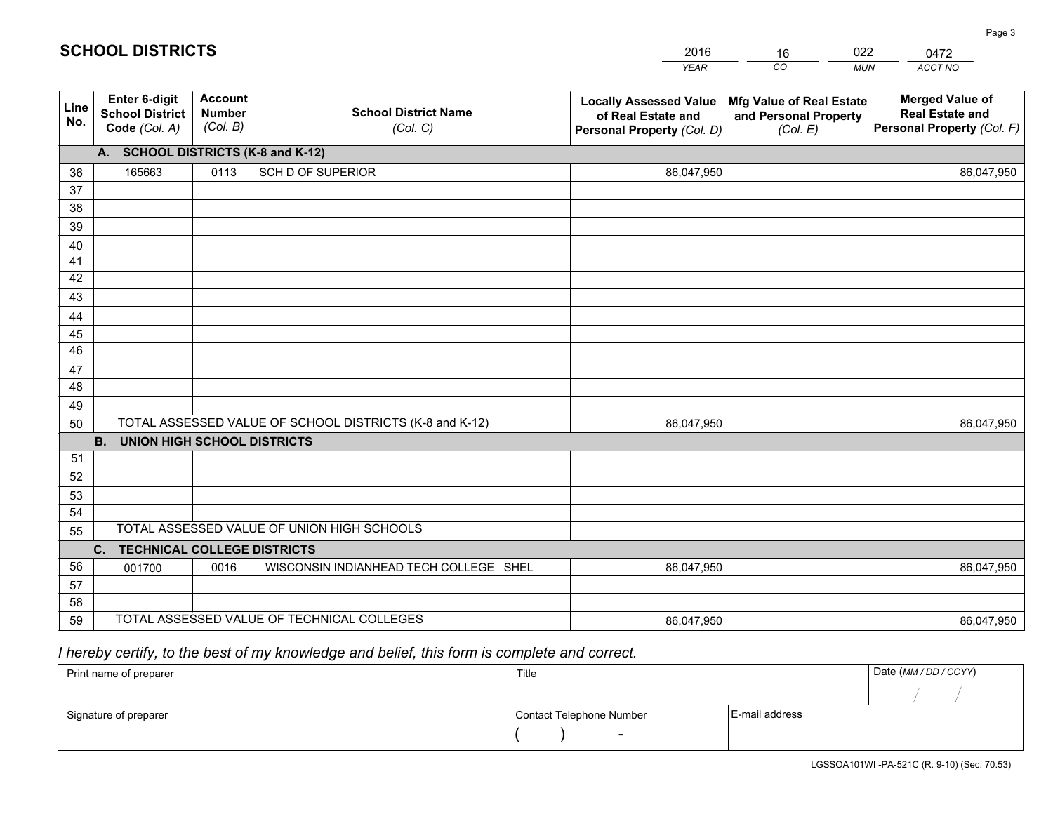|             |                                                          |                                             |                                                         | <b>YEAR</b>                                                                       | CO<br><b>MUN</b>                                              | ACCT NO                                                                        |
|-------------|----------------------------------------------------------|---------------------------------------------|---------------------------------------------------------|-----------------------------------------------------------------------------------|---------------------------------------------------------------|--------------------------------------------------------------------------------|
| Line<br>No. | Enter 6-digit<br><b>School District</b><br>Code (Col. A) | <b>Account</b><br><b>Number</b><br>(Col. B) | <b>School District Name</b><br>(Col. C)                 | <b>Locally Assessed Value</b><br>of Real Estate and<br>Personal Property (Col. D) | Mfg Value of Real Estate<br>and Personal Property<br>(Col. E) | <b>Merged Value of</b><br><b>Real Estate and</b><br>Personal Property (Col. F) |
|             | A. SCHOOL DISTRICTS (K-8 and K-12)                       |                                             |                                                         |                                                                                   |                                                               |                                                                                |
| 36          | 165663                                                   | 0113                                        | SCH D OF SUPERIOR                                       | 86,047,950                                                                        |                                                               | 86,047,950                                                                     |
| 37          |                                                          |                                             |                                                         |                                                                                   |                                                               |                                                                                |
| 38          |                                                          |                                             |                                                         |                                                                                   |                                                               |                                                                                |
| 39          |                                                          |                                             |                                                         |                                                                                   |                                                               |                                                                                |
| 40          |                                                          |                                             |                                                         |                                                                                   |                                                               |                                                                                |
| 41<br>42    |                                                          |                                             |                                                         |                                                                                   |                                                               |                                                                                |
| 43          |                                                          |                                             |                                                         |                                                                                   |                                                               |                                                                                |
| 44          |                                                          |                                             |                                                         |                                                                                   |                                                               |                                                                                |
| 45          |                                                          |                                             |                                                         |                                                                                   |                                                               |                                                                                |
| 46          |                                                          |                                             |                                                         |                                                                                   |                                                               |                                                                                |
| 47          |                                                          |                                             |                                                         |                                                                                   |                                                               |                                                                                |
| 48          |                                                          |                                             |                                                         |                                                                                   |                                                               |                                                                                |
| 49          |                                                          |                                             |                                                         |                                                                                   |                                                               |                                                                                |
| 50          |                                                          |                                             | TOTAL ASSESSED VALUE OF SCHOOL DISTRICTS (K-8 and K-12) | 86,047,950                                                                        |                                                               | 86,047,950                                                                     |
|             | <b>B.</b><br><b>UNION HIGH SCHOOL DISTRICTS</b>          |                                             |                                                         |                                                                                   |                                                               |                                                                                |
| 51          |                                                          |                                             |                                                         |                                                                                   |                                                               |                                                                                |
| 52          |                                                          |                                             |                                                         |                                                                                   |                                                               |                                                                                |
| 53          |                                                          |                                             |                                                         |                                                                                   |                                                               |                                                                                |
| 54          |                                                          |                                             | TOTAL ASSESSED VALUE OF UNION HIGH SCHOOLS              |                                                                                   |                                                               |                                                                                |
| 55          |                                                          |                                             |                                                         |                                                                                   |                                                               |                                                                                |
|             | C.<br><b>TECHNICAL COLLEGE DISTRICTS</b>                 |                                             |                                                         |                                                                                   |                                                               |                                                                                |
| 56<br>57    | 001700                                                   | 0016                                        | WISCONSIN INDIANHEAD TECH COLLEGE SHEL                  | 86,047,950                                                                        |                                                               | 86,047,950                                                                     |
| 58          |                                                          |                                             |                                                         |                                                                                   |                                                               |                                                                                |
| 59          |                                                          |                                             | TOTAL ASSESSED VALUE OF TECHNICAL COLLEGES              | 86,047,950                                                                        |                                                               | 86,047,950                                                                     |

16

022

# *I hereby certify, to the best of my knowledge and belief, this form is complete and correct.*

**SCHOOL DISTRICTS**

| Print name of preparer | Title                    |                | Date (MM / DD / CCYY) |
|------------------------|--------------------------|----------------|-----------------------|
|                        |                          |                |                       |
| Signature of preparer  | Contact Telephone Number | E-mail address |                       |
|                        | $\sim$                   |                |                       |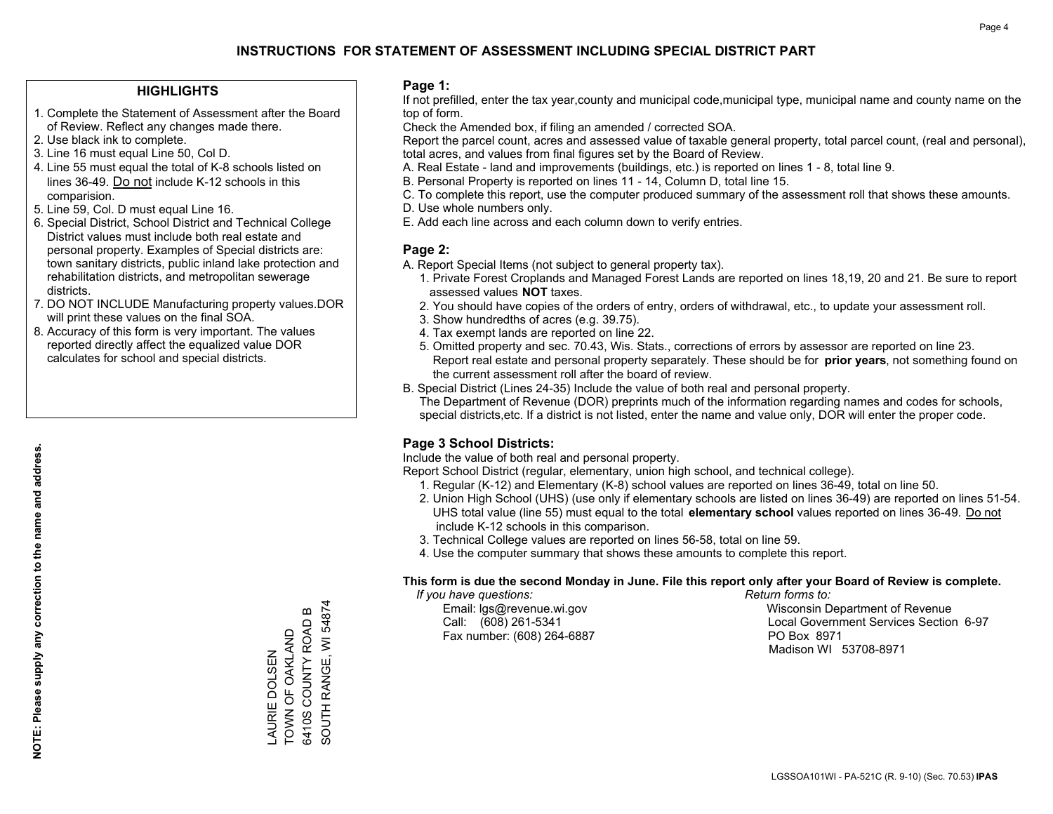#### **HIGHLIGHTS**

- 1. Complete the Statement of Assessment after the Board of Review. Reflect any changes made there.
- 2. Use black ink to complete.
- 3. Line 16 must equal Line 50, Col D.
- 4. Line 55 must equal the total of K-8 schools listed on lines 36-49. Do not include K-12 schools in this comparision.
- 5. Line 59, Col. D must equal Line 16.
- 6. Special District, School District and Technical College District values must include both real estate and personal property. Examples of Special districts are: town sanitary districts, public inland lake protection and rehabilitation districts, and metropolitan sewerage districts.
- 7. DO NOT INCLUDE Manufacturing property values.DOR will print these values on the final SOA.

LAURIE DOLSEN TOWN OF OAKLAND 6410S COUNTY ROAD B SOUTH RANGE, WI 54874

SOUTH RANGE, WI 54874

 $\bf{m}$ 

6410S COUNTY ROAD TOWN OF OAKLAND AURIE DOLSEN

 8. Accuracy of this form is very important. The values reported directly affect the equalized value DOR calculates for school and special districts.

#### **Page 1:**

 If not prefilled, enter the tax year,county and municipal code,municipal type, municipal name and county name on the top of form.

Check the Amended box, if filing an amended / corrected SOA.

 Report the parcel count, acres and assessed value of taxable general property, total parcel count, (real and personal), total acres, and values from final figures set by the Board of Review.

- A. Real Estate land and improvements (buildings, etc.) is reported on lines 1 8, total line 9.
- B. Personal Property is reported on lines 11 14, Column D, total line 15.
- C. To complete this report, use the computer produced summary of the assessment roll that shows these amounts.
- D. Use whole numbers only.
- E. Add each line across and each column down to verify entries.

### **Page 2:**

- A. Report Special Items (not subject to general property tax).
- 1. Private Forest Croplands and Managed Forest Lands are reported on lines 18,19, 20 and 21. Be sure to report assessed values **NOT** taxes.
- 2. You should have copies of the orders of entry, orders of withdrawal, etc., to update your assessment roll.
	- 3. Show hundredths of acres (e.g. 39.75).
- 4. Tax exempt lands are reported on line 22.
- 5. Omitted property and sec. 70.43, Wis. Stats., corrections of errors by assessor are reported on line 23. Report real estate and personal property separately. These should be for **prior years**, not something found on the current assessment roll after the board of review.
- B. Special District (Lines 24-35) Include the value of both real and personal property.
- The Department of Revenue (DOR) preprints much of the information regarding names and codes for schools, special districts,etc. If a district is not listed, enter the name and value only, DOR will enter the proper code.

## **Page 3 School Districts:**

Include the value of both real and personal property.

Report School District (regular, elementary, union high school, and technical college).

- 1. Regular (K-12) and Elementary (K-8) school values are reported on lines 36-49, total on line 50.
- 2. Union High School (UHS) (use only if elementary schools are listed on lines 36-49) are reported on lines 51-54. UHS total value (line 55) must equal to the total **elementary school** values reported on lines 36-49. Do notinclude K-12 schools in this comparison.
- 3. Technical College values are reported on lines 56-58, total on line 59.
- 4. Use the computer summary that shows these amounts to complete this report.

#### **This form is due the second Monday in June. File this report only after your Board of Review is complete.**

 *If you have questions: Return forms to:*

Fax number: (608) 264-6887 PO Box 8971

 Email: lgs@revenue.wi.gov Wisconsin Department of Revenue Call: (608) 261-5341 Local Government Services Section 6-97Madison WI 53708-8971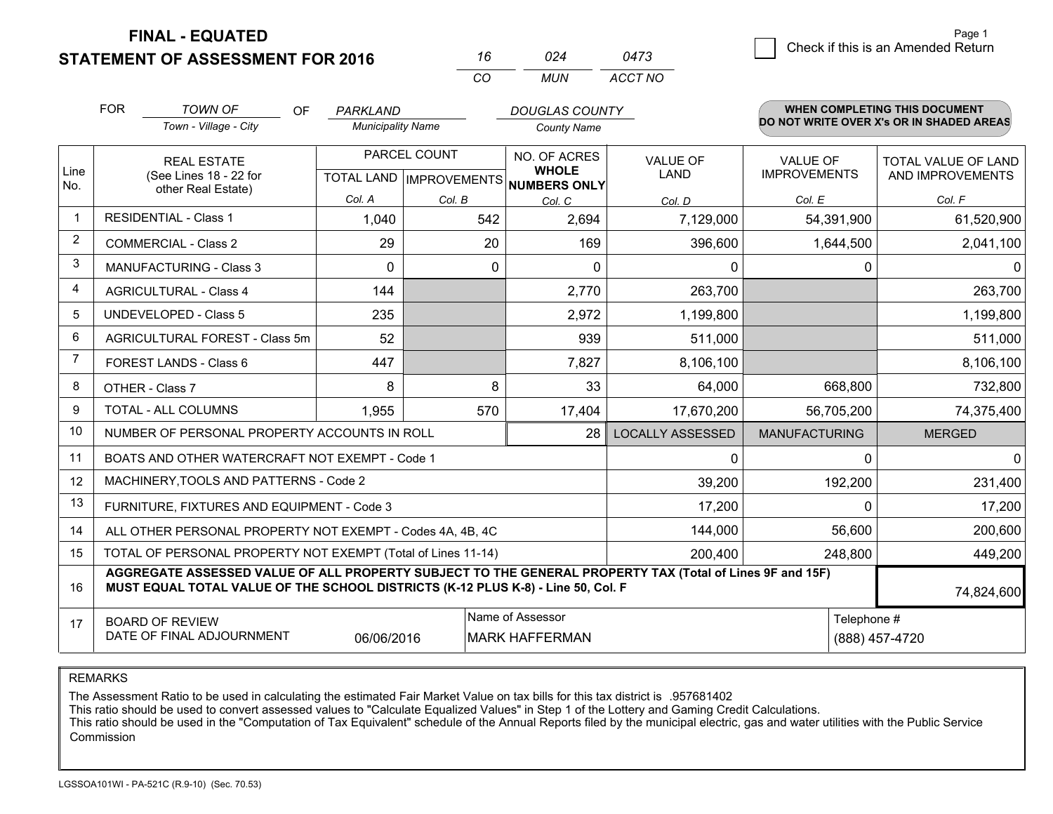**FINAL - EQUATED**

**STATEMENT OF ASSESSMENT FOR 2016** 

| 16 | በ24  | 0473    |
|----|------|---------|
| (  | MUN. | ACCT NO |

|             | <b>FOR</b><br><b>TOWN OF</b><br><b>OF</b><br>PARKLAND<br>Town - Village - City<br><b>Municipality Name</b>                                                                                   |                                                              | <b>DOUGLAS COUNTY</b><br><b>County Name</b> |              |                                                                      | WHEN COMPLETING THIS DOCUMENT<br>DO NOT WRITE OVER X's OR IN SHADED AREAS |                                        |                                                |
|-------------|----------------------------------------------------------------------------------------------------------------------------------------------------------------------------------------------|--------------------------------------------------------------|---------------------------------------------|--------------|----------------------------------------------------------------------|---------------------------------------------------------------------------|----------------------------------------|------------------------------------------------|
| Line<br>No. |                                                                                                                                                                                              | <b>REAL ESTATE</b><br>(See Lines 18 - 22 for                 |                                             | PARCEL COUNT | NO. OF ACRES<br><b>WHOLE</b><br>TOTAL LAND IMPROVEMENTS NUMBERS ONLY | <b>VALUE OF</b><br><b>LAND</b>                                            | <b>VALUE OF</b><br><b>IMPROVEMENTS</b> | <b>TOTAL VALUE OF LAND</b><br>AND IMPROVEMENTS |
|             | other Real Estate)                                                                                                                                                                           |                                                              | Col. A                                      | Col. B       | Col. C                                                               | Col. D                                                                    | Col. E                                 | Col. F                                         |
| -1          |                                                                                                                                                                                              | <b>RESIDENTIAL - Class 1</b>                                 | 1,040                                       | 542          | 2,694                                                                | 7,129,000                                                                 | 54,391,900                             | 61,520,900                                     |
| 2           |                                                                                                                                                                                              | <b>COMMERCIAL - Class 2</b>                                  | 29                                          | 20           | 169                                                                  | 396,600                                                                   | 1,644,500                              | 2,041,100                                      |
| 3           |                                                                                                                                                                                              | <b>MANUFACTURING - Class 3</b>                               | $\Omega$                                    | $\Omega$     | $\Omega$                                                             | 0                                                                         | $\Omega$                               | $\Omega$                                       |
| 4           |                                                                                                                                                                                              | <b>AGRICULTURAL - Class 4</b>                                | 144                                         |              | 2,770                                                                | 263,700                                                                   |                                        | 263,700                                        |
| 5           |                                                                                                                                                                                              | UNDEVELOPED - Class 5                                        | 235                                         |              | 2,972                                                                | 1,199,800                                                                 |                                        | 1,199,800                                      |
| 6           |                                                                                                                                                                                              | AGRICULTURAL FOREST - Class 5m                               | 52                                          |              | 939                                                                  | 511,000                                                                   |                                        | 511,000                                        |
| 7           |                                                                                                                                                                                              | FOREST LANDS - Class 6                                       | 447                                         |              | 7,827                                                                | 8,106,100                                                                 |                                        | 8,106,100                                      |
| 8           |                                                                                                                                                                                              | OTHER - Class 7                                              | 8                                           | 8            | 33                                                                   | 64,000                                                                    | 668,800                                | 732,800                                        |
| 9           |                                                                                                                                                                                              | TOTAL - ALL COLUMNS                                          | 1,955                                       | 570          | 17,404                                                               | 17,670,200                                                                | 56,705,200                             | 74,375,400                                     |
| 10          |                                                                                                                                                                                              | NUMBER OF PERSONAL PROPERTY ACCOUNTS IN ROLL                 |                                             |              | 28                                                                   | <b>LOCALLY ASSESSED</b>                                                   | <b>MANUFACTURING</b>                   | <b>MERGED</b>                                  |
| 11          |                                                                                                                                                                                              | BOATS AND OTHER WATERCRAFT NOT EXEMPT - Code 1               |                                             |              |                                                                      | 0                                                                         | $\Omega$                               | $\mathbf 0$                                    |
| 12          |                                                                                                                                                                                              | MACHINERY, TOOLS AND PATTERNS - Code 2                       |                                             |              |                                                                      | 39,200                                                                    | 192,200                                | 231,400                                        |
| 13          |                                                                                                                                                                                              | FURNITURE, FIXTURES AND EQUIPMENT - Code 3                   |                                             |              |                                                                      | 17,200                                                                    | $\Omega$                               | 17,200                                         |
| 14          |                                                                                                                                                                                              | ALL OTHER PERSONAL PROPERTY NOT EXEMPT - Codes 4A, 4B, 4C    |                                             |              |                                                                      | 144,000                                                                   | 56,600                                 | 200,600                                        |
| 15          |                                                                                                                                                                                              | TOTAL OF PERSONAL PROPERTY NOT EXEMPT (Total of Lines 11-14) |                                             |              |                                                                      | 200,400                                                                   | 248,800                                | 449,200                                        |
| 16          | AGGREGATE ASSESSED VALUE OF ALL PROPERTY SUBJECT TO THE GENERAL PROPERTY TAX (Total of Lines 9F and 15F)<br>MUST EQUAL TOTAL VALUE OF THE SCHOOL DISTRICTS (K-12 PLUS K-8) - Line 50, Col. F |                                                              |                                             |              |                                                                      |                                                                           |                                        | 74,824,600                                     |
| 17          | Name of Assessor<br><b>BOARD OF REVIEW</b><br>DATE OF FINAL ADJOURNMENT<br>06/06/2016<br><b>MARK HAFFERMAN</b>                                                                               |                                                              |                                             |              |                                                                      |                                                                           | Telephone #                            | (888) 457-4720                                 |

REMARKS

The Assessment Ratio to be used in calculating the estimated Fair Market Value on tax bills for this tax district is .957681402

This ratio should be used to convert assessed values to "Calculate Equalized Values" in Step 1 of the Lottery and Gaming Credit Calculations.<br>This ratio should be used in the "Computation of Tax Equivalent" schedule of the Commission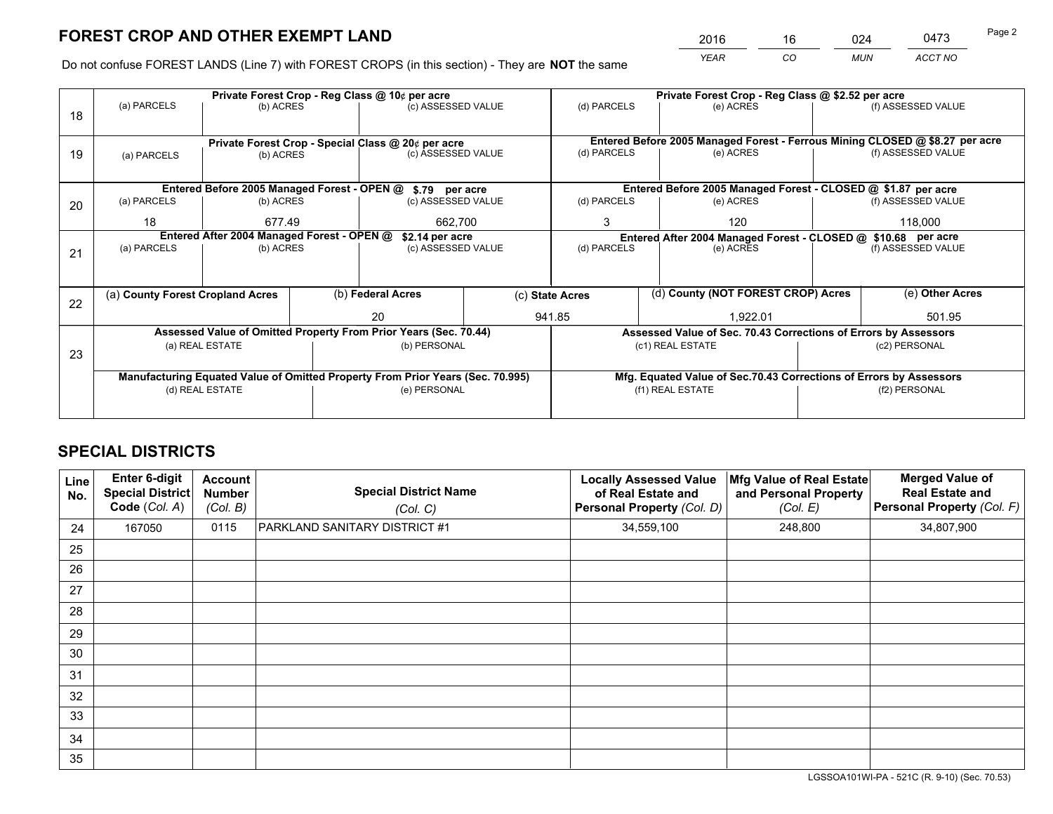*YEAR CO MUN ACCT NO* <sup>2016</sup> <sup>16</sup> <sup>024</sup> <sup>0473</sup>

Do not confuse FOREST LANDS (Line 7) with FOREST CROPS (in this section) - They are **NOT** the same

|    |                                                                                |                                             |  | Private Forest Crop - Reg Class @ 10¢ per acre                   |  | Private Forest Crop - Reg Class @ \$2.52 per acre                                         |               |                                                                    |                    |                                                                              |  |
|----|--------------------------------------------------------------------------------|---------------------------------------------|--|------------------------------------------------------------------|--|-------------------------------------------------------------------------------------------|---------------|--------------------------------------------------------------------|--------------------|------------------------------------------------------------------------------|--|
| 18 | (a) PARCELS                                                                    | (b) ACRES                                   |  | (c) ASSESSED VALUE                                               |  | (d) PARCELS                                                                               |               | (e) ACRES                                                          |                    | (f) ASSESSED VALUE                                                           |  |
|    |                                                                                |                                             |  |                                                                  |  |                                                                                           |               |                                                                    |                    |                                                                              |  |
|    |                                                                                |                                             |  | Private Forest Crop - Special Class @ 20¢ per acre               |  |                                                                                           |               |                                                                    |                    | Entered Before 2005 Managed Forest - Ferrous Mining CLOSED @ \$8.27 per acre |  |
| 19 | (a) PARCELS                                                                    | (b) ACRES                                   |  | (c) ASSESSED VALUE                                               |  | (d) PARCELS                                                                               |               | (e) ACRES                                                          |                    | (f) ASSESSED VALUE                                                           |  |
|    |                                                                                |                                             |  |                                                                  |  |                                                                                           |               |                                                                    |                    |                                                                              |  |
|    |                                                                                | Entered Before 2005 Managed Forest - OPEN @ |  | \$.79 per acre                                                   |  |                                                                                           |               | Entered Before 2005 Managed Forest - CLOSED @ \$1.87 per acre      |                    |                                                                              |  |
| 20 | (a) PARCELS                                                                    | (b) ACRES                                   |  | (c) ASSESSED VALUE                                               |  | (d) PARCELS                                                                               |               | (e) ACRES                                                          |                    | (f) ASSESSED VALUE                                                           |  |
|    | 18                                                                             | 677.49                                      |  | 662,700                                                          |  | 3                                                                                         |               | 120                                                                |                    | 118,000                                                                      |  |
|    |                                                                                | Entered After 2004 Managed Forest - OPEN @  |  |                                                                  |  |                                                                                           |               |                                                                    |                    |                                                                              |  |
|    | (a) PARCELS                                                                    | (b) ACRES                                   |  | \$2.14 per acre<br>(c) ASSESSED VALUE                            |  | Entered After 2004 Managed Forest - CLOSED @ \$10.68 per acre<br>(d) PARCELS<br>(e) ACRES |               |                                                                    | (f) ASSESSED VALUE |                                                                              |  |
| 21 |                                                                                |                                             |  |                                                                  |  |                                                                                           |               |                                                                    |                    |                                                                              |  |
|    |                                                                                |                                             |  |                                                                  |  |                                                                                           |               |                                                                    |                    |                                                                              |  |
|    | (a) County Forest Cropland Acres                                               |                                             |  | (b) Federal Acres                                                |  | (d) County (NOT FOREST CROP) Acres<br>(c) State Acres                                     |               |                                                                    | (e) Other Acres    |                                                                              |  |
| 22 |                                                                                |                                             |  |                                                                  |  |                                                                                           |               |                                                                    |                    |                                                                              |  |
|    |                                                                                |                                             |  | 941.85<br>20                                                     |  |                                                                                           | 1,922.01      |                                                                    |                    | 501.95                                                                       |  |
|    |                                                                                |                                             |  | Assessed Value of Omitted Property From Prior Years (Sec. 70.44) |  |                                                                                           |               | Assessed Value of Sec. 70.43 Corrections of Errors by Assessors    |                    |                                                                              |  |
| 23 |                                                                                | (a) REAL ESTATE                             |  | (b) PERSONAL                                                     |  |                                                                                           |               | (c1) REAL ESTATE                                                   |                    | (c2) PERSONAL                                                                |  |
|    |                                                                                |                                             |  |                                                                  |  |                                                                                           |               |                                                                    |                    |                                                                              |  |
|    | Manufacturing Equated Value of Omitted Property From Prior Years (Sec. 70.995) |                                             |  |                                                                  |  |                                                                                           |               | Mfg. Equated Value of Sec.70.43 Corrections of Errors by Assessors |                    |                                                                              |  |
|    | (e) PERSONAL<br>(d) REAL ESTATE                                                |                                             |  |                                                                  |  | (f1) REAL ESTATE                                                                          | (f2) PERSONAL |                                                                    |                    |                                                                              |  |
|    |                                                                                |                                             |  |                                                                  |  |                                                                                           |               |                                                                    |                    |                                                                              |  |
|    |                                                                                |                                             |  |                                                                  |  |                                                                                           |               |                                                                    |                    |                                                                              |  |

# **SPECIAL DISTRICTS**

| Line<br>No. | Enter 6-digit<br><b>Special District</b><br>Code (Col. A) | <b>Account</b><br><b>Number</b><br>(Col. B) | <b>Special District Name</b><br>(Col. C) | <b>Locally Assessed Value</b><br>of Real Estate and<br><b>Personal Property (Col. D)</b> | Mfg Value of Real Estate<br>and Personal Property<br>(Col. E) | <b>Merged Value of</b><br><b>Real Estate and</b><br>Personal Property (Col. F) |
|-------------|-----------------------------------------------------------|---------------------------------------------|------------------------------------------|------------------------------------------------------------------------------------------|---------------------------------------------------------------|--------------------------------------------------------------------------------|
| 24          | 167050                                                    | 0115                                        | PARKLAND SANITARY DISTRICT #1            | 34,559,100                                                                               | 248,800                                                       | 34,807,900                                                                     |
| 25          |                                                           |                                             |                                          |                                                                                          |                                                               |                                                                                |
| 26          |                                                           |                                             |                                          |                                                                                          |                                                               |                                                                                |
| 27          |                                                           |                                             |                                          |                                                                                          |                                                               |                                                                                |
| 28          |                                                           |                                             |                                          |                                                                                          |                                                               |                                                                                |
| 29          |                                                           |                                             |                                          |                                                                                          |                                                               |                                                                                |
| 30          |                                                           |                                             |                                          |                                                                                          |                                                               |                                                                                |
| 31          |                                                           |                                             |                                          |                                                                                          |                                                               |                                                                                |
| 32          |                                                           |                                             |                                          |                                                                                          |                                                               |                                                                                |
| 33          |                                                           |                                             |                                          |                                                                                          |                                                               |                                                                                |
| 34          |                                                           |                                             |                                          |                                                                                          |                                                               |                                                                                |
| 35          |                                                           |                                             |                                          |                                                                                          |                                                               |                                                                                |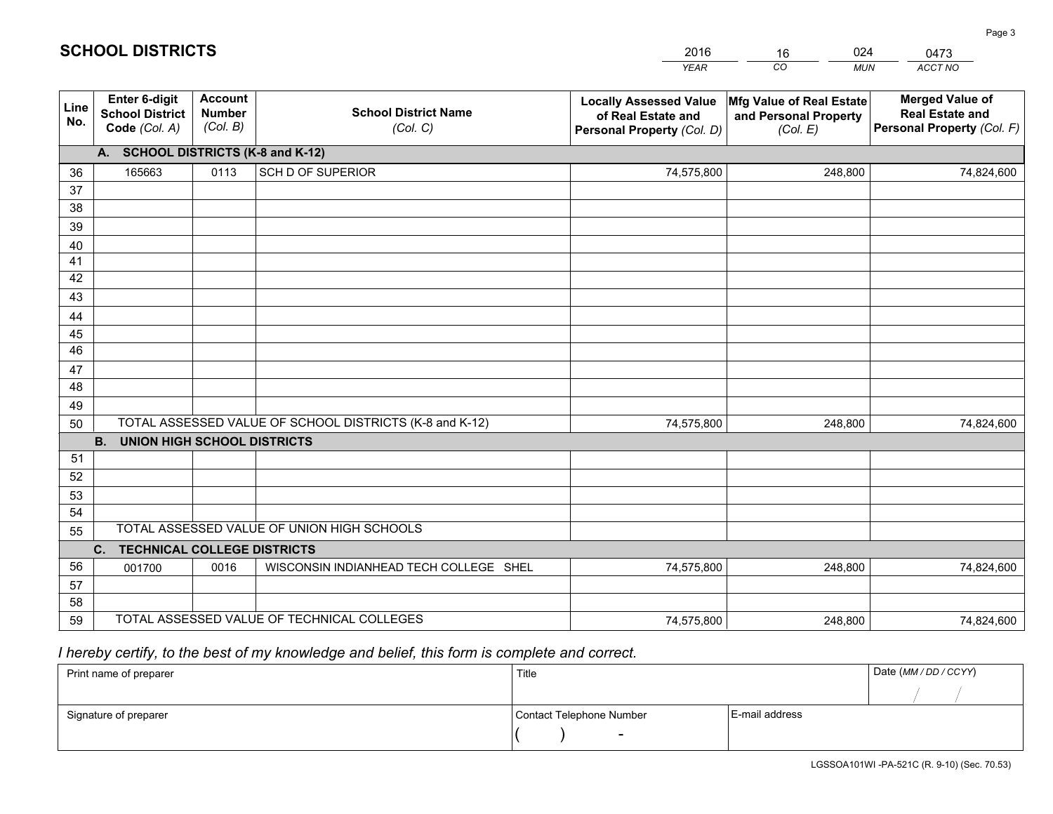|             |                                                                 |                                             |                                                         | <b>YEAR</b>                                                                       | CO<br><b>MUN</b>                                              | ACCT NO                                                                        |
|-------------|-----------------------------------------------------------------|---------------------------------------------|---------------------------------------------------------|-----------------------------------------------------------------------------------|---------------------------------------------------------------|--------------------------------------------------------------------------------|
| Line<br>No. | <b>Enter 6-digit</b><br><b>School District</b><br>Code (Col. A) | <b>Account</b><br><b>Number</b><br>(Col. B) | <b>School District Name</b><br>(Col. C)                 | <b>Locally Assessed Value</b><br>of Real Estate and<br>Personal Property (Col. D) | Mfg Value of Real Estate<br>and Personal Property<br>(Col. E) | <b>Merged Value of</b><br><b>Real Estate and</b><br>Personal Property (Col. F) |
|             | A. SCHOOL DISTRICTS (K-8 and K-12)                              |                                             |                                                         |                                                                                   |                                                               |                                                                                |
| 36          | 165663                                                          | 0113                                        | SCH D OF SUPERIOR                                       | 74,575,800                                                                        | 248,800                                                       | 74,824,600                                                                     |
| 37          |                                                                 |                                             |                                                         |                                                                                   |                                                               |                                                                                |
| 38          |                                                                 |                                             |                                                         |                                                                                   |                                                               |                                                                                |
| 39          |                                                                 |                                             |                                                         |                                                                                   |                                                               |                                                                                |
| 40          |                                                                 |                                             |                                                         |                                                                                   |                                                               |                                                                                |
| 41<br>42    |                                                                 |                                             |                                                         |                                                                                   |                                                               |                                                                                |
| 43          |                                                                 |                                             |                                                         |                                                                                   |                                                               |                                                                                |
| 44          |                                                                 |                                             |                                                         |                                                                                   |                                                               |                                                                                |
| 45          |                                                                 |                                             |                                                         |                                                                                   |                                                               |                                                                                |
| 46          |                                                                 |                                             |                                                         |                                                                                   |                                                               |                                                                                |
| 47          |                                                                 |                                             |                                                         |                                                                                   |                                                               |                                                                                |
| 48          |                                                                 |                                             |                                                         |                                                                                   |                                                               |                                                                                |
| 49          |                                                                 |                                             |                                                         |                                                                                   |                                                               |                                                                                |
| 50          |                                                                 |                                             | TOTAL ASSESSED VALUE OF SCHOOL DISTRICTS (K-8 and K-12) | 74,575,800                                                                        | 248,800                                                       | 74,824,600                                                                     |
|             | <b>B. UNION HIGH SCHOOL DISTRICTS</b>                           |                                             |                                                         |                                                                                   |                                                               |                                                                                |
| 51          |                                                                 |                                             |                                                         |                                                                                   |                                                               |                                                                                |
| 52          |                                                                 |                                             |                                                         |                                                                                   |                                                               |                                                                                |
| 53<br>54    |                                                                 |                                             |                                                         |                                                                                   |                                                               |                                                                                |
| 55          |                                                                 |                                             | TOTAL ASSESSED VALUE OF UNION HIGH SCHOOLS              |                                                                                   |                                                               |                                                                                |
|             | C.<br><b>TECHNICAL COLLEGE DISTRICTS</b>                        |                                             |                                                         |                                                                                   |                                                               |                                                                                |
| 56          | 001700                                                          | 0016                                        | WISCONSIN INDIANHEAD TECH COLLEGE SHEL                  | 74,575,800                                                                        | 248,800                                                       | 74,824,600                                                                     |
| 57          |                                                                 |                                             |                                                         |                                                                                   |                                                               |                                                                                |
| 58          |                                                                 |                                             |                                                         |                                                                                   |                                                               |                                                                                |
| 59          |                                                                 |                                             | TOTAL ASSESSED VALUE OF TECHNICAL COLLEGES              | 74,575,800                                                                        | 248,800                                                       | 74,824,600                                                                     |

16

024

 *I hereby certify, to the best of my knowledge and belief, this form is complete and correct.*

**SCHOOL DISTRICTS**

| Print name of preparer | Title                    |                | Date (MM / DD / CCYY) |
|------------------------|--------------------------|----------------|-----------------------|
|                        |                          |                |                       |
| Signature of preparer  | Contact Telephone Number | E-mail address |                       |
|                        | -                        |                |                       |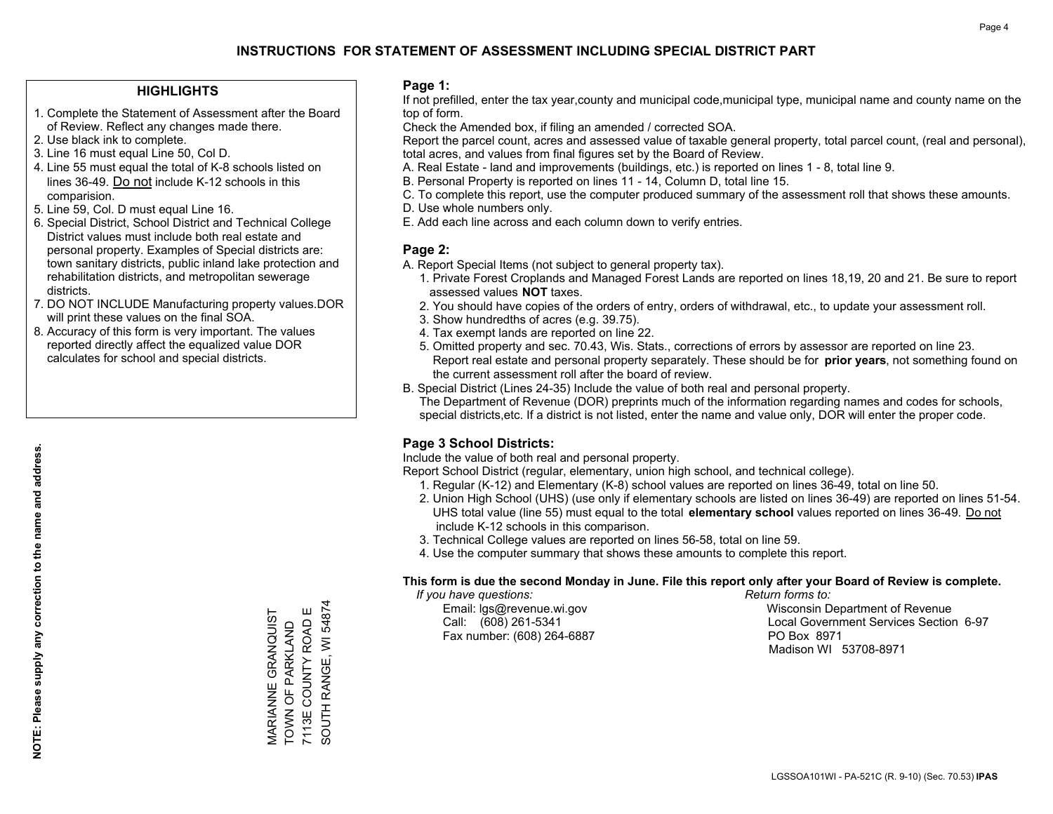#### **HIGHLIGHTS**

- 1. Complete the Statement of Assessment after the Board of Review. Reflect any changes made there.
- 2. Use black ink to complete.
- 3. Line 16 must equal Line 50, Col D.
- 4. Line 55 must equal the total of K-8 schools listed on lines 36-49. Do not include K-12 schools in this comparision.
- 5. Line 59, Col. D must equal Line 16.
- 6. Special District, School District and Technical College District values must include both real estate and personal property. Examples of Special districts are: town sanitary districts, public inland lake protection and rehabilitation districts, and metropolitan sewerage districts.
- 7. DO NOT INCLUDE Manufacturing property values.DOR will print these values on the final SOA.
- 8. Accuracy of this form is very important. The values reported directly affect the equalized value DOR calculates for school and special districts.

#### **Page 1:**

 If not prefilled, enter the tax year,county and municipal code,municipal type, municipal name and county name on the top of form.

Check the Amended box, if filing an amended / corrected SOA.

 Report the parcel count, acres and assessed value of taxable general property, total parcel count, (real and personal), total acres, and values from final figures set by the Board of Review.

- A. Real Estate land and improvements (buildings, etc.) is reported on lines 1 8, total line 9.
- B. Personal Property is reported on lines 11 14, Column D, total line 15.
- C. To complete this report, use the computer produced summary of the assessment roll that shows these amounts.
- D. Use whole numbers only.
- E. Add each line across and each column down to verify entries.

#### **Page 2:**

- A. Report Special Items (not subject to general property tax).
- 1. Private Forest Croplands and Managed Forest Lands are reported on lines 18,19, 20 and 21. Be sure to report assessed values **NOT** taxes.
- 2. You should have copies of the orders of entry, orders of withdrawal, etc., to update your assessment roll.
	- 3. Show hundredths of acres (e.g. 39.75).
- 4. Tax exempt lands are reported on line 22.
- 5. Omitted property and sec. 70.43, Wis. Stats., corrections of errors by assessor are reported on line 23. Report real estate and personal property separately. These should be for **prior years**, not something found on the current assessment roll after the board of review.
- B. Special District (Lines 24-35) Include the value of both real and personal property.
- The Department of Revenue (DOR) preprints much of the information regarding names and codes for schools, special districts,etc. If a district is not listed, enter the name and value only, DOR will enter the proper code.

## **Page 3 School Districts:**

Include the value of both real and personal property.

Report School District (regular, elementary, union high school, and technical college).

- 1. Regular (K-12) and Elementary (K-8) school values are reported on lines 36-49, total on line 50.
- 2. Union High School (UHS) (use only if elementary schools are listed on lines 36-49) are reported on lines 51-54. UHS total value (line 55) must equal to the total **elementary school** values reported on lines 36-49. Do notinclude K-12 schools in this comparison.
- 3. Technical College values are reported on lines 56-58, total on line 59.
- 4. Use the computer summary that shows these amounts to complete this report.

#### **This form is due the second Monday in June. File this report only after your Board of Review is complete.**

 *If you have questions: Return forms to:*

Fax number: (608) 264-6887 PO Box 8971

 Email: lgs@revenue.wi.gov Wisconsin Department of Revenue Call: (608) 261-5341 Local Government Services Section 6-97Madison WI 53708-8971

MARIANNE GRANQUIST TOWN OF PARKLAND 7113E COUNTY ROAD E SOUTH RANGE, WI 54874

MARIANNE GRANQUIST<br>TOWN OF PARKLAND<br>7113E COUNTY ROAD E

SOUTH RANGE, WI 54874

**NOTE: Please supply any correction to the name and address.**

NOTE: Please supply any correction to the name and address.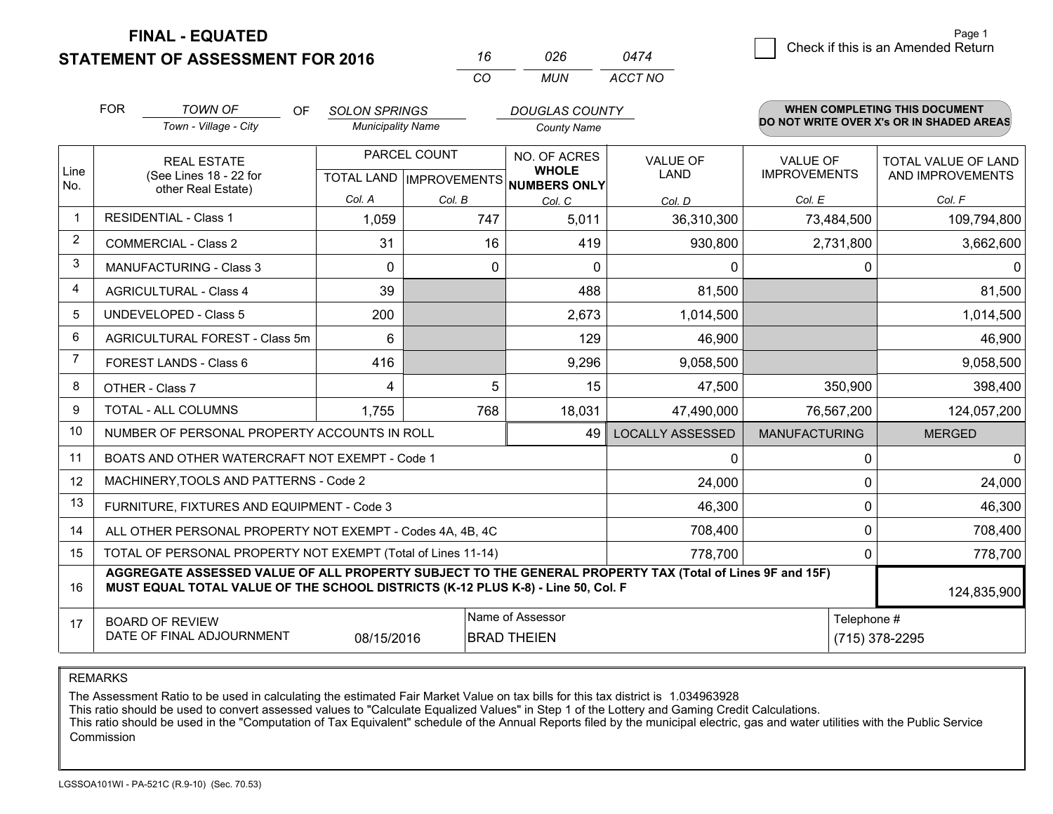**STATEMENT OF ASSESSMENT FOR 2016** 

**FINAL - EQUATED**

|   | Page 1                             |
|---|------------------------------------|
| ⊿ | Check if this is an Amended Return |
|   |                                    |

|                | <b>FOR</b>                                                                                                                                                                                   | <b>TOWN OF</b><br>OF                                         | <b>SOLON SPRINGS</b>     |                                  | <b>DOUGLAS COUNTY</b>               |                         |                      | <b>WHEN COMPLETING THIS DOCUMENT</b>     |  |  |
|----------------|----------------------------------------------------------------------------------------------------------------------------------------------------------------------------------------------|--------------------------------------------------------------|--------------------------|----------------------------------|-------------------------------------|-------------------------|----------------------|------------------------------------------|--|--|
|                |                                                                                                                                                                                              | Town - Village - City                                        | <b>Municipality Name</b> |                                  | <b>County Name</b>                  |                         |                      | DO NOT WRITE OVER X's OR IN SHADED AREAS |  |  |
|                |                                                                                                                                                                                              | <b>REAL ESTATE</b>                                           |                          | PARCEL COUNT                     | NO. OF ACRES                        | VALUE OF                | VALUE OF             | <b>TOTAL VALUE OF LAND</b>               |  |  |
| Line<br>No.    |                                                                                                                                                                                              | (See Lines 18 - 22 for<br>other Real Estate)                 |                          | <b>TOTAL LAND   IMPROVEMENTS</b> | <b>WHOLE</b><br><b>NUMBERS ONLY</b> | <b>LAND</b>             | <b>IMPROVEMENTS</b>  | AND IMPROVEMENTS                         |  |  |
|                |                                                                                                                                                                                              |                                                              | Col. A                   | Col. B                           | Col. C                              | Col. D                  | Col. E               | Col. F                                   |  |  |
| $\mathbf 1$    |                                                                                                                                                                                              | <b>RESIDENTIAL - Class 1</b>                                 | 1,059                    | 747                              | 5,011                               | 36,310,300              | 73,484,500           | 109,794,800                              |  |  |
| $\overline{2}$ |                                                                                                                                                                                              | <b>COMMERCIAL - Class 2</b>                                  | 31                       | 16                               | 419                                 | 930,800                 | 2,731,800            | 3,662,600                                |  |  |
| 3              |                                                                                                                                                                                              | <b>MANUFACTURING - Class 3</b>                               | $\Omega$                 | 0                                | $\Omega$                            | $\Omega$                | 0                    | <sup>0</sup>                             |  |  |
| $\overline{4}$ |                                                                                                                                                                                              | <b>AGRICULTURAL - Class 4</b>                                | 39                       |                                  | 488                                 | 81,500                  |                      | 81,500                                   |  |  |
| 5              | <b>UNDEVELOPED - Class 5</b>                                                                                                                                                                 |                                                              | 200                      |                                  | 2,673                               | 1,014,500               |                      | 1,014,500                                |  |  |
| 6              | AGRICULTURAL FOREST - Class 5m                                                                                                                                                               |                                                              | 6                        |                                  | 129                                 | 46,900                  |                      | 46,900                                   |  |  |
| $\overline{7}$ |                                                                                                                                                                                              | FOREST LANDS - Class 6                                       | 416                      |                                  | 9,296                               | 9,058,500               |                      | 9,058,500                                |  |  |
| 8              |                                                                                                                                                                                              | OTHER - Class 7                                              | 4                        | 5                                | 15                                  | 47,500                  | 350,900              | 398,400                                  |  |  |
| 9              |                                                                                                                                                                                              | TOTAL - ALL COLUMNS                                          | 1,755                    | 768                              | 18,031                              | 47,490,000              | 76,567,200           | 124,057,200                              |  |  |
| 10             |                                                                                                                                                                                              | NUMBER OF PERSONAL PROPERTY ACCOUNTS IN ROLL                 |                          |                                  | 49                                  | <b>LOCALLY ASSESSED</b> | <b>MANUFACTURING</b> | <b>MERGED</b>                            |  |  |
| 11             |                                                                                                                                                                                              | BOATS AND OTHER WATERCRAFT NOT EXEMPT - Code 1               |                          |                                  |                                     | $\mathbf{0}$            | 0                    | $\Omega$                                 |  |  |
| 12             |                                                                                                                                                                                              | MACHINERY, TOOLS AND PATTERNS - Code 2                       |                          |                                  |                                     | 24,000                  | 0                    | 24,000                                   |  |  |
| 13             |                                                                                                                                                                                              | FURNITURE, FIXTURES AND EQUIPMENT - Code 3                   |                          |                                  |                                     | 46,300                  | 0                    | 46,300                                   |  |  |
| 14             |                                                                                                                                                                                              | ALL OTHER PERSONAL PROPERTY NOT EXEMPT - Codes 4A, 4B, 4C    |                          |                                  |                                     | 708,400                 | $\Omega$             | 708,400                                  |  |  |
| 15             |                                                                                                                                                                                              | TOTAL OF PERSONAL PROPERTY NOT EXEMPT (Total of Lines 11-14) |                          |                                  |                                     | 778,700                 | 0                    | 778,700                                  |  |  |
| 16             | AGGREGATE ASSESSED VALUE OF ALL PROPERTY SUBJECT TO THE GENERAL PROPERTY TAX (Total of Lines 9F and 15F)<br>MUST EQUAL TOTAL VALUE OF THE SCHOOL DISTRICTS (K-12 PLUS K-8) - Line 50, Col. F |                                                              |                          |                                  |                                     |                         |                      | 124,835,900                              |  |  |
| 17             |                                                                                                                                                                                              | <b>BOARD OF REVIEW</b>                                       |                          |                                  | Name of Assessor                    |                         | Telephone #          |                                          |  |  |
|                | DATE OF FINAL ADJOURNMENT<br>08/15/2016<br><b>BRAD THEIEN</b>                                                                                                                                |                                                              |                          |                                  |                                     | (715) 378-2295          |                      |                                          |  |  |

*CO*

*MUN*

*ACCT NO0474*

*<sup>16</sup> <sup>026</sup>*

REMARKS

The Assessment Ratio to be used in calculating the estimated Fair Market Value on tax bills for this tax district is 1.034963928<br>This ratio should be used to convert assessed values to "Calculate Equalized Values" in Step Commission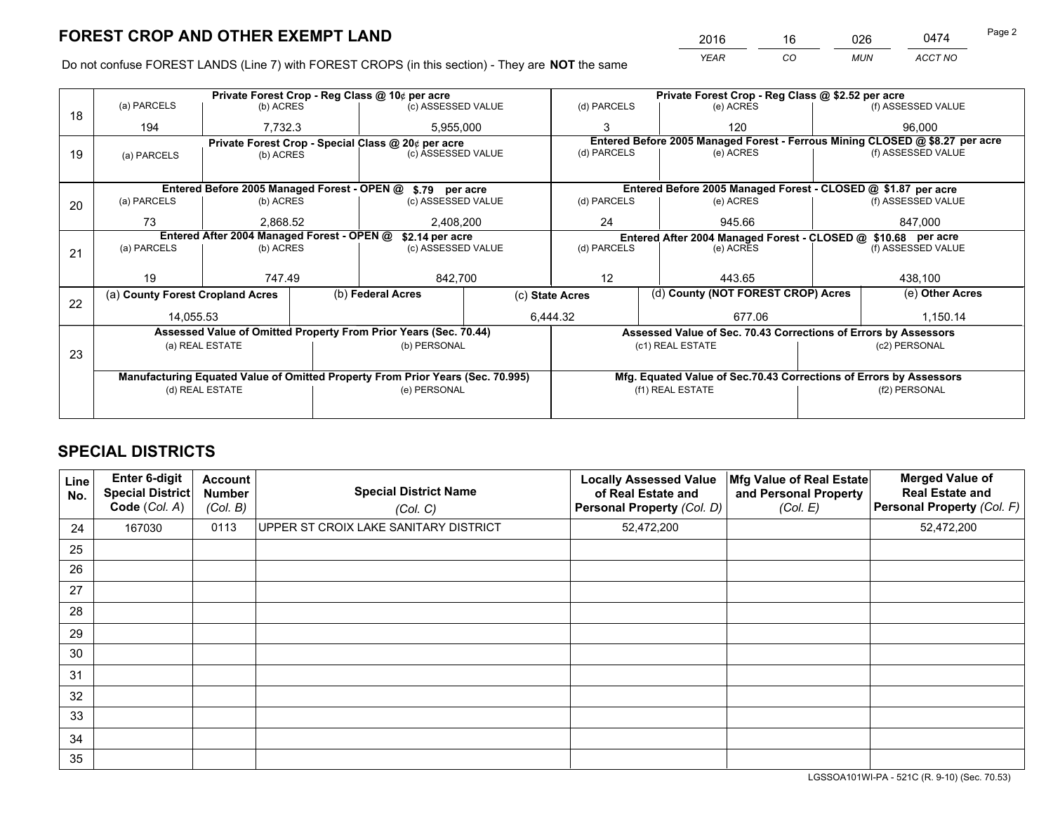*YEAR CO MUN ACCT NO* <sup>2016</sup> <sup>16</sup> <sup>026</sup> <sup>0474</sup> Page 2

Do not confuse FOREST LANDS (Line 7) with FOREST CROPS (in this section) - They are **NOT** the same

|    |                                                                                |                 |  | Private Forest Crop - Reg Class @ 10¢ per acre                   | Private Forest Crop - Reg Class @ \$2.52 per acre |                          |                                                               |                                                                    |                    |                                                                              |
|----|--------------------------------------------------------------------------------|-----------------|--|------------------------------------------------------------------|---------------------------------------------------|--------------------------|---------------------------------------------------------------|--------------------------------------------------------------------|--------------------|------------------------------------------------------------------------------|
| 18 | (a) PARCELS                                                                    | (b) ACRES       |  | (c) ASSESSED VALUE                                               |                                                   | (d) PARCELS              |                                                               | (e) ACRES                                                          |                    | (f) ASSESSED VALUE                                                           |
|    | 194                                                                            | 7,732.3         |  | 5,955,000                                                        |                                                   |                          |                                                               | 120                                                                |                    | 96.000                                                                       |
|    |                                                                                |                 |  | Private Forest Crop - Special Class @ 20¢ per acre               |                                                   |                          |                                                               |                                                                    |                    | Entered Before 2005 Managed Forest - Ferrous Mining CLOSED @ \$8.27 per acre |
| 19 | (a) PARCELS                                                                    | (b) ACRES       |  | (c) ASSESSED VALUE                                               |                                                   | (d) PARCELS              |                                                               | (e) ACRES                                                          |                    | (f) ASSESSED VALUE                                                           |
|    |                                                                                |                 |  |                                                                  |                                                   |                          |                                                               |                                                                    |                    |                                                                              |
|    |                                                                                |                 |  | Entered Before 2005 Managed Forest - OPEN @ \$.79 per acre       |                                                   |                          |                                                               | Entered Before 2005 Managed Forest - CLOSED @ \$1.87 per acre      |                    |                                                                              |
| 20 | (a) PARCELS                                                                    | (b) ACRES       |  | (c) ASSESSED VALUE                                               |                                                   | (d) PARCELS              |                                                               | (e) ACRES                                                          |                    | (f) ASSESSED VALUE                                                           |
|    | 73                                                                             | 2,868.52        |  | 2,408,200                                                        |                                                   | 24<br>945.66             |                                                               | 847,000                                                            |                    |                                                                              |
|    | Entered After 2004 Managed Forest - OPEN @<br>\$2.14 per acre                  |                 |  |                                                                  |                                                   |                          | Entered After 2004 Managed Forest - CLOSED @ \$10.68 per acre |                                                                    |                    |                                                                              |
| 21 | (a) PARCELS                                                                    | (b) ACRES       |  | (c) ASSESSED VALUE                                               |                                                   | (d) PARCELS<br>(e) ACRES |                                                               |                                                                    | (f) ASSESSED VALUE |                                                                              |
|    |                                                                                |                 |  |                                                                  |                                                   |                          |                                                               |                                                                    |                    |                                                                              |
|    | 19                                                                             | 747.49          |  | 842,700                                                          |                                                   | 12<br>443.65             |                                                               | 438,100                                                            |                    |                                                                              |
|    | (a) County Forest Cropland Acres                                               |                 |  | (b) Federal Acres<br>(c) State Acres                             |                                                   |                          | (d) County (NOT FOREST CROP) Acres                            |                                                                    |                    | (e) Other Acres                                                              |
| 22 |                                                                                |                 |  |                                                                  |                                                   |                          |                                                               |                                                                    |                    |                                                                              |
|    | 14,055.53                                                                      |                 |  |                                                                  |                                                   | 6,444.32                 |                                                               | 677.06                                                             |                    | 1,150.14                                                                     |
|    |                                                                                |                 |  | Assessed Value of Omitted Property From Prior Years (Sec. 70.44) |                                                   |                          |                                                               | Assessed Value of Sec. 70.43 Corrections of Errors by Assessors    |                    |                                                                              |
| 23 |                                                                                | (a) REAL ESTATE |  | (b) PERSONAL                                                     |                                                   |                          |                                                               | (c1) REAL ESTATE                                                   |                    | (c2) PERSONAL                                                                |
|    |                                                                                |                 |  |                                                                  |                                                   |                          |                                                               |                                                                    |                    |                                                                              |
|    | Manufacturing Equated Value of Omitted Property From Prior Years (Sec. 70.995) |                 |  |                                                                  |                                                   |                          |                                                               | Mfg. Equated Value of Sec.70.43 Corrections of Errors by Assessors |                    |                                                                              |
|    | (d) REAL ESTATE                                                                |                 |  | (e) PERSONAL                                                     |                                                   | (f1) REAL ESTATE         |                                                               | (f2) PERSONAL                                                      |                    |                                                                              |
|    |                                                                                |                 |  |                                                                  |                                                   |                          |                                                               |                                                                    |                    |                                                                              |

# **SPECIAL DISTRICTS**

| Line<br>No. | Enter 6-digit<br>Special District<br>Code (Col. A) | <b>Account</b><br><b>Number</b><br>(Col. B) | <b>Special District Name</b><br>(Col. C) | <b>Locally Assessed Value</b><br>of Real Estate and<br>Personal Property (Col. D) | Mfg Value of Real Estate<br>and Personal Property<br>(Col. E) | <b>Merged Value of</b><br><b>Real Estate and</b><br>Personal Property (Col. F) |
|-------------|----------------------------------------------------|---------------------------------------------|------------------------------------------|-----------------------------------------------------------------------------------|---------------------------------------------------------------|--------------------------------------------------------------------------------|
| 24          | 167030                                             | 0113                                        | UPPER ST CROIX LAKE SANITARY DISTRICT    | 52,472,200                                                                        |                                                               | 52,472,200                                                                     |
| 25          |                                                    |                                             |                                          |                                                                                   |                                                               |                                                                                |
| 26          |                                                    |                                             |                                          |                                                                                   |                                                               |                                                                                |
| 27          |                                                    |                                             |                                          |                                                                                   |                                                               |                                                                                |
| 28          |                                                    |                                             |                                          |                                                                                   |                                                               |                                                                                |
| 29          |                                                    |                                             |                                          |                                                                                   |                                                               |                                                                                |
| 30          |                                                    |                                             |                                          |                                                                                   |                                                               |                                                                                |
| 31          |                                                    |                                             |                                          |                                                                                   |                                                               |                                                                                |
| 32          |                                                    |                                             |                                          |                                                                                   |                                                               |                                                                                |
| 33          |                                                    |                                             |                                          |                                                                                   |                                                               |                                                                                |
| 34          |                                                    |                                             |                                          |                                                                                   |                                                               |                                                                                |
| 35          |                                                    |                                             |                                          |                                                                                   |                                                               |                                                                                |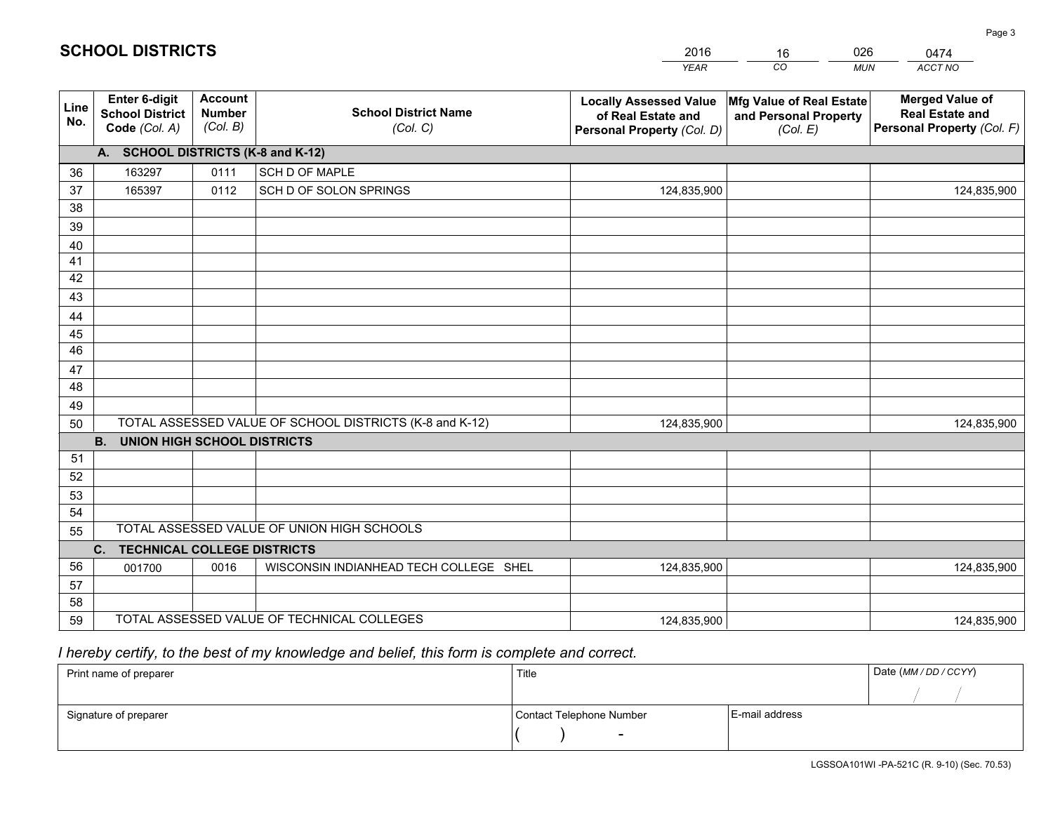|             |                                                          |                                             |                                                         | <b>YEAR</b>                                                                       | CO<br><b>MUN</b>                                              | <b>ACCT NO</b>                                                                 |
|-------------|----------------------------------------------------------|---------------------------------------------|---------------------------------------------------------|-----------------------------------------------------------------------------------|---------------------------------------------------------------|--------------------------------------------------------------------------------|
| Line<br>No. | Enter 6-digit<br><b>School District</b><br>Code (Col. A) | <b>Account</b><br><b>Number</b><br>(Col. B) | <b>School District Name</b><br>(Col. C)                 | <b>Locally Assessed Value</b><br>of Real Estate and<br>Personal Property (Col. D) | Mfg Value of Real Estate<br>and Personal Property<br>(Col. E) | <b>Merged Value of</b><br><b>Real Estate and</b><br>Personal Property (Col. F) |
|             | A. SCHOOL DISTRICTS (K-8 and K-12)                       |                                             |                                                         |                                                                                   |                                                               |                                                                                |
| 36          | 163297                                                   | 0111                                        | SCH D OF MAPLE                                          |                                                                                   |                                                               |                                                                                |
| 37          | 165397                                                   | 0112                                        | SCH D OF SOLON SPRINGS                                  | 124,835,900                                                                       |                                                               | 124,835,900                                                                    |
| 38          |                                                          |                                             |                                                         |                                                                                   |                                                               |                                                                                |
| 39          |                                                          |                                             |                                                         |                                                                                   |                                                               |                                                                                |
| 40          |                                                          |                                             |                                                         |                                                                                   |                                                               |                                                                                |
| 41          |                                                          |                                             |                                                         |                                                                                   |                                                               |                                                                                |
| 42          |                                                          |                                             |                                                         |                                                                                   |                                                               |                                                                                |
| 43          |                                                          |                                             |                                                         |                                                                                   |                                                               |                                                                                |
| 44          |                                                          |                                             |                                                         |                                                                                   |                                                               |                                                                                |
| 45          |                                                          |                                             |                                                         |                                                                                   |                                                               |                                                                                |
| 46          |                                                          |                                             |                                                         |                                                                                   |                                                               |                                                                                |
| 47<br>48    |                                                          |                                             |                                                         |                                                                                   |                                                               |                                                                                |
| 49          |                                                          |                                             |                                                         |                                                                                   |                                                               |                                                                                |
| 50          |                                                          |                                             | TOTAL ASSESSED VALUE OF SCHOOL DISTRICTS (K-8 and K-12) | 124,835,900                                                                       |                                                               | 124,835,900                                                                    |
|             | <b>B.</b><br><b>UNION HIGH SCHOOL DISTRICTS</b>          |                                             |                                                         |                                                                                   |                                                               |                                                                                |
| 51          |                                                          |                                             |                                                         |                                                                                   |                                                               |                                                                                |
| 52          |                                                          |                                             |                                                         |                                                                                   |                                                               |                                                                                |
| 53          |                                                          |                                             |                                                         |                                                                                   |                                                               |                                                                                |
| 54          |                                                          |                                             |                                                         |                                                                                   |                                                               |                                                                                |
| 55          |                                                          |                                             | TOTAL ASSESSED VALUE OF UNION HIGH SCHOOLS              |                                                                                   |                                                               |                                                                                |
|             | <b>TECHNICAL COLLEGE DISTRICTS</b><br>C.                 |                                             |                                                         |                                                                                   |                                                               |                                                                                |
| 56          | 001700                                                   | 0016                                        | WISCONSIN INDIANHEAD TECH COLLEGE SHEL                  | 124,835,900                                                                       |                                                               | 124,835,900                                                                    |
| 57          |                                                          |                                             |                                                         |                                                                                   |                                                               |                                                                                |
| 58          |                                                          |                                             |                                                         |                                                                                   |                                                               |                                                                                |
| 59          |                                                          |                                             | TOTAL ASSESSED VALUE OF TECHNICAL COLLEGES              | 124,835,900                                                                       |                                                               | 124,835,900                                                                    |

16

026

 *I hereby certify, to the best of my knowledge and belief, this form is complete and correct.*

**SCHOOL DISTRICTS**

| Print name of preparer | Title                    |                | Date (MM / DD / CCYY) |
|------------------------|--------------------------|----------------|-----------------------|
|                        |                          |                |                       |
| Signature of preparer  | Contact Telephone Number | E-mail address |                       |
|                        | $\sim$                   |                |                       |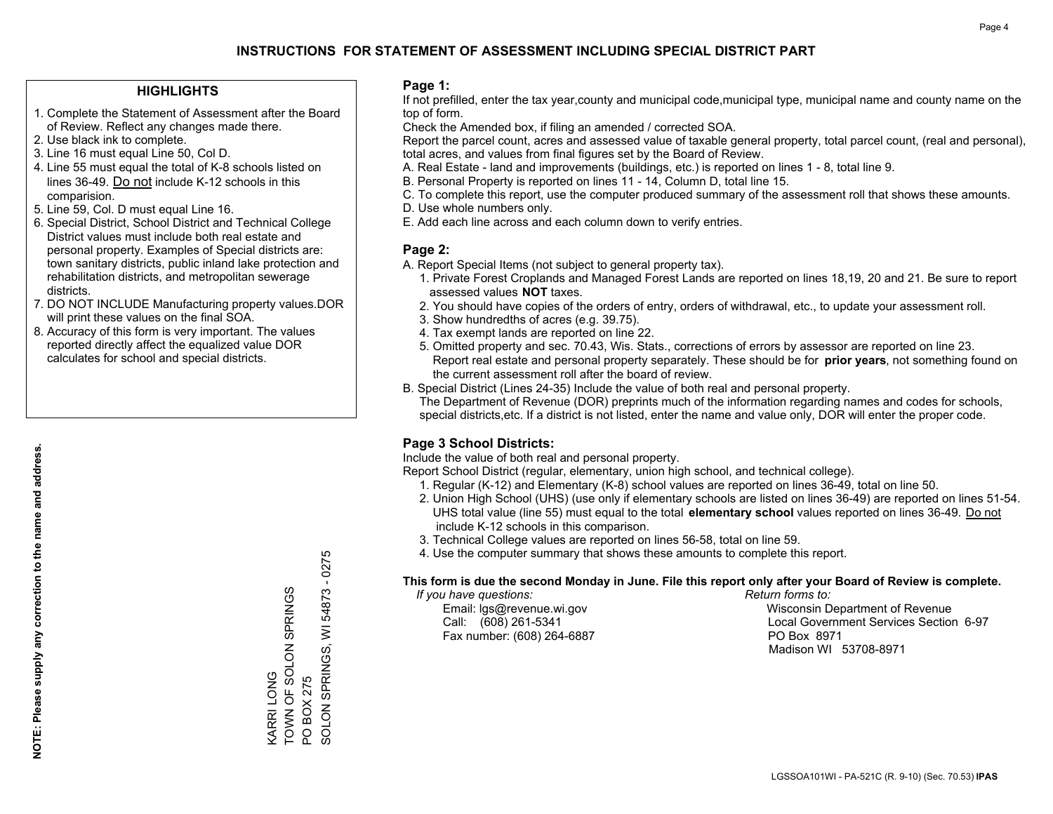#### **HIGHLIGHTS**

- 1. Complete the Statement of Assessment after the Board of Review. Reflect any changes made there.
- 2. Use black ink to complete.
- 3. Line 16 must equal Line 50, Col D.
- 4. Line 55 must equal the total of K-8 schools listed on lines 36-49. Do not include K-12 schools in this comparision.
- 5. Line 59, Col. D must equal Line 16.
- 6. Special District, School District and Technical College District values must include both real estate and personal property. Examples of Special districts are: town sanitary districts, public inland lake protection and rehabilitation districts, and metropolitan sewerage districts.
- 7. DO NOT INCLUDE Manufacturing property values.DOR will print these values on the final SOA.

KARRI LONG

**CARRILONG** 

TOWN OF SOLON SPRINGS

TOWN OF SOLON SPRINGS

PO BOX 275

PO BOX 275

SOLON SPRINGS, WI 54873 - 0275

SOLON SPRINGS,

 $\overline{5}$ 

54873 - 0275

 8. Accuracy of this form is very important. The values reported directly affect the equalized value DOR calculates for school and special districts.

#### **Page 1:**

 If not prefilled, enter the tax year,county and municipal code,municipal type, municipal name and county name on the top of form.

Check the Amended box, if filing an amended / corrected SOA.

 Report the parcel count, acres and assessed value of taxable general property, total parcel count, (real and personal), total acres, and values from final figures set by the Board of Review.

- A. Real Estate land and improvements (buildings, etc.) is reported on lines 1 8, total line 9.
- B. Personal Property is reported on lines 11 14, Column D, total line 15.
- C. To complete this report, use the computer produced summary of the assessment roll that shows these amounts.
- D. Use whole numbers only.
- E. Add each line across and each column down to verify entries.

#### **Page 2:**

- A. Report Special Items (not subject to general property tax).
- 1. Private Forest Croplands and Managed Forest Lands are reported on lines 18,19, 20 and 21. Be sure to report assessed values **NOT** taxes.
- 2. You should have copies of the orders of entry, orders of withdrawal, etc., to update your assessment roll.
	- 3. Show hundredths of acres (e.g. 39.75).
- 4. Tax exempt lands are reported on line 22.
- 5. Omitted property and sec. 70.43, Wis. Stats., corrections of errors by assessor are reported on line 23. Report real estate and personal property separately. These should be for **prior years**, not something found on the current assessment roll after the board of review.
- B. Special District (Lines 24-35) Include the value of both real and personal property.
- The Department of Revenue (DOR) preprints much of the information regarding names and codes for schools, special districts,etc. If a district is not listed, enter the name and value only, DOR will enter the proper code.

## **Page 3 School Districts:**

Include the value of both real and personal property.

Report School District (regular, elementary, union high school, and technical college).

- 1. Regular (K-12) and Elementary (K-8) school values are reported on lines 36-49, total on line 50.
- 2. Union High School (UHS) (use only if elementary schools are listed on lines 36-49) are reported on lines 51-54. UHS total value (line 55) must equal to the total **elementary school** values reported on lines 36-49. Do notinclude K-12 schools in this comparison.
- 3. Technical College values are reported on lines 56-58, total on line 59.
- 4. Use the computer summary that shows these amounts to complete this report.

#### **This form is due the second Monday in June. File this report only after your Board of Review is complete.**

 *If you have questions: Return forms to:*

Fax number: (608) 264-6887 PO Box 8971

 Email: lgs@revenue.wi.gov Wisconsin Department of Revenue Call: (608) 261-5341 Local Government Services Section 6-97Madison WI 53708-8971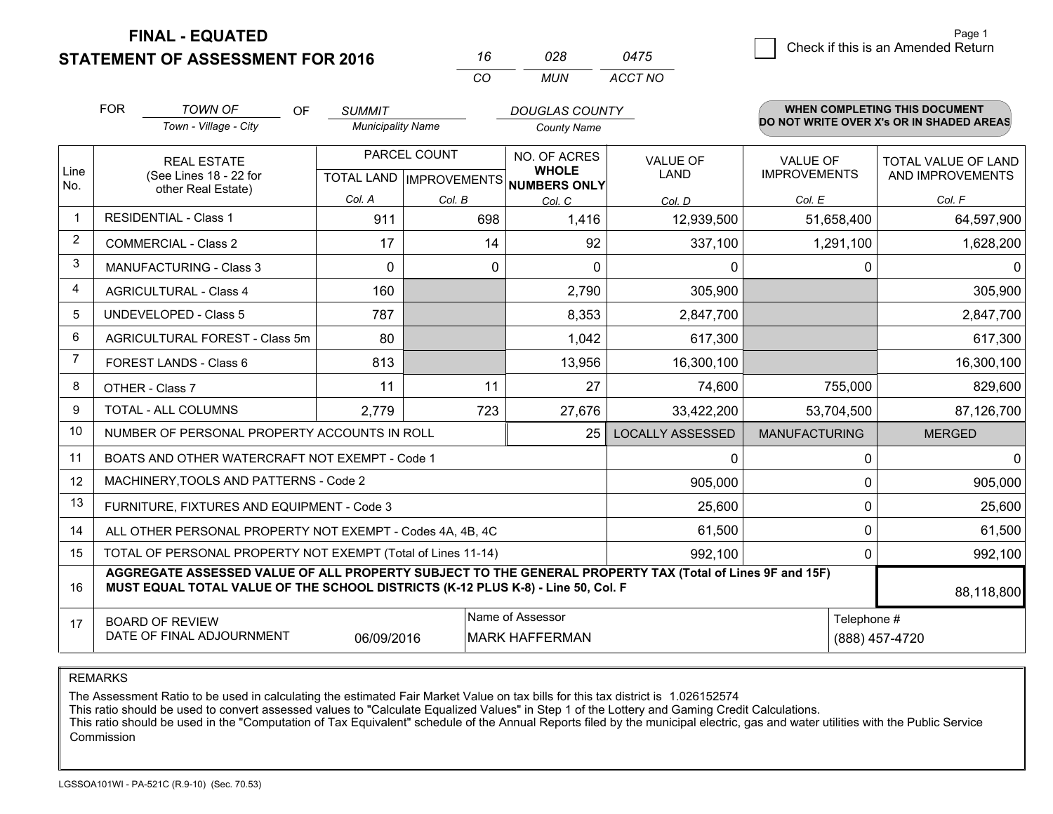**FINAL - EQUATED**

**STATEMENT OF ASSESSMENT FOR 2016** 

| 16  | 028 | 0475    |
|-----|-----|---------|
| CO. | MUN | ACCT NO |

|                | <b>FOR</b>                                                                                                                                                                                   | <b>TOWN OF</b><br><b>OF</b><br>Town - Village - City         | <b>SUMMIT</b><br><b>Municipality Name</b> |              | <b>DOUGLAS COUNTY</b>                                    |                         |                      | <b>WHEN COMPLETING THIS DOCUMENT</b><br>DO NOT WRITE OVER X's OR IN SHADED AREAS |
|----------------|----------------------------------------------------------------------------------------------------------------------------------------------------------------------------------------------|--------------------------------------------------------------|-------------------------------------------|--------------|----------------------------------------------------------|-------------------------|----------------------|----------------------------------------------------------------------------------|
|                |                                                                                                                                                                                              |                                                              |                                           |              | <b>County Name</b>                                       |                         |                      |                                                                                  |
|                |                                                                                                                                                                                              | <b>REAL ESTATE</b>                                           |                                           | PARCEL COUNT | <b>NO. OF ACRES</b>                                      | <b>VALUE OF</b>         | <b>VALUE OF</b>      | TOTAL VALUE OF LAND                                                              |
| Line<br>No.    |                                                                                                                                                                                              | (See Lines 18 - 22 for<br>other Real Estate)                 |                                           |              | <b>WHOLE</b><br>TOTAL LAND   IMPROVEMENTS   NUMBERS ONLY | <b>LAND</b>             | <b>IMPROVEMENTS</b>  | AND IMPROVEMENTS                                                                 |
|                |                                                                                                                                                                                              |                                                              | Col. A                                    | Col. B       | Col. C                                                   | Col. D                  | Col. E               | Col. F                                                                           |
| $\mathbf{1}$   | <b>RESIDENTIAL - Class 1</b>                                                                                                                                                                 |                                                              | 911                                       | 698          | 1,416                                                    | 12,939,500              | 51,658,400           | 64,597,900                                                                       |
| $\overline{2}$ | <b>COMMERCIAL - Class 2</b>                                                                                                                                                                  |                                                              | 17                                        | 14           | 92                                                       | 337,100                 | 1,291,100            | 1,628,200                                                                        |
| 3              | <b>MANUFACTURING - Class 3</b>                                                                                                                                                               |                                                              | $\Omega$                                  | 0            | 0                                                        | 0                       | 0                    | $\Omega$                                                                         |
| 4              | <b>AGRICULTURAL - Class 4</b>                                                                                                                                                                |                                                              | 160                                       |              | 2,790                                                    | 305,900                 |                      | 305,900                                                                          |
| 5              | <b>UNDEVELOPED - Class 5</b>                                                                                                                                                                 |                                                              | 787                                       |              | 8,353                                                    | 2,847,700               |                      | 2,847,700                                                                        |
| 6              |                                                                                                                                                                                              | AGRICULTURAL FOREST - Class 5m                               | 80                                        |              | 1,042                                                    | 617,300                 |                      | 617,300                                                                          |
| $\overline{7}$ | FOREST LANDS - Class 6                                                                                                                                                                       |                                                              | 813                                       |              | 13,956                                                   | 16,300,100              |                      | 16,300,100                                                                       |
| 8              | OTHER - Class 7                                                                                                                                                                              |                                                              | 11                                        | 11           | 27                                                       | 74,600                  | 755,000              | 829,600                                                                          |
| 9              | TOTAL - ALL COLUMNS                                                                                                                                                                          |                                                              | 2,779                                     | 723          | 27,676                                                   | 33,422,200              | 53,704,500           | 87,126,700                                                                       |
| 10             |                                                                                                                                                                                              | NUMBER OF PERSONAL PROPERTY ACCOUNTS IN ROLL                 |                                           |              | 25                                                       | <b>LOCALLY ASSESSED</b> | <b>MANUFACTURING</b> | <b>MERGED</b>                                                                    |
| 11             |                                                                                                                                                                                              | BOATS AND OTHER WATERCRAFT NOT EXEMPT - Code 1               |                                           |              |                                                          | 0                       | 0                    | $\mathbf 0$                                                                      |
| 12             |                                                                                                                                                                                              | MACHINERY, TOOLS AND PATTERNS - Code 2                       |                                           |              |                                                          | 905,000                 | 0                    | 905,000                                                                          |
| 13             |                                                                                                                                                                                              | FURNITURE, FIXTURES AND EQUIPMENT - Code 3                   |                                           |              |                                                          | 25,600                  | 0                    | 25,600                                                                           |
| 14             |                                                                                                                                                                                              | ALL OTHER PERSONAL PROPERTY NOT EXEMPT - Codes 4A, 4B, 4C    |                                           |              |                                                          | 61,500                  | $\mathbf 0$          | 61,500                                                                           |
| 15             |                                                                                                                                                                                              | TOTAL OF PERSONAL PROPERTY NOT EXEMPT (Total of Lines 11-14) |                                           |              | 992,100                                                  | 0                       | 992,100              |                                                                                  |
| 16             | AGGREGATE ASSESSED VALUE OF ALL PROPERTY SUBJECT TO THE GENERAL PROPERTY TAX (Total of Lines 9F and 15F)<br>MUST EQUAL TOTAL VALUE OF THE SCHOOL DISTRICTS (K-12 PLUS K-8) - Line 50, Col. F |                                                              |                                           |              |                                                          |                         |                      | 88,118,800                                                                       |
| 17             | <b>BOARD OF REVIEW</b>                                                                                                                                                                       |                                                              |                                           |              | Name of Assessor                                         |                         | Telephone #          |                                                                                  |
|                | DATE OF FINAL ADJOURNMENT                                                                                                                                                                    |                                                              | 06/09/2016                                |              | <b>MARK HAFFERMAN</b>                                    |                         |                      | (888) 457-4720                                                                   |

REMARKS

The Assessment Ratio to be used in calculating the estimated Fair Market Value on tax bills for this tax district is 1.026152574

This ratio should be used to convert assessed values to "Calculate Equalized Values" in Step 1 of the Lottery and Gaming Credit Calculations.<br>This ratio should be used in the "Computation of Tax Equivalent" schedule of the Commission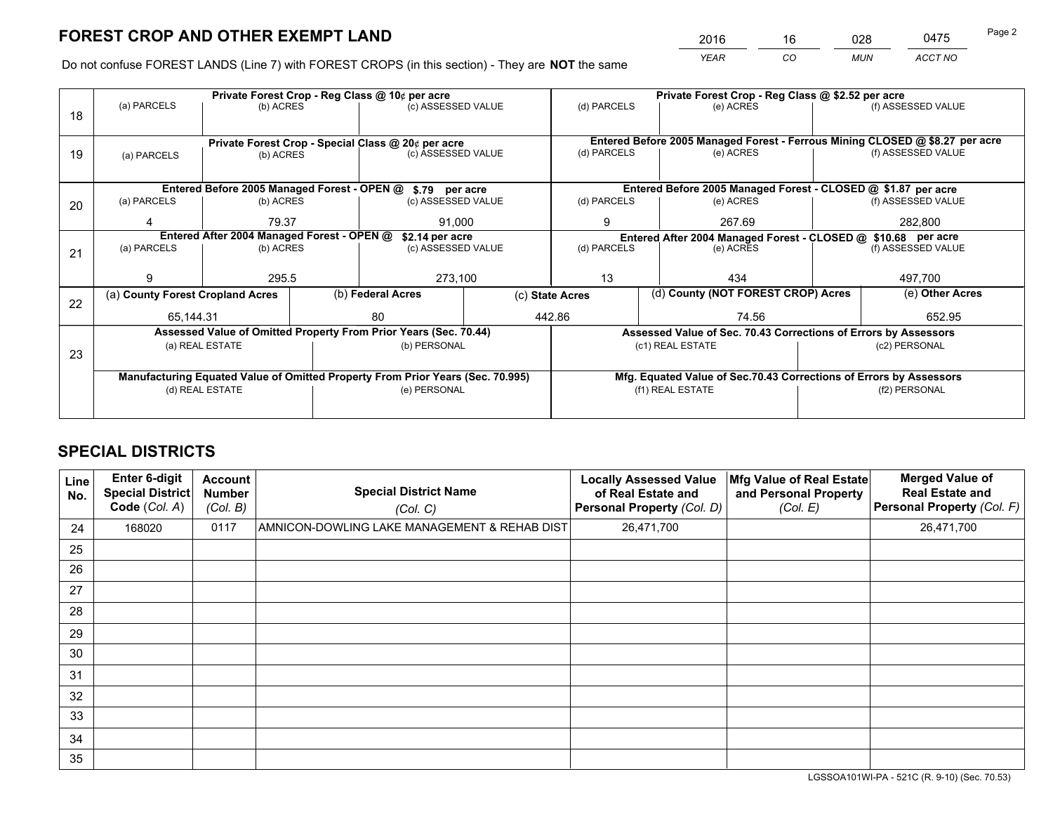*YEAR CO MUN ACCT NO* <sup>2016</sup> <sup>16</sup> <sup>028</sup> <sup>0475</sup>

Do not confuse FOREST LANDS (Line 7) with FOREST CROPS (in this section) - They are **NOT** the same

|    |                                                               |                 | Private Forest Crop - Reg Class @ \$2.52 per acre                        |                                                                                |  |                                                                    |                  |                                                                 |         |                                                                              |
|----|---------------------------------------------------------------|-----------------|--------------------------------------------------------------------------|--------------------------------------------------------------------------------|--|--------------------------------------------------------------------|------------------|-----------------------------------------------------------------|---------|------------------------------------------------------------------------------|
| 18 | (a) PARCELS                                                   | (b) ACRES       |                                                                          | (c) ASSESSED VALUE                                                             |  | (d) PARCELS                                                        |                  | (e) ACRES                                                       |         | (f) ASSESSED VALUE                                                           |
|    |                                                               |                 |                                                                          |                                                                                |  |                                                                    |                  |                                                                 |         | Entered Before 2005 Managed Forest - Ferrous Mining CLOSED @ \$8.27 per acre |
| 19 | (a) PARCELS                                                   | (b) ACRES       | Private Forest Crop - Special Class @ 20¢ per acre<br>(c) ASSESSED VALUE |                                                                                |  | (d) PARCELS                                                        |                  | (e) ACRES                                                       |         | (f) ASSESSED VALUE                                                           |
|    |                                                               |                 |                                                                          | Entered Before 2005 Managed Forest - OPEN @ \$.79 per acre                     |  |                                                                    |                  | Entered Before 2005 Managed Forest - CLOSED @ \$1.87 per acre   |         |                                                                              |
|    | (a) PARCELS                                                   | (b) ACRES       |                                                                          | (c) ASSESSED VALUE                                                             |  | (d) PARCELS                                                        |                  | (e) ACRES                                                       |         | (f) ASSESSED VALUE                                                           |
| 20 |                                                               |                 |                                                                          |                                                                                |  |                                                                    |                  |                                                                 |         |                                                                              |
|    |                                                               | 79.37           |                                                                          | 91.000                                                                         |  | 9                                                                  | 267.69           |                                                                 |         | 282,800                                                                      |
|    | Entered After 2004 Managed Forest - OPEN @<br>\$2.14 per acre |                 |                                                                          |                                                                                |  |                                                                    |                  | Entered After 2004 Managed Forest - CLOSED @ \$10.68 per acre   |         |                                                                              |
| 21 | (a) PARCELS                                                   | (b) ACRES       |                                                                          | (c) ASSESSED VALUE                                                             |  | (d) PARCELS<br>(e) ACRES                                           |                  | (f) ASSESSED VALUE                                              |         |                                                                              |
|    |                                                               |                 |                                                                          |                                                                                |  |                                                                    |                  |                                                                 |         |                                                                              |
|    | g                                                             | 295.5           |                                                                          | 273,100                                                                        |  | 13<br>434                                                          |                  |                                                                 | 497,700 |                                                                              |
|    | (a) County Forest Cropland Acres                              |                 |                                                                          | (b) Federal Acres                                                              |  | (d) County (NOT FOREST CROP) Acres<br>(c) State Acres              |                  | (e) Other Acres                                                 |         |                                                                              |
| 22 | 65,144.31                                                     |                 |                                                                          | 80                                                                             |  | 442.86                                                             |                  | 74.56                                                           |         | 652.95                                                                       |
|    |                                                               |                 |                                                                          | Assessed Value of Omitted Property From Prior Years (Sec. 70.44)               |  |                                                                    |                  | Assessed Value of Sec. 70.43 Corrections of Errors by Assessors |         |                                                                              |
|    |                                                               | (a) REAL ESTATE |                                                                          | (b) PERSONAL                                                                   |  |                                                                    | (c1) REAL ESTATE |                                                                 |         | (c2) PERSONAL                                                                |
| 23 |                                                               |                 |                                                                          |                                                                                |  |                                                                    |                  |                                                                 |         |                                                                              |
|    |                                                               |                 |                                                                          |                                                                                |  |                                                                    |                  |                                                                 |         |                                                                              |
|    |                                                               |                 |                                                                          | Manufacturing Equated Value of Omitted Property From Prior Years (Sec. 70.995) |  | Mfg. Equated Value of Sec.70.43 Corrections of Errors by Assessors |                  |                                                                 |         |                                                                              |
|    |                                                               | (d) REAL ESTATE |                                                                          | (e) PERSONAL                                                                   |  |                                                                    | (f1) REAL ESTATE |                                                                 |         | (f2) PERSONAL                                                                |
|    |                                                               |                 |                                                                          |                                                                                |  |                                                                    |                  |                                                                 |         |                                                                              |

# **SPECIAL DISTRICTS**

| Line<br>No. | <b>Enter 6-digit</b><br><b>Special District</b><br>Code (Col. A) | <b>Account</b><br><b>Number</b><br>(Col. B) | <b>Special District Name</b><br>(Col. C)     | <b>Locally Assessed Value</b><br>of Real Estate and<br>Personal Property (Col. D) | Mfg Value of Real Estate<br>and Personal Property<br>(Col. E) | <b>Merged Value of</b><br><b>Real Estate and</b><br>Personal Property (Col. F) |
|-------------|------------------------------------------------------------------|---------------------------------------------|----------------------------------------------|-----------------------------------------------------------------------------------|---------------------------------------------------------------|--------------------------------------------------------------------------------|
| 24          | 168020                                                           | 0117                                        | AMNICON-DOWLING LAKE MANAGEMENT & REHAB DIST | 26,471,700                                                                        |                                                               | 26,471,700                                                                     |
| 25          |                                                                  |                                             |                                              |                                                                                   |                                                               |                                                                                |
| 26          |                                                                  |                                             |                                              |                                                                                   |                                                               |                                                                                |
| 27          |                                                                  |                                             |                                              |                                                                                   |                                                               |                                                                                |
| 28          |                                                                  |                                             |                                              |                                                                                   |                                                               |                                                                                |
| 29          |                                                                  |                                             |                                              |                                                                                   |                                                               |                                                                                |
| 30          |                                                                  |                                             |                                              |                                                                                   |                                                               |                                                                                |
| 31          |                                                                  |                                             |                                              |                                                                                   |                                                               |                                                                                |
| 32          |                                                                  |                                             |                                              |                                                                                   |                                                               |                                                                                |
| 33          |                                                                  |                                             |                                              |                                                                                   |                                                               |                                                                                |
| 34          |                                                                  |                                             |                                              |                                                                                   |                                                               |                                                                                |
| 35          |                                                                  |                                             |                                              |                                                                                   |                                                               |                                                                                |

LGSSOA101WI-PA - 521C (R. 9-10) (Sec. 70.53)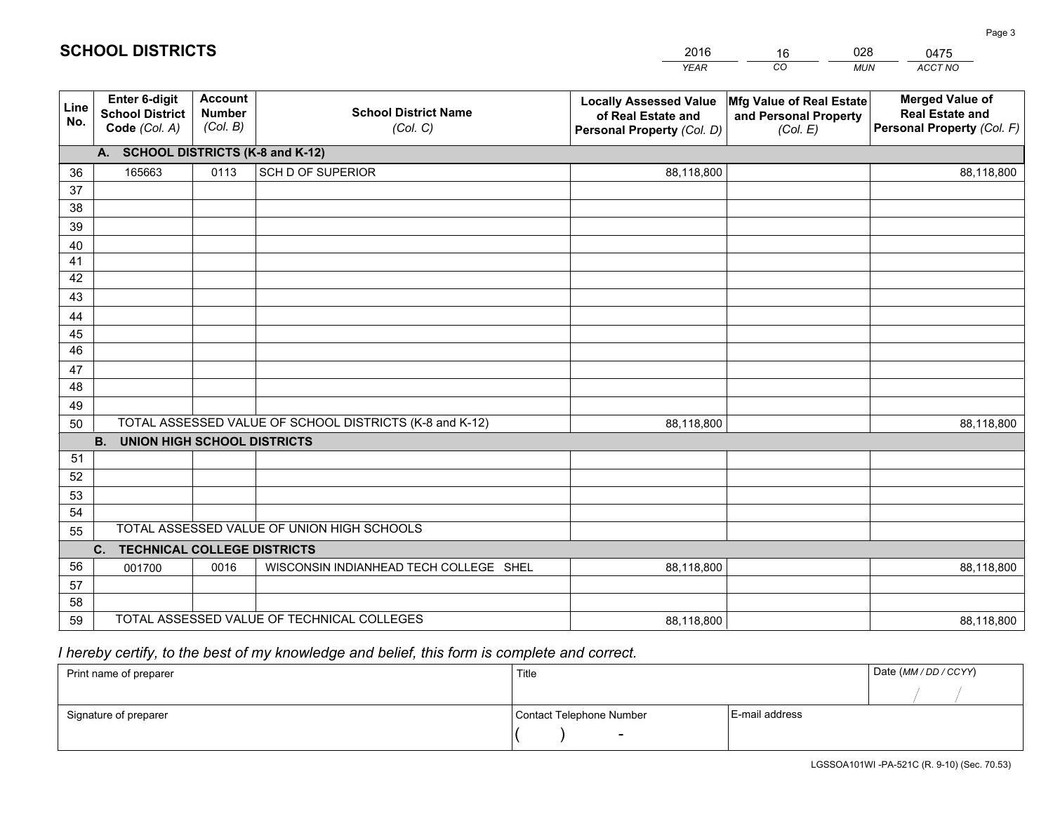|             |                                                          |                                             |                                                         | <b>YEAR</b>                                                                       | CO<br><b>MUN</b>                                              | ACCT NO                                                                        |
|-------------|----------------------------------------------------------|---------------------------------------------|---------------------------------------------------------|-----------------------------------------------------------------------------------|---------------------------------------------------------------|--------------------------------------------------------------------------------|
| Line<br>No. | Enter 6-digit<br><b>School District</b><br>Code (Col. A) | <b>Account</b><br><b>Number</b><br>(Col. B) | <b>School District Name</b><br>(Col. C)                 | <b>Locally Assessed Value</b><br>of Real Estate and<br>Personal Property (Col. D) | Mfg Value of Real Estate<br>and Personal Property<br>(Col. E) | <b>Merged Value of</b><br><b>Real Estate and</b><br>Personal Property (Col. F) |
|             | A. SCHOOL DISTRICTS (K-8 and K-12)                       |                                             |                                                         |                                                                                   |                                                               |                                                                                |
| 36          | 165663                                                   | 0113                                        | SCH D OF SUPERIOR                                       | 88,118,800                                                                        |                                                               | 88,118,800                                                                     |
| 37          |                                                          |                                             |                                                         |                                                                                   |                                                               |                                                                                |
| 38          |                                                          |                                             |                                                         |                                                                                   |                                                               |                                                                                |
| 39          |                                                          |                                             |                                                         |                                                                                   |                                                               |                                                                                |
| 40          |                                                          |                                             |                                                         |                                                                                   |                                                               |                                                                                |
| 41          |                                                          |                                             |                                                         |                                                                                   |                                                               |                                                                                |
| 42          |                                                          |                                             |                                                         |                                                                                   |                                                               |                                                                                |
| 43          |                                                          |                                             |                                                         |                                                                                   |                                                               |                                                                                |
| 44<br>45    |                                                          |                                             |                                                         |                                                                                   |                                                               |                                                                                |
| 46          |                                                          |                                             |                                                         |                                                                                   |                                                               |                                                                                |
| 47          |                                                          |                                             |                                                         |                                                                                   |                                                               |                                                                                |
| 48          |                                                          |                                             |                                                         |                                                                                   |                                                               |                                                                                |
| 49          |                                                          |                                             |                                                         |                                                                                   |                                                               |                                                                                |
| 50          |                                                          |                                             | TOTAL ASSESSED VALUE OF SCHOOL DISTRICTS (K-8 and K-12) | 88,118,800                                                                        |                                                               | 88,118,800                                                                     |
|             | <b>B.</b><br><b>UNION HIGH SCHOOL DISTRICTS</b>          |                                             |                                                         |                                                                                   |                                                               |                                                                                |
| 51          |                                                          |                                             |                                                         |                                                                                   |                                                               |                                                                                |
| 52          |                                                          |                                             |                                                         |                                                                                   |                                                               |                                                                                |
| 53          |                                                          |                                             |                                                         |                                                                                   |                                                               |                                                                                |
| 54          |                                                          |                                             |                                                         |                                                                                   |                                                               |                                                                                |
| 55          |                                                          |                                             | TOTAL ASSESSED VALUE OF UNION HIGH SCHOOLS              |                                                                                   |                                                               |                                                                                |
|             | C.<br><b>TECHNICAL COLLEGE DISTRICTS</b>                 |                                             |                                                         |                                                                                   |                                                               |                                                                                |
| 56          | 001700                                                   | 0016                                        | WISCONSIN INDIANHEAD TECH COLLEGE SHEL                  | 88,118,800                                                                        |                                                               | 88,118,800                                                                     |
| 57          |                                                          |                                             |                                                         |                                                                                   |                                                               |                                                                                |
| 58          |                                                          |                                             |                                                         |                                                                                   |                                                               |                                                                                |
| 59          |                                                          |                                             | TOTAL ASSESSED VALUE OF TECHNICAL COLLEGES              | 88,118,800                                                                        |                                                               | 88,118,800                                                                     |

16

028

# *I hereby certify, to the best of my knowledge and belief, this form is complete and correct.*

**SCHOOL DISTRICTS**

| Print name of preparer | Title                    |                | Date (MM / DD / CCYY) |
|------------------------|--------------------------|----------------|-----------------------|
|                        |                          |                |                       |
| Signature of preparer  | Contact Telephone Number | E-mail address |                       |
|                        | $\sim$                   |                |                       |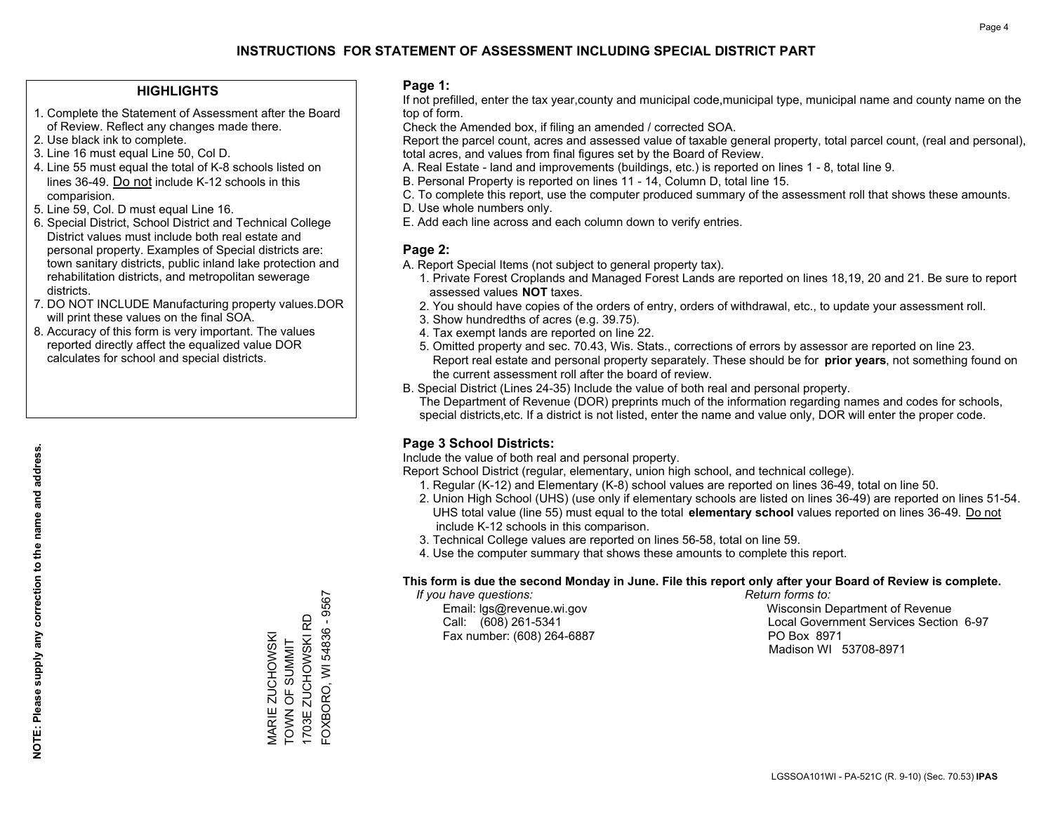#### **HIGHLIGHTS**

- 1. Complete the Statement of Assessment after the Board of Review. Reflect any changes made there.
- 2. Use black ink to complete.
- 3. Line 16 must equal Line 50, Col D.
- 4. Line 55 must equal the total of K-8 schools listed on lines 36-49. Do not include K-12 schools in this comparision.
- 5. Line 59, Col. D must equal Line 16.
- 6. Special District, School District and Technical College District values must include both real estate and personal property. Examples of Special districts are: town sanitary districts, public inland lake protection and rehabilitation districts, and metropolitan sewerage districts.
- 7. DO NOT INCLUDE Manufacturing property values.DOR will print these values on the final SOA.

MARIE ZUCHOWSKI TOWN OF SUMMIT 1703E ZUCHOWSKI RD FOXBORO, WI 54836 - 9567

-OXBORO, WI 54836 - 9567 1703E ZUCHOWSKI RD VIARIE ZUCHOWSKI<br>TOWN OF SUMMIT

 8. Accuracy of this form is very important. The values reported directly affect the equalized value DOR calculates for school and special districts.

#### **Page 1:**

 If not prefilled, enter the tax year,county and municipal code,municipal type, municipal name and county name on the top of form.

Check the Amended box, if filing an amended / corrected SOA.

 Report the parcel count, acres and assessed value of taxable general property, total parcel count, (real and personal), total acres, and values from final figures set by the Board of Review.

- A. Real Estate land and improvements (buildings, etc.) is reported on lines 1 8, total line 9.
- B. Personal Property is reported on lines 11 14, Column D, total line 15.
- C. To complete this report, use the computer produced summary of the assessment roll that shows these amounts.
- D. Use whole numbers only.
- E. Add each line across and each column down to verify entries.

#### **Page 2:**

- A. Report Special Items (not subject to general property tax).
- 1. Private Forest Croplands and Managed Forest Lands are reported on lines 18,19, 20 and 21. Be sure to report assessed values **NOT** taxes.
- 2. You should have copies of the orders of entry, orders of withdrawal, etc., to update your assessment roll.
	- 3. Show hundredths of acres (e.g. 39.75).
- 4. Tax exempt lands are reported on line 22.
- 5. Omitted property and sec. 70.43, Wis. Stats., corrections of errors by assessor are reported on line 23. Report real estate and personal property separately. These should be for **prior years**, not something found on the current assessment roll after the board of review.
- B. Special District (Lines 24-35) Include the value of both real and personal property.

 The Department of Revenue (DOR) preprints much of the information regarding names and codes for schools, special districts,etc. If a district is not listed, enter the name and value only, DOR will enter the proper code.

## **Page 3 School Districts:**

Include the value of both real and personal property.

Report School District (regular, elementary, union high school, and technical college).

- 1. Regular (K-12) and Elementary (K-8) school values are reported on lines 36-49, total on line 50.
- 2. Union High School (UHS) (use only if elementary schools are listed on lines 36-49) are reported on lines 51-54. UHS total value (line 55) must equal to the total **elementary school** values reported on lines 36-49. Do notinclude K-12 schools in this comparison.
- 3. Technical College values are reported on lines 56-58, total on line 59.
- 4. Use the computer summary that shows these amounts to complete this report.

#### **This form is due the second Monday in June. File this report only after your Board of Review is complete.**

 *If you have questions: Return forms to:*

Fax number: (608) 264-6887 PO Box 8971

 Email: lgs@revenue.wi.gov Wisconsin Department of Revenue Call: (608) 261-5341 Local Government Services Section 6-97Madison WI 53708-8971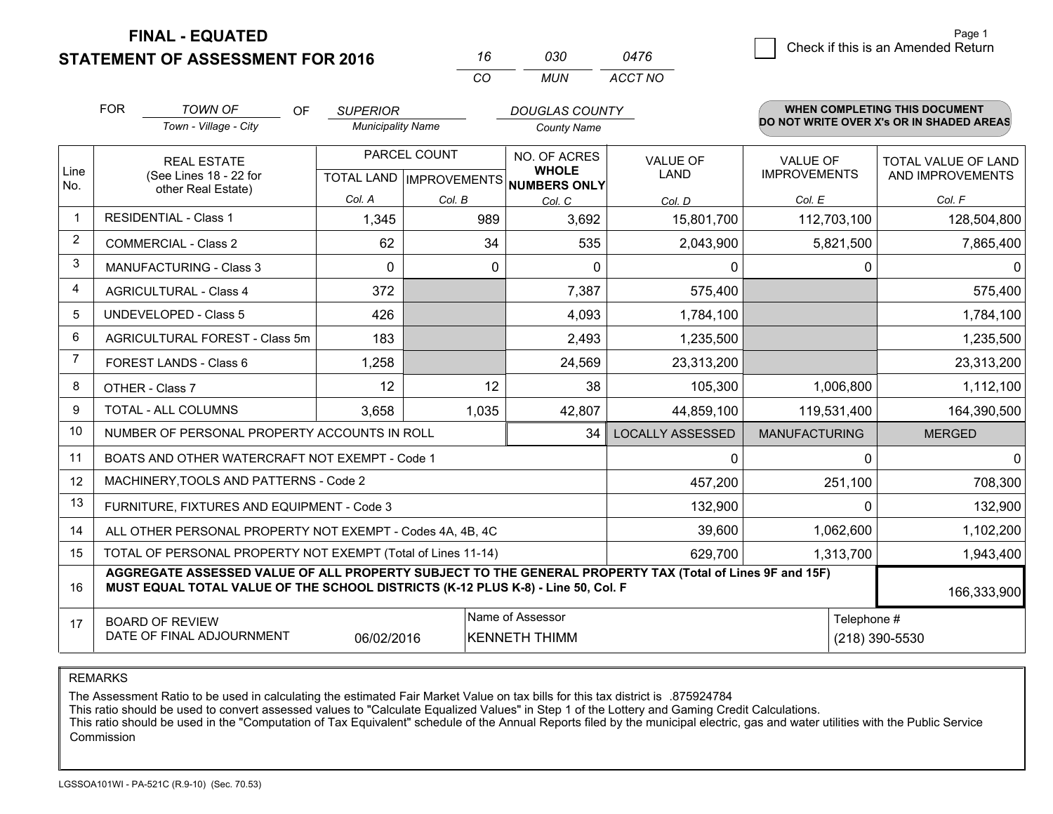**FINAL - EQUATED**

 $\overline{\mathcal{C}}$  Check if this is an Amended Return Page 1

<u> 1989 - Johann Stoff, deutscher Stoffen und der Stoffen und der Stoffen und der Stoffen und der Stoffen und de</u>

# **STATEMENT OF ASSESSMENT FOR 2016**

*CO MUN <sup>16</sup> <sup>030</sup> ACCT NO0476*

|                | <b>FOR</b>                                                                                                                                                                                   | <b>TOWN OF</b><br><b>OF</b>                                  | <b>SUPERIOR</b>                           |           | <b>DOUGLAS COUNTY</b>        |                                |                                        | WHEN COMPLETING THIS DOCUMENT            |
|----------------|----------------------------------------------------------------------------------------------------------------------------------------------------------------------------------------------|--------------------------------------------------------------|-------------------------------------------|-----------|------------------------------|--------------------------------|----------------------------------------|------------------------------------------|
|                |                                                                                                                                                                                              | Town - Village - City                                        | <b>Municipality Name</b>                  |           | <b>County Name</b>           |                                |                                        | DO NOT WRITE OVER X's OR IN SHADED AREAS |
| Line           |                                                                                                                                                                                              | <b>REAL ESTATE</b><br>(See Lines 18 - 22 for                 | PARCEL COUNT<br>TOTAL LAND   IMPROVEMENTS |           | NO. OF ACRES<br><b>WHOLE</b> | <b>VALUE OF</b><br><b>LAND</b> | <b>VALUE OF</b><br><b>IMPROVEMENTS</b> | TOTAL VALUE OF LAND<br>AND IMPROVEMENTS  |
| No.            |                                                                                                                                                                                              | other Real Estate)                                           |                                           |           | <b>NUMBERS ONLY</b>          |                                |                                        |                                          |
|                |                                                                                                                                                                                              |                                                              | Col. A                                    | Col. B    | Col. C                       | Col. D                         | Col. E                                 | Col. F                                   |
| $\mathbf{1}$   |                                                                                                                                                                                              | <b>RESIDENTIAL - Class 1</b>                                 | 1,345                                     | 989       | 3,692                        | 15,801,700                     | 112,703,100                            | 128,504,800                              |
| 2              |                                                                                                                                                                                              | <b>COMMERCIAL - Class 2</b>                                  | 62                                        | 34        | 535                          | 2,043,900                      | 5,821,500                              | 7,865,400                                |
| $\mathbf{3}$   |                                                                                                                                                                                              | <b>MANUFACTURING - Class 3</b>                               | 0                                         | $\Omega$  | 0                            | 0                              | 0                                      | 0                                        |
| 4              |                                                                                                                                                                                              | <b>AGRICULTURAL - Class 4</b>                                | 372                                       |           | 7,387                        | 575,400                        |                                        | 575,400                                  |
| 5              |                                                                                                                                                                                              | <b>UNDEVELOPED - Class 5</b>                                 | 426                                       |           | 4,093                        | 1,784,100                      |                                        | 1,784,100                                |
| 6              |                                                                                                                                                                                              | AGRICULTURAL FOREST - Class 5m                               | 183                                       |           | 2,493                        | 1,235,500                      |                                        | 1,235,500                                |
| $\overline{7}$ |                                                                                                                                                                                              | FOREST LANDS - Class 6                                       | 1,258                                     |           | 24,569                       | 23,313,200                     |                                        | 23,313,200                               |
| 8              |                                                                                                                                                                                              | OTHER - Class 7                                              | 12                                        | 12        | 38                           | 105,300                        | 1,006,800                              | 1,112,100                                |
| 9              |                                                                                                                                                                                              | TOTAL - ALL COLUMNS                                          | 3,658                                     | 1,035     | 42,807                       | 44,859,100                     | 119,531,400                            | 164,390,500                              |
| 10             |                                                                                                                                                                                              | NUMBER OF PERSONAL PROPERTY ACCOUNTS IN ROLL                 |                                           |           | 34                           | <b>LOCALLY ASSESSED</b>        | <b>MANUFACTURING</b>                   | <b>MERGED</b>                            |
| 11             |                                                                                                                                                                                              | BOATS AND OTHER WATERCRAFT NOT EXEMPT - Code 1               |                                           |           |                              | 0                              | $\Omega$                               | $\mathbf 0$                              |
| 12             |                                                                                                                                                                                              | MACHINERY, TOOLS AND PATTERNS - Code 2                       |                                           |           |                              | 457,200                        | 251,100                                | 708,300                                  |
| 13             |                                                                                                                                                                                              | FURNITURE, FIXTURES AND EQUIPMENT - Code 3                   |                                           |           |                              | 132,900                        | $\Omega$                               | 132,900                                  |
| 14             |                                                                                                                                                                                              | ALL OTHER PERSONAL PROPERTY NOT EXEMPT - Codes 4A, 4B, 4C    |                                           |           |                              | 39,600                         | 1,062,600                              | 1,102,200                                |
| 15             |                                                                                                                                                                                              | TOTAL OF PERSONAL PROPERTY NOT EXEMPT (Total of Lines 11-14) | 629,700                                   | 1,313,700 | 1,943,400                    |                                |                                        |                                          |
| 16             | AGGREGATE ASSESSED VALUE OF ALL PROPERTY SUBJECT TO THE GENERAL PROPERTY TAX (Total of Lines 9F and 15F)<br>MUST EQUAL TOTAL VALUE OF THE SCHOOL DISTRICTS (K-12 PLUS K-8) - Line 50, Col. F |                                                              |                                           |           |                              |                                |                                        | 166,333,900                              |
| 17             | Name of Assessor<br><b>BOARD OF REVIEW</b><br>DATE OF FINAL ADJOURNMENT<br>06/02/2016<br><b>KENNETH THIMM</b>                                                                                |                                                              |                                           |           |                              |                                | Telephone #                            | (218) 390-5530                           |

REMARKS

The Assessment Ratio to be used in calculating the estimated Fair Market Value on tax bills for this tax district is .875924784

This ratio should be used to convert assessed values to "Calculate Equalized Values" in Step 1 of the Lottery and Gaming Credit Calculations.<br>This ratio should be used in the "Computation of Tax Equivalent" schedule of the Commission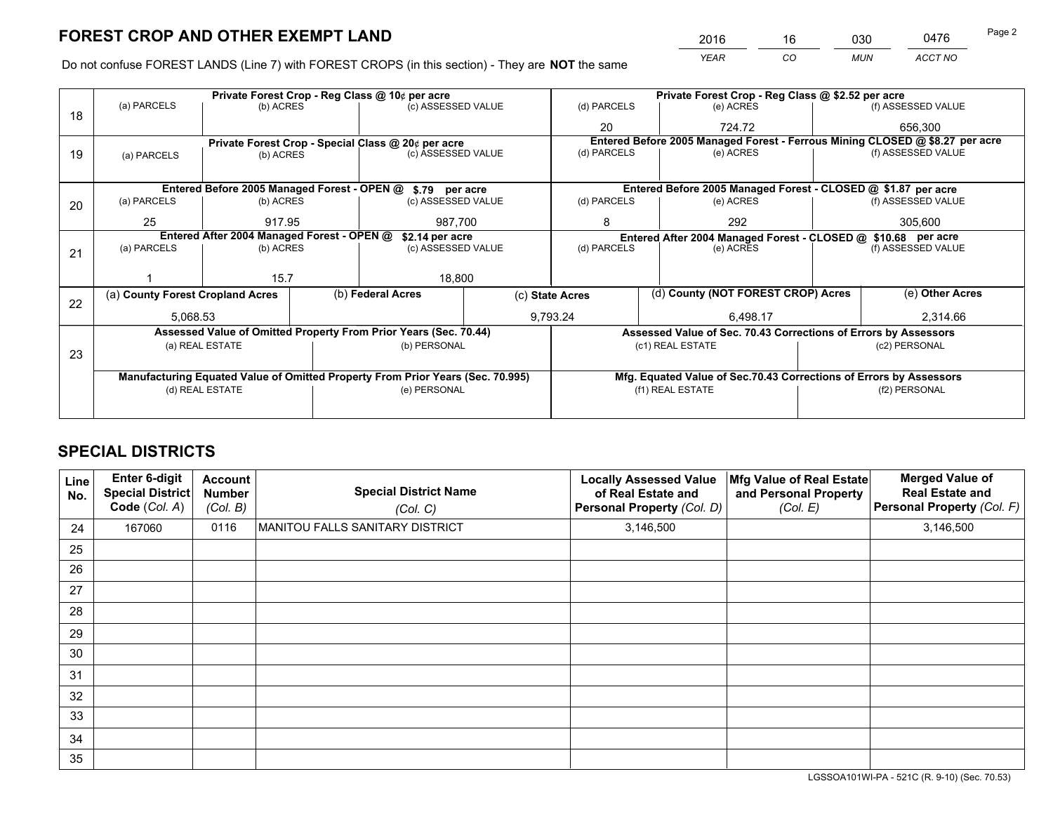*YEAR CO MUN ACCT NO* <sup>2016</sup> <sup>16</sup> <sup>030</sup> <sup>0476</sup> Page 2

Do not confuse FOREST LANDS (Line 7) with FOREST CROPS (in this section) - They are **NOT** the same

|    |                                  |                                            | Private Forest Crop - Reg Class @ 10¢ per acre                                 |  | Private Forest Crop - Reg Class @ \$2.52 per acre                                                               |                  |                                                                    |               |                                                                              |
|----|----------------------------------|--------------------------------------------|--------------------------------------------------------------------------------|--|-----------------------------------------------------------------------------------------------------------------|------------------|--------------------------------------------------------------------|---------------|------------------------------------------------------------------------------|
| 18 | (a) PARCELS                      | (b) ACRES                                  | (c) ASSESSED VALUE                                                             |  | (d) PARCELS                                                                                                     |                  | (e) ACRES                                                          |               | (f) ASSESSED VALUE                                                           |
|    |                                  |                                            |                                                                                |  | 20                                                                                                              |                  | 724.72                                                             |               | 656.300                                                                      |
|    |                                  |                                            | Private Forest Crop - Special Class @ 20¢ per acre                             |  |                                                                                                                 |                  |                                                                    |               | Entered Before 2005 Managed Forest - Ferrous Mining CLOSED @ \$8.27 per acre |
| 19 | (a) PARCELS                      | (b) ACRES                                  | (c) ASSESSED VALUE                                                             |  | (d) PARCELS                                                                                                     |                  | (e) ACRES                                                          |               | (f) ASSESSED VALUE                                                           |
|    |                                  |                                            |                                                                                |  |                                                                                                                 |                  |                                                                    |               |                                                                              |
|    |                                  |                                            | Entered Before 2005 Managed Forest - OPEN @ \$.79 per acre                     |  |                                                                                                                 |                  | Entered Before 2005 Managed Forest - CLOSED @ \$1.87 per acre      |               |                                                                              |
| 20 | (a) PARCELS                      | (b) ACRES                                  | (c) ASSESSED VALUE                                                             |  | (d) PARCELS                                                                                                     |                  | (e) ACRES                                                          |               | (f) ASSESSED VALUE                                                           |
|    | 25                               | 917.95                                     | 987,700                                                                        |  | 8                                                                                                               |                  | 292                                                                |               | 305,600                                                                      |
|    |                                  | Entered After 2004 Managed Forest - OPEN @ |                                                                                |  |                                                                                                                 |                  |                                                                    |               |                                                                              |
|    | (a) PARCELS                      | (b) ACRES                                  | \$2.14 per acre<br>(c) ASSESSED VALUE                                          |  | Entered After 2004 Managed Forest - CLOSED @ \$10.68 per acre<br>(d) PARCELS<br>(f) ASSESSED VALUE<br>(e) ACRES |                  |                                                                    |               |                                                                              |
| 21 |                                  |                                            |                                                                                |  |                                                                                                                 |                  |                                                                    |               |                                                                              |
|    |                                  | 15.7                                       | 18,800                                                                         |  |                                                                                                                 |                  |                                                                    |               |                                                                              |
|    | (a) County Forest Cropland Acres |                                            | (b) Federal Acres                                                              |  | (c) State Acres                                                                                                 |                  | (d) County (NOT FOREST CROP) Acres                                 |               | (e) Other Acres                                                              |
| 22 |                                  |                                            |                                                                                |  |                                                                                                                 |                  |                                                                    |               |                                                                              |
|    | 5,068.53                         |                                            |                                                                                |  | 9,793.24                                                                                                        |                  | 6,498.17                                                           |               | 2,314.66                                                                     |
|    |                                  |                                            | Assessed Value of Omitted Property From Prior Years (Sec. 70.44)               |  |                                                                                                                 |                  | Assessed Value of Sec. 70.43 Corrections of Errors by Assessors    |               |                                                                              |
| 23 |                                  | (a) REAL ESTATE                            | (b) PERSONAL                                                                   |  |                                                                                                                 |                  | (c1) REAL ESTATE                                                   |               | (c2) PERSONAL                                                                |
|    |                                  |                                            |                                                                                |  |                                                                                                                 |                  |                                                                    |               |                                                                              |
|    |                                  |                                            | Manufacturing Equated Value of Omitted Property From Prior Years (Sec. 70.995) |  |                                                                                                                 |                  | Mfg. Equated Value of Sec.70.43 Corrections of Errors by Assessors |               |                                                                              |
|    | (e) PERSONAL<br>(d) REAL ESTATE  |                                            |                                                                                |  |                                                                                                                 | (f1) REAL ESTATE |                                                                    | (f2) PERSONAL |                                                                              |
|    |                                  |                                            |                                                                                |  |                                                                                                                 |                  |                                                                    |               |                                                                              |
|    |                                  |                                            |                                                                                |  |                                                                                                                 |                  |                                                                    |               |                                                                              |

# **SPECIAL DISTRICTS**

| Line<br>No. | Enter 6-digit<br><b>Special District</b><br>Code (Col. A) | <b>Account</b><br><b>Number</b><br>(Col. B) | <b>Special District Name</b><br>(Col. C) | <b>Locally Assessed Value</b><br>of Real Estate and<br>Personal Property (Col. D) | Mfg Value of Real Estate<br>and Personal Property<br>(Col. E) | <b>Merged Value of</b><br><b>Real Estate and</b><br>Personal Property (Col. F) |
|-------------|-----------------------------------------------------------|---------------------------------------------|------------------------------------------|-----------------------------------------------------------------------------------|---------------------------------------------------------------|--------------------------------------------------------------------------------|
| 24          | 167060                                                    | 0116                                        | <b>MANITOU FALLS SANITARY DISTRICT</b>   | 3,146,500                                                                         |                                                               | 3,146,500                                                                      |
| 25          |                                                           |                                             |                                          |                                                                                   |                                                               |                                                                                |
| 26          |                                                           |                                             |                                          |                                                                                   |                                                               |                                                                                |
| 27          |                                                           |                                             |                                          |                                                                                   |                                                               |                                                                                |
| 28          |                                                           |                                             |                                          |                                                                                   |                                                               |                                                                                |
| 29          |                                                           |                                             |                                          |                                                                                   |                                                               |                                                                                |
| 30          |                                                           |                                             |                                          |                                                                                   |                                                               |                                                                                |
| 31          |                                                           |                                             |                                          |                                                                                   |                                                               |                                                                                |
| 32          |                                                           |                                             |                                          |                                                                                   |                                                               |                                                                                |
| 33          |                                                           |                                             |                                          |                                                                                   |                                                               |                                                                                |
| 34          |                                                           |                                             |                                          |                                                                                   |                                                               |                                                                                |
| 35          |                                                           |                                             |                                          |                                                                                   |                                                               |                                                                                |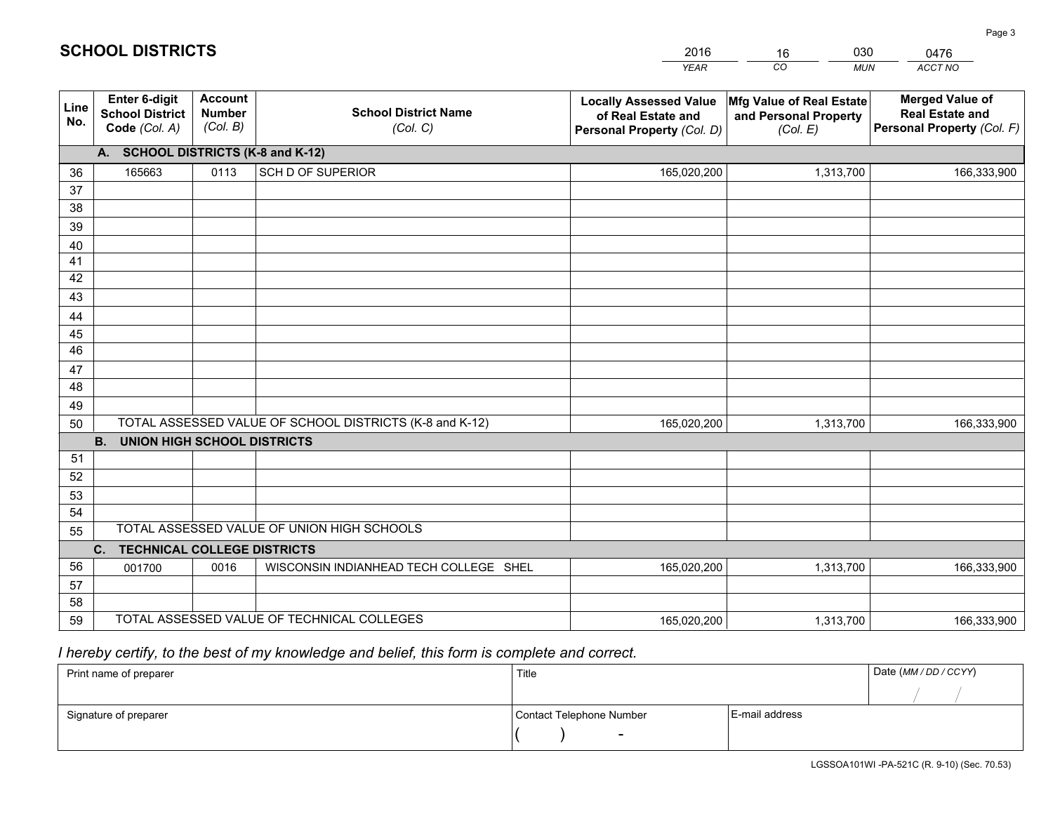|             |                                                                 |                                             |                                                         | <b>YEAR</b>                                                                       | CO<br><b>MUN</b>                                              | ACCT NO                                                                        |
|-------------|-----------------------------------------------------------------|---------------------------------------------|---------------------------------------------------------|-----------------------------------------------------------------------------------|---------------------------------------------------------------|--------------------------------------------------------------------------------|
| Line<br>No. | <b>Enter 6-digit</b><br><b>School District</b><br>Code (Col. A) | <b>Account</b><br><b>Number</b><br>(Col. B) | <b>School District Name</b><br>(Col. C)                 | <b>Locally Assessed Value</b><br>of Real Estate and<br>Personal Property (Col. D) | Mfg Value of Real Estate<br>and Personal Property<br>(Col. E) | <b>Merged Value of</b><br><b>Real Estate and</b><br>Personal Property (Col. F) |
|             | A. SCHOOL DISTRICTS (K-8 and K-12)                              |                                             |                                                         |                                                                                   |                                                               |                                                                                |
| 36          | 165663                                                          | 0113                                        | <b>SCH D OF SUPERIOR</b>                                | 165,020,200                                                                       | 1,313,700                                                     | 166,333,900                                                                    |
| 37          |                                                                 |                                             |                                                         |                                                                                   |                                                               |                                                                                |
| 38          |                                                                 |                                             |                                                         |                                                                                   |                                                               |                                                                                |
| 39          |                                                                 |                                             |                                                         |                                                                                   |                                                               |                                                                                |
| 40          |                                                                 |                                             |                                                         |                                                                                   |                                                               |                                                                                |
| 41<br>42    |                                                                 |                                             |                                                         |                                                                                   |                                                               |                                                                                |
| 43          |                                                                 |                                             |                                                         |                                                                                   |                                                               |                                                                                |
|             |                                                                 |                                             |                                                         |                                                                                   |                                                               |                                                                                |
| 44<br>45    |                                                                 |                                             |                                                         |                                                                                   |                                                               |                                                                                |
| 46          |                                                                 |                                             |                                                         |                                                                                   |                                                               |                                                                                |
| 47          |                                                                 |                                             |                                                         |                                                                                   |                                                               |                                                                                |
| 48          |                                                                 |                                             |                                                         |                                                                                   |                                                               |                                                                                |
| 49          |                                                                 |                                             |                                                         |                                                                                   |                                                               |                                                                                |
| 50          |                                                                 |                                             | TOTAL ASSESSED VALUE OF SCHOOL DISTRICTS (K-8 and K-12) | 165,020,200                                                                       | 1,313,700                                                     | 166,333,900                                                                    |
|             | <b>B.</b><br><b>UNION HIGH SCHOOL DISTRICTS</b>                 |                                             |                                                         |                                                                                   |                                                               |                                                                                |
| 51          |                                                                 |                                             |                                                         |                                                                                   |                                                               |                                                                                |
| 52          |                                                                 |                                             |                                                         |                                                                                   |                                                               |                                                                                |
| 53          |                                                                 |                                             |                                                         |                                                                                   |                                                               |                                                                                |
| 54          |                                                                 |                                             |                                                         |                                                                                   |                                                               |                                                                                |
| 55          |                                                                 |                                             | TOTAL ASSESSED VALUE OF UNION HIGH SCHOOLS              |                                                                                   |                                                               |                                                                                |
|             | C.<br><b>TECHNICAL COLLEGE DISTRICTS</b>                        |                                             |                                                         |                                                                                   |                                                               |                                                                                |
| 56          | 001700                                                          | 0016                                        | WISCONSIN INDIANHEAD TECH COLLEGE SHEL                  | 165,020,200                                                                       | 1,313,700                                                     | 166,333,900                                                                    |
| 57          |                                                                 |                                             |                                                         |                                                                                   |                                                               |                                                                                |
| 58<br>59    |                                                                 |                                             | TOTAL ASSESSED VALUE OF TECHNICAL COLLEGES              |                                                                                   |                                                               |                                                                                |
|             |                                                                 |                                             |                                                         | 165,020,200                                                                       | 1,313,700                                                     | 166,333,900                                                                    |

16

030

 *I hereby certify, to the best of my knowledge and belief, this form is complete and correct.*

**SCHOOL DISTRICTS**

| Print name of preparer | Title                    |                | Date (MM / DD / CCYY) |
|------------------------|--------------------------|----------------|-----------------------|
|                        |                          |                |                       |
| Signature of preparer  | Contact Telephone Number | E-mail address |                       |
|                        | $\overline{\phantom{0}}$ |                |                       |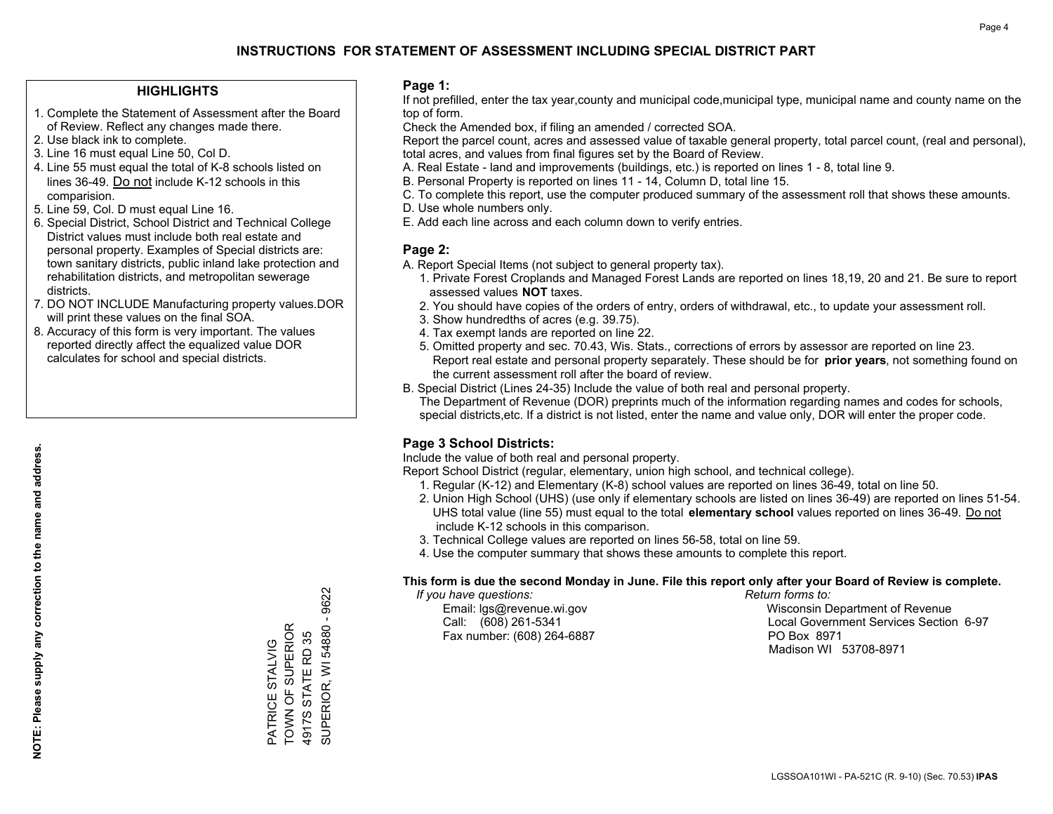#### **HIGHLIGHTS**

- 1. Complete the Statement of Assessment after the Board of Review. Reflect any changes made there.
- 2. Use black ink to complete.
- 3. Line 16 must equal Line 50, Col D.
- 4. Line 55 must equal the total of K-8 schools listed on lines 36-49. Do not include K-12 schools in this comparision.
- 5. Line 59, Col. D must equal Line 16.
- 6. Special District, School District and Technical College District values must include both real estate and personal property. Examples of Special districts are: town sanitary districts, public inland lake protection and rehabilitation districts, and metropolitan sewerage districts.
- 7. DO NOT INCLUDE Manufacturing property values.DOR will print these values on the final SOA.

PATRICE STALVIG TOWN OF SUPERIOR 4917S STATE RD 35

PATRICE STALVIG<br>TOWN OF SUPERIOR 4917S STATE RD 35 SUPERIOR, WI 54880 - 9622

SUPERIOR, WI 54880 -

9622

 8. Accuracy of this form is very important. The values reported directly affect the equalized value DOR calculates for school and special districts.

#### **Page 1:**

 If not prefilled, enter the tax year,county and municipal code,municipal type, municipal name and county name on the top of form.

Check the Amended box, if filing an amended / corrected SOA.

 Report the parcel count, acres and assessed value of taxable general property, total parcel count, (real and personal), total acres, and values from final figures set by the Board of Review.

- A. Real Estate land and improvements (buildings, etc.) is reported on lines 1 8, total line 9.
- B. Personal Property is reported on lines 11 14, Column D, total line 15.
- C. To complete this report, use the computer produced summary of the assessment roll that shows these amounts.
- D. Use whole numbers only.
- E. Add each line across and each column down to verify entries.

#### **Page 2:**

- A. Report Special Items (not subject to general property tax).
- 1. Private Forest Croplands and Managed Forest Lands are reported on lines 18,19, 20 and 21. Be sure to report assessed values **NOT** taxes.
- 2. You should have copies of the orders of entry, orders of withdrawal, etc., to update your assessment roll.
	- 3. Show hundredths of acres (e.g. 39.75).
- 4. Tax exempt lands are reported on line 22.
- 5. Omitted property and sec. 70.43, Wis. Stats., corrections of errors by assessor are reported on line 23. Report real estate and personal property separately. These should be for **prior years**, not something found on the current assessment roll after the board of review.
- B. Special District (Lines 24-35) Include the value of both real and personal property.

 The Department of Revenue (DOR) preprints much of the information regarding names and codes for schools, special districts,etc. If a district is not listed, enter the name and value only, DOR will enter the proper code.

## **Page 3 School Districts:**

Include the value of both real and personal property.

Report School District (regular, elementary, union high school, and technical college).

- 1. Regular (K-12) and Elementary (K-8) school values are reported on lines 36-49, total on line 50.
- 2. Union High School (UHS) (use only if elementary schools are listed on lines 36-49) are reported on lines 51-54. UHS total value (line 55) must equal to the total **elementary school** values reported on lines 36-49. Do notinclude K-12 schools in this comparison.
- 3. Technical College values are reported on lines 56-58, total on line 59.
- 4. Use the computer summary that shows these amounts to complete this report.

#### **This form is due the second Monday in June. File this report only after your Board of Review is complete.**

 *If you have questions: Return forms to:*

Fax number: (608) 264-6887 PO Box 8971

 Email: lgs@revenue.wi.gov Wisconsin Department of Revenue Call: (608) 261-5341 Local Government Services Section 6-97Madison WI 53708-8971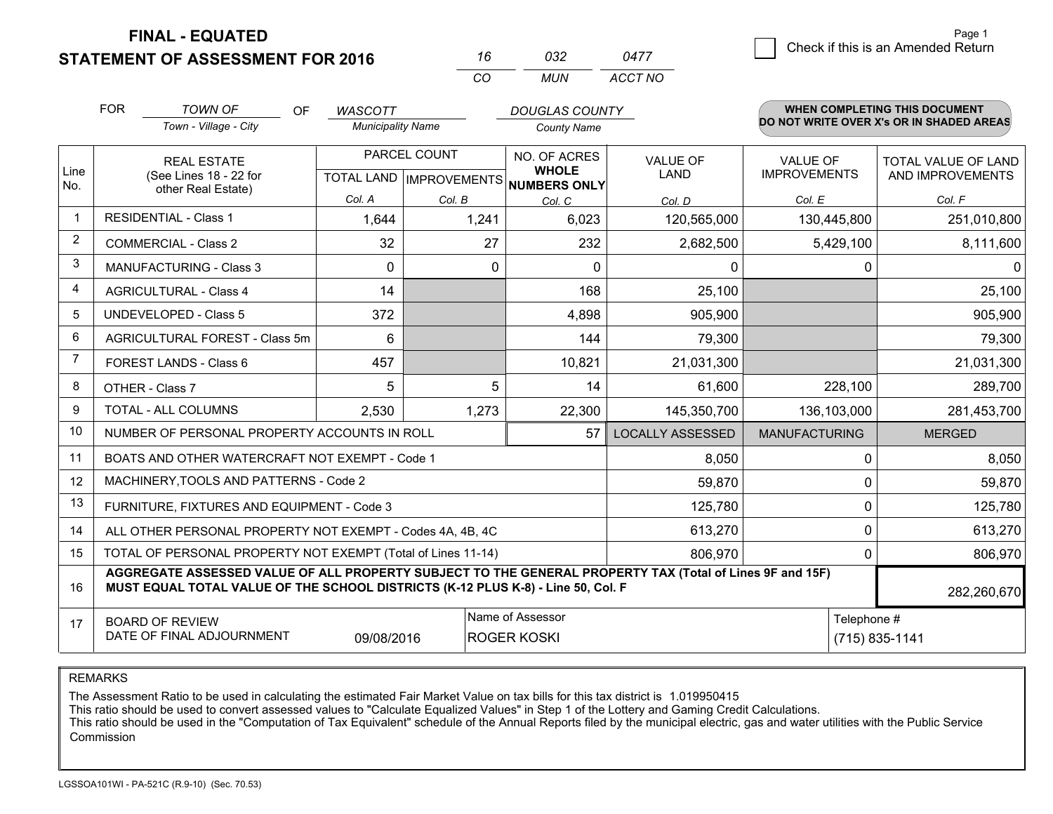**FINAL - EQUATED**

**STATEMENT OF ASSESSMENT FOR 2016** 

| 16       | กาว | 0477    |
|----------|-----|---------|
| $\cdots$ | MUN | ACCT NO |

|                | <b>FOR</b>                                                                                                                                                                                                  | <b>TOWN OF</b><br>OF                                         | <b>WASCOTT</b>           |                           | <b>DOUGLAS COUNTY</b>        |                         |                      | <b>WHEN COMPLETING THIS DOCUMENT</b>     |  |
|----------------|-------------------------------------------------------------------------------------------------------------------------------------------------------------------------------------------------------------|--------------------------------------------------------------|--------------------------|---------------------------|------------------------------|-------------------------|----------------------|------------------------------------------|--|
|                |                                                                                                                                                                                                             | Town - Village - City                                        | <b>Municipality Name</b> |                           | <b>County Name</b>           |                         |                      | DO NOT WRITE OVER X's OR IN SHADED AREAS |  |
|                |                                                                                                                                                                                                             | <b>REAL ESTATE</b>                                           |                          | PARCEL COUNT              | NO. OF ACRES                 | <b>VALUE OF</b>         | <b>VALUE OF</b>      | TOTAL VALUE OF LAND                      |  |
| Line<br>No.    |                                                                                                                                                                                                             | (See Lines 18 - 22 for<br>other Real Estate)                 |                          | TOTAL LAND   IMPROVEMENTS | <b>WHOLE</b><br>NUMBERS ONLY | <b>LAND</b>             | <b>IMPROVEMENTS</b>  | AND IMPROVEMENTS                         |  |
|                |                                                                                                                                                                                                             |                                                              | Col. A                   | Col. B                    | Col. C                       | Col. D                  | Col. E               | Col. F                                   |  |
| $\mathbf 1$    |                                                                                                                                                                                                             | <b>RESIDENTIAL - Class 1</b>                                 | 1,644                    | 1,241                     | 6,023                        | 120,565,000             | 130,445,800          | 251,010,800                              |  |
| $\overline{2}$ |                                                                                                                                                                                                             | <b>COMMERCIAL - Class 2</b>                                  | 32                       | 27                        | 232                          | 2,682,500               | 5,429,100            | 8,111,600                                |  |
| 3              |                                                                                                                                                                                                             | <b>MANUFACTURING - Class 3</b>                               | $\Omega$                 | 0                         | $\Omega$                     | 0                       | 0                    | 0                                        |  |
| 4              |                                                                                                                                                                                                             | <b>AGRICULTURAL - Class 4</b>                                | 14                       |                           | 168                          | 25,100                  |                      | 25,100                                   |  |
| 5              |                                                                                                                                                                                                             | <b>UNDEVELOPED - Class 5</b>                                 | 372                      |                           | 4,898                        | 905,900                 |                      | 905,900                                  |  |
| 6              |                                                                                                                                                                                                             | AGRICULTURAL FOREST - Class 5m                               | 6                        |                           | 144                          | 79,300                  |                      | 79,300                                   |  |
| 7              |                                                                                                                                                                                                             | FOREST LANDS - Class 6                                       | 457                      |                           | 10,821                       | 21,031,300              |                      | 21,031,300                               |  |
| 8              |                                                                                                                                                                                                             | OTHER - Class 7                                              | 5                        | 5                         | 14                           | 61,600                  | 228,100              | 289,700                                  |  |
| 9              |                                                                                                                                                                                                             | TOTAL - ALL COLUMNS                                          | 2,530                    | 1,273                     | 22,300                       | 145,350,700             | 136,103,000          | 281,453,700                              |  |
| 10             |                                                                                                                                                                                                             | NUMBER OF PERSONAL PROPERTY ACCOUNTS IN ROLL                 |                          |                           | 57                           | <b>LOCALLY ASSESSED</b> | <b>MANUFACTURING</b> | <b>MERGED</b>                            |  |
| 11             |                                                                                                                                                                                                             | BOATS AND OTHER WATERCRAFT NOT EXEMPT - Code 1               |                          |                           |                              | 8,050                   | $\mathbf{0}$         | 8,050                                    |  |
| 12             |                                                                                                                                                                                                             | MACHINERY, TOOLS AND PATTERNS - Code 2                       |                          |                           |                              | 59,870                  | $\Omega$             | 59,870                                   |  |
| 13             |                                                                                                                                                                                                             | FURNITURE, FIXTURES AND EQUIPMENT - Code 3                   |                          |                           |                              | 125,780                 | $\mathbf{0}$         | 125,780                                  |  |
| 14             |                                                                                                                                                                                                             | ALL OTHER PERSONAL PROPERTY NOT EXEMPT - Codes 4A, 4B, 4C    |                          |                           |                              | 613,270                 | 0                    | 613,270                                  |  |
| 15             |                                                                                                                                                                                                             | TOTAL OF PERSONAL PROPERTY NOT EXEMPT (Total of Lines 11-14) |                          |                           |                              | 806,970                 | 0                    | 806,970                                  |  |
| 16             | AGGREGATE ASSESSED VALUE OF ALL PROPERTY SUBJECT TO THE GENERAL PROPERTY TAX (Total of Lines 9F and 15F)<br>MUST EQUAL TOTAL VALUE OF THE SCHOOL DISTRICTS (K-12 PLUS K-8) - Line 50, Col. F<br>282,260,670 |                                                              |                          |                           |                              |                         |                      |                                          |  |
| 17             | Name of Assessor<br><b>BOARD OF REVIEW</b>                                                                                                                                                                  |                                                              |                          |                           |                              |                         | Telephone #          |                                          |  |
|                |                                                                                                                                                                                                             | DATE OF FINAL ADJOURNMENT                                    | 09/08/2016               |                           | <b>ROGER KOSKI</b>           |                         |                      | (715) 835-1141                           |  |

REMARKS

The Assessment Ratio to be used in calculating the estimated Fair Market Value on tax bills for this tax district is 1.019950415

This ratio should be used to convert assessed values to "Calculate Equalized Values" in Step 1 of the Lottery and Gaming Credit Calculations.<br>This ratio should be used in the "Computation of Tax Equivalent" schedule of the Commission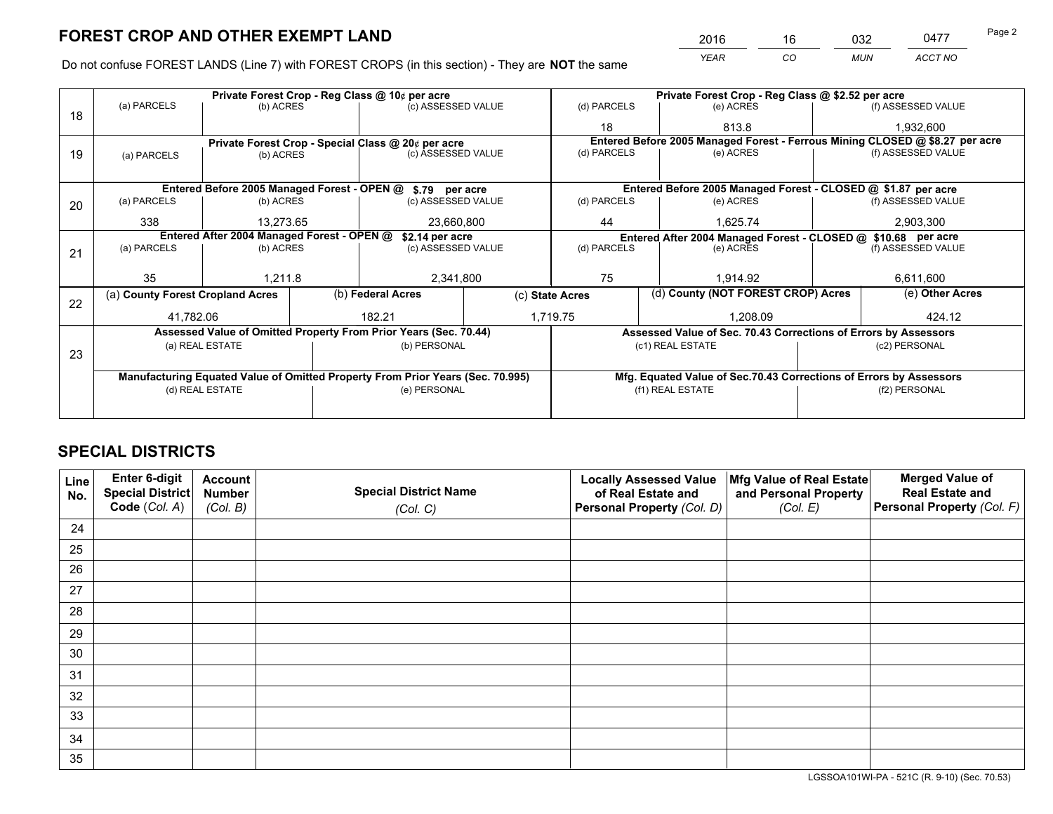*YEAR CO MUN ACCT NO* 2016 16 032 0477

Do not confuse FOREST LANDS (Line 7) with FOREST CROPS (in this section) - They are **NOT** the same

|                                                                                |             |                                                                  |                                                             |                                                                               | (d) PARCELS                                                                                                                                                                                                                                                                                            |                             | (e) ACRES     |                              | (f) ASSESSED VALUE                                                                                                                                                                                                                                                                                                                                                                                                                                 |
|--------------------------------------------------------------------------------|-------------|------------------------------------------------------------------|-------------------------------------------------------------|-------------------------------------------------------------------------------|--------------------------------------------------------------------------------------------------------------------------------------------------------------------------------------------------------------------------------------------------------------------------------------------------------|-----------------------------|---------------|------------------------------|----------------------------------------------------------------------------------------------------------------------------------------------------------------------------------------------------------------------------------------------------------------------------------------------------------------------------------------------------------------------------------------------------------------------------------------------------|
|                                                                                |             |                                                                  |                                                             |                                                                               | 18                                                                                                                                                                                                                                                                                                     |                             | 813.8         |                              | 1,932,600                                                                                                                                                                                                                                                                                                                                                                                                                                          |
|                                                                                |             |                                                                  |                                                             |                                                                               |                                                                                                                                                                                                                                                                                                        |                             |               |                              |                                                                                                                                                                                                                                                                                                                                                                                                                                                    |
| (a) PARCELS                                                                    |             |                                                                  |                                                             |                                                                               |                                                                                                                                                                                                                                                                                                        |                             | (e) ACRES     |                              | (f) ASSESSED VALUE                                                                                                                                                                                                                                                                                                                                                                                                                                 |
|                                                                                |             |                                                                  |                                                             |                                                                               |                                                                                                                                                                                                                                                                                                        |                             |               |                              |                                                                                                                                                                                                                                                                                                                                                                                                                                                    |
|                                                                                |             |                                                                  |                                                             |                                                                               |                                                                                                                                                                                                                                                                                                        |                             |               |                              |                                                                                                                                                                                                                                                                                                                                                                                                                                                    |
| (a) PARCELS<br>(b) ACRES                                                       |             |                                                                  | (c) ASSESSED VALUE                                          |                                                                               | (d) PARCELS                                                                                                                                                                                                                                                                                            |                             | (e) ACRES     |                              | (f) ASSESSED VALUE                                                                                                                                                                                                                                                                                                                                                                                                                                 |
| 338                                                                            |             |                                                                  | 23,660,800                                                  |                                                                               | 1,625.74<br>44                                                                                                                                                                                                                                                                                         |                             |               | 2,903,300                    |                                                                                                                                                                                                                                                                                                                                                                                                                                                    |
| Entered After 2004 Managed Forest - OPEN @                                     |             |                                                                  |                                                             |                                                                               |                                                                                                                                                                                                                                                                                                        |                             |               |                              |                                                                                                                                                                                                                                                                                                                                                                                                                                                    |
| (a) PARCELS                                                                    |             |                                                                  |                                                             |                                                                               | (d) PARCELS                                                                                                                                                                                                                                                                                            |                             | (e) ACRES     |                              | (f) ASSESSED VALUE                                                                                                                                                                                                                                                                                                                                                                                                                                 |
|                                                                                |             |                                                                  |                                                             |                                                                               |                                                                                                                                                                                                                                                                                                        |                             |               |                              |                                                                                                                                                                                                                                                                                                                                                                                                                                                    |
| 35                                                                             |             |                                                                  |                                                             |                                                                               | 75                                                                                                                                                                                                                                                                                                     |                             | 1.914.92      |                              | 6,611,600                                                                                                                                                                                                                                                                                                                                                                                                                                          |
|                                                                                |             |                                                                  |                                                             |                                                                               |                                                                                                                                                                                                                                                                                                        |                             |               | (e) Other Acres              |                                                                                                                                                                                                                                                                                                                                                                                                                                                    |
|                                                                                |             |                                                                  |                                                             |                                                                               |                                                                                                                                                                                                                                                                                                        |                             |               |                              |                                                                                                                                                                                                                                                                                                                                                                                                                                                    |
|                                                                                |             |                                                                  |                                                             |                                                                               |                                                                                                                                                                                                                                                                                                        |                             |               | 424.12                       |                                                                                                                                                                                                                                                                                                                                                                                                                                                    |
|                                                                                |             |                                                                  |                                                             |                                                                               |                                                                                                                                                                                                                                                                                                        |                             |               |                              |                                                                                                                                                                                                                                                                                                                                                                                                                                                    |
|                                                                                |             |                                                                  |                                                             |                                                                               |                                                                                                                                                                                                                                                                                                        |                             |               |                              | (c2) PERSONAL                                                                                                                                                                                                                                                                                                                                                                                                                                      |
|                                                                                |             |                                                                  |                                                             |                                                                               |                                                                                                                                                                                                                                                                                                        |                             |               |                              |                                                                                                                                                                                                                                                                                                                                                                                                                                                    |
| Manufacturing Equated Value of Omitted Property From Prior Years (Sec. 70.995) |             |                                                                  |                                                             |                                                                               |                                                                                                                                                                                                                                                                                                        |                             |               |                              |                                                                                                                                                                                                                                                                                                                                                                                                                                                    |
| (d) REAL ESTATE                                                                |             |                                                                  | (e) PERSONAL                                                |                                                                               | (f1) REAL ESTATE                                                                                                                                                                                                                                                                                       |                             | (f2) PERSONAL |                              |                                                                                                                                                                                                                                                                                                                                                                                                                                                    |
|                                                                                |             |                                                                  |                                                             |                                                                               |                                                                                                                                                                                                                                                                                                        |                             |               |                              |                                                                                                                                                                                                                                                                                                                                                                                                                                                    |
|                                                                                | (a) PARCELS | (a) County Forest Cropland Acres<br>41.782.06<br>(a) REAL ESTATE | (b) ACRES<br>(b) ACRES<br>13,273.65<br>(b) ACRES<br>1.211.8 | Private Forest Crop - Reg Class @ 10¢ per acre<br>(b) Federal Acres<br>182.21 | (c) ASSESSED VALUE<br>Private Forest Crop - Special Class @ 20¢ per acre<br>(c) ASSESSED VALUE<br>Entered Before 2005 Managed Forest - OPEN @ \$.79 per acre<br>\$2.14 per acre<br>(c) ASSESSED VALUE<br>2,341,800<br>Assessed Value of Omitted Property From Prior Years (Sec. 70.44)<br>(b) PERSONAL | (c) State Acres<br>1,719.75 | (d) PARCELS   | 1.208.09<br>(c1) REAL ESTATE | Private Forest Crop - Reg Class @ \$2.52 per acre<br>Entered Before 2005 Managed Forest - Ferrous Mining CLOSED @ \$8.27 per acre<br>Entered Before 2005 Managed Forest - CLOSED @ \$1.87 per acre<br>Entered After 2004 Managed Forest - CLOSED @ \$10.68 per acre<br>(d) County (NOT FOREST CROP) Acres<br>Assessed Value of Sec. 70.43 Corrections of Errors by Assessors<br>Mfg. Equated Value of Sec.70.43 Corrections of Errors by Assessors |

# **SPECIAL DISTRICTS**

| Line<br>No. | Enter 6-digit<br><b>Special District</b> | <b>Account</b><br><b>Number</b> | <b>Special District Name</b> | <b>Locally Assessed Value</b><br>of Real Estate and | Mfg Value of Real Estate<br>and Personal Property | <b>Merged Value of</b><br><b>Real Estate and</b> |
|-------------|------------------------------------------|---------------------------------|------------------------------|-----------------------------------------------------|---------------------------------------------------|--------------------------------------------------|
|             | Code (Col. A)                            | (Col. B)                        | (Col. C)                     | Personal Property (Col. D)                          | (Col. E)                                          | Personal Property (Col. F)                       |
| 24          |                                          |                                 |                              |                                                     |                                                   |                                                  |
| 25          |                                          |                                 |                              |                                                     |                                                   |                                                  |
| 26          |                                          |                                 |                              |                                                     |                                                   |                                                  |
| 27          |                                          |                                 |                              |                                                     |                                                   |                                                  |
| 28          |                                          |                                 |                              |                                                     |                                                   |                                                  |
| 29          |                                          |                                 |                              |                                                     |                                                   |                                                  |
| 30          |                                          |                                 |                              |                                                     |                                                   |                                                  |
| 31          |                                          |                                 |                              |                                                     |                                                   |                                                  |
| 32          |                                          |                                 |                              |                                                     |                                                   |                                                  |
| 33          |                                          |                                 |                              |                                                     |                                                   |                                                  |
| 34          |                                          |                                 |                              |                                                     |                                                   |                                                  |
| 35          |                                          |                                 |                              |                                                     |                                                   |                                                  |

LGSSOA101WI-PA - 521C (R. 9-10) (Sec. 70.53)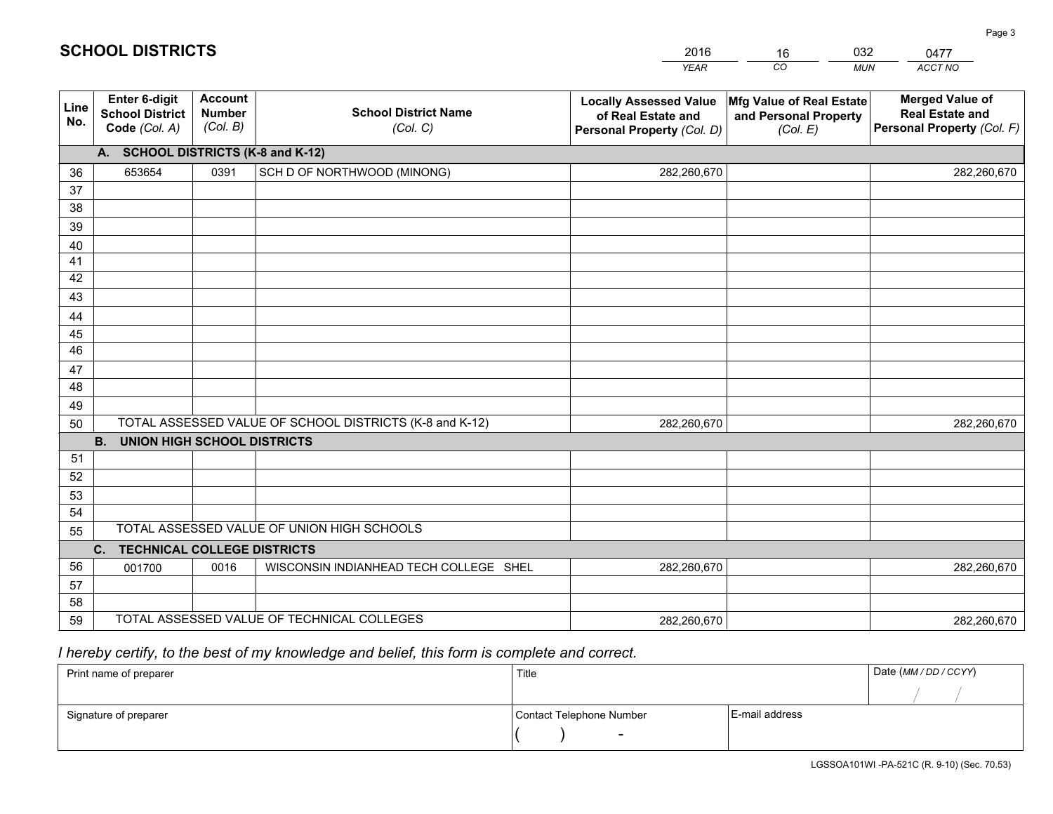|             |                                                          |                                             |                                                         | <b>YEAR</b>                                                                       | CO<br><b>MUN</b>                                              | ACCT NO                                                                        |  |  |  |
|-------------|----------------------------------------------------------|---------------------------------------------|---------------------------------------------------------|-----------------------------------------------------------------------------------|---------------------------------------------------------------|--------------------------------------------------------------------------------|--|--|--|
| Line<br>No. | Enter 6-digit<br><b>School District</b><br>Code (Col. A) | <b>Account</b><br><b>Number</b><br>(Col. B) | <b>School District Name</b><br>(Col. C)                 | <b>Locally Assessed Value</b><br>of Real Estate and<br>Personal Property (Col. D) | Mfg Value of Real Estate<br>and Personal Property<br>(Col. E) | <b>Merged Value of</b><br><b>Real Estate and</b><br>Personal Property (Col. F) |  |  |  |
|             | A. SCHOOL DISTRICTS (K-8 and K-12)                       |                                             |                                                         |                                                                                   |                                                               |                                                                                |  |  |  |
| 36          | 653654                                                   | 0391                                        | SCH D OF NORTHWOOD (MINONG)                             | 282,260,670                                                                       |                                                               | 282,260,670                                                                    |  |  |  |
| 37          |                                                          |                                             |                                                         |                                                                                   |                                                               |                                                                                |  |  |  |
| 38          |                                                          |                                             |                                                         |                                                                                   |                                                               |                                                                                |  |  |  |
| 39          |                                                          |                                             |                                                         |                                                                                   |                                                               |                                                                                |  |  |  |
| 40          |                                                          |                                             |                                                         |                                                                                   |                                                               |                                                                                |  |  |  |
| 41          |                                                          |                                             |                                                         |                                                                                   |                                                               |                                                                                |  |  |  |
| 42          |                                                          |                                             |                                                         |                                                                                   |                                                               |                                                                                |  |  |  |
| 43          |                                                          |                                             |                                                         |                                                                                   |                                                               |                                                                                |  |  |  |
| 44<br>45    |                                                          |                                             |                                                         |                                                                                   |                                                               |                                                                                |  |  |  |
| 46          |                                                          |                                             |                                                         |                                                                                   |                                                               |                                                                                |  |  |  |
| 47          |                                                          |                                             |                                                         |                                                                                   |                                                               |                                                                                |  |  |  |
| 48          |                                                          |                                             |                                                         |                                                                                   |                                                               |                                                                                |  |  |  |
| 49          |                                                          |                                             |                                                         |                                                                                   |                                                               |                                                                                |  |  |  |
| 50          |                                                          |                                             | TOTAL ASSESSED VALUE OF SCHOOL DISTRICTS (K-8 and K-12) | 282,260,670                                                                       |                                                               | 282,260,670                                                                    |  |  |  |
|             | <b>B.</b><br><b>UNION HIGH SCHOOL DISTRICTS</b>          |                                             |                                                         |                                                                                   |                                                               |                                                                                |  |  |  |
| 51          |                                                          |                                             |                                                         |                                                                                   |                                                               |                                                                                |  |  |  |
| 52          |                                                          |                                             |                                                         |                                                                                   |                                                               |                                                                                |  |  |  |
| 53          |                                                          |                                             |                                                         |                                                                                   |                                                               |                                                                                |  |  |  |
| 54          |                                                          |                                             |                                                         |                                                                                   |                                                               |                                                                                |  |  |  |
| 55          | TOTAL ASSESSED VALUE OF UNION HIGH SCHOOLS               |                                             |                                                         |                                                                                   |                                                               |                                                                                |  |  |  |
|             | C. TECHNICAL COLLEGE DISTRICTS                           |                                             |                                                         |                                                                                   |                                                               |                                                                                |  |  |  |
| 56          | 001700                                                   | 0016                                        | WISCONSIN INDIANHEAD TECH COLLEGE SHEL                  | 282,260,670                                                                       |                                                               | 282,260,670                                                                    |  |  |  |
| 57          |                                                          |                                             |                                                         |                                                                                   |                                                               |                                                                                |  |  |  |
| 58          |                                                          |                                             | TOTAL ASSESSED VALUE OF TECHNICAL COLLEGES              |                                                                                   |                                                               |                                                                                |  |  |  |
| 59          |                                                          |                                             |                                                         | 282,260,670                                                                       |                                                               | 282,260,670                                                                    |  |  |  |

16

032

# *I hereby certify, to the best of my knowledge and belief, this form is complete and correct.*

**SCHOOL DISTRICTS**

| Print name of preparer | Title                    |                | Date (MM / DD / CCYY) |
|------------------------|--------------------------|----------------|-----------------------|
|                        |                          |                |                       |
| Signature of preparer  | Contact Telephone Number | E-mail address |                       |
|                        | $\overline{\phantom{0}}$ |                |                       |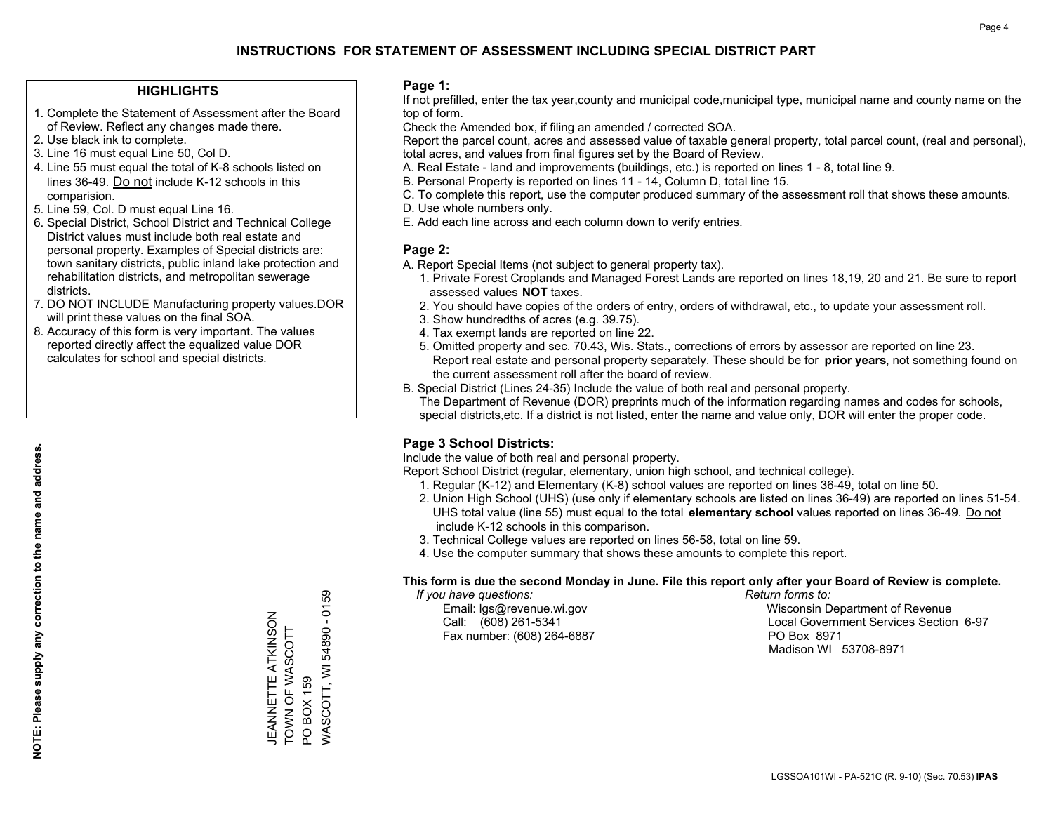#### **HIGHLIGHTS**

- 1. Complete the Statement of Assessment after the Board of Review. Reflect any changes made there.
- 2. Use black ink to complete.
- 3. Line 16 must equal Line 50, Col D.
- 4. Line 55 must equal the total of K-8 schools listed on lines 36-49. Do not include K-12 schools in this comparision.
- 5. Line 59, Col. D must equal Line 16.
- 6. Special District, School District and Technical College District values must include both real estate and personal property. Examples of Special districts are: town sanitary districts, public inland lake protection and rehabilitation districts, and metropolitan sewerage districts.
- 7. DO NOT INCLUDE Manufacturing property values.DOR will print these values on the final SOA.

JEANNETTE ATKINSON TOWN OF WASCOTT

JEANNETTE ATKINSON TOWN OF WASCOTT

PO BOX 159

PO BOX 159

WASCOTT, WI 54890 - 0159

/VASCOTT, WI 54890 - 0159

 8. Accuracy of this form is very important. The values reported directly affect the equalized value DOR calculates for school and special districts.

#### **Page 1:**

 If not prefilled, enter the tax year,county and municipal code,municipal type, municipal name and county name on the top of form.

Check the Amended box, if filing an amended / corrected SOA.

 Report the parcel count, acres and assessed value of taxable general property, total parcel count, (real and personal), total acres, and values from final figures set by the Board of Review.

- A. Real Estate land and improvements (buildings, etc.) is reported on lines 1 8, total line 9.
- B. Personal Property is reported on lines 11 14, Column D, total line 15.
- C. To complete this report, use the computer produced summary of the assessment roll that shows these amounts.
- D. Use whole numbers only.
- E. Add each line across and each column down to verify entries.

### **Page 2:**

- A. Report Special Items (not subject to general property tax).
- 1. Private Forest Croplands and Managed Forest Lands are reported on lines 18,19, 20 and 21. Be sure to report assessed values **NOT** taxes.
- 2. You should have copies of the orders of entry, orders of withdrawal, etc., to update your assessment roll.
	- 3. Show hundredths of acres (e.g. 39.75).
- 4. Tax exempt lands are reported on line 22.
- 5. Omitted property and sec. 70.43, Wis. Stats., corrections of errors by assessor are reported on line 23. Report real estate and personal property separately. These should be for **prior years**, not something found on the current assessment roll after the board of review.
- B. Special District (Lines 24-35) Include the value of both real and personal property.

 The Department of Revenue (DOR) preprints much of the information regarding names and codes for schools, special districts,etc. If a district is not listed, enter the name and value only, DOR will enter the proper code.

## **Page 3 School Districts:**

Include the value of both real and personal property.

Report School District (regular, elementary, union high school, and technical college).

- 1. Regular (K-12) and Elementary (K-8) school values are reported on lines 36-49, total on line 50.
- 2. Union High School (UHS) (use only if elementary schools are listed on lines 36-49) are reported on lines 51-54. UHS total value (line 55) must equal to the total **elementary school** values reported on lines 36-49. Do notinclude K-12 schools in this comparison.
- 3. Technical College values are reported on lines 56-58, total on line 59.
- 4. Use the computer summary that shows these amounts to complete this report.

#### **This form is due the second Monday in June. File this report only after your Board of Review is complete.**

 *If you have questions: Return forms to:*

Fax number: (608) 264-6887 PO Box 8971

 Email: lgs@revenue.wi.gov Wisconsin Department of Revenue Call: (608) 261-5341 Local Government Services Section 6-97Madison WI 53708-8971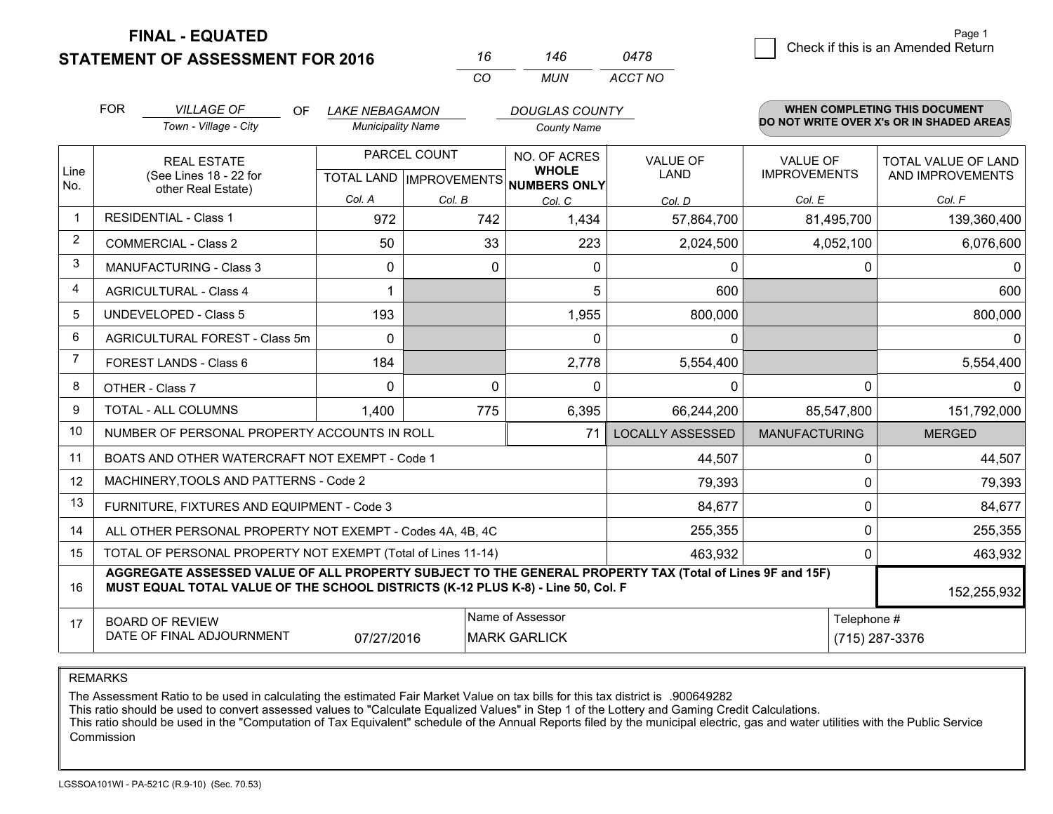**STATEMENT OF ASSESSMENT FOR 2016** 

**FINAL - EQUATED**

|   | Page 1                             |  |
|---|------------------------------------|--|
| 8 | Check if this is an Amended Return |  |
|   |                                    |  |

|                | <b>FOR</b>                                                                                                                                                                                                  | <b>VILLAGE OF</b><br>OF.<br>Town - Village - City            | <b>LAKE NEBAGAMON</b><br><b>Municipality Name</b> |                           | <b>DOUGLAS COUNTY</b>        |                         |                      | <b>WHEN COMPLETING THIS DOCUMENT</b><br>DO NOT WRITE OVER X's OR IN SHADED AREAS |
|----------------|-------------------------------------------------------------------------------------------------------------------------------------------------------------------------------------------------------------|--------------------------------------------------------------|---------------------------------------------------|---------------------------|------------------------------|-------------------------|----------------------|----------------------------------------------------------------------------------|
|                |                                                                                                                                                                                                             |                                                              |                                                   |                           | <b>County Name</b>           |                         |                      |                                                                                  |
|                |                                                                                                                                                                                                             | <b>REAL ESTATE</b>                                           |                                                   | PARCEL COUNT              | NO. OF ACRES<br><b>WHOLE</b> | <b>VALUE OF</b>         | <b>VALUE OF</b>      | <b>TOTAL VALUE OF LAND</b>                                                       |
| Line<br>No.    |                                                                                                                                                                                                             | (See Lines 18 - 22 for<br>other Real Estate)                 |                                                   | TOTAL LAND   IMPROVEMENTS | <b>NUMBERS ONLY</b>          | LAND                    | <b>IMPROVEMENTS</b>  | AND IMPROVEMENTS                                                                 |
|                |                                                                                                                                                                                                             |                                                              | Col. A                                            | Col. B                    | Col. C                       | Col. D                  | Col. E               | Col. F                                                                           |
| $\mathbf 1$    |                                                                                                                                                                                                             | <b>RESIDENTIAL - Class 1</b>                                 | 972                                               | 742                       | 1,434                        | 57,864,700              | 81,495,700           | 139,360,400                                                                      |
| 2              |                                                                                                                                                                                                             | <b>COMMERCIAL - Class 2</b>                                  | 50                                                |                           | 33<br>223                    | 2,024,500               | 4,052,100            | 6,076,600                                                                        |
| 3              |                                                                                                                                                                                                             | <b>MANUFACTURING - Class 3</b>                               | 0                                                 |                           | $\Omega$<br>0                | $\mathbf 0$             | 0                    | <sup>0</sup>                                                                     |
| $\overline{4}$ |                                                                                                                                                                                                             | <b>AGRICULTURAL - Class 4</b>                                | 1                                                 |                           | 5                            | 600                     |                      | 600                                                                              |
| 5              |                                                                                                                                                                                                             | <b>UNDEVELOPED - Class 5</b>                                 | 193                                               |                           | 1,955                        | 800,000                 |                      | 800,000                                                                          |
| 6              |                                                                                                                                                                                                             | AGRICULTURAL FOREST - Class 5m                               | 0                                                 |                           | 0                            | $\mathbf 0$             |                      | $\Omega$                                                                         |
| $\overline{7}$ |                                                                                                                                                                                                             | FOREST LANDS - Class 6                                       | 184                                               |                           | 2,778                        | 5,554,400               |                      | 5,554,400                                                                        |
| 8              |                                                                                                                                                                                                             | OTHER - Class 7                                              | $\Omega$                                          |                           | $\Omega$<br>$\Omega$         | $\mathbf 0$             | $\Omega$             | 0                                                                                |
| 9              |                                                                                                                                                                                                             | TOTAL - ALL COLUMNS                                          | 1.400                                             | 775                       | 6,395                        | 66,244,200              | 85,547,800           | 151,792,000                                                                      |
| 10             |                                                                                                                                                                                                             | NUMBER OF PERSONAL PROPERTY ACCOUNTS IN ROLL                 |                                                   |                           | 71                           | <b>LOCALLY ASSESSED</b> | <b>MANUFACTURING</b> | <b>MERGED</b>                                                                    |
| 11             |                                                                                                                                                                                                             | BOATS AND OTHER WATERCRAFT NOT EXEMPT - Code 1               |                                                   |                           |                              | 44,507                  | 0                    | 44,507                                                                           |
| 12             |                                                                                                                                                                                                             | MACHINERY, TOOLS AND PATTERNS - Code 2                       |                                                   |                           |                              | 79,393                  | $\Omega$             | 79,393                                                                           |
| 13             |                                                                                                                                                                                                             | FURNITURE, FIXTURES AND EQUIPMENT - Code 3                   |                                                   |                           |                              | 84,677                  | 0                    | 84,677                                                                           |
| 14             |                                                                                                                                                                                                             | ALL OTHER PERSONAL PROPERTY NOT EXEMPT - Codes 4A, 4B, 4C    |                                                   |                           |                              | 255,355                 | $\Omega$             | 255,355                                                                          |
| 15             |                                                                                                                                                                                                             | TOTAL OF PERSONAL PROPERTY NOT EXEMPT (Total of Lines 11-14) |                                                   |                           |                              | 463,932                 | 0                    | 463,932                                                                          |
| 16             | AGGREGATE ASSESSED VALUE OF ALL PROPERTY SUBJECT TO THE GENERAL PROPERTY TAX (Total of Lines 9F and 15F)<br>MUST EQUAL TOTAL VALUE OF THE SCHOOL DISTRICTS (K-12 PLUS K-8) - Line 50, Col. F<br>152,255,932 |                                                              |                                                   |                           |                              |                         |                      |                                                                                  |
| 17             |                                                                                                                                                                                                             | <b>BOARD OF REVIEW</b>                                       |                                                   |                           | Name of Assessor             |                         | Telephone #          |                                                                                  |
|                | DATE OF FINAL ADJOURNMENT<br>07/27/2016<br><b>MARK GARLICK</b>                                                                                                                                              |                                                              |                                                   |                           |                              | (715) 287-3376          |                      |                                                                                  |

*CO*

*MUN*

*ACCT NO0478*

*<sup>16</sup> <sup>146</sup>*

REMARKS

The Assessment Ratio to be used in calculating the estimated Fair Market Value on tax bills for this tax district is .900649282<br>This ratio should be used to convert assessed values to "Calculate Equalized Values" in Step 1 Commission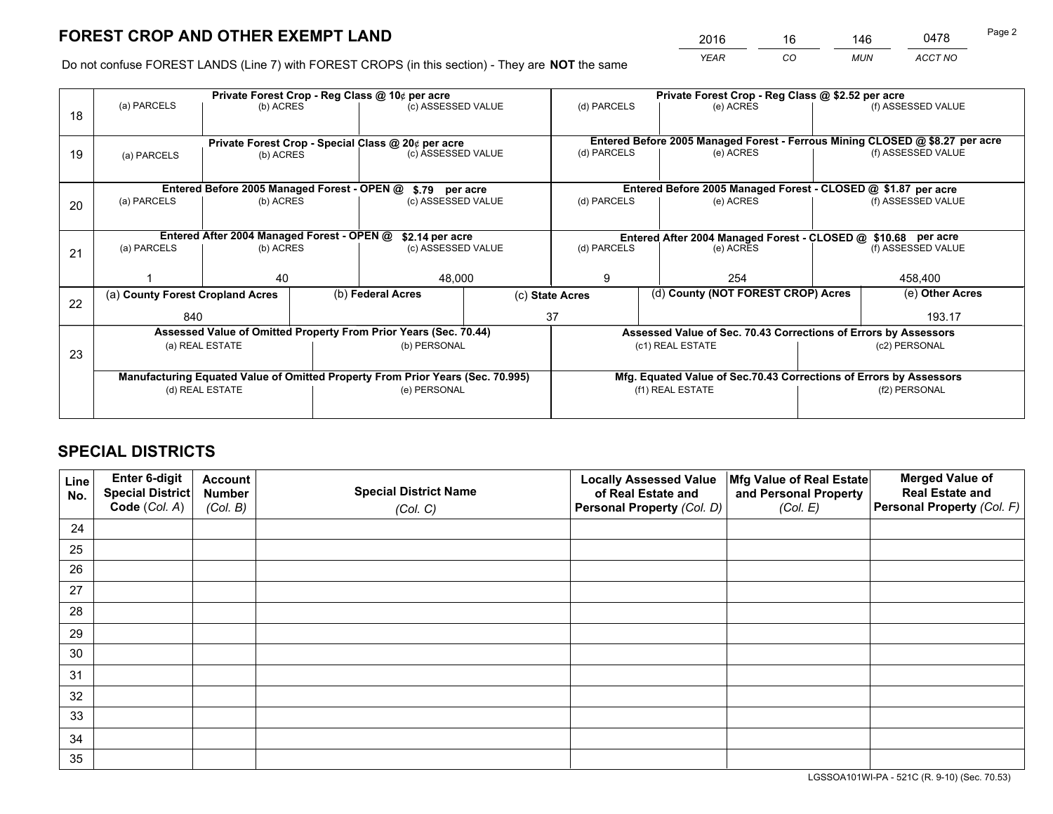*YEAR CO MUN ACCT NO* <sup>2016</sup> <sup>16</sup> <sup>146</sup> <sup>0478</sup>

Do not confuse FOREST LANDS (Line 7) with FOREST CROPS (in this section) - They are **NOT** the same

|    |                                  |                                             |  | Private Forest Crop - Reg Class @ 10¢ per acre                                 |                                       |                                                                              | Private Forest Crop - Reg Class @ \$2.52 per acre                  |                    |                    |  |
|----|----------------------------------|---------------------------------------------|--|--------------------------------------------------------------------------------|---------------------------------------|------------------------------------------------------------------------------|--------------------------------------------------------------------|--------------------|--------------------|--|
| 18 | (a) PARCELS                      | (b) ACRES                                   |  | (c) ASSESSED VALUE                                                             |                                       | (d) PARCELS                                                                  | (e) ACRES                                                          |                    | (f) ASSESSED VALUE |  |
|    |                                  |                                             |  |                                                                                |                                       |                                                                              |                                                                    |                    |                    |  |
|    |                                  |                                             |  | Private Forest Crop - Special Class @ 20¢ per acre                             |                                       | Entered Before 2005 Managed Forest - Ferrous Mining CLOSED @ \$8.27 per acre |                                                                    |                    |                    |  |
| 19 |                                  | (b) ACRES<br>(a) PARCELS                    |  | (c) ASSESSED VALUE                                                             |                                       | (d) PARCELS                                                                  | (e) ACRES                                                          |                    | (f) ASSESSED VALUE |  |
|    |                                  |                                             |  |                                                                                |                                       |                                                                              |                                                                    |                    |                    |  |
|    |                                  | Entered Before 2005 Managed Forest - OPEN @ |  | \$.79 per acre                                                                 |                                       |                                                                              | Entered Before 2005 Managed Forest - CLOSED @ \$1.87 per acre      |                    |                    |  |
| 20 | (a) PARCELS                      | (b) ACRES                                   |  | (c) ASSESSED VALUE                                                             |                                       | (d) PARCELS                                                                  | (e) ACRES                                                          |                    | (f) ASSESSED VALUE |  |
|    |                                  |                                             |  |                                                                                |                                       |                                                                              |                                                                    |                    |                    |  |
|    |                                  | Entered After 2004 Managed Forest - OPEN @  |  |                                                                                | \$2.14 per acre<br>(c) ASSESSED VALUE |                                                                              | Entered After 2004 Managed Forest - CLOSED @ \$10.68 per acre      |                    |                    |  |
| 21 | (a) PARCELS                      | (b) ACRES                                   |  |                                                                                |                                       |                                                                              | (e) ACRES                                                          | (f) ASSESSED VALUE |                    |  |
|    |                                  |                                             |  |                                                                                |                                       |                                                                              |                                                                    |                    |                    |  |
|    |                                  | 40                                          |  | 48,000                                                                         |                                       | 9                                                                            | 254                                                                |                    |                    |  |
| 22 | (a) County Forest Cropland Acres |                                             |  | (b) Federal Acres                                                              |                                       | (d) County (NOT FOREST CROP) Acres<br>(c) State Acres                        |                                                                    |                    | (e) Other Acres    |  |
|    | 840                              |                                             |  |                                                                                |                                       | 37                                                                           |                                                                    | 193.17             |                    |  |
|    |                                  |                                             |  | Assessed Value of Omitted Property From Prior Years (Sec. 70.44)               |                                       |                                                                              | Assessed Value of Sec. 70.43 Corrections of Errors by Assessors    |                    |                    |  |
|    |                                  | (a) REAL ESTATE                             |  | (b) PERSONAL                                                                   |                                       |                                                                              | (c1) REAL ESTATE                                                   |                    | (c2) PERSONAL      |  |
| 23 |                                  |                                             |  |                                                                                |                                       |                                                                              |                                                                    |                    |                    |  |
|    |                                  |                                             |  | Manufacturing Equated Value of Omitted Property From Prior Years (Sec. 70.995) |                                       |                                                                              | Mfg. Equated Value of Sec.70.43 Corrections of Errors by Assessors |                    |                    |  |
|    |                                  | (d) REAL ESTATE                             |  | (e) PERSONAL                                                                   |                                       | (f1) REAL ESTATE                                                             |                                                                    | (f2) PERSONAL      |                    |  |
|    |                                  |                                             |  |                                                                                |                                       |                                                                              |                                                                    |                    |                    |  |
|    |                                  |                                             |  |                                                                                |                                       |                                                                              |                                                                    |                    |                    |  |

# **SPECIAL DISTRICTS**

| Line<br>No. | Enter 6-digit<br><b>Special District</b> | <b>Account</b><br><b>Number</b> | <b>Special District Name</b> | <b>Locally Assessed Value</b><br>of Real Estate and | Mfg Value of Real Estate<br>and Personal Property | <b>Merged Value of</b><br><b>Real Estate and</b> |
|-------------|------------------------------------------|---------------------------------|------------------------------|-----------------------------------------------------|---------------------------------------------------|--------------------------------------------------|
|             | Code (Col. A)                            | (Col. B)                        | (Col. C)                     | Personal Property (Col. D)                          | (Col. E)                                          | Personal Property (Col. F)                       |
| 24          |                                          |                                 |                              |                                                     |                                                   |                                                  |
| 25          |                                          |                                 |                              |                                                     |                                                   |                                                  |
| 26          |                                          |                                 |                              |                                                     |                                                   |                                                  |
| 27          |                                          |                                 |                              |                                                     |                                                   |                                                  |
| 28          |                                          |                                 |                              |                                                     |                                                   |                                                  |
| 29          |                                          |                                 |                              |                                                     |                                                   |                                                  |
| 30          |                                          |                                 |                              |                                                     |                                                   |                                                  |
| 31          |                                          |                                 |                              |                                                     |                                                   |                                                  |
| 32          |                                          |                                 |                              |                                                     |                                                   |                                                  |
| 33          |                                          |                                 |                              |                                                     |                                                   |                                                  |
| 34          |                                          |                                 |                              |                                                     |                                                   |                                                  |
| 35          |                                          |                                 |                              |                                                     |                                                   |                                                  |

LGSSOA101WI-PA - 521C (R. 9-10) (Sec. 70.53)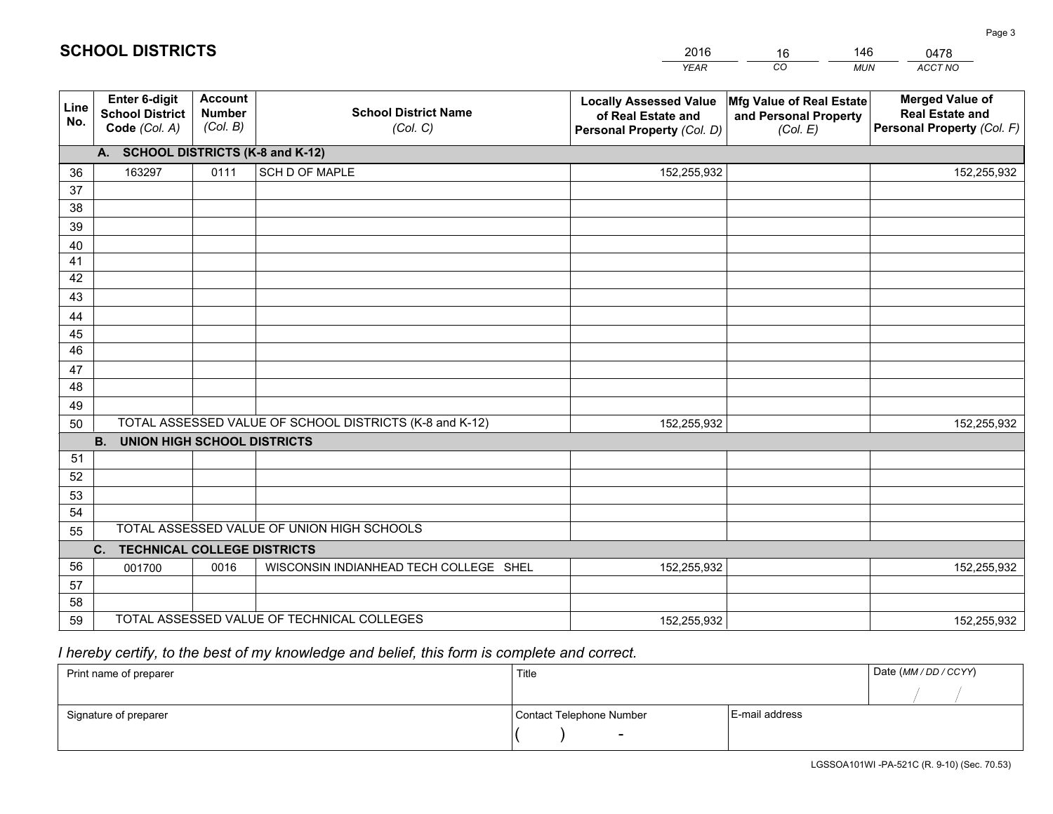|             |                                                          |                                             |                                                         | <b>YEAR</b>                                                                       | CO<br><b>MUN</b>                                              | ACCT NO                                                                        |
|-------------|----------------------------------------------------------|---------------------------------------------|---------------------------------------------------------|-----------------------------------------------------------------------------------|---------------------------------------------------------------|--------------------------------------------------------------------------------|
| Line<br>No. | Enter 6-digit<br><b>School District</b><br>Code (Col. A) | <b>Account</b><br><b>Number</b><br>(Col. B) | <b>School District Name</b><br>(Col. C)                 | <b>Locally Assessed Value</b><br>of Real Estate and<br>Personal Property (Col. D) | Mfg Value of Real Estate<br>and Personal Property<br>(Col. E) | <b>Merged Value of</b><br><b>Real Estate and</b><br>Personal Property (Col. F) |
|             | A. SCHOOL DISTRICTS (K-8 and K-12)                       |                                             |                                                         |                                                                                   |                                                               |                                                                                |
| 36          | 163297                                                   | 0111                                        | <b>SCH D OF MAPLE</b>                                   | 152,255,932                                                                       |                                                               | 152,255,932                                                                    |
| 37          |                                                          |                                             |                                                         |                                                                                   |                                                               |                                                                                |
| 38          |                                                          |                                             |                                                         |                                                                                   |                                                               |                                                                                |
| 39          |                                                          |                                             |                                                         |                                                                                   |                                                               |                                                                                |
| 40          |                                                          |                                             |                                                         |                                                                                   |                                                               |                                                                                |
| 41          |                                                          |                                             |                                                         |                                                                                   |                                                               |                                                                                |
| 42          |                                                          |                                             |                                                         |                                                                                   |                                                               |                                                                                |
| 43          |                                                          |                                             |                                                         |                                                                                   |                                                               |                                                                                |
| 44<br>45    |                                                          |                                             |                                                         |                                                                                   |                                                               |                                                                                |
| 46          |                                                          |                                             |                                                         |                                                                                   |                                                               |                                                                                |
| 47          |                                                          |                                             |                                                         |                                                                                   |                                                               |                                                                                |
| 48          |                                                          |                                             |                                                         |                                                                                   |                                                               |                                                                                |
| 49          |                                                          |                                             |                                                         |                                                                                   |                                                               |                                                                                |
| 50          |                                                          |                                             | TOTAL ASSESSED VALUE OF SCHOOL DISTRICTS (K-8 and K-12) | 152,255,932                                                                       |                                                               | 152,255,932                                                                    |
|             | B <sub>1</sub><br><b>UNION HIGH SCHOOL DISTRICTS</b>     |                                             |                                                         |                                                                                   |                                                               |                                                                                |
| 51          |                                                          |                                             |                                                         |                                                                                   |                                                               |                                                                                |
| 52          |                                                          |                                             |                                                         |                                                                                   |                                                               |                                                                                |
| 53          |                                                          |                                             |                                                         |                                                                                   |                                                               |                                                                                |
| 54          |                                                          |                                             |                                                         |                                                                                   |                                                               |                                                                                |
| 55          |                                                          |                                             | TOTAL ASSESSED VALUE OF UNION HIGH SCHOOLS              |                                                                                   |                                                               |                                                                                |
|             | C. TECHNICAL COLLEGE DISTRICTS                           |                                             |                                                         |                                                                                   |                                                               |                                                                                |
| 56          | 001700                                                   | 0016                                        | WISCONSIN INDIANHEAD TECH COLLEGE SHEL                  | 152,255,932                                                                       |                                                               | 152,255,932                                                                    |
| 57          |                                                          |                                             |                                                         |                                                                                   |                                                               |                                                                                |
| 58          |                                                          |                                             |                                                         |                                                                                   |                                                               |                                                                                |
| 59          |                                                          |                                             | TOTAL ASSESSED VALUE OF TECHNICAL COLLEGES              | 152,255,932                                                                       |                                                               | 152,255,932                                                                    |

16

146

# *I hereby certify, to the best of my knowledge and belief, this form is complete and correct.*

**SCHOOL DISTRICTS**

| Print name of preparer | Title                    | Date (MM / DD / CCYY) |  |
|------------------------|--------------------------|-----------------------|--|
|                        |                          |                       |  |
| Signature of preparer  | Contact Telephone Number | E-mail address        |  |
|                        | $\sim$                   |                       |  |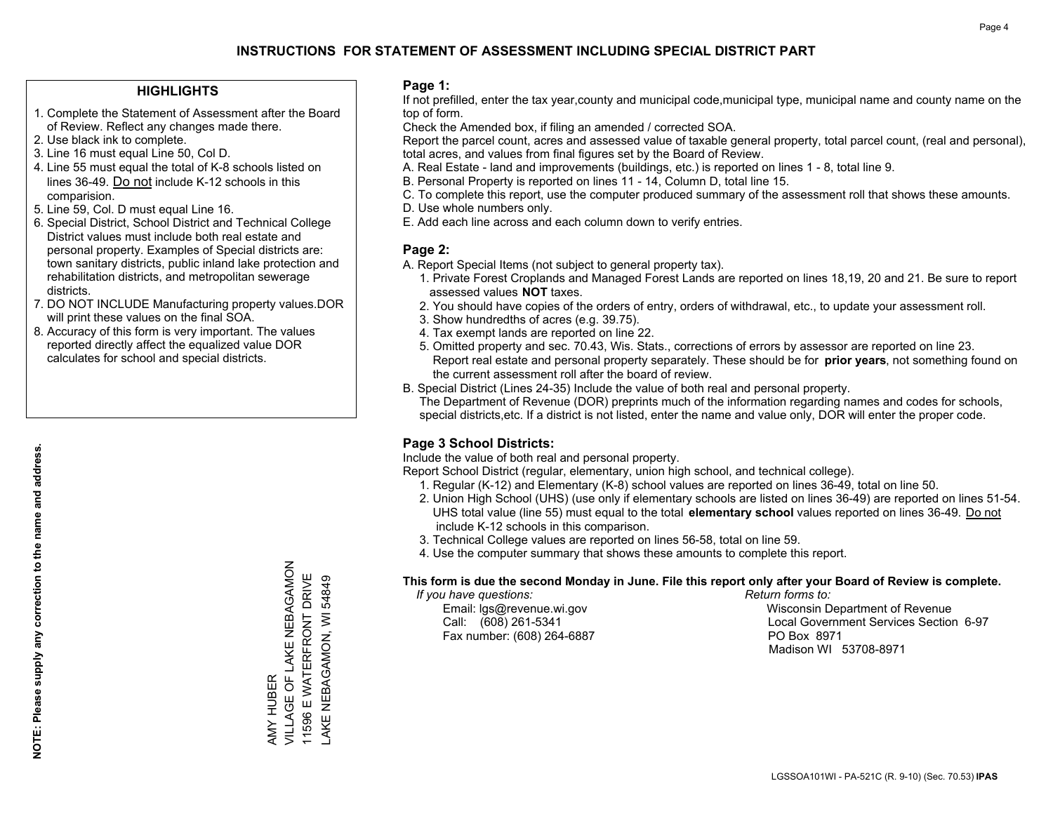#### **HIGHLIGHTS**

- 1. Complete the Statement of Assessment after the Board of Review. Reflect any changes made there.
- 2. Use black ink to complete.
- 3. Line 16 must equal Line 50, Col D.
- 4. Line 55 must equal the total of K-8 schools listed on lines 36-49. Do not include K-12 schools in this comparision.
- 5. Line 59, Col. D must equal Line 16.
- 6. Special District, School District and Technical College District values must include both real estate and personal property. Examples of Special districts are: town sanitary districts, public inland lake protection and rehabilitation districts, and metropolitan sewerage districts.
- 7. DO NOT INCLUDE Manufacturing property values.DOR will print these values on the final SOA.

AMY HUBER

VILLAGE OF LAKE NEBAGAMON 11596 E WATERFRONT DRIVE LAKE NEBAGAMON, WI 54849

AMY HUBER<br>VILLAGE OF LAKE NEBAGAMON 11596 E WATERFRONT DRIVE AKE NEBAGAMON, WI 54849

 8. Accuracy of this form is very important. The values reported directly affect the equalized value DOR calculates for school and special districts.

#### **Page 1:**

 If not prefilled, enter the tax year,county and municipal code,municipal type, municipal name and county name on the top of form.

Check the Amended box, if filing an amended / corrected SOA.

 Report the parcel count, acres and assessed value of taxable general property, total parcel count, (real and personal), total acres, and values from final figures set by the Board of Review.

- A. Real Estate land and improvements (buildings, etc.) is reported on lines 1 8, total line 9.
- B. Personal Property is reported on lines 11 14, Column D, total line 15.
- C. To complete this report, use the computer produced summary of the assessment roll that shows these amounts.
- D. Use whole numbers only.
- E. Add each line across and each column down to verify entries.

#### **Page 2:**

- A. Report Special Items (not subject to general property tax).
- 1. Private Forest Croplands and Managed Forest Lands are reported on lines 18,19, 20 and 21. Be sure to report assessed values **NOT** taxes.
- 2. You should have copies of the orders of entry, orders of withdrawal, etc., to update your assessment roll.
	- 3. Show hundredths of acres (e.g. 39.75).
- 4. Tax exempt lands are reported on line 22.
- 5. Omitted property and sec. 70.43, Wis. Stats., corrections of errors by assessor are reported on line 23. Report real estate and personal property separately. These should be for **prior years**, not something found on the current assessment roll after the board of review.
- B. Special District (Lines 24-35) Include the value of both real and personal property.
- The Department of Revenue (DOR) preprints much of the information regarding names and codes for schools, special districts,etc. If a district is not listed, enter the name and value only, DOR will enter the proper code.

## **Page 3 School Districts:**

Include the value of both real and personal property.

Report School District (regular, elementary, union high school, and technical college).

- 1. Regular (K-12) and Elementary (K-8) school values are reported on lines 36-49, total on line 50.
- 2. Union High School (UHS) (use only if elementary schools are listed on lines 36-49) are reported on lines 51-54. UHS total value (line 55) must equal to the total **elementary school** values reported on lines 36-49. Do notinclude K-12 schools in this comparison.
- 3. Technical College values are reported on lines 56-58, total on line 59.
- 4. Use the computer summary that shows these amounts to complete this report.

#### **This form is due the second Monday in June. File this report only after your Board of Review is complete.**

 *If you have questions: Return forms to:*

Fax number: (608) 264-6887 PO Box 8971

 Email: lgs@revenue.wi.gov Wisconsin Department of Revenue Call: (608) 261-5341 Local Government Services Section 6-97Madison WI 53708-8971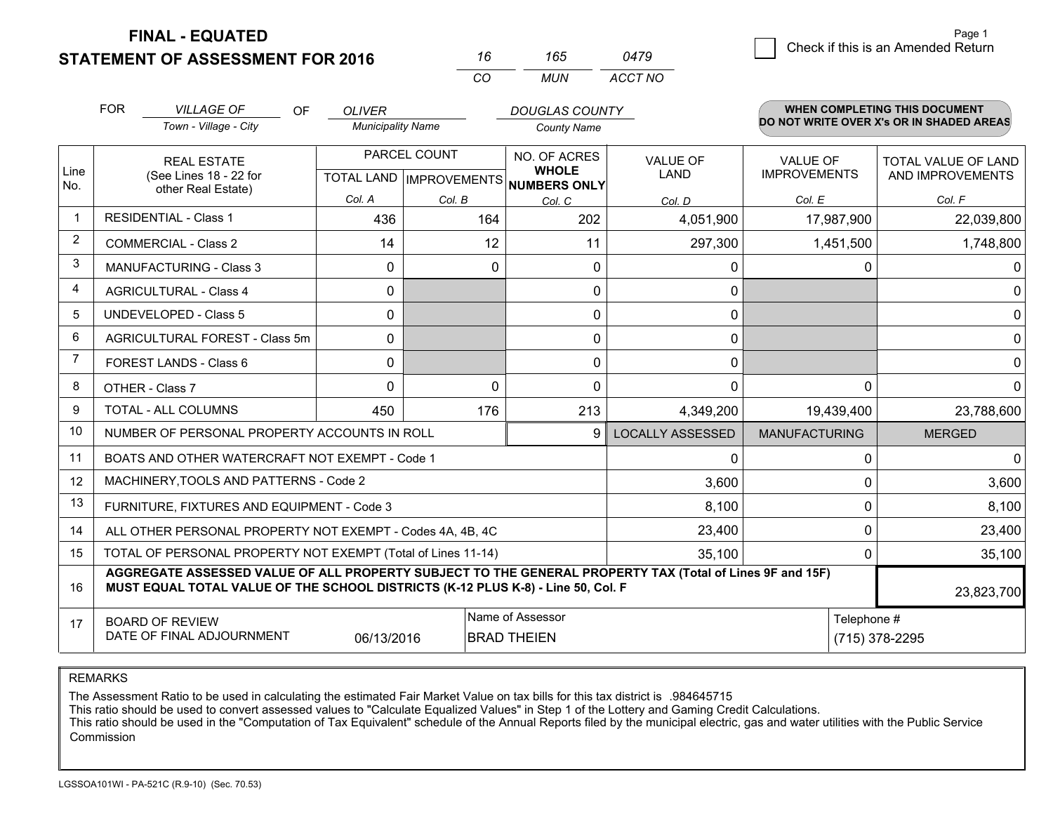**STATEMENT OF ASSESSMENT FOR 2016** 

**FINAL - EQUATED**

|                |                                                                                                                                                                                              |                          | <b>CO</b>    | <b>MUN</b>                                           | <b>ACCT NO</b>          |                      |                                          |  |
|----------------|----------------------------------------------------------------------------------------------------------------------------------------------------------------------------------------------|--------------------------|--------------|------------------------------------------------------|-------------------------|----------------------|------------------------------------------|--|
|                | <b>FOR</b><br><b>VILLAGE OF</b><br>OF                                                                                                                                                        | <b>OLIVER</b>            |              | <b>DOUGLAS COUNTY</b>                                |                         |                      | <b>WHEN COMPLETING THIS DOCUMENT</b>     |  |
|                | Town - Village - City                                                                                                                                                                        | <b>Municipality Name</b> |              | <b>County Name</b>                                   |                         |                      | DO NOT WRITE OVER X's OR IN SHADED AREAS |  |
|                | <b>REAL ESTATE</b>                                                                                                                                                                           |                          | PARCEL COUNT | NO. OF ACRES                                         | <b>VALUE OF</b>         | <b>VALUE OF</b>      | <b>TOTAL VALUE OF LAND</b>               |  |
| Line<br>No.    | (See Lines 18 - 22 for<br>other Real Estate)                                                                                                                                                 |                          |              | <b>WHOLE</b><br>TOTAL LAND IMPROVEMENTS NUMBERS ONLY | LAND                    | <b>IMPROVEMENTS</b>  | AND IMPROVEMENTS                         |  |
|                |                                                                                                                                                                                              | Col. A                   | Col. B       | Col. C                                               | Col. D                  | Col. E               | Col. F                                   |  |
| $\mathbf{1}$   | <b>RESIDENTIAL - Class 1</b>                                                                                                                                                                 | 436                      | 164          | 202                                                  | 4,051,900               | 17,987,900           | 22,039,800                               |  |
| $\overline{2}$ | <b>COMMERCIAL - Class 2</b>                                                                                                                                                                  | 14                       | 12           | 11                                                   | 297,300                 | 1,451,500            | 1,748,800                                |  |
| 3              | <b>MANUFACTURING - Class 3</b>                                                                                                                                                               | 0                        | $\mathbf 0$  | 0                                                    | $\Omega$                | 0                    |                                          |  |
| $\overline{4}$ | <b>AGRICULTURAL - Class 4</b>                                                                                                                                                                | 0                        |              | $\Omega$                                             | $\Omega$                |                      |                                          |  |
| 5              | <b>UNDEVELOPED - Class 5</b>                                                                                                                                                                 | 0                        |              | 0                                                    | $\Omega$                |                      |                                          |  |
| 6              | AGRICULTURAL FOREST - Class 5m                                                                                                                                                               | 0                        |              | 0                                                    | 0                       |                      |                                          |  |
| $\overline{7}$ | FOREST LANDS - Class 6                                                                                                                                                                       | 0                        |              | 0                                                    | $\Omega$                |                      |                                          |  |
| 8              | OTHER - Class 7                                                                                                                                                                              | $\Omega$                 | 0            | 0                                                    | $\Omega$                | $\Omega$             |                                          |  |
| 9              | TOTAL - ALL COLUMNS                                                                                                                                                                          | 450                      | 176          | 213                                                  | 4,349,200               | 19,439,400           | 23,788,600                               |  |
| 10             | NUMBER OF PERSONAL PROPERTY ACCOUNTS IN ROLL                                                                                                                                                 |                          |              | 9                                                    | <b>LOCALLY ASSESSED</b> | <b>MANUFACTURING</b> | <b>MERGED</b>                            |  |
| 11             | BOATS AND OTHER WATERCRAFT NOT EXEMPT - Code 1                                                                                                                                               |                          |              |                                                      | $\mathbf{0}$            | 0                    |                                          |  |
| 12             | MACHINERY, TOOLS AND PATTERNS - Code 2                                                                                                                                                       |                          |              |                                                      | 3,600                   | 0                    | 3,600                                    |  |
| 13             | FURNITURE, FIXTURES AND EQUIPMENT - Code 3                                                                                                                                                   |                          |              |                                                      | 8,100                   | 0                    | 8,100                                    |  |
| 14             | ALL OTHER PERSONAL PROPERTY NOT EXEMPT - Codes 4A, 4B, 4C                                                                                                                                    |                          |              |                                                      | 23,400                  | 0                    | 23,400                                   |  |
| 15             | TOTAL OF PERSONAL PROPERTY NOT EXEMPT (Total of Lines 11-14)                                                                                                                                 |                          |              |                                                      | 35,100                  | $\Omega$             | 35,100                                   |  |
| 16             | AGGREGATE ASSESSED VALUE OF ALL PROPERTY SUBJECT TO THE GENERAL PROPERTY TAX (Total of Lines 9F and 15F)<br>MUST EQUAL TOTAL VALUE OF THE SCHOOL DISTRICTS (K-12 PLUS K-8) - Line 50, Col. F |                          |              |                                                      |                         |                      | 23,823,700                               |  |
| 17             | <b>BOARD OF REVIEW</b>                                                                                                                                                                       |                          |              | Name of Assessor                                     |                         |                      | Telephone #                              |  |
|                | DATE OF FINAL ADJOURNMENT                                                                                                                                                                    | 06/13/2016               |              | <b>BRAD THEIEN</b>                                   |                         | (715) 378-2295       |                                          |  |

*<sup>16</sup> <sup>165</sup>*

*0479*

REMARKS

The Assessment Ratio to be used in calculating the estimated Fair Market Value on tax bills for this tax district is .984645715<br>This ratio should be used to convert assessed values to "Calculate Equalized Values" in Step 1 Commission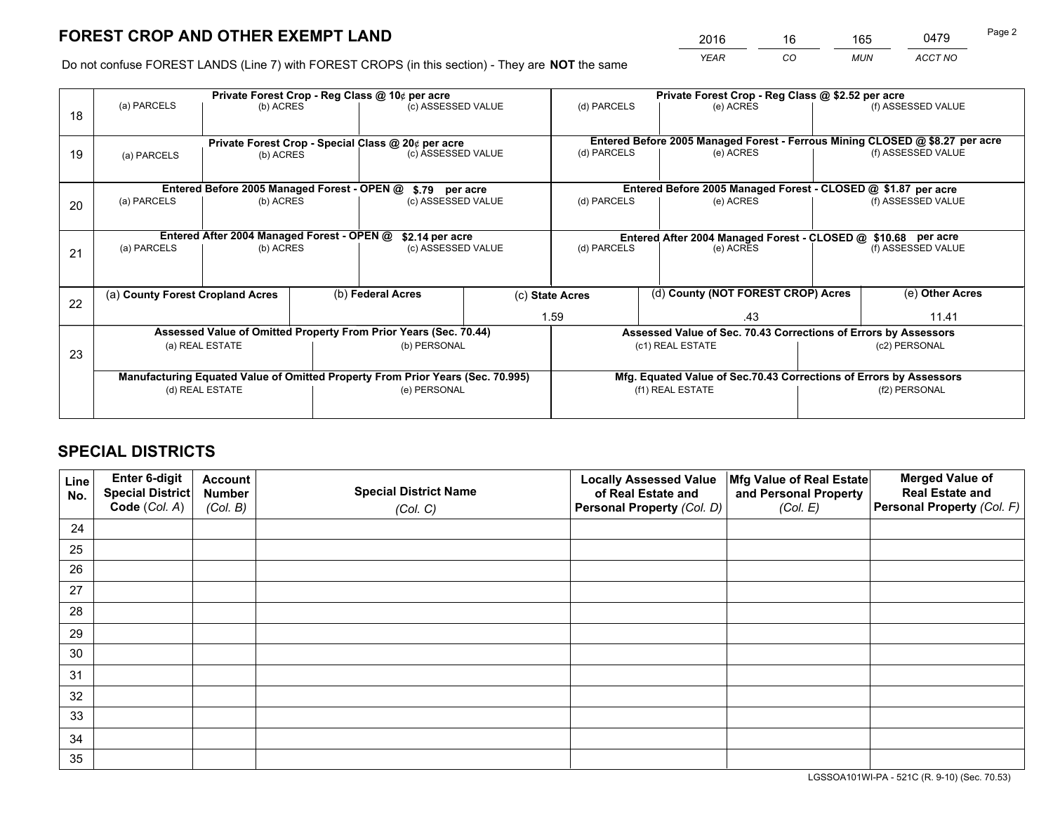*YEAR CO MUN ACCT NO* <sup>2016</sup> <sup>16</sup> <sup>165</sup> <sup>0479</sup>

Do not confuse FOREST LANDS (Line 7) with FOREST CROPS (in this section) - They are **NOT** the same

|    | Private Forest Crop - Reg Class @ 10¢ per acre                                 |           |                                                    |                    |                                                                 | Private Forest Crop - Reg Class @ \$2.52 per acre                            |                                                                    |                    |                    |  |
|----|--------------------------------------------------------------------------------|-----------|----------------------------------------------------|--------------------|-----------------------------------------------------------------|------------------------------------------------------------------------------|--------------------------------------------------------------------|--------------------|--------------------|--|
| 18 | (a) PARCELS                                                                    | (b) ACRES |                                                    | (c) ASSESSED VALUE |                                                                 | (d) PARCELS                                                                  | (e) ACRES                                                          |                    | (f) ASSESSED VALUE |  |
|    |                                                                                |           | Private Forest Crop - Special Class @ 20¢ per acre |                    |                                                                 | Entered Before 2005 Managed Forest - Ferrous Mining CLOSED @ \$8.27 per acre |                                                                    |                    |                    |  |
| 19 | (a) PARCELS                                                                    | (b) ACRES |                                                    | (c) ASSESSED VALUE |                                                                 | (d) PARCELS                                                                  | (e) ACRES                                                          |                    | (f) ASSESSED VALUE |  |
|    | Entered Before 2005 Managed Forest - OPEN @<br>\$.79 per acre                  |           |                                                    |                    |                                                                 | Entered Before 2005 Managed Forest - CLOSED @ \$1.87 per acre                |                                                                    |                    |                    |  |
|    | (a) PARCELS                                                                    | (b) ACRES |                                                    | (c) ASSESSED VALUE |                                                                 | (d) PARCELS<br>(e) ACRES                                                     |                                                                    | (f) ASSESSED VALUE |                    |  |
| 20 |                                                                                |           |                                                    |                    |                                                                 |                                                                              |                                                                    |                    |                    |  |
|    | Entered After 2004 Managed Forest - OPEN @<br>\$2.14 per acre                  |           |                                                    |                    | Entered After 2004 Managed Forest - CLOSED @ \$10.68 per acre   |                                                                              |                                                                    |                    |                    |  |
| 21 | (a) PARCELS<br>(b) ACRES                                                       |           |                                                    | (c) ASSESSED VALUE |                                                                 | (d) PARCELS<br>(e) ACRES                                                     |                                                                    |                    | (f) ASSESSED VALUE |  |
|    |                                                                                |           |                                                    |                    |                                                                 |                                                                              |                                                                    |                    |                    |  |
| 22 | (a) County Forest Cropland Acres                                               |           |                                                    | (b) Federal Acres  |                                                                 | (d) County (NOT FOREST CROP) Acres<br>(c) State Acres                        |                                                                    |                    | (e) Other Acres    |  |
|    |                                                                                |           |                                                    |                    |                                                                 | 1.59<br>.43                                                                  |                                                                    |                    | 11.41              |  |
|    | Assessed Value of Omitted Property From Prior Years (Sec. 70.44)               |           |                                                    |                    | Assessed Value of Sec. 70.43 Corrections of Errors by Assessors |                                                                              |                                                                    |                    |                    |  |
| 23 | (a) REAL ESTATE<br>(b) PERSONAL                                                |           |                                                    | (c1) REAL ESTATE   |                                                                 |                                                                              |                                                                    | (c2) PERSONAL      |                    |  |
|    |                                                                                |           |                                                    |                    |                                                                 |                                                                              |                                                                    |                    |                    |  |
|    | Manufacturing Equated Value of Omitted Property From Prior Years (Sec. 70.995) |           |                                                    |                    |                                                                 |                                                                              | Mfg. Equated Value of Sec.70.43 Corrections of Errors by Assessors |                    |                    |  |
|    | (d) REAL ESTATE                                                                |           |                                                    | (e) PERSONAL       |                                                                 | (f1) REAL ESTATE                                                             |                                                                    |                    | (f2) PERSONAL      |  |
|    |                                                                                |           |                                                    |                    |                                                                 |                                                                              |                                                                    |                    |                    |  |

# **SPECIAL DISTRICTS**

| Line<br>No. | Enter 6-digit<br>Special District<br>Code (Col. A) | <b>Account</b><br><b>Number</b> | <b>Special District Name</b> | <b>Locally Assessed Value</b><br>of Real Estate and | Mfg Value of Real Estate<br>and Personal Property | <b>Merged Value of</b><br><b>Real Estate and</b><br>Personal Property (Col. F) |
|-------------|----------------------------------------------------|---------------------------------|------------------------------|-----------------------------------------------------|---------------------------------------------------|--------------------------------------------------------------------------------|
|             |                                                    | (Col. B)                        | (Col. C)                     | Personal Property (Col. D)                          | (Col. E)                                          |                                                                                |
| 24          |                                                    |                                 |                              |                                                     |                                                   |                                                                                |
| 25          |                                                    |                                 |                              |                                                     |                                                   |                                                                                |
| 26          |                                                    |                                 |                              |                                                     |                                                   |                                                                                |
| 27          |                                                    |                                 |                              |                                                     |                                                   |                                                                                |
| 28          |                                                    |                                 |                              |                                                     |                                                   |                                                                                |
| 29          |                                                    |                                 |                              |                                                     |                                                   |                                                                                |
| 30          |                                                    |                                 |                              |                                                     |                                                   |                                                                                |
| 31          |                                                    |                                 |                              |                                                     |                                                   |                                                                                |
| 32          |                                                    |                                 |                              |                                                     |                                                   |                                                                                |
| 33          |                                                    |                                 |                              |                                                     |                                                   |                                                                                |
| 34          |                                                    |                                 |                              |                                                     |                                                   |                                                                                |
| 35          |                                                    |                                 |                              |                                                     |                                                   |                                                                                |

LGSSOA101WI-PA - 521C (R. 9-10) (Sec. 70.53)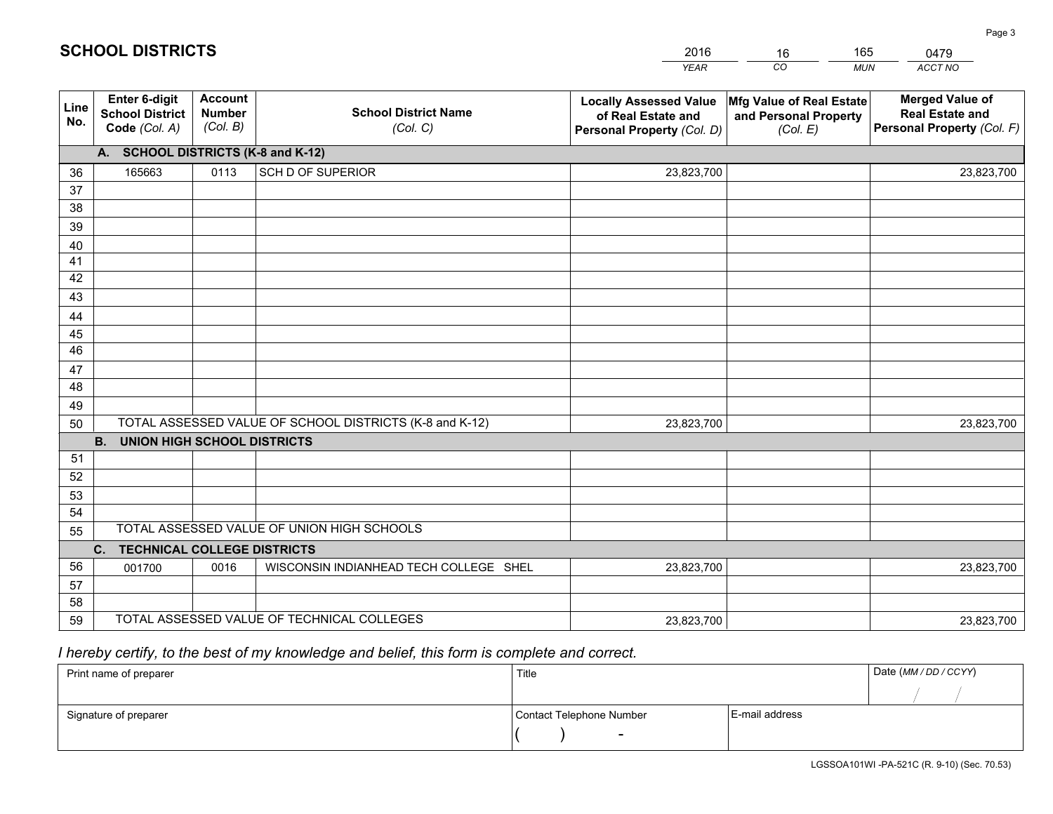|             |                                                                                     |                                             |                                            | <b>YEAR</b>                                                                       | CO<br><b>MUN</b>                                              | ACCT NO                                                                        |  |  |
|-------------|-------------------------------------------------------------------------------------|---------------------------------------------|--------------------------------------------|-----------------------------------------------------------------------------------|---------------------------------------------------------------|--------------------------------------------------------------------------------|--|--|
| Line<br>No. | Enter 6-digit<br><b>School District</b><br>Code (Col. A)                            | <b>Account</b><br><b>Number</b><br>(Col. B) | <b>School District Name</b><br>(Col. C)    | <b>Locally Assessed Value</b><br>of Real Estate and<br>Personal Property (Col. D) | Mfg Value of Real Estate<br>and Personal Property<br>(Col. E) | <b>Merged Value of</b><br><b>Real Estate and</b><br>Personal Property (Col. F) |  |  |
|             | A. SCHOOL DISTRICTS (K-8 and K-12)                                                  |                                             |                                            |                                                                                   |                                                               |                                                                                |  |  |
| 36          | 165663                                                                              | 0113                                        | SCH D OF SUPERIOR                          | 23,823,700                                                                        |                                                               | 23,823,700                                                                     |  |  |
| 37          |                                                                                     |                                             |                                            |                                                                                   |                                                               |                                                                                |  |  |
| 38          |                                                                                     |                                             |                                            |                                                                                   |                                                               |                                                                                |  |  |
| 39          |                                                                                     |                                             |                                            |                                                                                   |                                                               |                                                                                |  |  |
| 40          |                                                                                     |                                             |                                            |                                                                                   |                                                               |                                                                                |  |  |
| 41          |                                                                                     |                                             |                                            |                                                                                   |                                                               |                                                                                |  |  |
| 42          |                                                                                     |                                             |                                            |                                                                                   |                                                               |                                                                                |  |  |
| 43          |                                                                                     |                                             |                                            |                                                                                   |                                                               |                                                                                |  |  |
| 44<br>45    |                                                                                     |                                             |                                            |                                                                                   |                                                               |                                                                                |  |  |
| 46          |                                                                                     |                                             |                                            |                                                                                   |                                                               |                                                                                |  |  |
| 47          |                                                                                     |                                             |                                            |                                                                                   |                                                               |                                                                                |  |  |
| 48          |                                                                                     |                                             |                                            |                                                                                   |                                                               |                                                                                |  |  |
| 49          |                                                                                     |                                             |                                            |                                                                                   |                                                               |                                                                                |  |  |
| 50          | TOTAL ASSESSED VALUE OF SCHOOL DISTRICTS (K-8 and K-12)<br>23,823,700<br>23,823,700 |                                             |                                            |                                                                                   |                                                               |                                                                                |  |  |
|             | <b>B.</b><br><b>UNION HIGH SCHOOL DISTRICTS</b>                                     |                                             |                                            |                                                                                   |                                                               |                                                                                |  |  |
| 51          |                                                                                     |                                             |                                            |                                                                                   |                                                               |                                                                                |  |  |
| 52          |                                                                                     |                                             |                                            |                                                                                   |                                                               |                                                                                |  |  |
| 53          |                                                                                     |                                             |                                            |                                                                                   |                                                               |                                                                                |  |  |
| 54          |                                                                                     |                                             |                                            |                                                                                   |                                                               |                                                                                |  |  |
| 55          | TOTAL ASSESSED VALUE OF UNION HIGH SCHOOLS                                          |                                             |                                            |                                                                                   |                                                               |                                                                                |  |  |
|             | C.<br><b>TECHNICAL COLLEGE DISTRICTS</b>                                            |                                             |                                            |                                                                                   |                                                               |                                                                                |  |  |
| 56          | 001700                                                                              | 0016                                        | WISCONSIN INDIANHEAD TECH COLLEGE SHEL     | 23,823,700                                                                        |                                                               | 23,823,700                                                                     |  |  |
| 57          |                                                                                     |                                             |                                            |                                                                                   |                                                               |                                                                                |  |  |
| 58          |                                                                                     |                                             |                                            |                                                                                   |                                                               |                                                                                |  |  |
| 59          |                                                                                     |                                             | TOTAL ASSESSED VALUE OF TECHNICAL COLLEGES | 23,823,700                                                                        |                                                               | 23,823,700                                                                     |  |  |

16

165

 *I hereby certify, to the best of my knowledge and belief, this form is complete and correct.*

**SCHOOL DISTRICTS**

| Print name of preparer | Title                    |                | Date (MM / DD / CCYY) |
|------------------------|--------------------------|----------------|-----------------------|
|                        |                          |                |                       |
| Signature of preparer  | Contact Telephone Number | E-mail address |                       |
|                        | $\sim$                   |                |                       |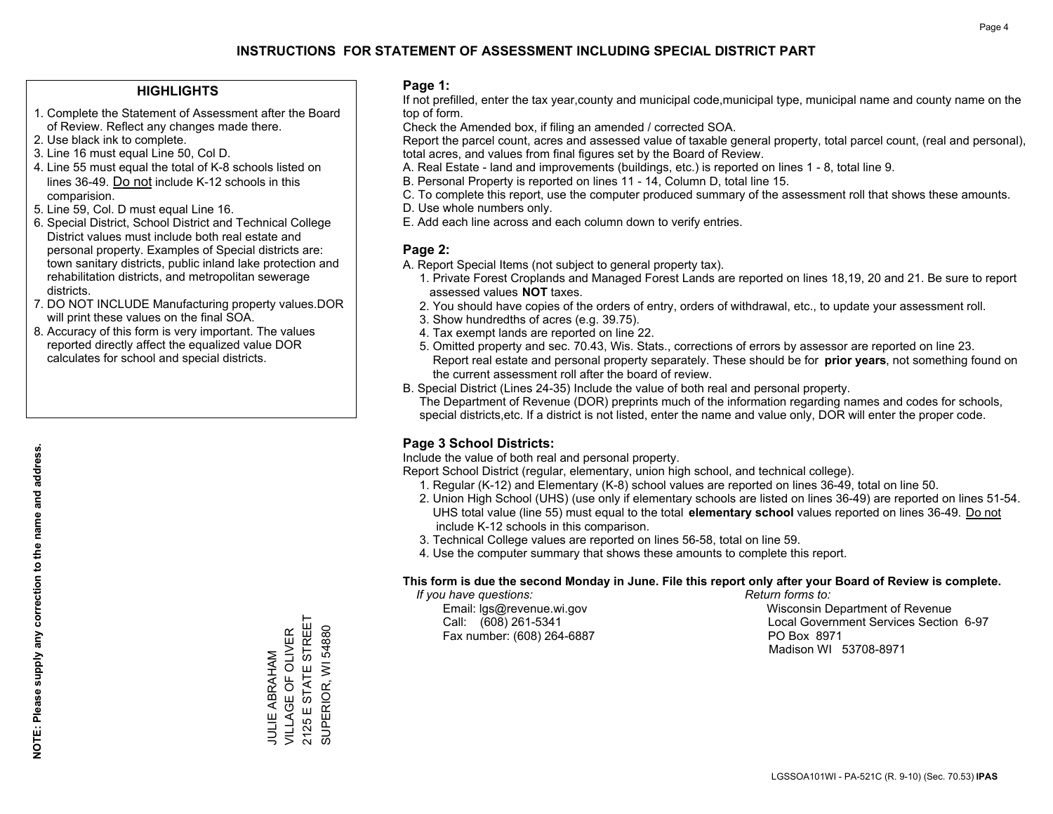#### **HIGHLIGHTS**

- 1. Complete the Statement of Assessment after the Board of Review. Reflect any changes made there.
- 2. Use black ink to complete.
- 3. Line 16 must equal Line 50, Col D.
- 4. Line 55 must equal the total of K-8 schools listed on lines 36-49. Do not include K-12 schools in this comparision.
- 5. Line 59, Col. D must equal Line 16.
- 6. Special District, School District and Technical College District values must include both real estate and personal property. Examples of Special districts are: town sanitary districts, public inland lake protection and rehabilitation districts, and metropolitan sewerage districts.
- 7. DO NOT INCLUDE Manufacturing property values.DOR will print these values on the final SOA.

JULIE ABRAHAM VILLAGE OF OLIVER 2125 E STATE STREET SUPERIOR, WI 54880

JULIE ABRAHAM<br>VILLAGE OF OLIVER

STATE STREET

 $2125ES$ 

SUPERIOR, WI 54880

 8. Accuracy of this form is very important. The values reported directly affect the equalized value DOR calculates for school and special districts.

#### **Page 1:**

 If not prefilled, enter the tax year,county and municipal code,municipal type, municipal name and county name on the top of form.

Check the Amended box, if filing an amended / corrected SOA.

 Report the parcel count, acres and assessed value of taxable general property, total parcel count, (real and personal), total acres, and values from final figures set by the Board of Review.

- A. Real Estate land and improvements (buildings, etc.) is reported on lines 1 8, total line 9.
- B. Personal Property is reported on lines 11 14, Column D, total line 15.
- C. To complete this report, use the computer produced summary of the assessment roll that shows these amounts.
- D. Use whole numbers only.
- E. Add each line across and each column down to verify entries.

### **Page 2:**

- A. Report Special Items (not subject to general property tax).
- 1. Private Forest Croplands and Managed Forest Lands are reported on lines 18,19, 20 and 21. Be sure to report assessed values **NOT** taxes.
- 2. You should have copies of the orders of entry, orders of withdrawal, etc., to update your assessment roll.
	- 3. Show hundredths of acres (e.g. 39.75).
- 4. Tax exempt lands are reported on line 22.
- 5. Omitted property and sec. 70.43, Wis. Stats., corrections of errors by assessor are reported on line 23. Report real estate and personal property separately. These should be for **prior years**, not something found on the current assessment roll after the board of review.
- B. Special District (Lines 24-35) Include the value of both real and personal property.
- The Department of Revenue (DOR) preprints much of the information regarding names and codes for schools, special districts,etc. If a district is not listed, enter the name and value only, DOR will enter the proper code.

## **Page 3 School Districts:**

Include the value of both real and personal property.

Report School District (regular, elementary, union high school, and technical college).

- 1. Regular (K-12) and Elementary (K-8) school values are reported on lines 36-49, total on line 50.
- 2. Union High School (UHS) (use only if elementary schools are listed on lines 36-49) are reported on lines 51-54. UHS total value (line 55) must equal to the total **elementary school** values reported on lines 36-49. Do notinclude K-12 schools in this comparison.
- 3. Technical College values are reported on lines 56-58, total on line 59.
- 4. Use the computer summary that shows these amounts to complete this report.

#### **This form is due the second Monday in June. File this report only after your Board of Review is complete.**

 *If you have questions: Return forms to:*

Fax number: (608) 264-6887 PO Box 8971

 Email: lgs@revenue.wi.gov Wisconsin Department of Revenue Call: (608) 261-5341 Local Government Services Section 6-97Madison WI 53708-8971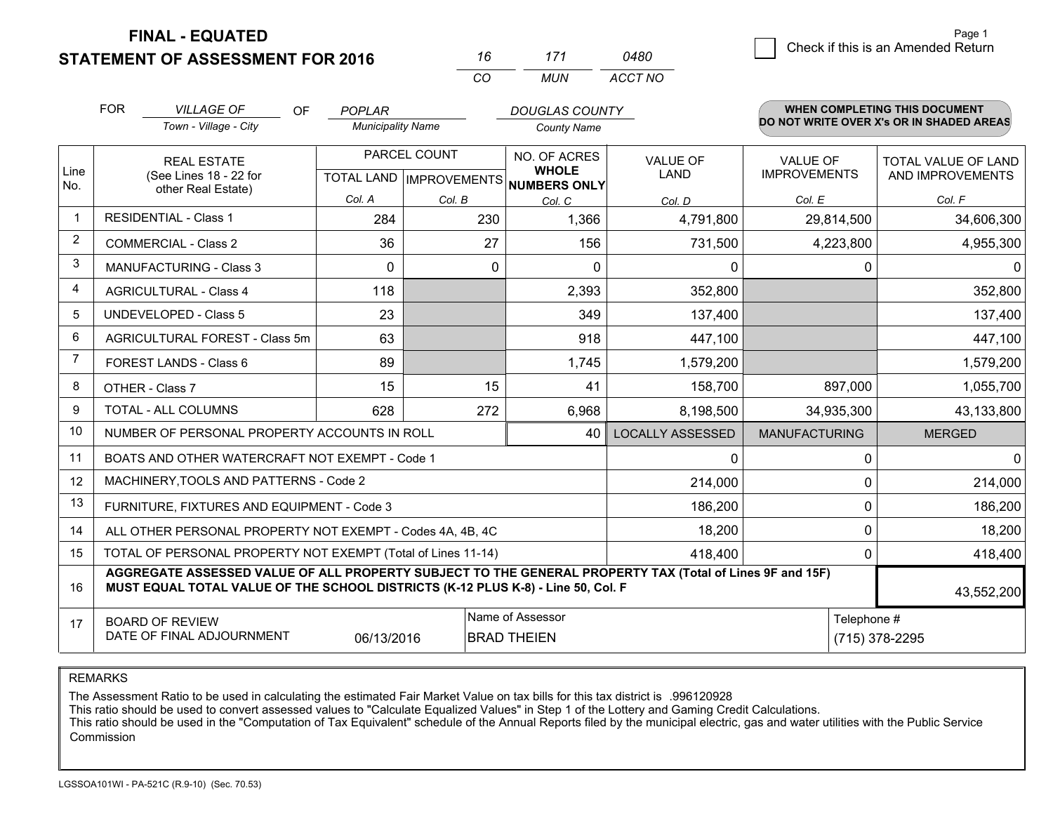**STATEMENT OF ASSESSMENT FOR 2016 FINAL - EQUATED**

| 7 h       | 171 | <i>0480</i> |  |  |
|-----------|-----|-------------|--|--|
| $($ : $($ | MUN | ACCT NO     |  |  |

|                | <b>FOR</b>                                                                                                                                                                                                 | <b>VILLAGE OF</b><br><b>OF</b>                               | <b>POPLAR</b><br><b>DOUGLAS COUNTY</b> |              |                                                     |                         |                      | WHEN COMPLETING THIS DOCUMENT            |  |  |
|----------------|------------------------------------------------------------------------------------------------------------------------------------------------------------------------------------------------------------|--------------------------------------------------------------|----------------------------------------|--------------|-----------------------------------------------------|-------------------------|----------------------|------------------------------------------|--|--|
|                |                                                                                                                                                                                                            | Town - Village - City                                        | <b>Municipality Name</b>               |              | <b>County Name</b>                                  |                         |                      | DO NOT WRITE OVER X's OR IN SHADED AREAS |  |  |
|                |                                                                                                                                                                                                            | <b>REAL ESTATE</b>                                           |                                        | PARCEL COUNT | NO. OF ACRES                                        | <b>VALUE OF</b>         | <b>VALUE OF</b>      | TOTAL VALUE OF LAND                      |  |  |
| Line<br>No.    |                                                                                                                                                                                                            | (See Lines 18 - 22 for<br>other Real Estate)                 |                                        |              | <b>WHOLE</b><br>TOTAL LAND MPROVEMENTS NUMBERS ONLY | LAND                    | <b>IMPROVEMENTS</b>  | AND IMPROVEMENTS                         |  |  |
|                |                                                                                                                                                                                                            |                                                              | Col. A                                 | Col. B       | Col. C                                              | Col. D                  | Col. E               | Col. F                                   |  |  |
| $\overline{1}$ |                                                                                                                                                                                                            | <b>RESIDENTIAL - Class 1</b>                                 | 284                                    | 230          | 1,366                                               | 4,791,800               | 29,814,500           | 34,606,300                               |  |  |
| $\overline{2}$ |                                                                                                                                                                                                            | <b>COMMERCIAL - Class 2</b>                                  | 36                                     | 27           | 156                                                 | 731,500                 | 4,223,800            | 4,955,300                                |  |  |
| 3              |                                                                                                                                                                                                            | <b>MANUFACTURING - Class 3</b>                               | $\Omega$                               | 0            | $\Omega$                                            | 0                       | 0                    | 0                                        |  |  |
| $\overline{4}$ |                                                                                                                                                                                                            | <b>AGRICULTURAL - Class 4</b>                                | 118                                    |              | 2,393                                               | 352,800                 |                      | 352,800                                  |  |  |
| 5              |                                                                                                                                                                                                            | <b>UNDEVELOPED - Class 5</b>                                 | 23                                     |              | 349                                                 | 137,400                 |                      | 137,400                                  |  |  |
| 6              | AGRICULTURAL FOREST - Class 5m<br>63                                                                                                                                                                       |                                                              |                                        |              | 918                                                 | 447,100                 |                      | 447,100                                  |  |  |
| 7              |                                                                                                                                                                                                            | FOREST LANDS - Class 6                                       | 89                                     |              | 1,745                                               | 1,579,200               |                      | 1,579,200                                |  |  |
| 8              |                                                                                                                                                                                                            | OTHER - Class 7                                              | 15                                     | 15           | 41                                                  | 158,700                 | 897,000              | 1,055,700                                |  |  |
| 9              |                                                                                                                                                                                                            | TOTAL - ALL COLUMNS                                          | 628                                    | 272          | 6,968                                               | 8,198,500               | 34,935,300           | 43,133,800                               |  |  |
| 10             |                                                                                                                                                                                                            | NUMBER OF PERSONAL PROPERTY ACCOUNTS IN ROLL                 |                                        |              | 40                                                  | <b>LOCALLY ASSESSED</b> | <b>MANUFACTURING</b> | <b>MERGED</b>                            |  |  |
| 11             |                                                                                                                                                                                                            | BOATS AND OTHER WATERCRAFT NOT EXEMPT - Code 1               |                                        |              |                                                     | 0                       | 0                    | 0                                        |  |  |
| 12             |                                                                                                                                                                                                            | MACHINERY, TOOLS AND PATTERNS - Code 2                       |                                        |              |                                                     | 214,000                 | 0                    | 214,000                                  |  |  |
| 13             |                                                                                                                                                                                                            | FURNITURE, FIXTURES AND EQUIPMENT - Code 3                   |                                        |              |                                                     | 186,200                 | 0                    | 186,200                                  |  |  |
| 14             |                                                                                                                                                                                                            | ALL OTHER PERSONAL PROPERTY NOT EXEMPT - Codes 4A, 4B, 4C    |                                        |              |                                                     | 18,200                  | 0                    | 18,200                                   |  |  |
| 15             |                                                                                                                                                                                                            | TOTAL OF PERSONAL PROPERTY NOT EXEMPT (Total of Lines 11-14) |                                        |              |                                                     | 418,400                 | 0                    | 418,400                                  |  |  |
| 16             | AGGREGATE ASSESSED VALUE OF ALL PROPERTY SUBJECT TO THE GENERAL PROPERTY TAX (Total of Lines 9F and 15F)<br>MUST EQUAL TOTAL VALUE OF THE SCHOOL DISTRICTS (K-12 PLUS K-8) - Line 50, Col. F<br>43,552,200 |                                                              |                                        |              |                                                     |                         |                      |                                          |  |  |
| 17             |                                                                                                                                                                                                            | <b>BOARD OF REVIEW</b>                                       |                                        |              | Name of Assessor                                    |                         | Telephone #          |                                          |  |  |
|                |                                                                                                                                                                                                            | DATE OF FINAL ADJOURNMENT                                    | 06/13/2016                             |              | <b>BRAD THEIEN</b>                                  |                         |                      | (715) 378-2295                           |  |  |

REMARKS

The Assessment Ratio to be used in calculating the estimated Fair Market Value on tax bills for this tax district is .996120928

This ratio should be used to convert assessed values to "Calculate Equalized Values" in Step 1 of the Lottery and Gaming Credit Calculations.<br>This ratio should be used in the "Computation of Tax Equivalent" schedule of the Commission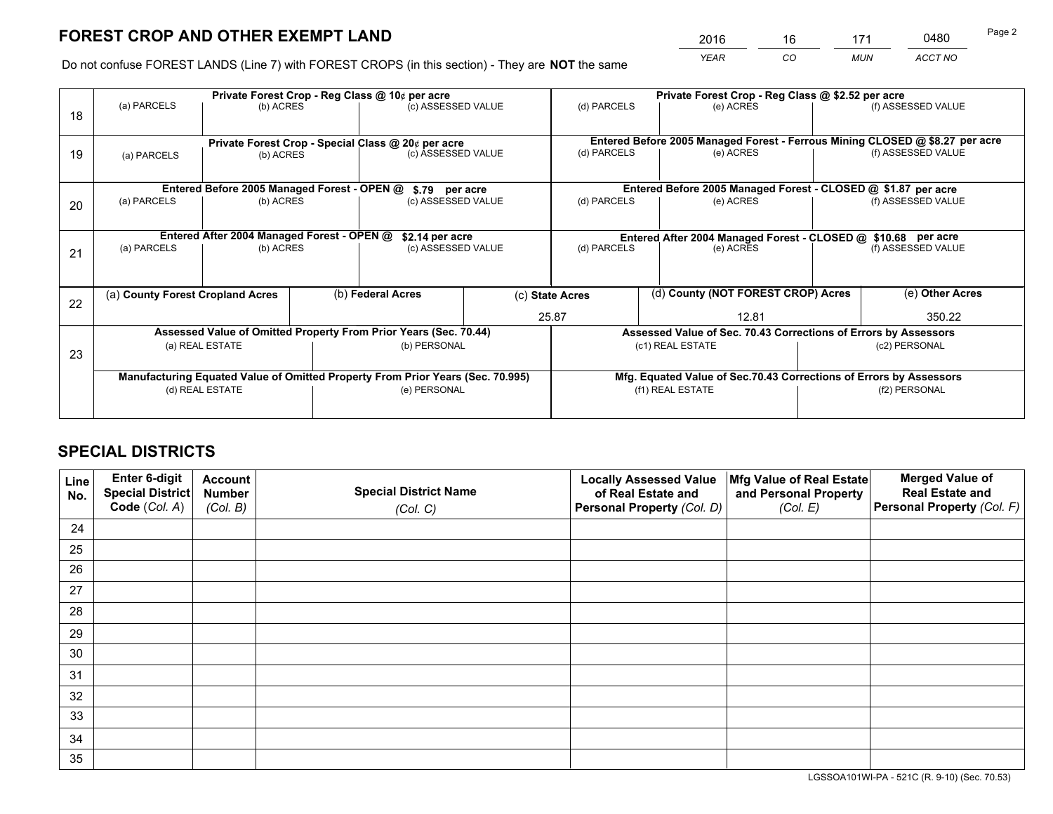*YEAR CO MUN ACCT NO* <sup>2016</sup> <sup>16</sup> <sup>171</sup> <sup>0480</sup>

Do not confuse FOREST LANDS (Line 7) with FOREST CROPS (in this section) - They are **NOT** the same

|    |                                            |                                             |  | Private Forest Crop - Reg Class @ 10¢ per acre                                 |                                                               |                                                                              |                  | Private Forest Crop - Reg Class @ \$2.52 per acre                  |                    |                    |
|----|--------------------------------------------|---------------------------------------------|--|--------------------------------------------------------------------------------|---------------------------------------------------------------|------------------------------------------------------------------------------|------------------|--------------------------------------------------------------------|--------------------|--------------------|
| 18 | (a) PARCELS                                | (b) ACRES                                   |  | (c) ASSESSED VALUE                                                             |                                                               | (d) PARCELS                                                                  |                  | (e) ACRES                                                          |                    | (f) ASSESSED VALUE |
|    |                                            |                                             |  | Private Forest Crop - Special Class @ 20¢ per acre                             |                                                               | Entered Before 2005 Managed Forest - Ferrous Mining CLOSED @ \$8.27 per acre |                  |                                                                    |                    |                    |
| 19 | (b) ACRES<br>(a) PARCELS                   |                                             |  | (c) ASSESSED VALUE                                                             |                                                               | (d) PARCELS                                                                  |                  | (e) ACRES                                                          |                    | (f) ASSESSED VALUE |
|    |                                            | Entered Before 2005 Managed Forest - OPEN @ |  | \$.79 per acre                                                                 |                                                               |                                                                              |                  | Entered Before 2005 Managed Forest - CLOSED @ \$1.87 per acre      |                    |                    |
|    | (a) PARCELS                                | (b) ACRES                                   |  | (c) ASSESSED VALUE                                                             |                                                               | (d) PARCELS                                                                  |                  | (e) ACRES                                                          |                    | (f) ASSESSED VALUE |
| 20 |                                            |                                             |  |                                                                                |                                                               |                                                                              |                  |                                                                    |                    |                    |
|    | Entered After 2004 Managed Forest - OPEN @ | \$2.14 per acre                             |  |                                                                                | Entered After 2004 Managed Forest - CLOSED @ \$10.68 per acre |                                                                              |                  |                                                                    |                    |                    |
| 21 | (a) PARCELS                                | (b) ACRES                                   |  | (c) ASSESSED VALUE                                                             |                                                               | (d) PARCELS<br>(e) ACRES                                                     |                  |                                                                    | (f) ASSESSED VALUE |                    |
|    |                                            |                                             |  |                                                                                |                                                               |                                                                              |                  |                                                                    |                    |                    |
| 22 | (a) County Forest Cropland Acres           |                                             |  | (b) Federal Acres                                                              |                                                               | (d) County (NOT FOREST CROP) Acres<br>(c) State Acres                        |                  |                                                                    |                    | (e) Other Acres    |
|    |                                            |                                             |  |                                                                                |                                                               | 25.87                                                                        |                  | 12.81                                                              | 350.22             |                    |
|    |                                            |                                             |  | Assessed Value of Omitted Property From Prior Years (Sec. 70.44)               |                                                               |                                                                              |                  | Assessed Value of Sec. 70.43 Corrections of Errors by Assessors    |                    |                    |
|    |                                            | (a) REAL ESTATE                             |  | (b) PERSONAL                                                                   |                                                               |                                                                              | (c1) REAL ESTATE |                                                                    |                    | (c2) PERSONAL      |
| 23 |                                            |                                             |  |                                                                                |                                                               |                                                                              |                  |                                                                    |                    |                    |
|    |                                            |                                             |  | Manufacturing Equated Value of Omitted Property From Prior Years (Sec. 70.995) |                                                               |                                                                              |                  | Mfg. Equated Value of Sec.70.43 Corrections of Errors by Assessors |                    |                    |
|    | (d) REAL ESTATE                            |                                             |  | (e) PERSONAL                                                                   |                                                               |                                                                              | (f1) REAL ESTATE |                                                                    | (f2) PERSONAL      |                    |
|    |                                            |                                             |  |                                                                                |                                                               |                                                                              |                  |                                                                    |                    |                    |

## **SPECIAL DISTRICTS**

| Line<br>No. | Enter 6-digit<br><b>Special District</b> | <b>Account</b><br><b>Number</b> | <b>Special District Name</b> | <b>Locally Assessed Value</b><br>of Real Estate and | Mfg Value of Real Estate<br>and Personal Property | <b>Merged Value of</b><br><b>Real Estate and</b> |
|-------------|------------------------------------------|---------------------------------|------------------------------|-----------------------------------------------------|---------------------------------------------------|--------------------------------------------------|
|             | Code (Col. A)                            | (Col. B)                        | (Col. C)                     | Personal Property (Col. D)                          | (Col. E)                                          | Personal Property (Col. F)                       |
| 24          |                                          |                                 |                              |                                                     |                                                   |                                                  |
| 25          |                                          |                                 |                              |                                                     |                                                   |                                                  |
| 26          |                                          |                                 |                              |                                                     |                                                   |                                                  |
| 27          |                                          |                                 |                              |                                                     |                                                   |                                                  |
| 28          |                                          |                                 |                              |                                                     |                                                   |                                                  |
| 29          |                                          |                                 |                              |                                                     |                                                   |                                                  |
| 30          |                                          |                                 |                              |                                                     |                                                   |                                                  |
| 31          |                                          |                                 |                              |                                                     |                                                   |                                                  |
| 32          |                                          |                                 |                              |                                                     |                                                   |                                                  |
| 33          |                                          |                                 |                              |                                                     |                                                   |                                                  |
| 34          |                                          |                                 |                              |                                                     |                                                   |                                                  |
| 35          |                                          |                                 |                              |                                                     |                                                   |                                                  |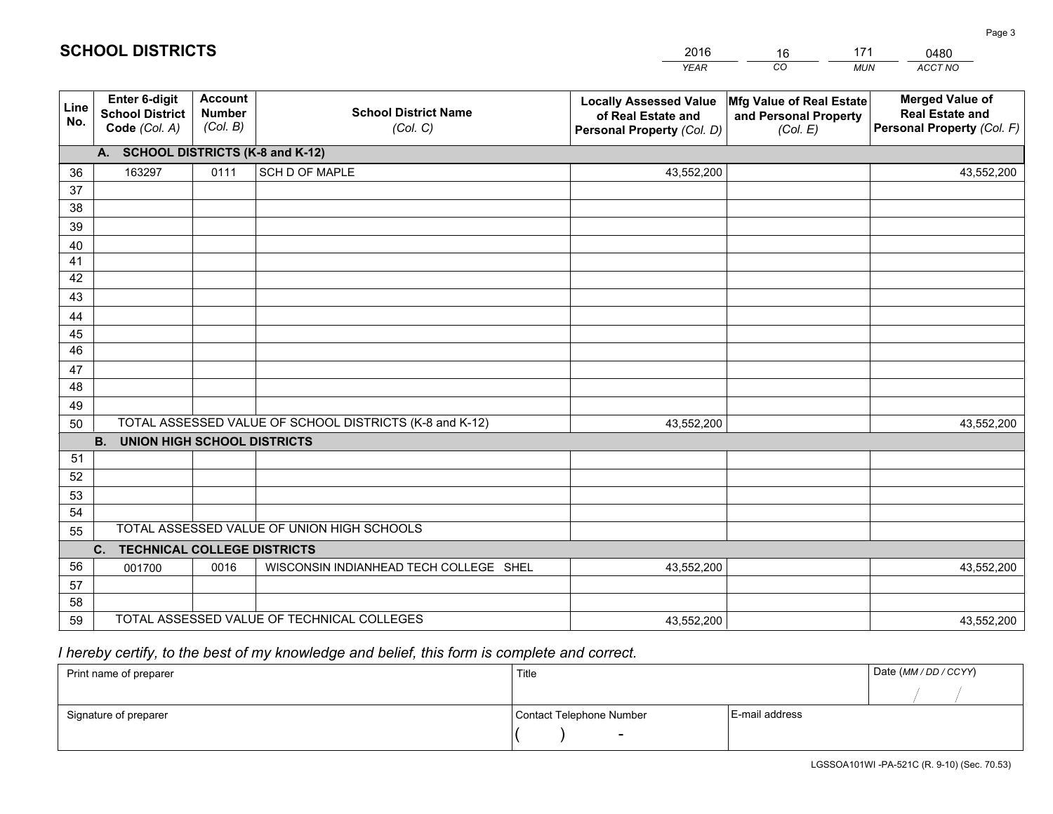|                 |                                                          |                                             |                                                         | <b>YEAR</b>                                                                       | CO<br><b>MUN</b>                                              | ACCT NO                                                                        |  |  |  |  |  |
|-----------------|----------------------------------------------------------|---------------------------------------------|---------------------------------------------------------|-----------------------------------------------------------------------------------|---------------------------------------------------------------|--------------------------------------------------------------------------------|--|--|--|--|--|
| Line<br>No.     | Enter 6-digit<br><b>School District</b><br>Code (Col. A) | <b>Account</b><br><b>Number</b><br>(Col. B) | <b>School District Name</b><br>(Col. C)                 | <b>Locally Assessed Value</b><br>of Real Estate and<br>Personal Property (Col. D) | Mfg Value of Real Estate<br>and Personal Property<br>(Col. E) | <b>Merged Value of</b><br><b>Real Estate and</b><br>Personal Property (Col. F) |  |  |  |  |  |
|                 | A. SCHOOL DISTRICTS (K-8 and K-12)                       |                                             |                                                         |                                                                                   |                                                               |                                                                                |  |  |  |  |  |
| 36              | 163297                                                   | 0111                                        | SCH D OF MAPLE                                          | 43,552,200                                                                        |                                                               | 43,552,200                                                                     |  |  |  |  |  |
| 37              |                                                          |                                             |                                                         |                                                                                   |                                                               |                                                                                |  |  |  |  |  |
| 38              |                                                          |                                             |                                                         |                                                                                   |                                                               |                                                                                |  |  |  |  |  |
| 39              |                                                          |                                             |                                                         |                                                                                   |                                                               |                                                                                |  |  |  |  |  |
| 40              |                                                          |                                             |                                                         |                                                                                   |                                                               |                                                                                |  |  |  |  |  |
| 41<br>42        |                                                          |                                             |                                                         |                                                                                   |                                                               |                                                                                |  |  |  |  |  |
| 43              |                                                          |                                             |                                                         |                                                                                   |                                                               |                                                                                |  |  |  |  |  |
| 44              |                                                          |                                             |                                                         |                                                                                   |                                                               |                                                                                |  |  |  |  |  |
| 45              |                                                          |                                             |                                                         |                                                                                   |                                                               |                                                                                |  |  |  |  |  |
| $\overline{46}$ |                                                          |                                             |                                                         |                                                                                   |                                                               |                                                                                |  |  |  |  |  |
| 47              |                                                          |                                             |                                                         |                                                                                   |                                                               |                                                                                |  |  |  |  |  |
| 48              |                                                          |                                             |                                                         |                                                                                   |                                                               |                                                                                |  |  |  |  |  |
| 49              |                                                          |                                             |                                                         |                                                                                   |                                                               |                                                                                |  |  |  |  |  |
| 50              |                                                          |                                             | TOTAL ASSESSED VALUE OF SCHOOL DISTRICTS (K-8 and K-12) | 43,552,200                                                                        |                                                               | 43,552,200                                                                     |  |  |  |  |  |
|                 | <b>B.</b><br><b>UNION HIGH SCHOOL DISTRICTS</b>          |                                             |                                                         |                                                                                   |                                                               |                                                                                |  |  |  |  |  |
| 51              |                                                          |                                             |                                                         |                                                                                   |                                                               |                                                                                |  |  |  |  |  |
| 52              |                                                          |                                             |                                                         |                                                                                   |                                                               |                                                                                |  |  |  |  |  |
| 53              |                                                          |                                             |                                                         |                                                                                   |                                                               |                                                                                |  |  |  |  |  |
| 54              |                                                          |                                             |                                                         |                                                                                   |                                                               |                                                                                |  |  |  |  |  |
| 55              |                                                          |                                             | TOTAL ASSESSED VALUE OF UNION HIGH SCHOOLS              |                                                                                   |                                                               |                                                                                |  |  |  |  |  |
|                 | C. TECHNICAL COLLEGE DISTRICTS                           |                                             |                                                         |                                                                                   |                                                               |                                                                                |  |  |  |  |  |
| 56              | 001700                                                   | 0016                                        | WISCONSIN INDIANHEAD TECH COLLEGE SHEL                  | 43,552,200                                                                        |                                                               | 43,552,200                                                                     |  |  |  |  |  |
| 57<br>58        |                                                          |                                             |                                                         |                                                                                   |                                                               |                                                                                |  |  |  |  |  |
| 59              |                                                          |                                             | TOTAL ASSESSED VALUE OF TECHNICAL COLLEGES              | 43,552,200                                                                        |                                                               | 43,552,200                                                                     |  |  |  |  |  |
|                 |                                                          |                                             |                                                         |                                                                                   |                                                               |                                                                                |  |  |  |  |  |

16

171

 *I hereby certify, to the best of my knowledge and belief, this form is complete and correct.*

**SCHOOL DISTRICTS**

| Print name of preparer | Title                    | Date (MM / DD / CCYY) |  |
|------------------------|--------------------------|-----------------------|--|
|                        |                          |                       |  |
| Signature of preparer  | Contact Telephone Number | E-mail address        |  |
|                        |                          |                       |  |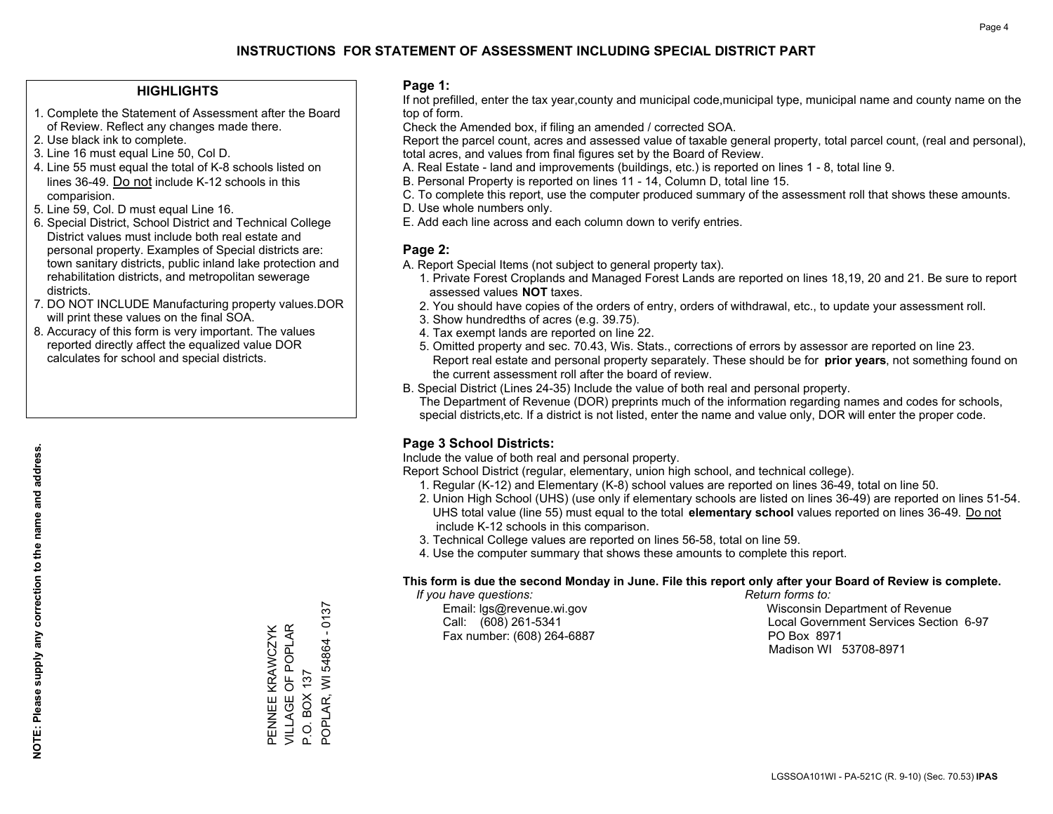### **HIGHLIGHTS**

- 1. Complete the Statement of Assessment after the Board of Review. Reflect any changes made there.
- 2. Use black ink to complete.
- 3. Line 16 must equal Line 50, Col D.
- 4. Line 55 must equal the total of K-8 schools listed on lines 36-49. Do not include K-12 schools in this comparision.
- 5. Line 59, Col. D must equal Line 16.
- 6. Special District, School District and Technical College District values must include both real estate and personal property. Examples of Special districts are: town sanitary districts, public inland lake protection and rehabilitation districts, and metropolitan sewerage districts.
- 7. DO NOT INCLUDE Manufacturing property values.DOR will print these values on the final SOA.
- 8. Accuracy of this form is very important. The values reported directly affect the equalized value DOR calculates for school and special districts.

### **Page 1:**

 If not prefilled, enter the tax year,county and municipal code,municipal type, municipal name and county name on the top of form.

Check the Amended box, if filing an amended / corrected SOA.

 Report the parcel count, acres and assessed value of taxable general property, total parcel count, (real and personal), total acres, and values from final figures set by the Board of Review.

- A. Real Estate land and improvements (buildings, etc.) is reported on lines 1 8, total line 9.
- B. Personal Property is reported on lines 11 14, Column D, total line 15.
- C. To complete this report, use the computer produced summary of the assessment roll that shows these amounts.
- D. Use whole numbers only.
- E. Add each line across and each column down to verify entries.

### **Page 2:**

- A. Report Special Items (not subject to general property tax).
- 1. Private Forest Croplands and Managed Forest Lands are reported on lines 18,19, 20 and 21. Be sure to report assessed values **NOT** taxes.
- 2. You should have copies of the orders of entry, orders of withdrawal, etc., to update your assessment roll.
	- 3. Show hundredths of acres (e.g. 39.75).
- 4. Tax exempt lands are reported on line 22.
- 5. Omitted property and sec. 70.43, Wis. Stats., corrections of errors by assessor are reported on line 23. Report real estate and personal property separately. These should be for **prior years**, not something found on the current assessment roll after the board of review.
- B. Special District (Lines 24-35) Include the value of both real and personal property.
- The Department of Revenue (DOR) preprints much of the information regarding names and codes for schools, special districts,etc. If a district is not listed, enter the name and value only, DOR will enter the proper code.

### **Page 3 School Districts:**

Include the value of both real and personal property.

Report School District (regular, elementary, union high school, and technical college).

- 1. Regular (K-12) and Elementary (K-8) school values are reported on lines 36-49, total on line 50.
- 2. Union High School (UHS) (use only if elementary schools are listed on lines 36-49) are reported on lines 51-54. UHS total value (line 55) must equal to the total **elementary school** values reported on lines 36-49. Do notinclude K-12 schools in this comparison.
- 3. Technical College values are reported on lines 56-58, total on line 59.
- 4. Use the computer summary that shows these amounts to complete this report.

#### **This form is due the second Monday in June. File this report only after your Board of Review is complete.**

 *If you have questions: Return forms to:*

Fax number: (608) 264-6887 PO Box 8971

 Email: lgs@revenue.wi.gov Wisconsin Department of Revenue Call: (608) 261-5341 Local Government Services Section 6-97Madison WI 53708-8971

POPLAR, WI 54864 - 0137 PENNEE KRAWCZYK<br>VILLAGE OF POPLAR VILLAGE OF POPLAR PENNEE KRAWCZYK POPLAR, WI 54864 P.O. BOX 137 P.O. BOX 137

 $-0137$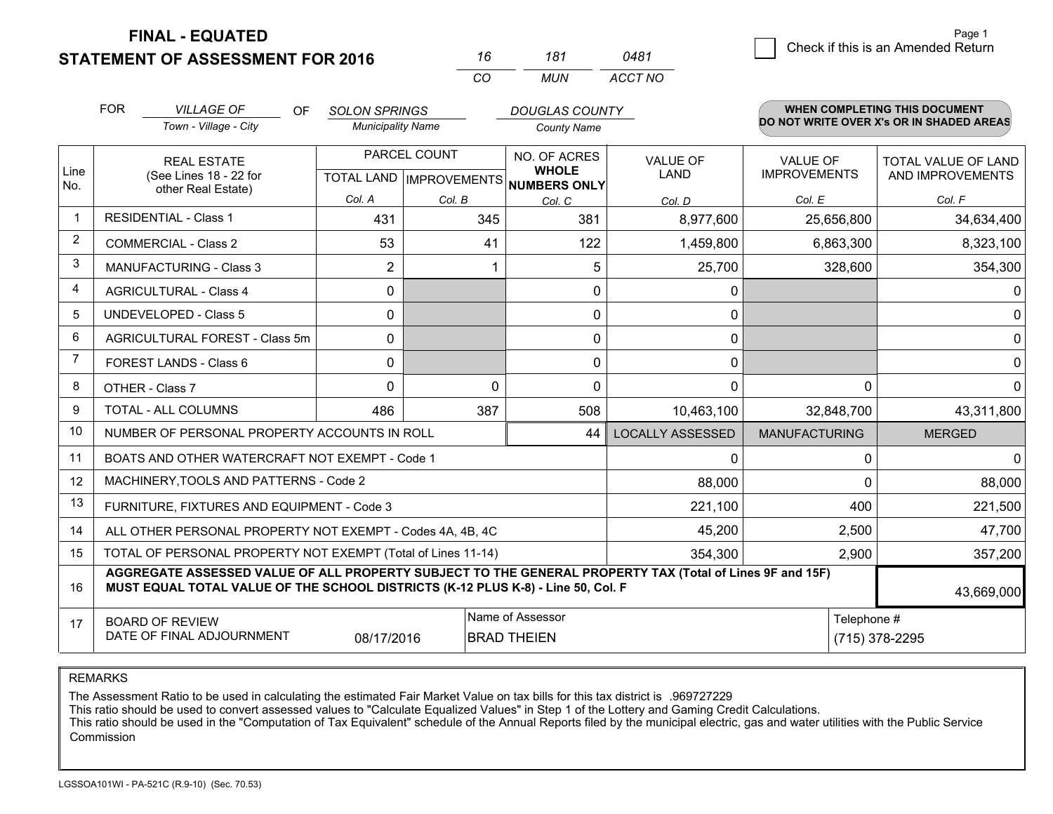**STATEMENT OF ASSESSMENT FOR 2016** 

**FINAL - EQUATED**

|                | <b>FOR</b>                                                    | <b>VILLAGE OF</b><br>OF                                                                                                                                                                      | <b>SOLON SPRINGS</b>     |                           | <b>DOUGLAS COUNTY</b>               |                         |                      | WHEN COMPLETING THIS DOCUMENT            |
|----------------|---------------------------------------------------------------|----------------------------------------------------------------------------------------------------------------------------------------------------------------------------------------------|--------------------------|---------------------------|-------------------------------------|-------------------------|----------------------|------------------------------------------|
|                |                                                               | Town - Village - City                                                                                                                                                                        | <b>Municipality Name</b> |                           | <b>County Name</b>                  |                         |                      | DO NOT WRITE OVER X's OR IN SHADED AREAS |
|                |                                                               | <b>REAL ESTATE</b>                                                                                                                                                                           |                          | PARCEL COUNT              | NO. OF ACRES                        | <b>VALUE OF</b>         | <b>VALUE OF</b>      | TOTAL VALUE OF LAND                      |
| Line<br>No.    |                                                               | (See Lines 18 - 22 for<br>other Real Estate)                                                                                                                                                 |                          | TOTAL LAND   IMPROVEMENTS | <b>WHOLE</b><br><b>NUMBERS ONLY</b> | LAND                    | <b>IMPROVEMENTS</b>  | AND IMPROVEMENTS                         |
|                |                                                               |                                                                                                                                                                                              | Col. A                   | Col. B                    | Col. C                              | Col. D                  | Col. E               | Col. F                                   |
| -1             |                                                               | <b>RESIDENTIAL - Class 1</b>                                                                                                                                                                 | 431                      | 345                       | 381                                 | 8,977,600               | 25,656,800           | 34,634,400                               |
| $\overline{2}$ |                                                               | <b>COMMERCIAL - Class 2</b>                                                                                                                                                                  | 53                       | 41                        | 122                                 | 1,459,800               | 6,863,300            | 8,323,100                                |
| 3              |                                                               | <b>MANUFACTURING - Class 3</b>                                                                                                                                                               | 2                        |                           | 5                                   | 25,700                  | 328,600              | 354,300                                  |
| 4              |                                                               | <b>AGRICULTURAL - Class 4</b>                                                                                                                                                                | $\mathbf{0}$             |                           | 0                                   | 0                       |                      | 0                                        |
| 5              | <b>UNDEVELOPED - Class 5</b>                                  |                                                                                                                                                                                              | $\mathbf{0}$             |                           | 0                                   | 0                       |                      | 0                                        |
| 6              | AGRICULTURAL FOREST - Class 5m                                |                                                                                                                                                                                              | $\mathbf{0}$             |                           | 0                                   | 0                       |                      | $\Omega$                                 |
| 7              | FOREST LANDS - Class 6                                        |                                                                                                                                                                                              | $\mathbf{0}$             |                           | 0                                   | 0                       |                      | 0                                        |
| 8              |                                                               | OTHER - Class 7                                                                                                                                                                              | $\Omega$                 | $\Omega$                  | 0                                   | $\Omega$                | $\Omega$             | $\Omega$                                 |
| 9              |                                                               | <b>TOTAL - ALL COLUMNS</b>                                                                                                                                                                   | 486                      | 387                       | 508                                 | 10,463,100              | 32,848,700           | 43,311,800                               |
| 10             |                                                               | NUMBER OF PERSONAL PROPERTY ACCOUNTS IN ROLL                                                                                                                                                 |                          |                           | 44                                  | <b>LOCALLY ASSESSED</b> | <b>MANUFACTURING</b> | <b>MERGED</b>                            |
| 11             |                                                               | BOATS AND OTHER WATERCRAFT NOT EXEMPT - Code 1                                                                                                                                               |                          |                           |                                     | $\mathbf{0}$            | 0                    | $\Omega$                                 |
| 12             |                                                               | MACHINERY, TOOLS AND PATTERNS - Code 2                                                                                                                                                       |                          |                           |                                     | 88,000                  | $\Omega$             | 88,000                                   |
| 13             |                                                               | FURNITURE, FIXTURES AND EQUIPMENT - Code 3                                                                                                                                                   |                          |                           |                                     | 221,100                 | 400                  | 221,500                                  |
| 14             |                                                               | ALL OTHER PERSONAL PROPERTY NOT EXEMPT - Codes 4A, 4B, 4C                                                                                                                                    |                          |                           |                                     | 45,200                  | 2,500                | 47,700                                   |
| 15             |                                                               | TOTAL OF PERSONAL PROPERTY NOT EXEMPT (Total of Lines 11-14)                                                                                                                                 |                          |                           |                                     | 354,300                 | 2,900                | 357,200                                  |
| 16             |                                                               | AGGREGATE ASSESSED VALUE OF ALL PROPERTY SUBJECT TO THE GENERAL PROPERTY TAX (Total of Lines 9F and 15F)<br>MUST EQUAL TOTAL VALUE OF THE SCHOOL DISTRICTS (K-12 PLUS K-8) - Line 50, Col. F |                          |                           |                                     |                         |                      | 43,669,000                               |
| 17             |                                                               | <b>BOARD OF REVIEW</b>                                                                                                                                                                       |                          |                           | Name of Assessor                    |                         | Telephone #          |                                          |
|                | DATE OF FINAL ADJOURNMENT<br>08/17/2016<br><b>BRAD THEIEN</b> |                                                                                                                                                                                              |                          |                           |                                     |                         |                      | (715) 378-2295                           |

*CO*

*MUN*

*ACCT NO0481*

*<sup>16</sup> <sup>181</sup>*

REMARKS

The Assessment Ratio to be used in calculating the estimated Fair Market Value on tax bills for this tax district is .969727229<br>This ratio should be used to convert assessed values to "Calculate Equalized Values" in Step 1 Commission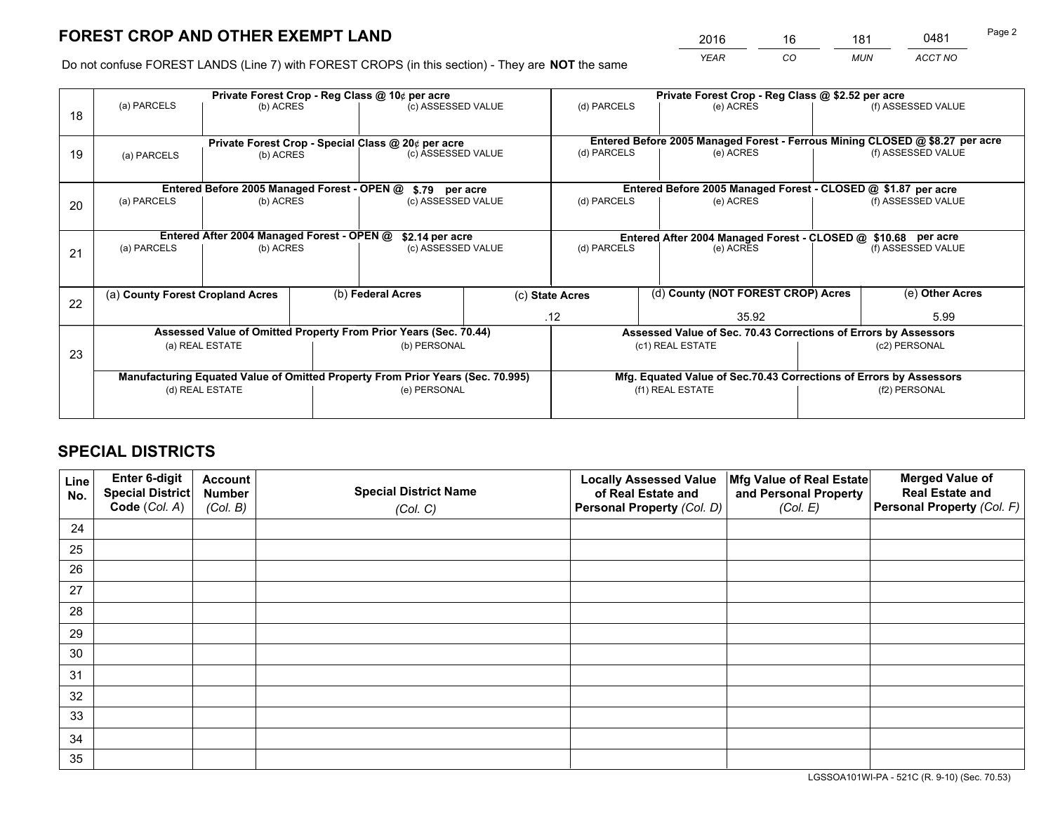*YEAR CO MUN ACCT NO* <u>2016 - 16 181 0481</u>

Do not confuse FOREST LANDS (Line 7) with FOREST CROPS (in this section) - They are **NOT** the same

|    |                                                                                |                                             |  | Private Forest Crop - Reg Class @ 10¢ per acre                   |                                                                    |                                                                              |                  | Private Forest Crop - Reg Class @ \$2.52 per acre               |                    |                    |
|----|--------------------------------------------------------------------------------|---------------------------------------------|--|------------------------------------------------------------------|--------------------------------------------------------------------|------------------------------------------------------------------------------|------------------|-----------------------------------------------------------------|--------------------|--------------------|
| 18 | (a) PARCELS                                                                    | (b) ACRES                                   |  | (c) ASSESSED VALUE                                               |                                                                    | (d) PARCELS                                                                  |                  | (e) ACRES                                                       |                    | (f) ASSESSED VALUE |
|    |                                                                                |                                             |  | Private Forest Crop - Special Class @ 20¢ per acre               |                                                                    | Entered Before 2005 Managed Forest - Ferrous Mining CLOSED @ \$8.27 per acre |                  |                                                                 |                    |                    |
| 19 | (a) PARCELS                                                                    | (b) ACRES                                   |  | (c) ASSESSED VALUE                                               |                                                                    | (d) PARCELS                                                                  |                  | (e) ACRES                                                       |                    | (f) ASSESSED VALUE |
|    |                                                                                | Entered Before 2005 Managed Forest - OPEN @ |  | \$.79 per acre                                                   |                                                                    |                                                                              |                  | Entered Before 2005 Managed Forest - CLOSED @ \$1.87 per acre   |                    |                    |
|    | (a) PARCELS                                                                    | (b) ACRES                                   |  | (c) ASSESSED VALUE                                               |                                                                    | (d) PARCELS                                                                  |                  | (e) ACRES                                                       |                    | (f) ASSESSED VALUE |
| 20 |                                                                                |                                             |  |                                                                  |                                                                    |                                                                              |                  |                                                                 |                    |                    |
|    | Entered After 2004 Managed Forest - OPEN @                                     | \$2.14 per acre                             |  |                                                                  | Entered After 2004 Managed Forest - CLOSED @ \$10.68 per acre      |                                                                              |                  |                                                                 |                    |                    |
| 21 | (a) PARCELS                                                                    | (b) ACRES                                   |  | (c) ASSESSED VALUE                                               |                                                                    | (d) PARCELS<br>(e) ACRES                                                     |                  |                                                                 | (f) ASSESSED VALUE |                    |
|    |                                                                                |                                             |  |                                                                  |                                                                    |                                                                              |                  |                                                                 |                    |                    |
| 22 | (a) County Forest Cropland Acres                                               |                                             |  | (b) Federal Acres                                                |                                                                    | (d) County (NOT FOREST CROP) Acres<br>(c) State Acres                        |                  |                                                                 |                    | (e) Other Acres    |
|    |                                                                                |                                             |  |                                                                  |                                                                    | .12                                                                          |                  | 35.92                                                           |                    | 5.99               |
|    |                                                                                |                                             |  | Assessed Value of Omitted Property From Prior Years (Sec. 70.44) |                                                                    |                                                                              |                  | Assessed Value of Sec. 70.43 Corrections of Errors by Assessors |                    |                    |
| 23 |                                                                                | (a) REAL ESTATE                             |  | (b) PERSONAL                                                     |                                                                    |                                                                              | (c1) REAL ESTATE |                                                                 |                    | (c2) PERSONAL      |
|    |                                                                                |                                             |  |                                                                  |                                                                    |                                                                              |                  |                                                                 |                    |                    |
|    | Manufacturing Equated Value of Omitted Property From Prior Years (Sec. 70.995) |                                             |  |                                                                  | Mfg. Equated Value of Sec.70.43 Corrections of Errors by Assessors |                                                                              |                  |                                                                 |                    |                    |
|    |                                                                                | (d) REAL ESTATE                             |  | (e) PERSONAL                                                     |                                                                    |                                                                              | (f1) REAL ESTATE |                                                                 | (f2) PERSONAL      |                    |
|    |                                                                                |                                             |  |                                                                  |                                                                    |                                                                              |                  |                                                                 |                    |                    |

## **SPECIAL DISTRICTS**

| Line<br>No. | Enter 6-digit<br>Special District<br>Code (Col. A) | <b>Account</b><br><b>Number</b> | <b>Special District Name</b> | <b>Locally Assessed Value</b><br>of Real Estate and | Mfg Value of Real Estate<br>and Personal Property | <b>Merged Value of</b><br><b>Real Estate and</b><br>Personal Property (Col. F) |
|-------------|----------------------------------------------------|---------------------------------|------------------------------|-----------------------------------------------------|---------------------------------------------------|--------------------------------------------------------------------------------|
|             |                                                    | (Col. B)                        | (Col. C)                     | Personal Property (Col. D)                          | (Col. E)                                          |                                                                                |
| 24          |                                                    |                                 |                              |                                                     |                                                   |                                                                                |
| 25          |                                                    |                                 |                              |                                                     |                                                   |                                                                                |
| 26          |                                                    |                                 |                              |                                                     |                                                   |                                                                                |
| 27          |                                                    |                                 |                              |                                                     |                                                   |                                                                                |
| 28          |                                                    |                                 |                              |                                                     |                                                   |                                                                                |
| 29          |                                                    |                                 |                              |                                                     |                                                   |                                                                                |
| 30          |                                                    |                                 |                              |                                                     |                                                   |                                                                                |
| 31          |                                                    |                                 |                              |                                                     |                                                   |                                                                                |
| 32          |                                                    |                                 |                              |                                                     |                                                   |                                                                                |
| 33          |                                                    |                                 |                              |                                                     |                                                   |                                                                                |
| 34          |                                                    |                                 |                              |                                                     |                                                   |                                                                                |
| 35          |                                                    |                                 |                              |                                                     |                                                   |                                                                                |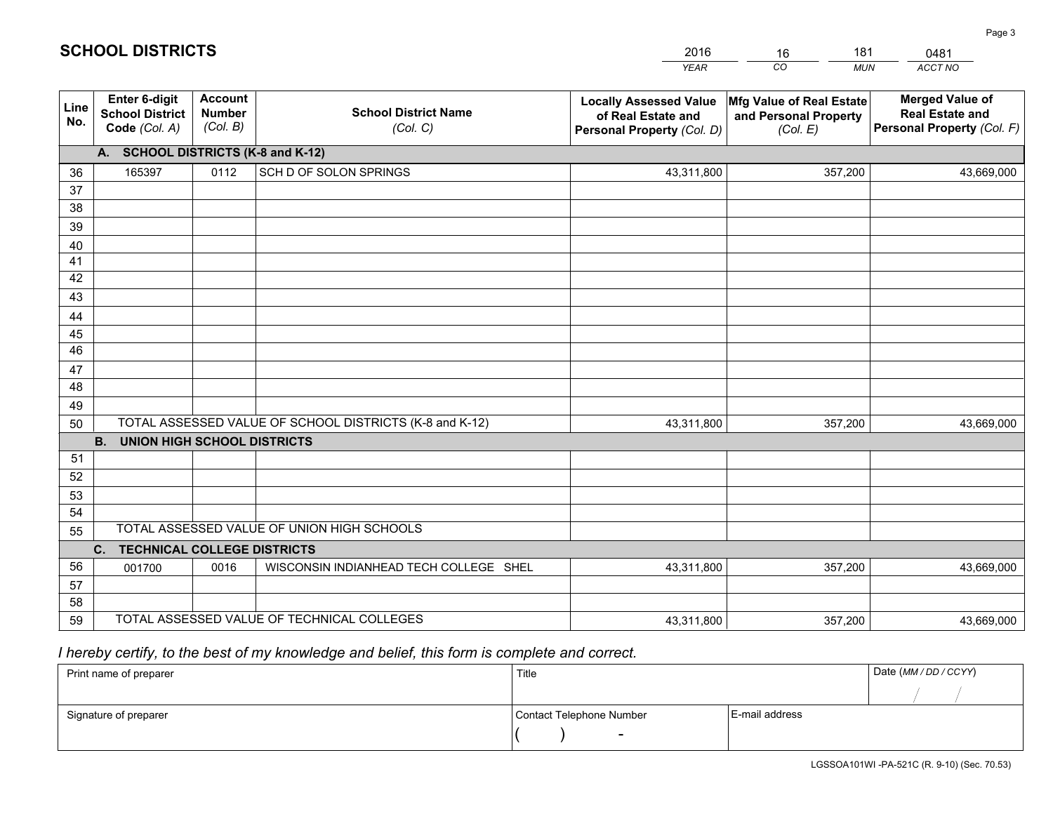|             |                                                                 |                                             |                                                         | <b>YEAR</b>                                                                       | CO<br><b>MUN</b>                                              | ACCT NO                                                                        |  |  |  |  |  |  |
|-------------|-----------------------------------------------------------------|---------------------------------------------|---------------------------------------------------------|-----------------------------------------------------------------------------------|---------------------------------------------------------------|--------------------------------------------------------------------------------|--|--|--|--|--|--|
| Line<br>No. | <b>Enter 6-digit</b><br><b>School District</b><br>Code (Col. A) | <b>Account</b><br><b>Number</b><br>(Col. B) | <b>School District Name</b><br>(Col. C)                 | <b>Locally Assessed Value</b><br>of Real Estate and<br>Personal Property (Col. D) | Mfg Value of Real Estate<br>and Personal Property<br>(Col. E) | <b>Merged Value of</b><br><b>Real Estate and</b><br>Personal Property (Col. F) |  |  |  |  |  |  |
|             | A. SCHOOL DISTRICTS (K-8 and K-12)                              |                                             |                                                         |                                                                                   |                                                               |                                                                                |  |  |  |  |  |  |
| 36          | 165397                                                          | 0112                                        | SCH D OF SOLON SPRINGS                                  | 43,311,800                                                                        | 357,200                                                       | 43,669,000                                                                     |  |  |  |  |  |  |
| 37          |                                                                 |                                             |                                                         |                                                                                   |                                                               |                                                                                |  |  |  |  |  |  |
| 38          |                                                                 |                                             |                                                         |                                                                                   |                                                               |                                                                                |  |  |  |  |  |  |
| 39          |                                                                 |                                             |                                                         |                                                                                   |                                                               |                                                                                |  |  |  |  |  |  |
| 40          |                                                                 |                                             |                                                         |                                                                                   |                                                               |                                                                                |  |  |  |  |  |  |
| 41<br>42    |                                                                 |                                             |                                                         |                                                                                   |                                                               |                                                                                |  |  |  |  |  |  |
| 43          |                                                                 |                                             |                                                         |                                                                                   |                                                               |                                                                                |  |  |  |  |  |  |
|             |                                                                 |                                             |                                                         |                                                                                   |                                                               |                                                                                |  |  |  |  |  |  |
| 44<br>45    |                                                                 |                                             |                                                         |                                                                                   |                                                               |                                                                                |  |  |  |  |  |  |
| 46          |                                                                 |                                             |                                                         |                                                                                   |                                                               |                                                                                |  |  |  |  |  |  |
| 47          |                                                                 |                                             |                                                         |                                                                                   |                                                               |                                                                                |  |  |  |  |  |  |
| 48          |                                                                 |                                             |                                                         |                                                                                   |                                                               |                                                                                |  |  |  |  |  |  |
| 49          |                                                                 |                                             |                                                         |                                                                                   |                                                               |                                                                                |  |  |  |  |  |  |
| 50          |                                                                 |                                             | TOTAL ASSESSED VALUE OF SCHOOL DISTRICTS (K-8 and K-12) | 43,311,800                                                                        | 357,200                                                       | 43,669,000                                                                     |  |  |  |  |  |  |
|             | <b>B.</b><br><b>UNION HIGH SCHOOL DISTRICTS</b>                 |                                             |                                                         |                                                                                   |                                                               |                                                                                |  |  |  |  |  |  |
| 51          |                                                                 |                                             |                                                         |                                                                                   |                                                               |                                                                                |  |  |  |  |  |  |
| 52          |                                                                 |                                             |                                                         |                                                                                   |                                                               |                                                                                |  |  |  |  |  |  |
| 53          |                                                                 |                                             |                                                         |                                                                                   |                                                               |                                                                                |  |  |  |  |  |  |
| 54          |                                                                 |                                             |                                                         |                                                                                   |                                                               |                                                                                |  |  |  |  |  |  |
| 55          |                                                                 |                                             | TOTAL ASSESSED VALUE OF UNION HIGH SCHOOLS              |                                                                                   |                                                               |                                                                                |  |  |  |  |  |  |
|             | C.<br><b>TECHNICAL COLLEGE DISTRICTS</b>                        |                                             |                                                         |                                                                                   |                                                               |                                                                                |  |  |  |  |  |  |
| 56          | 001700                                                          | 0016                                        | WISCONSIN INDIANHEAD TECH COLLEGE SHEL                  | 43,311,800                                                                        | 357,200                                                       | 43,669,000                                                                     |  |  |  |  |  |  |
| 57          |                                                                 |                                             |                                                         |                                                                                   |                                                               |                                                                                |  |  |  |  |  |  |
| 58<br>59    |                                                                 |                                             | TOTAL ASSESSED VALUE OF TECHNICAL COLLEGES              |                                                                                   |                                                               |                                                                                |  |  |  |  |  |  |
|             |                                                                 |                                             |                                                         | 43,311,800                                                                        | 357,200                                                       | 43,669,000                                                                     |  |  |  |  |  |  |

16

181

 *I hereby certify, to the best of my knowledge and belief, this form is complete and correct.*

**SCHOOL DISTRICTS**

| Print name of preparer | Title                    | Date (MM / DD / CCYY) |  |
|------------------------|--------------------------|-----------------------|--|
|                        |                          |                       |  |
| Signature of preparer  | Contact Telephone Number | E-mail address        |  |
|                        |                          |                       |  |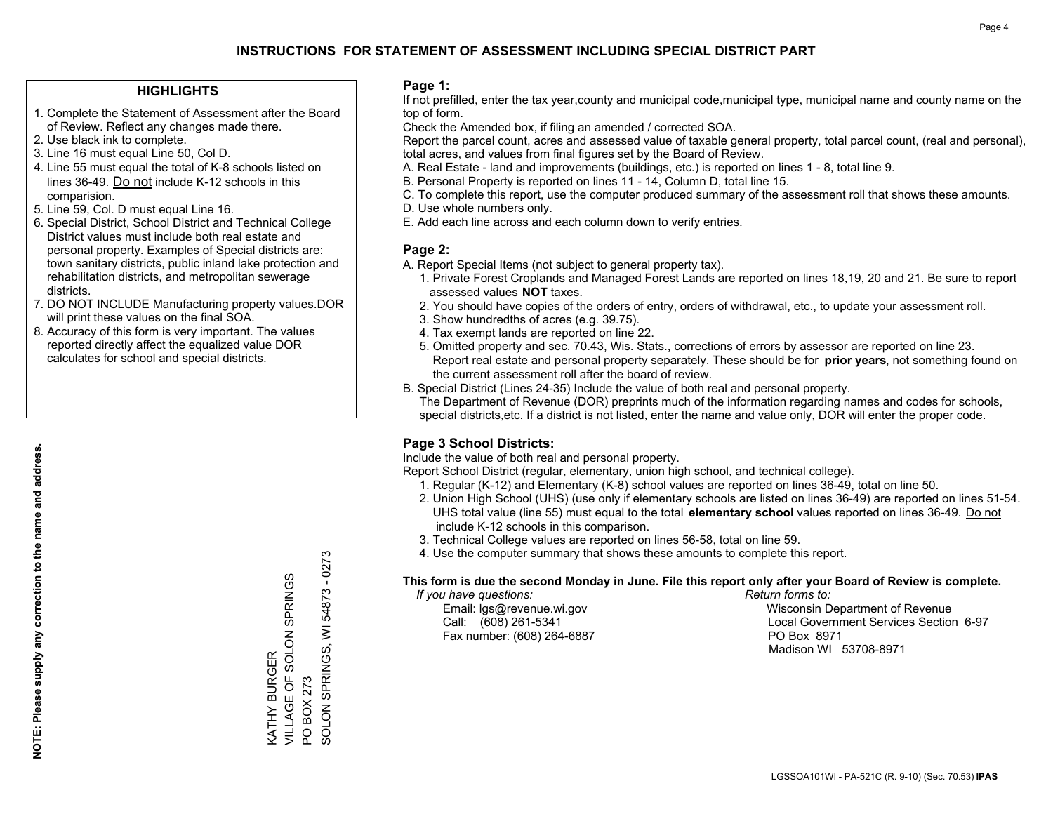### **HIGHLIGHTS**

- 1. Complete the Statement of Assessment after the Board of Review. Reflect any changes made there.
- 2. Use black ink to complete.
- 3. Line 16 must equal Line 50, Col D.
- 4. Line 55 must equal the total of K-8 schools listed on lines 36-49. Do not include K-12 schools in this comparision.
- 5. Line 59, Col. D must equal Line 16.
- 6. Special District, School District and Technical College District values must include both real estate and personal property. Examples of Special districts are: town sanitary districts, public inland lake protection and rehabilitation districts, and metropolitan sewerage districts.
- 7. DO NOT INCLUDE Manufacturing property values.DOR will print these values on the final SOA.
- 8. Accuracy of this form is very important. The values reported directly affect the equalized value DOR calculates for school and special districts.

### **Page 1:**

 If not prefilled, enter the tax year,county and municipal code,municipal type, municipal name and county name on the top of form.

Check the Amended box, if filing an amended / corrected SOA.

 Report the parcel count, acres and assessed value of taxable general property, total parcel count, (real and personal), total acres, and values from final figures set by the Board of Review.

- A. Real Estate land and improvements (buildings, etc.) is reported on lines 1 8, total line 9.
- B. Personal Property is reported on lines 11 14, Column D, total line 15.
- C. To complete this report, use the computer produced summary of the assessment roll that shows these amounts.
- D. Use whole numbers only.
- E. Add each line across and each column down to verify entries.

### **Page 2:**

- A. Report Special Items (not subject to general property tax).
- 1. Private Forest Croplands and Managed Forest Lands are reported on lines 18,19, 20 and 21. Be sure to report assessed values **NOT** taxes.
- 2. You should have copies of the orders of entry, orders of withdrawal, etc., to update your assessment roll.
	- 3. Show hundredths of acres (e.g. 39.75).
- 4. Tax exempt lands are reported on line 22.
- 5. Omitted property and sec. 70.43, Wis. Stats., corrections of errors by assessor are reported on line 23. Report real estate and personal property separately. These should be for **prior years**, not something found on the current assessment roll after the board of review.
- B. Special District (Lines 24-35) Include the value of both real and personal property.
- The Department of Revenue (DOR) preprints much of the information regarding names and codes for schools, special districts,etc. If a district is not listed, enter the name and value only, DOR will enter the proper code.

### **Page 3 School Districts:**

Include the value of both real and personal property.

Report School District (regular, elementary, union high school, and technical college).

- 1. Regular (K-12) and Elementary (K-8) school values are reported on lines 36-49, total on line 50.
- 2. Union High School (UHS) (use only if elementary schools are listed on lines 36-49) are reported on lines 51-54. UHS total value (line 55) must equal to the total **elementary school** values reported on lines 36-49. Do notinclude K-12 schools in this comparison.
- 3. Technical College values are reported on lines 56-58, total on line 59.
- 4. Use the computer summary that shows these amounts to complete this report.

#### **This form is due the second Monday in June. File this report only after your Board of Review is complete.**

 *If you have questions: Return forms to:*

Fax number: (608) 264-6887 PO Box 8971

 Email: lgs@revenue.wi.gov Wisconsin Department of Revenue Call: (608) 261-5341 Local Government Services Section 6-97Madison WI 53708-8971

54873 - 0273 SOLON SPRINGS, WI 54873 - 0273 VILLAGE OF SOLON SPRINGS KATHY BURGER<br>VILLAGE OF SOLON SPRINGS SOLON SPRINGS, WI KATHY BURGER PO BOX 273 PO BOX 273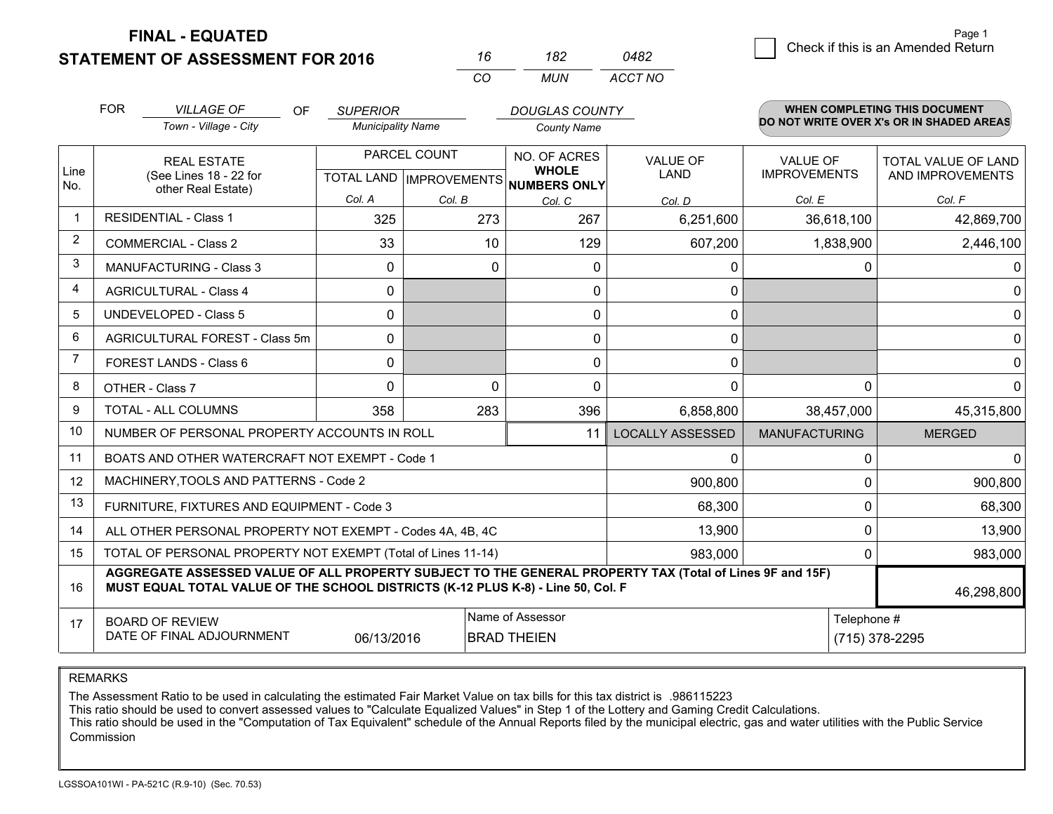**STATEMENT OF ASSESSMENT FOR 2016** 

**FINAL - EQUATED**

 $\overline{2}$  Check if this is an Amended Return Page 1

|             | <b>FOR</b>                     | <b>VILLAGE OF</b><br>OF                                                                                                                                                                      | <b>SUPERIOR</b>                                    |              | <b>DOUGLAS COUNTY</b>                                |                         |                      | <b>WHEN COMPLETING THIS DOCUMENT</b>     |  |
|-------------|--------------------------------|----------------------------------------------------------------------------------------------------------------------------------------------------------------------------------------------|----------------------------------------------------|--------------|------------------------------------------------------|-------------------------|----------------------|------------------------------------------|--|
|             |                                | Town - Village - City                                                                                                                                                                        | <b>Municipality Name</b>                           |              | <b>County Name</b>                                   |                         |                      | DO NOT WRITE OVER X's OR IN SHADED AREAS |  |
|             |                                | <b>REAL ESTATE</b>                                                                                                                                                                           |                                                    | PARCEL COUNT | NO. OF ACRES                                         | <b>VALUE OF</b>         | <b>VALUE OF</b>      | <b>TOTAL VALUE OF LAND</b>               |  |
| Line<br>No. |                                | (See Lines 18 - 22 for<br>other Real Estate)                                                                                                                                                 |                                                    |              | <b>WHOLE</b><br>TOTAL LAND IMPROVEMENTS NUMBERS ONLY | LAND                    | <b>IMPROVEMENTS</b>  | AND IMPROVEMENTS                         |  |
|             |                                |                                                                                                                                                                                              | Col. A                                             | Col. B       | Col. C                                               | Col. D                  | Col. E               | Col. F                                   |  |
| $\mathbf 1$ |                                | <b>RESIDENTIAL - Class 1</b>                                                                                                                                                                 | 325                                                | 273          | 267                                                  | 6,251,600               | 36,618,100           | 42,869,700                               |  |
| 2           |                                | <b>COMMERCIAL - Class 2</b>                                                                                                                                                                  | 33                                                 | 10           | 129                                                  | 607,200                 | 1,838,900            | 2,446,100                                |  |
| 3           |                                | <b>MANUFACTURING - Class 3</b>                                                                                                                                                               | 0                                                  |              | 0<br>0                                               | 0                       | 0                    | 0                                        |  |
| 4           |                                | <b>AGRICULTURAL - Class 4</b>                                                                                                                                                                | $\Omega$                                           |              | 0                                                    | 0                       |                      | $\Omega$                                 |  |
| 5           |                                | UNDEVELOPED - Class 5                                                                                                                                                                        | $\mathbf{0}$                                       |              | 0                                                    | 0                       |                      | $\mathbf{0}$                             |  |
| 6           | AGRICULTURAL FOREST - Class 5m |                                                                                                                                                                                              | 0                                                  |              | 0                                                    | 0                       |                      | $\mathbf 0$                              |  |
| 7           | FOREST LANDS - Class 6         |                                                                                                                                                                                              | 0                                                  |              | 0                                                    | 0                       |                      | $\mathbf 0$                              |  |
| 8           |                                | OTHER - Class 7                                                                                                                                                                              | $\Omega$                                           |              | $\Omega$<br>0                                        | $\Omega$                | $\Omega$             | 0                                        |  |
| 9           |                                | TOTAL - ALL COLUMNS                                                                                                                                                                          | 358                                                | 283          | 396                                                  | 6,858,800               | 38,457,000           | 45,315,800                               |  |
| 10          |                                | NUMBER OF PERSONAL PROPERTY ACCOUNTS IN ROLL                                                                                                                                                 |                                                    |              | 11                                                   | <b>LOCALLY ASSESSED</b> | <b>MANUFACTURING</b> | <b>MERGED</b>                            |  |
| 11          |                                | BOATS AND OTHER WATERCRAFT NOT EXEMPT - Code 1                                                                                                                                               |                                                    |              |                                                      | 0                       | $\Omega$             | $\Omega$                                 |  |
| 12          |                                | MACHINERY, TOOLS AND PATTERNS - Code 2                                                                                                                                                       |                                                    |              |                                                      | 900,800                 | 0                    | 900,800                                  |  |
| 13          |                                | FURNITURE, FIXTURES AND EQUIPMENT - Code 3                                                                                                                                                   |                                                    |              |                                                      | 68,300                  | 0                    | 68,300                                   |  |
| 14          |                                | ALL OTHER PERSONAL PROPERTY NOT EXEMPT - Codes 4A, 4B, 4C                                                                                                                                    |                                                    |              |                                                      | 13,900                  | $\Omega$             | 13,900                                   |  |
| 15          |                                | TOTAL OF PERSONAL PROPERTY NOT EXEMPT (Total of Lines 11-14)                                                                                                                                 |                                                    |              |                                                      | 983,000                 | $\Omega$             | 983,000                                  |  |
| 16          |                                | AGGREGATE ASSESSED VALUE OF ALL PROPERTY SUBJECT TO THE GENERAL PROPERTY TAX (Total of Lines 9F and 15F)<br>MUST EQUAL TOTAL VALUE OF THE SCHOOL DISTRICTS (K-12 PLUS K-8) - Line 50, Col. F |                                                    |              |                                                      |                         |                      | 46,298,800                               |  |
| 17          |                                | <b>BOARD OF REVIEW</b>                                                                                                                                                                       |                                                    |              | Name of Assessor                                     |                         | Telephone #          |                                          |  |
|             |                                | DATE OF FINAL ADJOURNMENT                                                                                                                                                                    | <b>BRAD THEIEN</b><br>06/13/2016<br>(715) 378-2295 |              |                                                      |                         |                      |                                          |  |

*CO*

*MUN*

*ACCT NO0482*

*<sup>16</sup> <sup>182</sup>*

REMARKS

The Assessment Ratio to be used in calculating the estimated Fair Market Value on tax bills for this tax district is .986115223<br>This ratio should be used to convert assessed values to "Calculate Equalized Values" in Step 1 Commission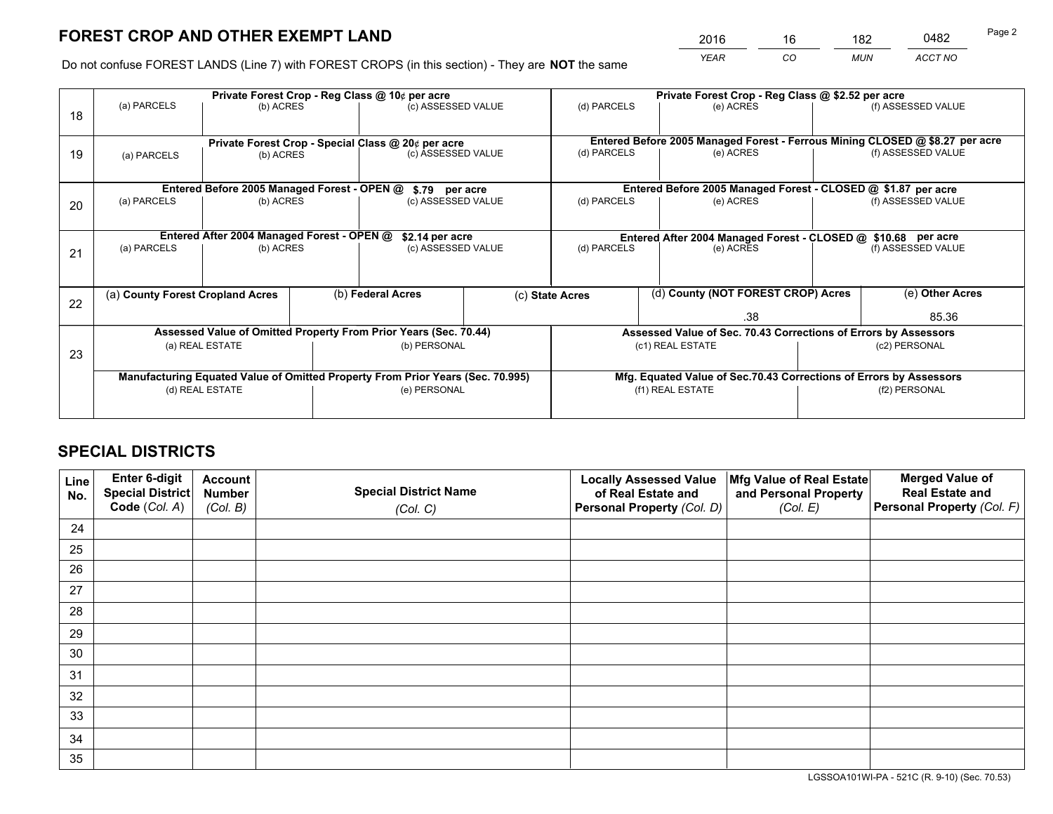*YEAR CO MUN ACCT NO* <u>2016 - 16 182 0482</u>

Do not confuse FOREST LANDS (Line 7) with FOREST CROPS (in this section) - They are **NOT** the same

|    | Private Forest Crop - Reg Class @ 10¢ per acre                                 |                                             |  |                                                    |                    |                                                                    | Private Forest Crop - Reg Class @ \$2.52 per acre |                                                                              |                    |                    |
|----|--------------------------------------------------------------------------------|---------------------------------------------|--|----------------------------------------------------|--------------------|--------------------------------------------------------------------|---------------------------------------------------|------------------------------------------------------------------------------|--------------------|--------------------|
| 18 | (a) PARCELS                                                                    | (b) ACRES                                   |  | (c) ASSESSED VALUE                                 |                    | (d) PARCELS                                                        |                                                   | (e) ACRES                                                                    |                    | (f) ASSESSED VALUE |
|    |                                                                                |                                             |  |                                                    |                    |                                                                    |                                                   |                                                                              |                    |                    |
|    |                                                                                |                                             |  | Private Forest Crop - Special Class @ 20¢ per acre |                    |                                                                    |                                                   | Entered Before 2005 Managed Forest - Ferrous Mining CLOSED @ \$8.27 per acre |                    |                    |
| 19 | (a) PARCELS                                                                    | (b) ACRES                                   |  | (c) ASSESSED VALUE                                 |                    | (d) PARCELS                                                        |                                                   | (e) ACRES                                                                    |                    | (f) ASSESSED VALUE |
|    |                                                                                |                                             |  |                                                    |                    |                                                                    |                                                   |                                                                              |                    |                    |
|    |                                                                                | Entered Before 2005 Managed Forest - OPEN @ |  | \$.79 per acre                                     |                    |                                                                    |                                                   | Entered Before 2005 Managed Forest - CLOSED @ \$1.87 per acre                |                    |                    |
| 20 | (a) PARCELS                                                                    | (b) ACRES                                   |  | (c) ASSESSED VALUE                                 |                    | (d) PARCELS                                                        |                                                   | (e) ACRES                                                                    |                    | (f) ASSESSED VALUE |
|    |                                                                                |                                             |  |                                                    |                    |                                                                    |                                                   |                                                                              |                    |                    |
|    | Entered After 2004 Managed Forest - OPEN @                                     |                                             |  | \$2.14 per acre                                    |                    | Entered After 2004 Managed Forest - CLOSED @ \$10.68 per acre      |                                                   |                                                                              |                    |                    |
| 21 | (a) PARCELS                                                                    | (b) ACRES                                   |  |                                                    | (c) ASSESSED VALUE |                                                                    | (d) PARCELS<br>(e) ACRES                          |                                                                              | (f) ASSESSED VALUE |                    |
|    |                                                                                |                                             |  |                                                    |                    |                                                                    |                                                   |                                                                              |                    |                    |
|    |                                                                                |                                             |  |                                                    |                    |                                                                    |                                                   |                                                                              |                    |                    |
| 22 | (a) County Forest Cropland Acres                                               |                                             |  | (b) Federal Acres                                  |                    | (c) State Acres                                                    |                                                   | (d) County (NOT FOREST CROP) Acres                                           |                    | (e) Other Acres    |
|    |                                                                                |                                             |  |                                                    |                    |                                                                    | .38                                               |                                                                              | 85.36              |                    |
|    | Assessed Value of Omitted Property From Prior Years (Sec. 70.44)               |                                             |  |                                                    |                    | Assessed Value of Sec. 70.43 Corrections of Errors by Assessors    |                                                   |                                                                              |                    |                    |
| 23 |                                                                                | (a) REAL ESTATE                             |  | (b) PERSONAL                                       |                    | (c1) REAL ESTATE                                                   |                                                   |                                                                              | (c2) PERSONAL      |                    |
|    |                                                                                |                                             |  |                                                    |                    |                                                                    |                                                   |                                                                              |                    |                    |
|    | Manufacturing Equated Value of Omitted Property From Prior Years (Sec. 70.995) |                                             |  |                                                    |                    | Mfg. Equated Value of Sec.70.43 Corrections of Errors by Assessors |                                                   |                                                                              |                    |                    |
|    | (d) REAL ESTATE                                                                |                                             |  | (e) PERSONAL                                       |                    |                                                                    |                                                   | (f1) REAL ESTATE                                                             | (f2) PERSONAL      |                    |
|    |                                                                                |                                             |  |                                                    |                    |                                                                    |                                                   |                                                                              |                    |                    |

## **SPECIAL DISTRICTS**

| Line<br>No. | Enter 6-digit<br>Special District<br>Code (Col. A) | <b>Account</b><br><b>Number</b> | <b>Special District Name</b> | <b>Locally Assessed Value</b><br>of Real Estate and | Mfg Value of Real Estate<br>and Personal Property | <b>Merged Value of</b><br><b>Real Estate and</b><br>Personal Property (Col. F) |
|-------------|----------------------------------------------------|---------------------------------|------------------------------|-----------------------------------------------------|---------------------------------------------------|--------------------------------------------------------------------------------|
|             |                                                    | (Col. B)                        | (Col. C)                     | Personal Property (Col. D)                          | (Col. E)                                          |                                                                                |
| 24          |                                                    |                                 |                              |                                                     |                                                   |                                                                                |
| 25          |                                                    |                                 |                              |                                                     |                                                   |                                                                                |
| 26          |                                                    |                                 |                              |                                                     |                                                   |                                                                                |
| 27          |                                                    |                                 |                              |                                                     |                                                   |                                                                                |
| 28          |                                                    |                                 |                              |                                                     |                                                   |                                                                                |
| 29          |                                                    |                                 |                              |                                                     |                                                   |                                                                                |
| 30          |                                                    |                                 |                              |                                                     |                                                   |                                                                                |
| 31          |                                                    |                                 |                              |                                                     |                                                   |                                                                                |
| 32          |                                                    |                                 |                              |                                                     |                                                   |                                                                                |
| 33          |                                                    |                                 |                              |                                                     |                                                   |                                                                                |
| 34          |                                                    |                                 |                              |                                                     |                                                   |                                                                                |
| 35          |                                                    |                                 |                              |                                                     |                                                   |                                                                                |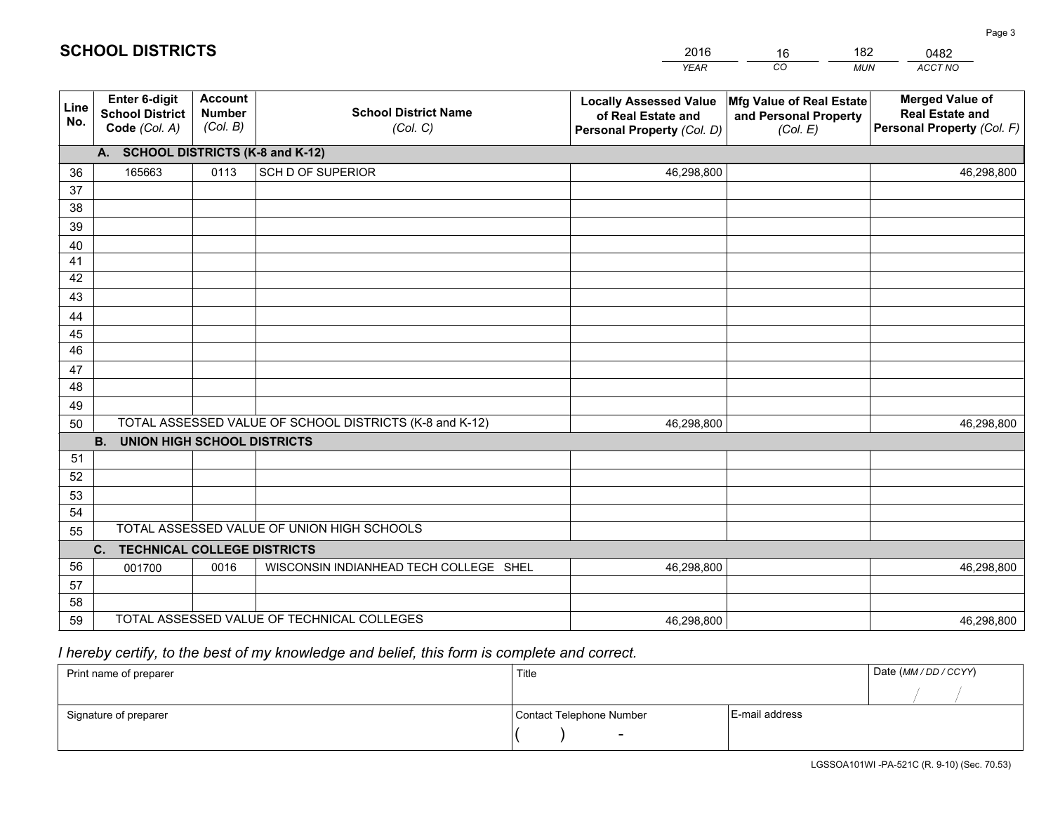|             |                                                          |                                             |                                                         | <b>YEAR</b>                                                                       | CO<br><b>MUN</b>                                              | ACCT NO                                                                        |
|-------------|----------------------------------------------------------|---------------------------------------------|---------------------------------------------------------|-----------------------------------------------------------------------------------|---------------------------------------------------------------|--------------------------------------------------------------------------------|
| Line<br>No. | Enter 6-digit<br><b>School District</b><br>Code (Col. A) | <b>Account</b><br><b>Number</b><br>(Col. B) | <b>School District Name</b><br>(Col. C)                 | <b>Locally Assessed Value</b><br>of Real Estate and<br>Personal Property (Col. D) | Mfg Value of Real Estate<br>and Personal Property<br>(Col. E) | <b>Merged Value of</b><br><b>Real Estate and</b><br>Personal Property (Col. F) |
|             | A. SCHOOL DISTRICTS (K-8 and K-12)                       |                                             |                                                         |                                                                                   |                                                               |                                                                                |
| 36          | 165663                                                   | 0113                                        | SCH D OF SUPERIOR                                       | 46,298,800                                                                        |                                                               | 46,298,800                                                                     |
| 37          |                                                          |                                             |                                                         |                                                                                   |                                                               |                                                                                |
| 38          |                                                          |                                             |                                                         |                                                                                   |                                                               |                                                                                |
| 39          |                                                          |                                             |                                                         |                                                                                   |                                                               |                                                                                |
| 40          |                                                          |                                             |                                                         |                                                                                   |                                                               |                                                                                |
| 41          |                                                          |                                             |                                                         |                                                                                   |                                                               |                                                                                |
| 42          |                                                          |                                             |                                                         |                                                                                   |                                                               |                                                                                |
| 43          |                                                          |                                             |                                                         |                                                                                   |                                                               |                                                                                |
| 44<br>45    |                                                          |                                             |                                                         |                                                                                   |                                                               |                                                                                |
| 46          |                                                          |                                             |                                                         |                                                                                   |                                                               |                                                                                |
| 47          |                                                          |                                             |                                                         |                                                                                   |                                                               |                                                                                |
| 48          |                                                          |                                             |                                                         |                                                                                   |                                                               |                                                                                |
| 49          |                                                          |                                             |                                                         |                                                                                   |                                                               |                                                                                |
| 50          |                                                          |                                             | TOTAL ASSESSED VALUE OF SCHOOL DISTRICTS (K-8 and K-12) | 46,298,800                                                                        |                                                               | 46,298,800                                                                     |
|             | <b>B.</b><br><b>UNION HIGH SCHOOL DISTRICTS</b>          |                                             |                                                         |                                                                                   |                                                               |                                                                                |
| 51          |                                                          |                                             |                                                         |                                                                                   |                                                               |                                                                                |
| 52          |                                                          |                                             |                                                         |                                                                                   |                                                               |                                                                                |
| 53          |                                                          |                                             |                                                         |                                                                                   |                                                               |                                                                                |
| 54          |                                                          |                                             |                                                         |                                                                                   |                                                               |                                                                                |
| 55          |                                                          |                                             | TOTAL ASSESSED VALUE OF UNION HIGH SCHOOLS              |                                                                                   |                                                               |                                                                                |
|             | C.<br><b>TECHNICAL COLLEGE DISTRICTS</b>                 |                                             |                                                         |                                                                                   |                                                               |                                                                                |
| 56          | 001700                                                   | 0016                                        | WISCONSIN INDIANHEAD TECH COLLEGE SHEL                  | 46,298,800                                                                        |                                                               | 46,298,800                                                                     |
| 57          |                                                          |                                             |                                                         |                                                                                   |                                                               |                                                                                |
| 58          |                                                          |                                             |                                                         |                                                                                   |                                                               |                                                                                |
| 59          |                                                          |                                             | TOTAL ASSESSED VALUE OF TECHNICAL COLLEGES              | 46,298,800                                                                        |                                                               | 46,298,800                                                                     |

16

182

 *I hereby certify, to the best of my knowledge and belief, this form is complete and correct.*

**SCHOOL DISTRICTS**

| Print name of preparer | Title                    |                | Date (MM / DD / CCYY) |
|------------------------|--------------------------|----------------|-----------------------|
|                        |                          |                |                       |
| Signature of preparer  | Contact Telephone Number | E-mail address |                       |
|                        | $\sim$                   |                |                       |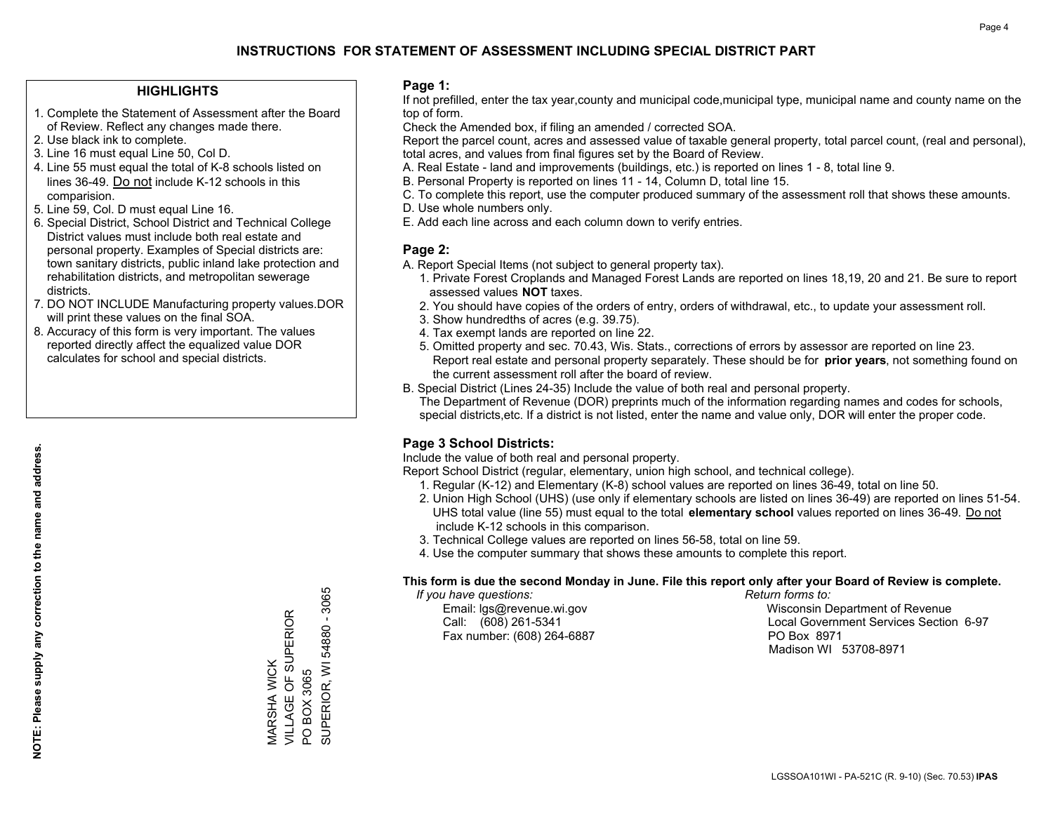### **HIGHLIGHTS**

- 1. Complete the Statement of Assessment after the Board of Review. Reflect any changes made there.
- 2. Use black ink to complete.
- 3. Line 16 must equal Line 50, Col D.
- 4. Line 55 must equal the total of K-8 schools listed on lines 36-49. Do not include K-12 schools in this comparision.
- 5. Line 59, Col. D must equal Line 16.
- 6. Special District, School District and Technical College District values must include both real estate and personal property. Examples of Special districts are: town sanitary districts, public inland lake protection and rehabilitation districts, and metropolitan sewerage districts.
- 7. DO NOT INCLUDE Manufacturing property values.DOR will print these values on the final SOA.

MARSHA WICK

VILLAGE OF SUPERIOR

MARSHA WICK<br>VILLAGE OF SUPERIOR

PO BOX 3065

 $\overline{S}$ 

BOX 3065

SUPERIOR, WI 54880 - 3065

SUPERIOR, WI 54880 - 3065

 8. Accuracy of this form is very important. The values reported directly affect the equalized value DOR calculates for school and special districts.

### **Page 1:**

 If not prefilled, enter the tax year,county and municipal code,municipal type, municipal name and county name on the top of form.

Check the Amended box, if filing an amended / corrected SOA.

 Report the parcel count, acres and assessed value of taxable general property, total parcel count, (real and personal), total acres, and values from final figures set by the Board of Review.

- A. Real Estate land and improvements (buildings, etc.) is reported on lines 1 8, total line 9.
- B. Personal Property is reported on lines 11 14, Column D, total line 15.
- C. To complete this report, use the computer produced summary of the assessment roll that shows these amounts.
- D. Use whole numbers only.
- E. Add each line across and each column down to verify entries.

### **Page 2:**

- A. Report Special Items (not subject to general property tax).
- 1. Private Forest Croplands and Managed Forest Lands are reported on lines 18,19, 20 and 21. Be sure to report assessed values **NOT** taxes.
- 2. You should have copies of the orders of entry, orders of withdrawal, etc., to update your assessment roll.
	- 3. Show hundredths of acres (e.g. 39.75).
- 4. Tax exempt lands are reported on line 22.
- 5. Omitted property and sec. 70.43, Wis. Stats., corrections of errors by assessor are reported on line 23. Report real estate and personal property separately. These should be for **prior years**, not something found on the current assessment roll after the board of review.
- B. Special District (Lines 24-35) Include the value of both real and personal property.
- The Department of Revenue (DOR) preprints much of the information regarding names and codes for schools, special districts,etc. If a district is not listed, enter the name and value only, DOR will enter the proper code.

### **Page 3 School Districts:**

Include the value of both real and personal property.

Report School District (regular, elementary, union high school, and technical college).

- 1. Regular (K-12) and Elementary (K-8) school values are reported on lines 36-49, total on line 50.
- 2. Union High School (UHS) (use only if elementary schools are listed on lines 36-49) are reported on lines 51-54. UHS total value (line 55) must equal to the total **elementary school** values reported on lines 36-49. Do notinclude K-12 schools in this comparison.
- 3. Technical College values are reported on lines 56-58, total on line 59.
- 4. Use the computer summary that shows these amounts to complete this report.

#### **This form is due the second Monday in June. File this report only after your Board of Review is complete.**

 *If you have questions: Return forms to:*

Fax number: (608) 264-6887 PO Box 8971

 Email: lgs@revenue.wi.gov Wisconsin Department of Revenue Call: (608) 261-5341 Local Government Services Section 6-97Madison WI 53708-8971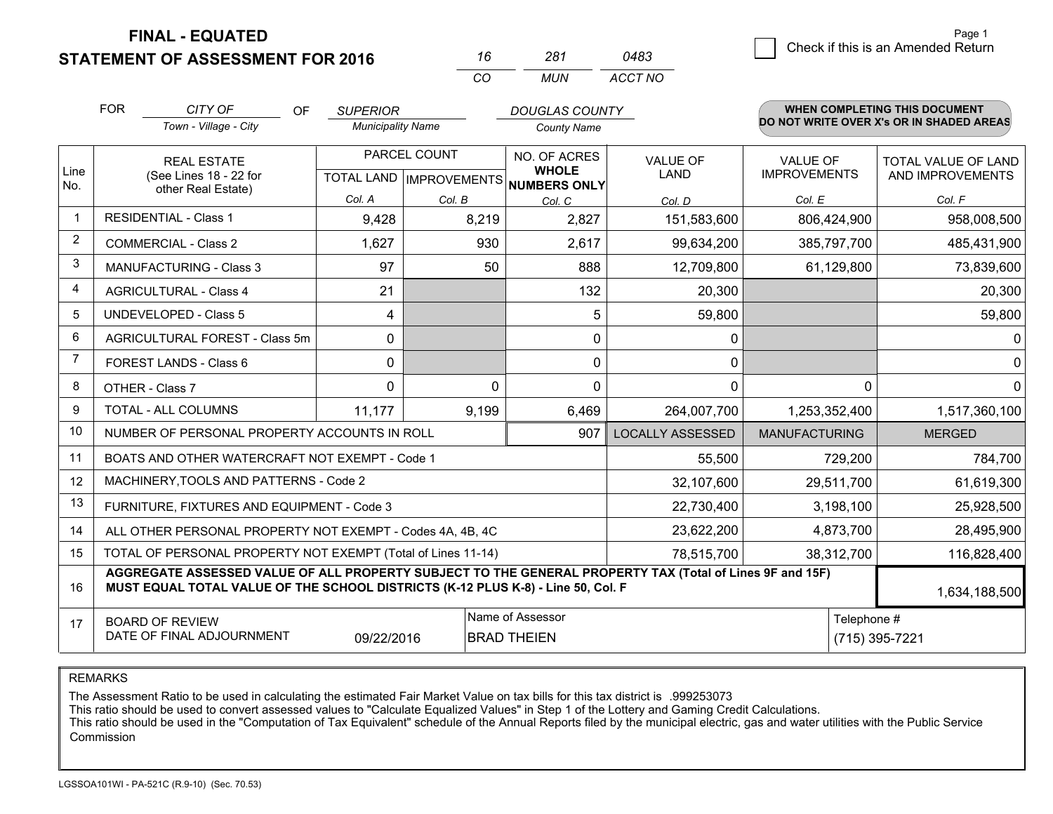**FINAL - EQUATED**

**STATEMENT OF ASSESSMENT FOR 2016** 

| 16 | 281 | 0483    |
|----|-----|---------|
| ററ | MUN | ACCT NO |

|                         | <b>FOR</b>                                                                                                                                                                                   | CITY OF<br>OF                                             | <b>SUPERIOR</b>          |                           | <b>DOUGLAS COUNTY</b>        |                         |                      | <b>WHEN COMPLETING THIS DOCUMENT</b>     |
|-------------------------|----------------------------------------------------------------------------------------------------------------------------------------------------------------------------------------------|-----------------------------------------------------------|--------------------------|---------------------------|------------------------------|-------------------------|----------------------|------------------------------------------|
|                         |                                                                                                                                                                                              | Town - Village - City                                     | <b>Municipality Name</b> |                           | <b>County Name</b>           |                         |                      | DO NOT WRITE OVER X's OR IN SHADED AREAS |
|                         |                                                                                                                                                                                              | <b>REAL ESTATE</b>                                        |                          | PARCEL COUNT              | NO. OF ACRES                 | <b>VALUE OF</b>         | <b>VALUE OF</b>      | <b>TOTAL VALUE OF LAND</b>               |
| Line<br>No.             |                                                                                                                                                                                              | (See Lines 18 - 22 for<br>other Real Estate)              |                          | TOTAL LAND   IMPROVEMENTS | <b>WHOLE</b><br>NUMBERS ONLY | <b>LAND</b>             | <b>IMPROVEMENTS</b>  | AND IMPROVEMENTS                         |
|                         |                                                                                                                                                                                              |                                                           | Col. A                   | Col. B                    | Col. C                       | Col. D                  | Col. E               | Col. F                                   |
| $\overline{\mathbf{1}}$ |                                                                                                                                                                                              | <b>RESIDENTIAL - Class 1</b>                              | 9,428                    | 8,219                     | 2,827                        | 151,583,600             | 806,424,900          | 958,008,500                              |
| 2                       |                                                                                                                                                                                              | <b>COMMERCIAL - Class 2</b>                               | 1,627                    | 930                       | 2,617                        | 99,634,200              | 385,797,700          | 485,431,900                              |
| 3                       |                                                                                                                                                                                              | <b>MANUFACTURING - Class 3</b>                            | 97                       | 50                        | 888                          | 12,709,800              | 61,129,800           | 73,839,600                               |
| 4                       |                                                                                                                                                                                              | <b>AGRICULTURAL - Class 4</b>                             | 21                       |                           | 132                          | 20,300                  |                      | 20,300                                   |
| 5                       |                                                                                                                                                                                              | <b>UNDEVELOPED - Class 5</b>                              | 4                        |                           | 5                            | 59,800                  |                      | 59,800                                   |
| 6                       |                                                                                                                                                                                              | AGRICULTURAL FOREST - Class 5m                            | 0                        |                           | $\Omega$                     | 0                       |                      | 0                                        |
| 7                       |                                                                                                                                                                                              | FOREST LANDS - Class 6                                    | 0                        |                           | 0                            | 0                       |                      | $\mathbf 0$                              |
| 8                       |                                                                                                                                                                                              | OTHER - Class 7                                           | $\Omega$                 | 0                         | 0                            | 0                       |                      | $\mathbf 0$<br>$\Omega$                  |
| 9                       |                                                                                                                                                                                              | TOTAL - ALL COLUMNS                                       | 11,177                   | 9,199                     | 6,469                        | 264,007,700             | 1,253,352,400        | 1,517,360,100                            |
| 10                      |                                                                                                                                                                                              | NUMBER OF PERSONAL PROPERTY ACCOUNTS IN ROLL              |                          |                           | 907                          | <b>LOCALLY ASSESSED</b> | <b>MANUFACTURING</b> | <b>MERGED</b>                            |
| 11                      |                                                                                                                                                                                              | BOATS AND OTHER WATERCRAFT NOT EXEMPT - Code 1            |                          |                           |                              | 55,500                  | 729,200              | 784,700                                  |
| 12                      |                                                                                                                                                                                              | MACHINERY, TOOLS AND PATTERNS - Code 2                    |                          |                           |                              | 32,107,600              | 29,511,700           | 61,619,300                               |
| 13                      |                                                                                                                                                                                              | FURNITURE, FIXTURES AND EQUIPMENT - Code 3                |                          |                           |                              | 22,730,400              | 3,198,100            | 25,928,500                               |
| 14                      |                                                                                                                                                                                              | ALL OTHER PERSONAL PROPERTY NOT EXEMPT - Codes 4A, 4B, 4C |                          |                           | 23,622,200                   | 4,873,700               | 28,495,900           |                                          |
| 15                      | TOTAL OF PERSONAL PROPERTY NOT EXEMPT (Total of Lines 11-14)                                                                                                                                 |                                                           |                          |                           |                              | 78,515,700              | 38,312,700           | 116,828,400                              |
| 16                      | AGGREGATE ASSESSED VALUE OF ALL PROPERTY SUBJECT TO THE GENERAL PROPERTY TAX (Total of Lines 9F and 15F)<br>MUST EQUAL TOTAL VALUE OF THE SCHOOL DISTRICTS (K-12 PLUS K-8) - Line 50, Col. F |                                                           |                          |                           |                              |                         |                      | 1,634,188,500                            |
| 17                      |                                                                                                                                                                                              | <b>BOARD OF REVIEW</b>                                    |                          |                           | Name of Assessor             |                         |                      | Telephone #                              |
|                         |                                                                                                                                                                                              | DATE OF FINAL ADJOURNMENT                                 | 09/22/2016               |                           | <b>BRAD THEIEN</b>           |                         |                      | (715) 395-7221                           |

REMARKS

The Assessment Ratio to be used in calculating the estimated Fair Market Value on tax bills for this tax district is .999253073<br>This ratio should be used to convert assessed values to "Calculate Equalized Values" in Step 1 Commission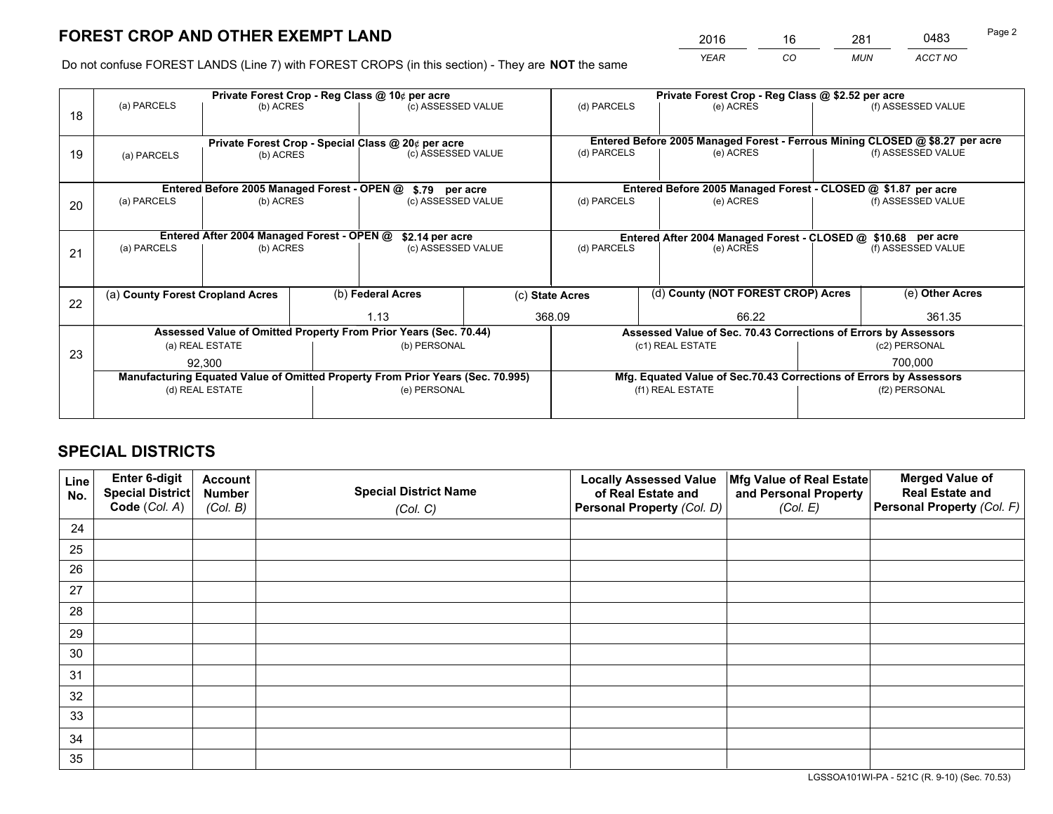*YEAR CO MUN ACCT NO* <sup>2016</sup> <sup>16</sup> <sup>281</sup> <sup>0483</sup>

Do not confuse FOREST LANDS (Line 7) with FOREST CROPS (in this section) - They are **NOT** the same

|    | Private Forest Crop - Reg Class @ 10¢ per acre                                 |                                             |  |                                                                  |  | Private Forest Crop - Reg Class @ \$2.52 per acre             |                                                                              |                                                                    |                    |
|----|--------------------------------------------------------------------------------|---------------------------------------------|--|------------------------------------------------------------------|--|---------------------------------------------------------------|------------------------------------------------------------------------------|--------------------------------------------------------------------|--------------------|
| 18 | (a) PARCELS                                                                    | (b) ACRES                                   |  | (c) ASSESSED VALUE                                               |  | (d) PARCELS                                                   | (e) ACRES                                                                    |                                                                    | (f) ASSESSED VALUE |
|    |                                                                                |                                             |  |                                                                  |  |                                                               |                                                                              |                                                                    |                    |
|    |                                                                                |                                             |  | Private Forest Crop - Special Class @ 20¢ per acre               |  |                                                               | Entered Before 2005 Managed Forest - Ferrous Mining CLOSED @ \$8.27 per acre |                                                                    |                    |
| 19 | (a) PARCELS                                                                    | (b) ACRES                                   |  | (c) ASSESSED VALUE                                               |  | (d) PARCELS                                                   | (e) ACRES                                                                    |                                                                    | (f) ASSESSED VALUE |
|    |                                                                                |                                             |  |                                                                  |  |                                                               |                                                                              |                                                                    |                    |
|    |                                                                                | Entered Before 2005 Managed Forest - OPEN @ |  | \$.79 per acre                                                   |  |                                                               | Entered Before 2005 Managed Forest - CLOSED @ \$1.87 per acre                |                                                                    |                    |
| 20 | (a) PARCELS                                                                    | (b) ACRES                                   |  | (c) ASSESSED VALUE                                               |  | (d) PARCELS                                                   | (e) ACRES                                                                    |                                                                    | (f) ASSESSED VALUE |
|    |                                                                                |                                             |  |                                                                  |  |                                                               |                                                                              |                                                                    |                    |
|    | Entered After 2004 Managed Forest - OPEN @                                     |                                             |  | \$2.14 per acre                                                  |  | Entered After 2004 Managed Forest - CLOSED @ \$10.68 per acre |                                                                              |                                                                    |                    |
| 21 | (a) PARCELS                                                                    | (b) ACRES                                   |  | (c) ASSESSED VALUE                                               |  | (d) PARCELS<br>(e) ACRES                                      |                                                                              | (f) ASSESSED VALUE                                                 |                    |
|    |                                                                                |                                             |  |                                                                  |  |                                                               |                                                                              |                                                                    |                    |
|    | (a) County Forest Cropland Acres                                               |                                             |  | (b) Federal Acres                                                |  | (c) State Acres                                               | (d) County (NOT FOREST CROP) Acres                                           |                                                                    | (e) Other Acres    |
| 22 |                                                                                |                                             |  | 1.13                                                             |  | 368.09<br>66.22                                               |                                                                              | 361.35                                                             |                    |
|    |                                                                                |                                             |  | Assessed Value of Omitted Property From Prior Years (Sec. 70.44) |  |                                                               | Assessed Value of Sec. 70.43 Corrections of Errors by Assessors              |                                                                    |                    |
| 23 | (a) REAL ESTATE                                                                |                                             |  | (b) PERSONAL                                                     |  |                                                               | (c1) REAL ESTATE                                                             | (c2) PERSONAL                                                      |                    |
|    | 92,300                                                                         |                                             |  |                                                                  |  |                                                               |                                                                              |                                                                    | 700,000            |
|    | Manufacturing Equated Value of Omitted Property From Prior Years (Sec. 70.995) |                                             |  |                                                                  |  |                                                               |                                                                              | Mfg. Equated Value of Sec.70.43 Corrections of Errors by Assessors |                    |
|    | (d) REAL ESTATE                                                                |                                             |  | (e) PERSONAL                                                     |  |                                                               | (f1) REAL ESTATE                                                             |                                                                    | (f2) PERSONAL      |
|    |                                                                                |                                             |  |                                                                  |  |                                                               |                                                                              |                                                                    |                    |

## **SPECIAL DISTRICTS**

| Line<br>No. | Enter 6-digit<br>Special District<br>Code (Col. A) | <b>Account</b><br><b>Number</b> | <b>Special District Name</b> | <b>Locally Assessed Value</b><br>of Real Estate and | Mfg Value of Real Estate<br>and Personal Property | <b>Merged Value of</b><br><b>Real Estate and</b><br>Personal Property (Col. F) |
|-------------|----------------------------------------------------|---------------------------------|------------------------------|-----------------------------------------------------|---------------------------------------------------|--------------------------------------------------------------------------------|
|             |                                                    | (Col. B)                        | (Col. C)                     | Personal Property (Col. D)                          | (Col. E)                                          |                                                                                |
| 24          |                                                    |                                 |                              |                                                     |                                                   |                                                                                |
| 25          |                                                    |                                 |                              |                                                     |                                                   |                                                                                |
| 26          |                                                    |                                 |                              |                                                     |                                                   |                                                                                |
| 27          |                                                    |                                 |                              |                                                     |                                                   |                                                                                |
| 28          |                                                    |                                 |                              |                                                     |                                                   |                                                                                |
| 29          |                                                    |                                 |                              |                                                     |                                                   |                                                                                |
| 30          |                                                    |                                 |                              |                                                     |                                                   |                                                                                |
| 31          |                                                    |                                 |                              |                                                     |                                                   |                                                                                |
| 32          |                                                    |                                 |                              |                                                     |                                                   |                                                                                |
| 33          |                                                    |                                 |                              |                                                     |                                                   |                                                                                |
| 34          |                                                    |                                 |                              |                                                     |                                                   |                                                                                |
| 35          |                                                    |                                 |                              |                                                     |                                                   |                                                                                |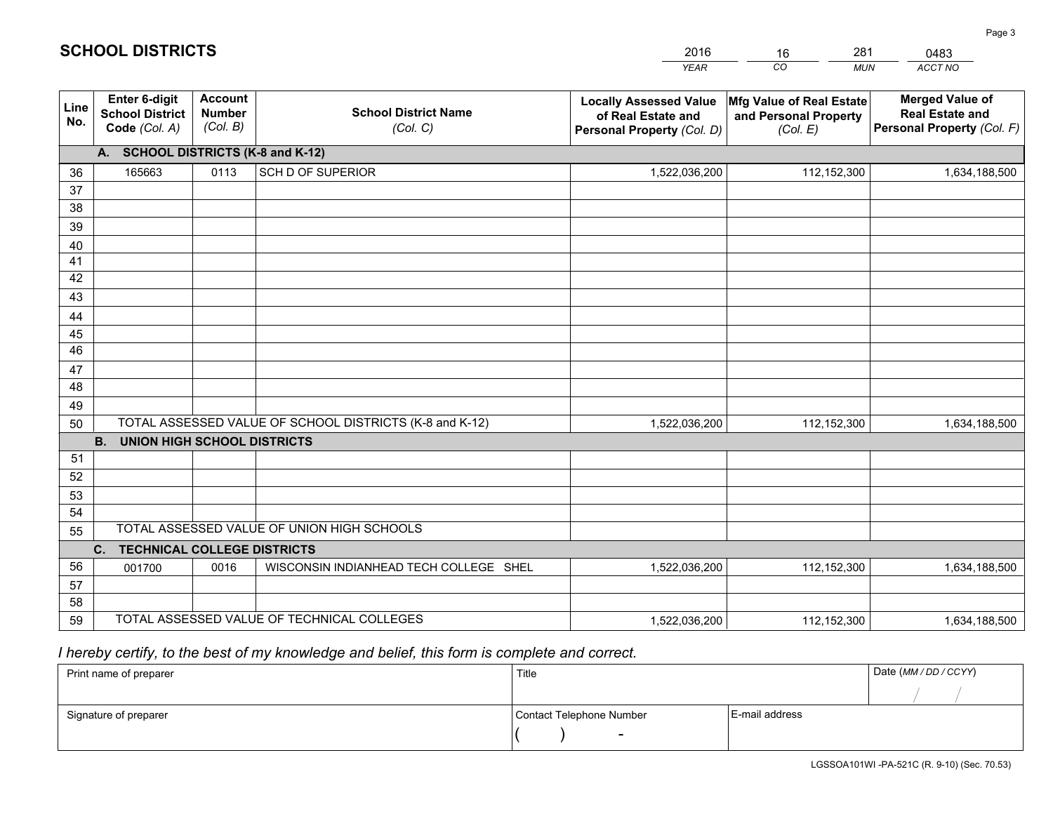| <b>Account</b><br><b>Merged Value of</b><br>Enter 6-digit<br><b>Locally Assessed Value</b><br>Mfg Value of Real Estate<br>Line<br><b>School District Name</b><br><b>Number</b><br><b>School District</b><br><b>Real Estate and</b><br>of Real Estate and<br>and Personal Property<br>No.<br>(Col. B)<br>Personal Property (Col. F)<br>Code (Col. A)<br>(Col. C)<br>Personal Property (Col. D)<br>(Col. E)<br>A. SCHOOL DISTRICTS (K-8 and K-12)<br><b>SCH D OF SUPERIOR</b><br>165663<br>0113<br>1,522,036,200<br>112,152,300<br>36<br>1,634,188,500<br>37<br>38<br>39<br>40<br>41<br>42<br>43<br>44<br>45<br>46<br>47<br>48<br>49<br>TOTAL ASSESSED VALUE OF SCHOOL DISTRICTS (K-8 and K-12)<br>50<br>1,522,036,200<br>112,152,300<br>1,634,188,500<br><b>B.</b><br>UNION HIGH SCHOOL DISTRICTS<br>51<br>52<br>53<br>54<br>TOTAL ASSESSED VALUE OF UNION HIGH SCHOOLS<br>55<br>C.<br><b>TECHNICAL COLLEGE DISTRICTS</b><br>56<br>WISCONSIN INDIANHEAD TECH COLLEGE SHEL<br>0016<br>1,522,036,200<br>112,152,300<br>001700<br>1,634,188,500<br>57<br>58<br>TOTAL ASSESSED VALUE OF TECHNICAL COLLEGES<br>59<br>1,522,036,200<br>112,152,300<br>1,634,188,500 |  |  | YEAR | CO.<br><b>MUN</b> | ACCT NO |
|--------------------------------------------------------------------------------------------------------------------------------------------------------------------------------------------------------------------------------------------------------------------------------------------------------------------------------------------------------------------------------------------------------------------------------------------------------------------------------------------------------------------------------------------------------------------------------------------------------------------------------------------------------------------------------------------------------------------------------------------------------------------------------------------------------------------------------------------------------------------------------------------------------------------------------------------------------------------------------------------------------------------------------------------------------------------------------------------------------------------------------------------------------------|--|--|------|-------------------|---------|
|                                                                                                                                                                                                                                                                                                                                                                                                                                                                                                                                                                                                                                                                                                                                                                                                                                                                                                                                                                                                                                                                                                                                                              |  |  |      |                   |         |
|                                                                                                                                                                                                                                                                                                                                                                                                                                                                                                                                                                                                                                                                                                                                                                                                                                                                                                                                                                                                                                                                                                                                                              |  |  |      |                   |         |
|                                                                                                                                                                                                                                                                                                                                                                                                                                                                                                                                                                                                                                                                                                                                                                                                                                                                                                                                                                                                                                                                                                                                                              |  |  |      |                   |         |
|                                                                                                                                                                                                                                                                                                                                                                                                                                                                                                                                                                                                                                                                                                                                                                                                                                                                                                                                                                                                                                                                                                                                                              |  |  |      |                   |         |
|                                                                                                                                                                                                                                                                                                                                                                                                                                                                                                                                                                                                                                                                                                                                                                                                                                                                                                                                                                                                                                                                                                                                                              |  |  |      |                   |         |
|                                                                                                                                                                                                                                                                                                                                                                                                                                                                                                                                                                                                                                                                                                                                                                                                                                                                                                                                                                                                                                                                                                                                                              |  |  |      |                   |         |
|                                                                                                                                                                                                                                                                                                                                                                                                                                                                                                                                                                                                                                                                                                                                                                                                                                                                                                                                                                                                                                                                                                                                                              |  |  |      |                   |         |
|                                                                                                                                                                                                                                                                                                                                                                                                                                                                                                                                                                                                                                                                                                                                                                                                                                                                                                                                                                                                                                                                                                                                                              |  |  |      |                   |         |
|                                                                                                                                                                                                                                                                                                                                                                                                                                                                                                                                                                                                                                                                                                                                                                                                                                                                                                                                                                                                                                                                                                                                                              |  |  |      |                   |         |
|                                                                                                                                                                                                                                                                                                                                                                                                                                                                                                                                                                                                                                                                                                                                                                                                                                                                                                                                                                                                                                                                                                                                                              |  |  |      |                   |         |
|                                                                                                                                                                                                                                                                                                                                                                                                                                                                                                                                                                                                                                                                                                                                                                                                                                                                                                                                                                                                                                                                                                                                                              |  |  |      |                   |         |
|                                                                                                                                                                                                                                                                                                                                                                                                                                                                                                                                                                                                                                                                                                                                                                                                                                                                                                                                                                                                                                                                                                                                                              |  |  |      |                   |         |
|                                                                                                                                                                                                                                                                                                                                                                                                                                                                                                                                                                                                                                                                                                                                                                                                                                                                                                                                                                                                                                                                                                                                                              |  |  |      |                   |         |
|                                                                                                                                                                                                                                                                                                                                                                                                                                                                                                                                                                                                                                                                                                                                                                                                                                                                                                                                                                                                                                                                                                                                                              |  |  |      |                   |         |
|                                                                                                                                                                                                                                                                                                                                                                                                                                                                                                                                                                                                                                                                                                                                                                                                                                                                                                                                                                                                                                                                                                                                                              |  |  |      |                   |         |
|                                                                                                                                                                                                                                                                                                                                                                                                                                                                                                                                                                                                                                                                                                                                                                                                                                                                                                                                                                                                                                                                                                                                                              |  |  |      |                   |         |
|                                                                                                                                                                                                                                                                                                                                                                                                                                                                                                                                                                                                                                                                                                                                                                                                                                                                                                                                                                                                                                                                                                                                                              |  |  |      |                   |         |
|                                                                                                                                                                                                                                                                                                                                                                                                                                                                                                                                                                                                                                                                                                                                                                                                                                                                                                                                                                                                                                                                                                                                                              |  |  |      |                   |         |
|                                                                                                                                                                                                                                                                                                                                                                                                                                                                                                                                                                                                                                                                                                                                                                                                                                                                                                                                                                                                                                                                                                                                                              |  |  |      |                   |         |
|                                                                                                                                                                                                                                                                                                                                                                                                                                                                                                                                                                                                                                                                                                                                                                                                                                                                                                                                                                                                                                                                                                                                                              |  |  |      |                   |         |
|                                                                                                                                                                                                                                                                                                                                                                                                                                                                                                                                                                                                                                                                                                                                                                                                                                                                                                                                                                                                                                                                                                                                                              |  |  |      |                   |         |
|                                                                                                                                                                                                                                                                                                                                                                                                                                                                                                                                                                                                                                                                                                                                                                                                                                                                                                                                                                                                                                                                                                                                                              |  |  |      |                   |         |
|                                                                                                                                                                                                                                                                                                                                                                                                                                                                                                                                                                                                                                                                                                                                                                                                                                                                                                                                                                                                                                                                                                                                                              |  |  |      |                   |         |
|                                                                                                                                                                                                                                                                                                                                                                                                                                                                                                                                                                                                                                                                                                                                                                                                                                                                                                                                                                                                                                                                                                                                                              |  |  |      |                   |         |
|                                                                                                                                                                                                                                                                                                                                                                                                                                                                                                                                                                                                                                                                                                                                                                                                                                                                                                                                                                                                                                                                                                                                                              |  |  |      |                   |         |
|                                                                                                                                                                                                                                                                                                                                                                                                                                                                                                                                                                                                                                                                                                                                                                                                                                                                                                                                                                                                                                                                                                                                                              |  |  |      |                   |         |

16

281

 *I hereby certify, to the best of my knowledge and belief, this form is complete and correct.*

**SCHOOL DISTRICTS**

| Print name of preparer | Title                    |                | Date (MM/DD/CCYY) |
|------------------------|--------------------------|----------------|-------------------|
|                        |                          |                |                   |
| Signature of preparer  | Contact Telephone Number | E-mail address |                   |
|                        | $\overline{\phantom{0}}$ |                |                   |